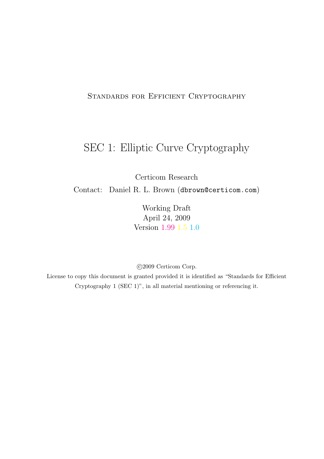## Standards for Efficient Cryptography

# SEC 1: Elliptic Curve Cryptography

Certicom Research

Contact: Daniel R. L. Brown (dbrown@certicom.com)

Working Draft April 24, 2009 Version 1.99 1.5 1.0

©2009 Certicom Corp.

License to copy this document is granted provided it is identified as "Standards for Efficient Cryptography 1 (SEC 1)", in all material mentioning or referencing it.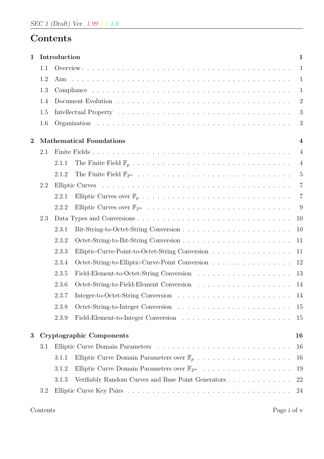# Contents

| $\mathbf 1$    |     | Introduction                                                            | $\mathbf{1}$   |
|----------------|-----|-------------------------------------------------------------------------|----------------|
|                | 1.1 |                                                                         | $\mathbf{1}$   |
|                | 1.2 |                                                                         | $\mathbf{1}$   |
|                | 1.3 |                                                                         | $\mathbf{1}$   |
|                | 1.4 |                                                                         | $\overline{2}$ |
|                | 1.5 |                                                                         | 3              |
|                | 1.6 |                                                                         | 3              |
| $\overline{2}$ |     | <b>Mathematical Foundations</b>                                         | $\overline{4}$ |
|                | 2.1 |                                                                         | $\overline{4}$ |
|                |     | 2.1.1                                                                   | $\overline{4}$ |
|                |     | 2.1.2                                                                   | 5              |
|                | 2.2 |                                                                         | $\overline{7}$ |
|                |     | 2.2.1                                                                   | $\overline{7}$ |
|                |     | 2.2.2                                                                   | -9             |
|                | 2.3 | 10                                                                      |                |
|                |     | 10<br>2.3.1                                                             |                |
|                |     | 2.3.2<br>11                                                             |                |
|                |     | 2.3.3<br>Elliptic-Curve-Point-to-Octet-String Conversion<br>11          |                |
|                |     | 2.3.4<br>Octet-String-to-Elliptic-Curve-Point Conversion<br>12          |                |
|                |     | 2.3.5<br>13                                                             |                |
|                |     | 2.3.6<br>-14                                                            |                |
|                |     | 2.3.7<br>14                                                             |                |
|                |     | 2.3.8<br>15                                                             |                |
|                |     | 2.3.9<br>15                                                             |                |
| 3              |     | <b>Cryptographic Components</b><br>16                                   |                |
|                | 3.1 | 16                                                                      |                |
|                |     | 3.1.1<br>16                                                             |                |
|                |     | Elliptic Curve Domain Parameters over $\mathbb{F}_{2^m}$<br>3.1.2<br>19 |                |
|                |     | Verifiably Random Curves and Base Point Generators<br>3.1.3<br>22       |                |
|                | 3.2 | 24                                                                      |                |
|                |     |                                                                         |                |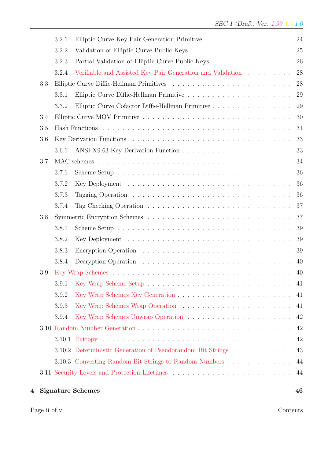| 4 |     |                | <b>Signature Schemes</b>                                    | 46       |
|---|-----|----------------|-------------------------------------------------------------|----------|
|   |     |                |                                                             | 44       |
|   |     |                | 3.10.3 Converting Random Bit Strings to Random Numbers      | 44       |
|   |     |                | 3.10.2 Deterministic Generation of Pseudorandom Bit Strings | 43       |
|   |     |                |                                                             | 42       |
|   |     |                |                                                             | 42       |
|   |     | 3.9.4          |                                                             | 42       |
|   |     | 3.9.3          |                                                             | 41       |
|   |     | 3.9.2          |                                                             | 41       |
|   |     | 3.9.1          |                                                             | -41      |
|   | 3.9 |                |                                                             | 40       |
|   |     | 3.8.4          |                                                             | 40       |
|   |     | 3.8.3          |                                                             | 39       |
|   |     | 3.8.2          |                                                             | 39       |
|   |     | 3.8.1          |                                                             | 39       |
|   | 3.8 |                |                                                             | 37       |
|   |     | 3.7.4          |                                                             | 37       |
|   |     | 3.7.3          |                                                             | 36       |
|   |     | 3.7.2          |                                                             | 36       |
|   |     | 3.7.1          |                                                             | 36       |
|   | 3.7 |                |                                                             | 34       |
|   |     | 3.6.1          |                                                             | 33       |
|   | 3.6 |                |                                                             | 33       |
|   | 3.5 |                |                                                             | 31       |
|   | 3.4 |                |                                                             | 30       |
|   |     | 3.3.2          |                                                             | 29       |
|   |     | 3.3.1          |                                                             | 29       |
|   | 3.3 |                |                                                             | 28       |
|   |     | 3.2.4          | Verifiable and Assisted Key Pair Generation and Validation  | 28       |
|   |     | 3.2.2<br>3.2.3 | Partial Validation of Elliptic Curve Public Keys            | 25<br>26 |
|   |     |                |                                                             |          |
|   |     | 3.2.1          |                                                             | 24       |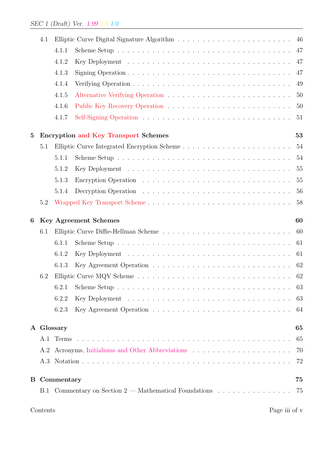|          | 4.1 |            |                                                                                                                                          | 46 |
|----------|-----|------------|------------------------------------------------------------------------------------------------------------------------------------------|----|
|          |     | 4.1.1      |                                                                                                                                          | 47 |
|          |     | 4.1.2      |                                                                                                                                          | 47 |
|          |     | 4.1.3      | Signing Operation $\ldots$ , $\ldots$ , $\ldots$ , $\ldots$ , $\ldots$ , $\ldots$ , $\ldots$ , $\ldots$ , $\ldots$ , $\ldots$ , $\ldots$ | 47 |
|          |     | 4.1.4      |                                                                                                                                          | 49 |
|          |     | 4.1.5      |                                                                                                                                          | 50 |
|          |     | 4.1.6      |                                                                                                                                          | 50 |
|          |     | 4.1.7      |                                                                                                                                          | 51 |
| $\bf{5}$ |     |            | <b>Encryption and Key Transport Schemes</b>                                                                                              | 53 |
|          | 5.1 |            |                                                                                                                                          | 54 |
|          |     | 5.1.1      |                                                                                                                                          | 54 |
|          |     | 5.1.2      |                                                                                                                                          | 55 |
|          |     | 5.1.3      |                                                                                                                                          | 55 |
|          |     | 5.1.4      |                                                                                                                                          | 56 |
|          | 5.2 |            |                                                                                                                                          | 58 |
| 6        |     |            | <b>Key Agreement Schemes</b>                                                                                                             | 60 |
|          | 6.1 |            |                                                                                                                                          | 60 |
|          |     | 6.1.1      |                                                                                                                                          | 61 |
|          |     | 6.1.2      |                                                                                                                                          | 61 |
|          |     | 6.1.3      |                                                                                                                                          | 62 |
|          | 6.2 |            |                                                                                                                                          | 62 |
|          |     | 6.2.1      |                                                                                                                                          | 63 |
|          |     | 6.2.2      |                                                                                                                                          | 63 |
|          |     | 6.2.3      |                                                                                                                                          | 64 |
|          |     | A Glossary |                                                                                                                                          | 65 |
|          |     |            |                                                                                                                                          |    |
|          | A.1 |            |                                                                                                                                          | 65 |
|          | A.2 |            |                                                                                                                                          | 70 |
|          | A.3 |            |                                                                                                                                          | 72 |
| $\bf{B}$ |     | Commentary |                                                                                                                                          | 75 |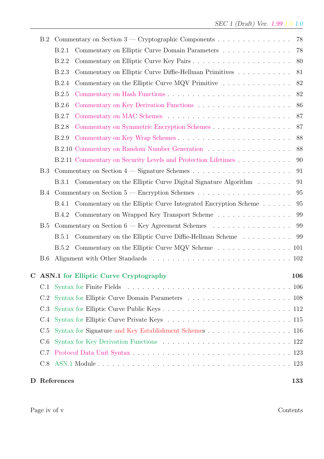| B.2        | Commentary on Section $3$ — Cryptographic Components                                    | 78  |
|------------|-----------------------------------------------------------------------------------------|-----|
|            | Commentary on Elliptic Curve Domain Parameters<br>B.2.1                                 | 78  |
|            | B.2.2                                                                                   | 80  |
|            | Commentary on Elliptic Curve Diffie-Hellman Primitives<br>B.2.3                         | 81  |
|            | Commentary on the Elliptic Curve MQV Primitive $\dots \dots \dots \dots \dots$<br>B.2.4 | 82  |
|            | <b>B.2.5</b>                                                                            | 82  |
|            | B.2.6                                                                                   | 86  |
|            | B.2.7                                                                                   | 87  |
|            | B.2.8                                                                                   | 87  |
|            | B.2.9                                                                                   | 88  |
|            |                                                                                         | 88  |
|            | B.2.11 Commentary on Security Levels and Protection Lifetimes                           | 90  |
| B.3        |                                                                                         | 91  |
|            | Commentary on the Elliptic Curve Digital Signature Algorithm<br><b>B.3.1</b>            | 91  |
| <b>B.4</b> |                                                                                         | 95  |
|            | Commentary on the Elliptic Curve Integrated Encryption Scheme<br><b>B.4.1</b>           | 95  |
|            | Commentary on Wrapped Key Transport Scheme<br><b>B.4.2</b>                              | 99  |
| B.5        | Commentary on Section 6 — Key Agreement Schemes                                         | 99  |
|            | Commentary on the Elliptic Curve Diffie-Hellman Scheme<br><b>B.5.1</b>                  | 99  |
|            | Commentary on the Elliptic Curve MQV Scheme 101<br>B.5.2                                |     |
| B.6        |                                                                                         |     |
|            | C ASN.1 for Elliptic Curve Cryptography                                                 | 106 |
| C.1        |                                                                                         |     |
| C.2        |                                                                                         |     |
| C.3        |                                                                                         |     |
| C.4        |                                                                                         |     |
| C.5        | Syntax for Signature and Key Establishment Schemes 116                                  |     |
| C.6        |                                                                                         |     |
| C.7        |                                                                                         |     |
| C.8        |                                                                                         |     |
|            |                                                                                         |     |
|            | D References                                                                            | 133 |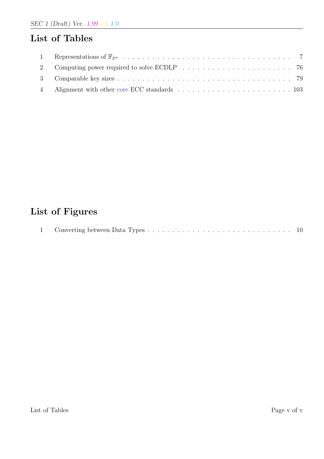# List of Tables

# List of Figures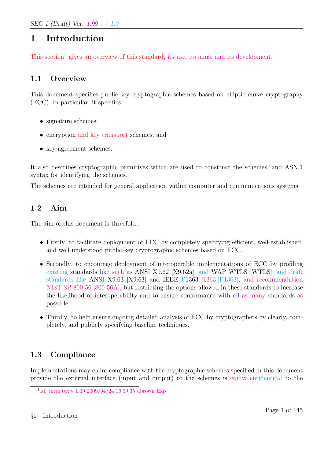# 1 Introduction

This section<sup>1</sup> gives an overview of this standard, its use, its aims, and its development.

## 1.1 Overview

This document specifies public-key cryptographic schemes based on elliptic curve cryptography (ECC). In particular, it specifies:

- signature schemes;
- encryption and key transport schemes; and
- key agreement schemes.

It also describes cryptographic primitives which are used to construct the schemes, and ASN.1 syntax for identifying the schemes.

The schemes are intended for general application within computer and communications systems.

## 1.2 Aim

The aim of this document is threefold.:

- Firstly, to facilitate deployment of ECC by completely specifying efficient, well-established, and well-understood public-key cryptographic schemes based on ECC.
- Secondly, to encourage deployment of interoperable implementations of ECC by profiling existing standards like such as ANSI X9.62 [X9.62a], and WAP WTLS [WTLS], and draft standards like ANSI X9.63 [X9.63] and IEEE P1363 [1363][P1363], and recommendation NIST SP 800-56 [800-56A], but restricting the options allowed in these standards to increase the likelihood of interoperability and to ensure conformance with all as many standards as possible.
- Thirdly, to help ensure ongoing detailed analysis of ECC by cryptographers by clearly, completely, and publicly specifying baseline techniques.

# 1.3 Compliance

Implementations may claim compliance with the cryptographic schemes specified in this document provide the external interface (input and output) to the schemes is equivalentidentical to the

<sup>&</sup>lt;sup>1</sup>Id: intro.tex, v 1.39 2009/04/24 16:39:35 dbrown Exp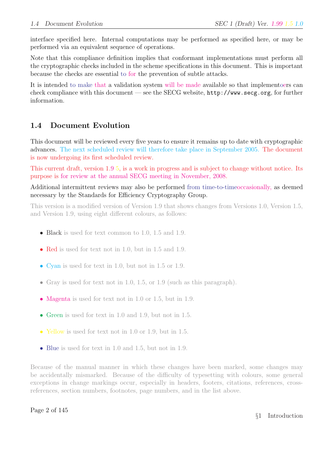interface specified here. Internal computations may be performed as specified here, or may be performed via an equivalent sequence of operations.

Note that this compliance definition implies that conformant implementations must perform all the cryptographic checks included in the scheme specifications in this document. This is important because the checks are essential to for the prevention of subtle attacks.

It is intended to make that a validation system will be made available so that implementoers can check compliance with this document — see the SECG website, http://www.secg.org, for further information.

# 1.4 Document Evolution

This document will be reviewed every five years to ensure it remains up to date with cryptographic advances. The next scheduled review will therefore take place in September 2005. The document is now undergoing its first scheduled review.

This current draft, version 1.9 5, is a work in progress and is subject to change without notice. Its purpose is for review at the annual SECG meeting in November, 2008.

Additional intermittent reviews may also be performed from time-to-timeoccasionally, as deemed necessary by the Standards for Efficiency Cryptography Group.

This version is a modified version of Version 1.9 that shows changes from Versions 1.0, Version 1.5, and Version 1.9, using eight different colours, as follows:

- Black is used for text common to 1.0, 1.5 and 1.9.
- Red is used for text not in 1.0, but in 1.5 and 1.9.
- Cyan is used for text in 1.0, but not in 1.5 or 1.9.
- Gray is used for text not in 1.0, 1.5, or 1.9 (such as this paragraph).
- Magenta is used for text not in 1.0 or 1.5, but in 1.9.
- Green is used for text in 1.0 and 1.9, but not in 1.5.
- Yellow is used for text not in 1.0 or 1.9, but in 1.5.
- Blue is used for text in 1.0 and 1.5, but not in 1.9.

Because of the manual manner in which these changes have been marked, some changes may be accidentally mismarked. Because of the difficulty of typesetting with colours, some general exceptions in change markings occur, especially in headers, footers, citations, references, crossreferences, section numbers, footnotes, page numbers, and in the list above.

### Page 2 of 145

§1 Introduction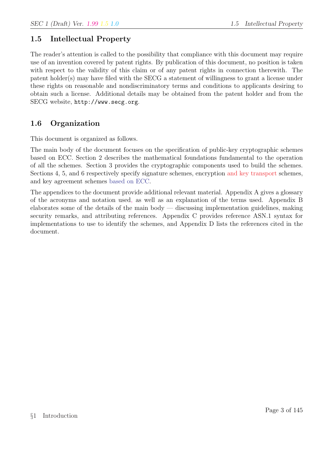## 1.5 Intellectual Property

The reader's attention is called to the possibility that compliance with this document may require use of an invention covered by patent rights. By publication of this document, no position is taken with respect to the validity of this claim or of any patent rights in connection therewith. The patent holder(s) may have filed with the SECG a statement of willingness to grant a license under these rights on reasonable and nondiscriminatory terms and conditions to applicants desiring to obtain such a license. Additional details may be obtained from the patent holder and from the SECG website, http://www.secg.org.

## 1.6 Organization

This document is organized as follows.

The main body of the document focuses on the specification of public-key cryptographic schemes based on ECC. Section 2 describes the mathematical foundations fundamental to the operation of all the schemes. Section 3 provides the cryptographic components used to build the schemes. Sections 4, 5, and 6 respectively specify signature schemes, encryption and key transport schemes, and key agreement schemes based on ECC.

The appendices to the document provide additional relevant material. Appendix A gives a glossary of the acronyms and notation used, as well as an explanation of the terms used. Appendix B elaborates some of the details of the main body — discussing implementation guidelines, making security remarks, and attributing references. Appendix C provides reference ASN.1 syntax for implementations to use to identify the schemes, and Appendix D lists the references cited in the document.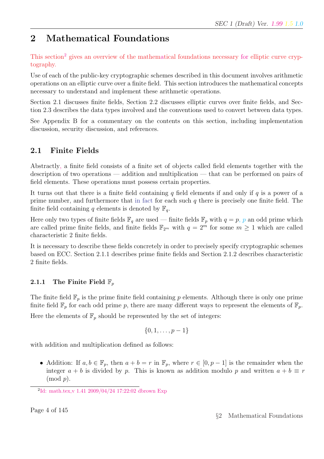# 2 Mathematical Foundations

This section<sup>2</sup> gives an overview of the mathematical foundations necessary for elliptic curve cryptography.

Use of each of the public-key cryptographic schemes described in this document involves arithmetic operations on an elliptic curve over a finite field. This section introduces the mathematical concepts necessary to understand and implement these arithmetic operations.

Section 2.1 discusses finite fields, Section 2.2 discusses elliptic curves over finite fields, and Section 2.3 describes the data types involved and the conventions used to convert between data types.

See Appendix B for a commentary on the contents on this section, including implementation discussion, security discussion, and references.

# 2.1 Finite Fields

Abstractly, a finite field consists of a finite set of objects called field elements together with the description of two operations — addition and multiplication — that can be performed on pairs of field elements. These operations must possess certain properties.

It turns out that there is a finite field containing q field elements if and only if q is a power of a prime number, and furthermore that in fact for each such  $q$  there is precisely one finite field. The finite field containing q elements is denoted by  $\mathbb{F}_q$ .

Here only two types of finite fields  $\mathbb{F}_q$  are used — finite fields  $\mathbb{F}_p$  with  $q = p$ , p an odd prime which are called prime finite fields, and finite fields  $\mathbb{F}_{2^m}$  with  $q = 2^m$  for some  $m \geq 1$  which are called characteristic 2 finite fields.

It is necessary to describe these fields concretely in order to precisely specify cryptographic schemes based on ECC. Section 2.1.1 describes prime finite fields and Section 2.1.2 describes characteristic 2 finite fields.

## 2.1.1 The Finite Field  $\mathbb{F}_p$

The finite field  $\mathbb{F}_p$  is the prime finite field containing p elements. Although there is only one prime finite field  $\mathbb{F}_p$  for each odd prime p, there are many different ways to represent the elements of  $\mathbb{F}_p$ .

Here the elements of  $\mathbb{F}_p$  should be represented by the set of integers:

$$
\{0,1,\ldots,p-1\}
$$

with addition and multiplication defined as follows:

• Addition: If  $a, b \in \mathbb{F}_p$ , then  $a + b = r$  in  $\mathbb{F}_p$ , where  $r \in [0, p-1]$  is the remainder when the integer  $a + b$  is divided by p. This is known as addition modulo p and written  $a + b \equiv r$  $\pmod{p}$ .

<sup>2</sup> Id: math.tex,v 1.41 2009/04/24 17:22:02 dbrown Exp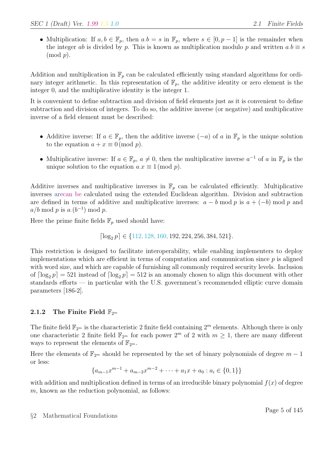• Multiplication: If  $a, b \in \mathbb{F}_p$ , then  $a.b = s$  in  $\mathbb{F}_p$ , where  $s \in [0, p-1]$  is the remainder when the integer ab is divided by p. This is known as multiplication modulo p and written  $a.b \equiv s$  $\pmod{p}$ .

Addition and multiplication in  $\mathbb{F}_p$  can be calculated efficiently using standard algorithms for ordinary integer arithmetic. In this representation of  $\mathbb{F}_p$ , the additive identity or zero element is the integer 0, and the multiplicative identity is the integer 1.

It is convenient to define subtraction and division of field elements just as it is convenient to define subtraction and division of integers. To do so, the additive inverse (or negative) and multiplicative inverse of a field element must be described:

- Additive inverse: If  $a \in \mathbb{F}_p$ , then the additive inverse  $(-a)$  of a in  $\mathbb{F}_p$  is the unique solution to the equation  $a + x \equiv 0 \pmod{p}$ .
- Multiplicative inverse: If  $a \in \mathbb{F}_p$ ,  $a \neq 0$ , then the multiplicative inverse  $a^{-1}$  of a in  $\mathbb{F}_p$  is the unique solution to the equation  $a.x \equiv 1 \pmod{p}$ .

Additive inverses and multiplicative inverses in  $\mathbb{F}_p$  can be calculated efficiently. Multiplicative inverses arecan be calculated using the extended Euclidean algorithm. Division and subtraction are defined in terms of additive and multiplicative inverses:  $a - b \mod p$  is  $a + (-b) \mod p$  and  $a/b \mod p$  is  $a.(b^{-1}) \mod p$ .

Here the prime finite fields  $\mathbb{F}_p$  used should have:

 $\lceil \log_2 p \rceil \in \{112, 128, 160, 192, 224, 256, 384, 521\}.$ 

This restriction is designed to facilitate interoperability, while enabling implementers to deploy implementations which are efficient in terms of computation and communication since  $p$  is aligned with word size, and which are capable of furnishing all commonly required security levels. Inclusion of  $\lceil \log_2 p \rceil = 521$  instead of  $\lceil \log_2 p \rceil = 512$  is an anomaly chosen to align this document with other standards efforts — in particular with the U.S. government's recommended elliptic curve domain parameters [186-2].

### 2.1.2 The Finite Field  $\mathbb{F}_{2^m}$

The finite field  $\mathbb{F}_{2^m}$  is the characteristic 2 finite field containing  $2^m$  elements. Although there is only one characteristic 2 finite field  $\mathbb{F}_{2^m}$  for each power  $2^m$  of 2 with  $m \geq 1$ , there are many different ways to represent the elements of  $\mathbb{F}_{2^m}$ .

Here the elements of  $\mathbb{F}_{2^m}$  should be represented by the set of binary polynomials of degree  $m-1$ or less:

$$
\{a_{m-1}x^{m-1} + a_{m-2}x^{m-2} + \cdots + a_1x + a_0 : a_i \in \{0, 1\}\}
$$

with addition and multiplication defined in terms of an irreducible binary polynomial  $f(x)$  of degree  $m$ , known as the reduction polynomial, as follows: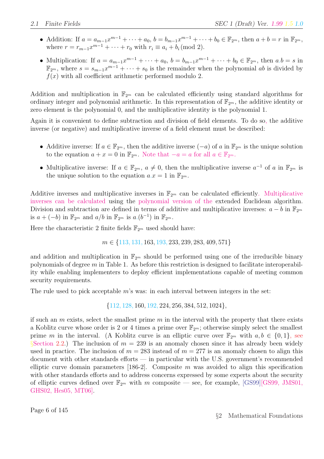- Addition: If  $a = a_{m-1}x^{m-1} + \cdots + a_0$ ,  $b = b_{m-1}x^{m-1} + \cdots + b_0 \in \mathbb{F}_{2^m}$ , then  $a + b = r$  in  $\mathbb{F}_{2^m}$ , where  $r = r_{m-1}x^{m-1} + \cdots + r_0$  with  $r_i \equiv a_i + b_i \pmod{2}$ .
- Multiplication: If  $a = a_{m-1}x^{m-1} + \cdots + a_0$ ,  $b = b_{m-1}x^{m-1} + \cdots + b_0 \in \mathbb{F}_{2^m}$ , then  $a.b = s$  in  $\mathbb{F}_{2^m}$ , where  $s = s_{m-1}x^{m-1} + \cdots + s_0$  is the remainder when the polynomial ab is divided by  $f(x)$  with all coefficient arithmetic performed modulo 2.

Addition and multiplication in  $\mathbb{F}_{2^m}$  can be calculated efficiently using standard algorithms for ordinary integer and polynomial arithmetic. In this representation of  $\mathbb{F}_{2^m}$ , the additive identity or zero element is the polynomial 0, and the multiplicative identity is the polynomial 1.

Again it is convenient to define subtraction and division of field elements. To do so, the additive inverse (or negative) and multiplicative inverse of a field element must be described:

- Additive inverse: If  $a \in \mathbb{F}_{2^m}$ , then the additive inverse  $(-a)$  of a in  $\mathbb{F}_{2^m}$  is the unique solution to the equation  $a + x = 0$  in  $\mathbb{F}_{2^m}$ . Note that  $-a = a$  for all  $a \in \mathbb{F}_{2^m}$ .
- Multiplicative inverse: If  $a \in \mathbb{F}_{2^m}$ ,  $a \neq 0$ , then the multiplicative inverse  $a^{-1}$  of a in  $\mathbb{F}_{2^m}$  is the unique solution to the equation  $a.x = 1$  in  $\mathbb{F}_{2^m}$ .

Additive inverses and multiplicative inverses in  $\mathbb{F}_{2^m}$  can be calculated efficiently. Multiplicative inverses can be calculated using the polynomial version of the extended Euclidean algorithm. Division and subtraction are defined in terms of additive and multiplicative inverses:  $a - b$  in  $\mathbb{F}_{2^m}$ is  $a + (-b)$  in  $\mathbb{F}_{2^m}$  and  $a/b$  in  $\mathbb{F}_{2^m}$  is  $a.(b^{-1})$  in  $\mathbb{F}_{2^m}$ .

Here the characteristic 2 finite fields  $\mathbb{F}_{2^m}$  used should have:

 $m \in \{113, 131, 163, 193, 233, 239, 283, 409, 571\}$ 

and addition and multiplication in  $\mathbb{F}_{2^m}$  should be performed using one of the irreducible binary polynomials of degree  $m$  in Table 1. As before this restriction is designed to facilitate interoperability while enabling implementers to deploy efficient implementations capable of meeting common security requirements.

The rule used to pick acceptable  $m$ 's was: in each interval between integers in the set:

{112, 128, 160, 192, 224, 256, 384, 512, 1024},

if such an  $m$  exists, select the smallest prime  $m$  in the interval with the property that there exists a Koblitz curve whose order is 2 or 4 times a prime over  $\mathbb{F}_{2^m}$ ; otherwise simply select the smallest prime m in the interval. (A Koblitz curve is an elliptic curve over  $\mathbb{F}_{2^m}$  with  $a, b \in \{0, 1\}$ , see §Section 2.2.) The inclusion of  $m = 239$  is an anomaly chosen since it has already been widely used in practice. The inclusion of  $m = 283$  instead of  $m = 277$  is an anomaly chosen to align this document with other standards efforts — in particular with the U.S. government's recommended elliptic curve domain parameters [186-2]. Composite  $m$  was avoided to align this specification with other standards efforts and to address concerns expressed by some experts about the security of elliptic curves defined over  $\mathbb{F}_{2^m}$  with m composite — see, for example, [GS99][GS99, JMS01, GHS02, Hes05, MT06].

Page 6 of 145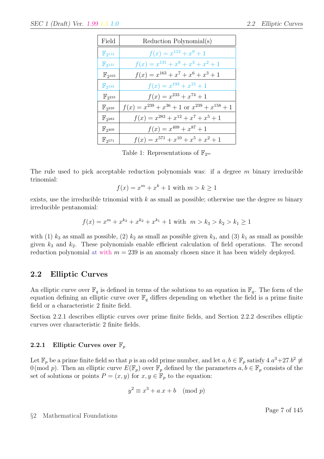| Field                  | Reduction Polynomial(s)                                  |
|------------------------|----------------------------------------------------------|
| $\mathbb{F}_{2^{113}}$ | $f(x) = x^{113} + x^9 + 1$                               |
| $\mathbb{F}_{2^{131}}$ | $f(x) = x^{131} + x^8 + x^3 + x^2 + 1$                   |
| $\mathbb{F}_{2^{163}}$ | $f(x) = x^{163} + x^7 + x^6 + x^3 + 1$                   |
| $\mathbb{F}_{2^{193}}$ | $f(x) = x^{193} + x^{15} + 1$                            |
| $\mathbb{F}_{2^{233}}$ | $f(x) = x^{233} + x^{74} + 1$                            |
| $\mathbb{F}_{2^{239}}$ | $f(x) = x^{239} + x^{36} + 1$ or $x^{239} + x^{158} + 1$ |
| $\mathbb{F}_{2^{283}}$ | $f(x) = x^{283} + x^{12} + x^7 + x^5 + 1$                |
| $\mathbb{F}_{2^{409}}$ | $f(x) = x^{409} + x^{87} + 1$                            |
| $\mathbb{F}_{2^{571}}$ | $f(x) = x^{571} + x^{10} + x^5 + x^2 + 1$                |

Table 1: Representations of  $\mathbb{F}_{2^m}$ 

The rule used to pick acceptable reduction polynomials was: if a degree  $m$  binary irreducible trinomial:

$$
f(x) = xm + xk + 1
$$
 with  $m > k \ge 1$ 

exists, use the irreducible trinomial with  $k$  as small as possible; otherwise use the degree  $m$  binary irreducible pentanomial:

$$
f(x) = xm + xk3 + xk2 + xk1 + 1 with m > k3 > k2 > k1 \ge 1
$$

with (1)  $k_3$  as small as possible, (2)  $k_2$  as small as possible given  $k_3$ , and (3)  $k_1$  as small as possible given  $k_3$  and  $k_2$ . These polynomials enable efficient calculation of field operations. The second reduction polynomial at with  $m = 239$  is an anomaly chosen since it has been widely deployed.

### 2.2 Elliptic Curves

An elliptic curve over  $\mathbb{F}_q$  is defined in terms of the solutions to an equation in  $\mathbb{F}_q$ . The form of the equation defining an elliptic curve over  $\mathbb{F}_q$  differs depending on whether the field is a prime finite field or a characteristic 2 finite field.

Section 2.2.1 describes elliptic curves over prime finite fields, and Section 2.2.2 describes elliptic curves over characteristic 2 finite fields.

### 2.2.1 Elliptic Curves over  $\mathbb{F}_p$

Let  $\mathbb{F}_p$  be a prime finite field so that p is an odd prime number, and let  $a, b \in \mathbb{F}_p$  satisfy  $4.a^3 + 27.b^2 \neq 0$ 0 (mod p). Then an elliptic curve  $E(\mathbb{F}_p)$  over  $\mathbb{F}_p$  defined by the parameters  $a, b \in \mathbb{F}_p$  consists of the set of solutions or points  $P = (x, y)$  for  $x, y \in \mathbb{F}_p$  to the equation:

$$
y^2 \equiv x^3 + a \cdot x + b \pmod{p}
$$

§2 Mathematical Foundations

Page 7 of 145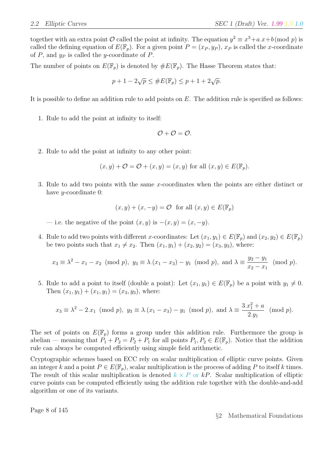together with an extra point  $\mathcal O$  called the point at infinity. The equation  $y^2 \equiv x^3 + a \cdot x + b \pmod{p}$  is called the defining equation of  $E(\mathbb{F}_p)$ . For a given point  $P = (x_P, y_P)$ ,  $x_P$  is called the x-coordinate of  $P$ , and  $y_P$  is called the y-coordinate of  $P$ .

The number of points on  $E(\mathbb{F}_p)$  is denoted by  $\#E(\mathbb{F}_p)$ . The Hasse Theorem states that:

$$
p + 1 - 2\sqrt{p} \leq \#E(\mathbb{F}_p) \leq p + 1 + 2\sqrt{p}.
$$

It is possible to define an addition rule to add points on  $E$ . The addition rule is specified as follows:

1. Rule to add the point at infinity to itself:

$$
\mathcal{O}+\mathcal{O}=\mathcal{O}.
$$

2. Rule to add the point at infinity to any other point:

$$
(x, y) + \mathcal{O} = \mathcal{O} + (x, y) = (x, y) \text{ for all } (x, y) \in E(\mathbb{F}_p).
$$

3. Rule to add two points with the same x-coordinates when the points are either distinct or have y-coordinate 0:

$$
(x, y) + (x, -y) = \mathcal{O}
$$
 for all  $(x, y) \in E(\mathbb{F}_p)$ 

— i.e. the negative of the point  $(x, y)$  is  $-(x, y) = (x, -y)$ .

4. Rule to add two points with different x-coordinates: Let  $(x_1, y_1) \in E(\mathbb{F}_p)$  and  $(x_2, y_2) \in E(\mathbb{F}_p)$ be two points such that  $x_1 \neq x_2$ . Then  $(x_1, y_1) + (x_2, y_2) = (x_3, y_3)$ , where:

$$
x_3 \equiv \lambda^2 - x_1 - x_2 \pmod{p}
$$
,  $y_3 \equiv \lambda (x_1 - x_3) - y_1 \pmod{p}$ , and  $\lambda \equiv \frac{y_2 - y_1}{x_2 - x_1} \pmod{p}$ .

5. Rule to add a point to itself (double a point): Let  $(x_1, y_1) \in E(\mathbb{F}_p)$  be a point with  $y_1 \neq 0$ . Then  $(x_1, y_1) + (x_1, y_1) = (x_3, y_3)$ , where:

$$
x_3 \equiv \lambda^2 - 2 \cdot x_1 \pmod{p}
$$
,  $y_3 \equiv \lambda (x_1 - x_3) - y_1 \pmod{p}$ , and  $\lambda \equiv \frac{3 \cdot x_1^2 + a}{2 \cdot y_1} \pmod{p}$ .

The set of points on  $E(\mathbb{F}_p)$  forms a group under this addition rule. Furthermore the group is abelian — meaning that  $P_1 + P_2 = P_2 + P_1$  for all points  $P_1, P_2 \in E(\mathbb{F}_p)$ . Notice that the addition rule can always be computed efficiently using simple field arithmetic.

Cryptographic schemes based on ECC rely on scalar multiplication of elliptic curve points. Given an integer k and a point  $P \in E(\mathbb{F}_p)$ , scalar multiplication is the process of adding P to itself k times. The result of this scalar multiplication is denoted  $k \times P$  or kP. Scalar multiplication of elliptic curve points can be computed efficiently using the addition rule together with the double-and-add algorithm or one of its variants.

Page 8 of 145

§2 Mathematical Foundations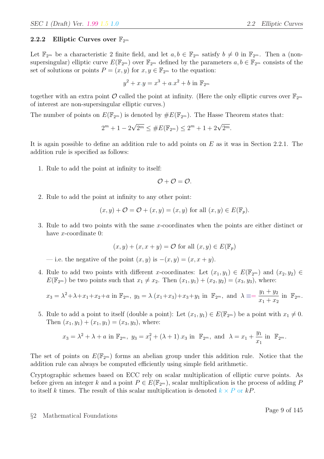#### 2.2.2 Elliptic Curves over  $\mathbb{F}_{2^m}$

Let  $\mathbb{F}_{2^m}$  be a characteristic 2 finite field, and let  $a, b \in \mathbb{F}_{2^m}$  satisfy  $b \neq 0$  in  $\mathbb{F}_{2^m}$ . Then a (nonsupersingular) elliptic curve  $E(\mathbb{F}_{2^m})$  over  $\mathbb{F}_{2^m}$  defined by the parameters  $a, b \in \mathbb{F}_{2^m}$  consists of the set of solutions or points  $P = (x, y)$  for  $x, y \in \mathbb{F}_{2^m}$  to the equation:

$$
y^{2} + x \cdot y = x^{3} + a \cdot x^{2} + b \text{ in } \mathbb{F}_{2^{m}}
$$

together with an extra point  $\mathcal O$  called the point at infinity. (Here the only elliptic curves over  $\mathbb{F}_{2^m}$ of interest are non-supersingular elliptic curves.)

The number of points on  $E(\mathbb{F}_{2^m})$  is denoted by  $\#E(\mathbb{F}_{2^m})$ . The Hasse Theorem states that:

$$
2^{m} + 1 - 2\sqrt{2^{m}} \leq \#E(\mathbb{F}_{2^{m}}) \leq 2^{m} + 1 + 2\sqrt{2^{m}}.
$$

It is again possible to define an addition rule to add points on  $E$  as it was in Section 2.2.1. The addition rule is specified as follows:

1. Rule to add the point at infinity to itself:

$$
\mathcal{O}+\mathcal{O}=\mathcal{O}.
$$

2. Rule to add the point at infinity to any other point:

$$
(x, y) + \mathcal{O} = \mathcal{O} + (x, y) = (x, y)
$$
 for all  $(x, y) \in E(\mathbb{F}_p)$ .

3. Rule to add two points with the same x-coordinates when the points are either distinct or have x-coordinate 0:

$$
(x, y) + (x, x + y) = \mathcal{O}
$$
 for all  $(x, y) \in E(\mathbb{F}_p)$ 

— i.e. the negative of the point  $(x, y)$  is  $-(x, y) = (x, x + y)$ .

4. Rule to add two points with different x-coordinates: Let  $(x_1, y_1) \in E(\mathbb{F}_{2^m})$  and  $(x_2, y_2) \in$  $E(\mathbb{F}_{2^m})$  be two points such that  $x_1 \neq x_2$ . Then  $(x_1, y_1) + (x_2, y_2) = (x_3, y_3)$ , where:

$$
x_3 = \lambda^2 + \lambda + x_1 + x_2 + a \text{ in } \mathbb{F}_{2^m}, y_3 = \lambda \cdot (x_1 + x_3) + x_3 + y_1 \text{ in } \mathbb{F}_{2^m}, \text{ and } \lambda \equiv = \frac{y_1 + y_2}{x_1 + x_2} \text{ in } \mathbb{F}_{2^m}.
$$

5. Rule to add a point to itself (double a point): Let  $(x_1, y_1) \in E(\mathbb{F}_{2^m})$  be a point with  $x_1 \neq 0$ . Then  $(x_1, y_1) + (x_1, y_1) = (x_3, y_3)$ , where:

$$
x_3 = \lambda^2 + \lambda + a
$$
 in  $\mathbb{F}_{2^m}$ ,  $y_3 = x_1^2 + (\lambda + 1)x_3$  in  $\mathbb{F}_{2^m}$ , and  $\lambda = x_1 + \frac{y_1}{x_1}$  in  $\mathbb{F}_{2^m}$ .

The set of points on  $E(\mathbb{F}_{2^m})$  forms an abelian group under this addition rule. Notice that the addition rule can always be computed efficiently using simple field arithmetic.

Cryptographic schemes based on ECC rely on scalar multiplication of elliptic curve points. As before given an integer k and a point  $P \in E(\mathbb{F}_{2^m})$ , scalar multiplication is the process of adding P to itself k times. The result of this scalar multiplication is denoted  $k \times P$  or kP.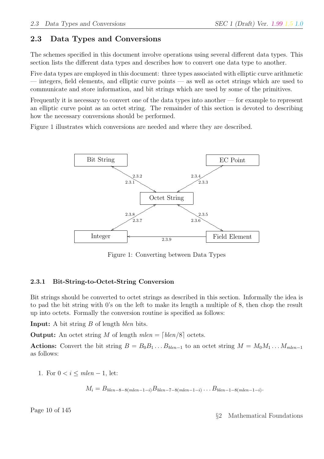# 2.3 Data Types and Conversions

The schemes specified in this document involve operations using several different data types. This section lists the different data types and describes how to convert one data type to another.

Five data types are employed in this document: three types associated with elliptic curve arithmetic — integers, field elements, and elliptic curve points — as well as octet strings which are used to communicate and store information, and bit strings which are used by some of the primitives.

Frequently it is necessary to convert one of the data types into another — for example to represent an elliptic curve point as an octet string. The remainder of this section is devoted to describing how the necessary conversions should be performed.

Figure 1 illustrates which conversions are needed and where they are described.



Figure 1: Converting between Data Types

### 2.3.1 Bit-String-to-Octet-String Conversion

Bit strings should be converted to octet strings as described in this section. Informally the idea is to pad the bit string with 0's on the left to make its length a multiple of 8, then chop the result up into octets. Formally the conversion routine is specified as follows:

Input: A bit string B of length blen bits.

**Output:** An octet string M of length  $mlen = \lceil \frac{blen}{8} \rceil$  octets.

Actions: Convert the bit string  $B = B_0 B_1 ... B_{b \nleq n-1}$  to an octet string  $M = M_0 M_1 ... M_{m \nleq n-1}$ as follows:

1. For  $0 < i \leq mlen - 1$ , let:

$$
M_i = B_{\text{blen-8-8}(\text{mlen-1-i})} B_{\text{blen-7-8}(\text{mlen-1-i})} \dots B_{\text{blen-1-8}(\text{mlen-1-i})}.
$$

Page 10 of 145

§2 Mathematical Foundations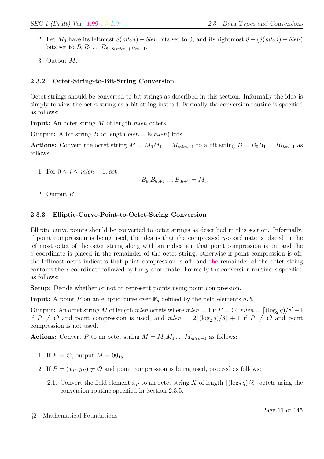- 2. Let  $M_0$  have its leftmost  $8(mlen) blen$  bits set to 0, and its rightmost  $8 (8(mlen) blen)$ bits set to  $B_0B_1 \ldots B_{8-8(mlen)+blen-1}$ .
- 3. Output M.

### 2.3.2 Octet-String-to-Bit-String Conversion

Octet strings should be converted to bit strings as described in this section. Informally the idea is simply to view the octet string as a bit string instead. Formally the conversion routine is specified as follows:

**Input:** An octet string M of length *mlen* octets.

**Output:** A bit string B of length  $blen = 8(mlen)$  bits.

Actions: Convert the octet string  $M = M_0M_1 \dots M_{mlen-1}$  to a bit string  $B = B_0B_1 \dots B_{blen-1}$  as follows:

1. For  $0 \le i \le mlen - 1$ , set:

 $B_{8i}B_{8i+1}\ldots B_{8i+7}=M_i.$ 

2. Output B.

### 2.3.3 Elliptic-Curve-Point-to-Octet-String Conversion

Elliptic curve points should be converted to octet strings as described in this section. Informally, if point compression is being used, the idea is that the compressed  $y$ -coordinate is placed in the leftmost octet of the octet string along with an indication that point compression is on, and the x-coordinate is placed in the remainder of the octet string; otherwise if point compression is off, the leftmost octet indicates that point compression is off, and the remainder of the octet string contains the x-coordinate followed by the y-coordinate. Formally the conversion routine is specified as follows:

Setup: Decide whether or not to represent points using point compression.

**Input:** A point P on an elliptic curve over  $\mathbb{F}_q$  defined by the field elements a, b.

**Output:** An octet string M of length mlen octets where  $mlen = 1$  if  $P = \mathcal{O}$ ,  $mlen = \lfloor \frac{\log_2 q}{8} \rfloor + 1$ if  $P \neq O$  and point compression is used, and  $mlen = 2\lceil (\log_2 q)/8 \rceil + 1$  if  $P \neq O$  and point compression is not used.

Actions: Convert P to an octet string  $M = M_0M_1 \dots M_{mlen-1}$  as follows:

- 1. If  $P = \mathcal{O}$ , output  $M = 00_{16}$ .
- 2. If  $P = (x_P, y_P) \neq \mathcal{O}$  and point compression is being used, proceed as follows:
	- 2.1. Convert the field element  $x_P$  to an octet string X of length  $\lceil (\log_2 q)/8 \rceil$  octets using the conversion routine specified in Section 2.3.5.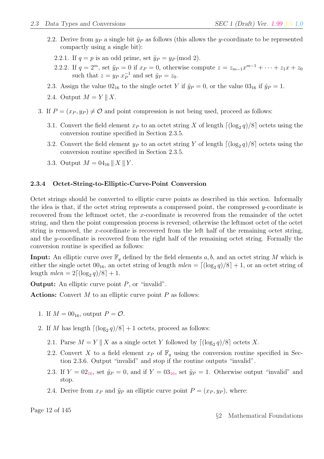- 2.2. Derive from  $y_P$  a single bit  $\tilde{y}_P$  as follows (this allows the y-coordinate to be represented compactly using a single bit):
	- 2.2.1. If  $q = p$  is an odd prime, set  $\tilde{y}_P = y_P \pmod{2}$ .
	- 2.2.2. If  $q = 2^m$ , set  $\tilde{y}_P = 0$  if  $x_P = 0$ , otherwise compute  $z = z_{m-1}x^{m-1} + \cdots + z_1x + z_0$ such that  $z = y_P . x_P^{-1}$  $_{P}^{-1}$  and set  $\tilde{y}_P = z_0$ .
- 2.3. Assign the value  $02_{16}$  to the single octet Y if  $\tilde{y}_P = 0$ , or the value  $03_{16}$  if  $\tilde{y}_P = 1$ .
- 2.4. Output  $M = Y \parallel X$ .
- 3. If  $P = (x_P, y_P) \neq \mathcal{O}$  and point compression is not being used, proceed as follows:
	- 3.1. Convert the field element  $x_P$  to an octet string X of length  $\lceil (\log_2 q)/8 \rceil$  octets using the conversion routine specified in Section 2.3.5.
	- 3.2. Convert the field element  $y_P$  to an octet string Y of length  $\lceil (\log_2 q)/8 \rceil$  octets using the conversion routine specified in Section 2.3.5.
	- 3.3. Output  $M = 04_{16} || X || Y$ .

#### 2.3.4 Octet-String-to-Elliptic-Curve-Point Conversion

Octet strings should be converted to elliptic curve points as described in this section. Informally the idea is that, if the octet string represents a compressed point, the compressed y-coordinate is recovered from the leftmost octet, the x-coordinate is recovered from the remainder of the octet string, and then the point compression process is reversed; otherwise the leftmost octet of the octet string is removed, the x-coordinate is recovered from the left half of the remaining octet string, and the y-coordinate is recovered from the right half of the remaining octet string. Formally the conversion routine is specified as follows:

**Input:** An elliptic curve over  $\mathbb{F}_q$  defined by the field elements a, b, and an octet string M which is either the single octet  $00_{16}$ , an octet string of length  $mlen = \lfloor (\log_2 q)/8 \rfloor + 1$ , or an octet string of length  $mlen = 2[(\log_2 q)/8] + 1.$ 

**Output:** An elliptic curve point  $P$ , or "invalid".

**Actions:** Convert  $M$  to an elliptic curve point  $P$  as follows:

- 1. If  $M = 00_{16}$ , output  $P = \mathcal{O}$ .
- 2. If M has length  $\lceil (\log_2 q)/8 \rceil + 1$  octets, proceed as follows:
	- 2.1. Parse  $M = Y \parallel X$  as a single octet Y followed by  $\lceil (\log_2 q)/8 \rceil$  octets X.
	- 2.2. Convert X to a field element  $x_P$  of  $\mathbb{F}_q$  using the conversion routine specified in Section 2.3.6. Output "invalid" and stop if the routine outputs "invalid".
	- 2.3. If  $Y = 0^2_{16}$ , set  $\tilde{y}_P = 0$ , and if  $Y = 0^3_{16}$ , set  $\tilde{y}_P = 1$ . Otherwise output "invalid" and stop.
	- 2.4. Derive from  $x_P$  and  $\tilde{y}_P$  an elliptic curve point  $P = (x_P, y_P)$ , where:

Page 12 of 145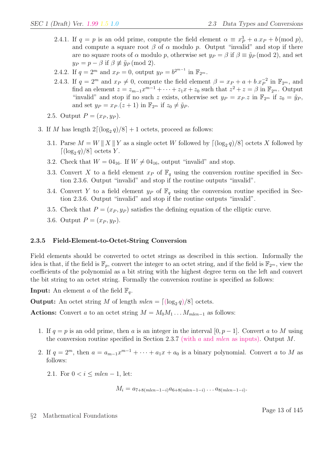- 2.4.1. If  $q = p$  is an odd prime, compute the field element  $\alpha \equiv x_P^3 + a \cdot x_P + b \pmod{p}$ , and compute a square root  $\beta$  of  $\alpha$  modulo p. Output "invalid" and stop if there are no square roots of  $\alpha$  modulo p, otherwise set  $y_P = \beta$  if  $\beta \equiv \tilde{y}_P \pmod{2}$ , and set  $y_P = p - \beta$  if  $\beta \not\equiv \tilde{y}_P \pmod{2}$ .
- 2.4.2. If  $q = 2^m$  and  $x_P = 0$ , output  $y_P = b^{2^{m-1}}$  in  $\mathbb{F}_{2^m}$ .
- 2.4.3. If  $q = 2^m$  and  $x_P \neq 0$ , compute the field element  $\beta = x_P + a + b.x_P^{-2}$  $_P^{-2}$  in  $\mathbb{F}_{2^m}$ , and find an element  $z = z_{m-1}x^{m-1} + \cdots + z_1x + z_0$  such that  $z^2 + z = \beta$  in  $\mathbb{F}_{2^m}$ . Output "invalid" and stop if no such z exists, otherwise set  $y_P = x_P z$  in  $\mathbb{F}_{2^m}$  if  $z_0 = \tilde{y}_P$ , and set  $y_P = x_P (z + 1)$  in  $\mathbb{F}_{2^m}$  if  $z_0 \neq \tilde{y}_P$ .
- 2.5. Output  $P = (x_P, y_P)$ .
- 3. If M has length  $2\lceil (\log_2 q)/8 \rceil + 1$  octets, proceed as follows:
	- 3.1. Parse  $M = W \parallel X \parallel Y$  as a single octet W followed by  $\lceil (\log_2 q)/8 \rceil$  octets X followed by  $\lceil (\log_2 q)/8 \rceil$  octets Y.
	- 3.2. Check that  $W = 0.4_{16}$ . If  $W \neq 0.4_{16}$ , output "invalid" and stop.
	- 3.3. Convert X to a field element  $x_P$  of  $\mathbb{F}_q$  using the conversion routine specified in Section 2.3.6. Output "invalid" and stop if the routine outputs "invalid".
	- 3.4. Convert Y to a field element  $y_P$  of  $\mathbb{F}_q$  using the conversion routine specified in Section 2.3.6. Output "invalid" and stop if the routine outputs "invalid".
	- 3.5. Check that  $P = (x_P, y_P)$  satisfies the defining equation of the elliptic curve.
	- 3.6. Output  $P = (x_P, y_P)$ .

#### 2.3.5 Field-Element-to-Octet-String Conversion

Field elements should be converted to octet strings as described in this section. Informally the idea is that, if the field is  $\mathbb{F}_p$ , convert the integer to an octet string, and if the field is  $\mathbb{F}_{2^m}$ , view the coefficients of the polynomial as a bit string with the highest degree term on the left and convert the bit string to an octet string. Formally the conversion routine is specified as follows:

**Input:** An element a of the field  $\mathbb{F}_q$ .

**Output:** An octet string M of length  $mlen = \lfloor (\log_2 q)/8 \rfloor$  octets.

Actions: Convert a to an octet string  $M = M_0M_1 \dots M_{mlen-1}$  as follows:

- 1. If  $q = p$  is an odd prime, then a is an integer in the interval [0, p 1]. Convert a to M using the conversion routine specified in Section 2.3.7 (with a and *mlen* as inputs). Output M.
- 2. If  $q = 2^m$ , then  $a = a_{m-1}x^{m-1} + \cdots + a_1x + a_0$  is a binary polynomial. Convert a to M as follows:
	- 2.1. For  $0 < i \leq mlen 1$ , let:

$$
M_i = a_{7+8(mlen-1-i)}a_{6+8(mlen-1-i)}\ldots a_{8(mlen-1-i)}.
$$

§2 Mathematical Foundations

Page 13 of 145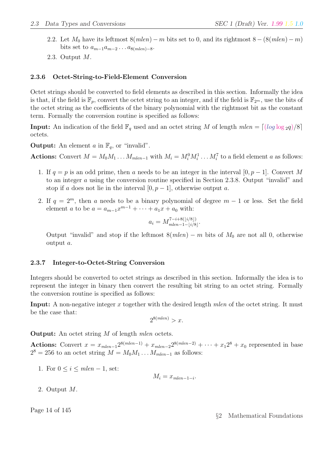- 2.2. Let  $M_0$  have its leftmost  $8(mlen) m$  bits set to 0, and its rightmost  $8 (8(mlen) m)$ bits set to  $a_{m-1}a_{m-2} \ldots a_{8(mlen)-8}$ .
- 2.3. Output M.

### 2.3.6 Octet-String-to-Field-Element Conversion

Octet strings should be converted to field elements as described in this section. Informally the idea is that, if the field is  $\mathbb{F}_p$ , convert the octet string to an integer, and if the field is  $\mathbb{F}_{2^m}$ , use the bits of the octet string as the coefficients of the binary polynomial with the rightmost bit as the constant term. Formally the conversion routine is specified as follows:

**Input:** An indication of the field  $\mathbb{F}_q$  used and an octet string M of length  $mlen = \lfloor \log \log_2 q \rfloor/8$ octets.

**Output:** An element a in  $\mathbb{F}_q$ , or "invalid".

Actions: Convert  $M = M_0 M_1 \dots M_{mlen-1}$  with  $M_i = M_i^0 M_i^1 \dots M_i^7$  to a field element a as follows:

- 1. If  $q = p$  is an odd prime, then a needs to be an integer in the interval  $[0, p 1]$ . Convert M to an integer a using the conversion routine specified in Section 2.3.8. Output "invalid" and stop if a does not lie in the interval  $[0, p-1]$ , otherwise output a.
- 2. If  $q = 2^m$ , then a needs to be a binary polynomial of degree  $m 1$  or less. Set the field element *a* to be  $a = a_{m-1}x^{m-1} + \cdots + a_1x + a_0$  with:

$$
a_i = M_{mlen-1-\lfloor i/8 \rfloor}^{7-i+8(\lfloor i/8 \rfloor)}.
$$

Output "invalid" and stop if the leftmost  $8(mlen) - m$  bits of  $M_0$  are not all 0, otherwise output a.

### 2.3.7 Integer-to-Octet-String Conversion

Integers should be converted to octet strings as described in this section. Informally the idea is to represent the integer in binary then convert the resulting bit string to an octet string. Formally the conversion routine is specified as follows:

Input: A non-negative integer x together with the desired length mlen of the octet string. It must be the case that:

$$
2^{8(mlen)} > x.
$$

**Output:** An octet string M of length mlen octets.

Actions: Convert  $x = x_{mlen-1}2^{8(mlen-1)} + x_{mlen-2}2^{8(mlen-2)} + \cdots + x_12^8 + x_0$  represented in base  $2^8 = 256$  to an octet string  $M = M_0 M_1 \dots M_{mlen-1}$  as follows:

1. For  $0 \leq i \leq mlen - 1$ , set:

$$
M_i = x_{\text{mlen}-1-i}.
$$

2. Output M.

Page 14 of 145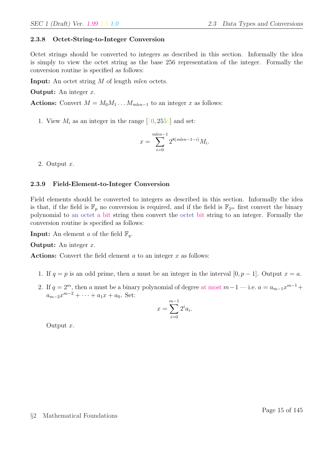### 2.3.8 Octet-String-to-Integer Conversion

Octet strings should be converted to integers as described in this section. Informally the idea is simply to view the octet string as the base 256 representation of the integer. Formally the conversion routine is specified as follows:

Input: An octet string M of length *mlen* octets.

**Output:** An integer  $x$ .

Actions: Convert  $M = M_0M_1 \dots M_{mlen-1}$  to an integer x as follows:

1. View  $M_i$  as an integer in the range  $[10, 2556]$  and set:

$$
x = \sum_{i=0}^{mlen-1} 2^{8(mlen-1-i)} M_i.
$$

2. Output x.

### 2.3.9 Field-Element-to-Integer Conversion

Field elements should be converted to integers as described in this section. Informally the idea is that, if the field is  $\mathbb{F}_p$  no conversion is required, and if the field is  $\mathbb{F}_{2^m}$  first convert the binary polynomial to an octet a bit string then convert the octet bit string to an integer. Formally the conversion routine is specified as follows:

**Input:** An element a of the field  $\mathbb{F}_q$ .

**Output:** An integer  $x$ .

Actions: Convert the field element  $a$  to an integer  $x$  as follows:

- 1. If  $q = p$  is an odd prime, then a must be an integer in the interval  $[0, p 1]$ . Output  $x = a$ .
- 2. If  $q = 2^m$ , then a must be a binary polynomial of degree at most  $m-1$  i.e.  $a = a_{m-1}x^{m-1} +$  $a_{m-2}x^{m-2} + \cdots + a_1x + a_0$ . Set:

$$
x = \sum_{i=0}^{m-1} 2^i a_i.
$$

Output x.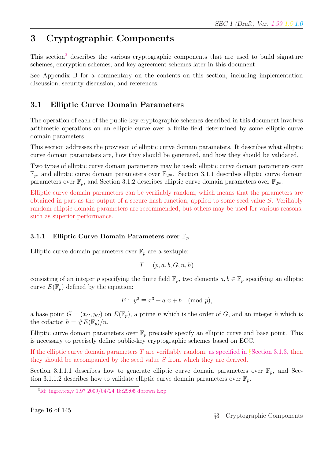# 3 Cryptographic Components

This section<sup>3</sup> describes the various cryptographic components that are used to build signature schemes, encryption schemes, and key agreement schemes later in this document.

See Appendix B for a commentary on the contents on this section, including implementation discussion, security discussion, and references.

# 3.1 Elliptic Curve Domain Parameters

The operation of each of the public-key cryptographic schemes described in this document involves arithmetic operations on an elliptic curve over a finite field determined by some elliptic curve domain parameters.

This section addresses the provision of elliptic curve domain parameters. It describes what elliptic curve domain parameters are, how they should be generated, and how they should be validated.

Two types of elliptic curve domain parameters may be used: elliptic curve domain parameters over  $\mathbb{F}_p$ , and elliptic curve domain parameters over  $\mathbb{F}_{2^m}$ . Section 3.1.1 describes elliptic curve domain parameters over  $\mathbb{F}_p$ , and Section 3.1.2 describes elliptic curve domain parameters over  $\mathbb{F}_{2^m}$ .

Elliptic curve domain parameters can be verifiably random, which means that the parameters are obtained in part as the output of a secure hash function, applied to some seed value S. Verifiably random elliptic domain parameters are recommended, but others may be used for various reasons, such as superior performance.

## 3.1.1 Elliptic Curve Domain Parameters over  $\mathbb{F}_n$

Elliptic curve domain parameters over  $\mathbb{F}_p$  are a sextuple:

$$
T = (p, a, b, G, n, h)
$$

consisting of an integer p specifying the finite field  $\mathbb{F}_p$ , two elements  $a, b \in \mathbb{F}_p$  specifying an elliptic curve  $E(\mathbb{F}_p)$  defined by the equation:

$$
E: y^2 \equiv x^3 + a \cdot x + b \pmod{p},
$$

a base point  $G = (x_G, y_G)$  on  $E(\mathbb{F}_p)$ , a prime n which is the order of G, and an integer h which is the cofactor  $h = \#E(\mathbb{F}_p)/n$ .

Elliptic curve domain parameters over  $\mathbb{F}_p$  precisely specify an elliptic curve and base point. This is necessary to precisely define public-key cryptographic schemes based on ECC.

If the elliptic curve domain parameters T are verifiably random, as specified in §Section 3.1.3, then they should be accompanied by the seed value S from which they are derived.

Section 3.1.1.1 describes how to generate elliptic curve domain parameters over  $\mathbb{F}_p$ , and Section 3.1.1.2 describes how to validate elliptic curve domain parameters over  $\mathbb{F}_p$ .

<sup>3</sup> Id: ingre.tex,v 1.97 2009/04/24 18:29:05 dbrown Exp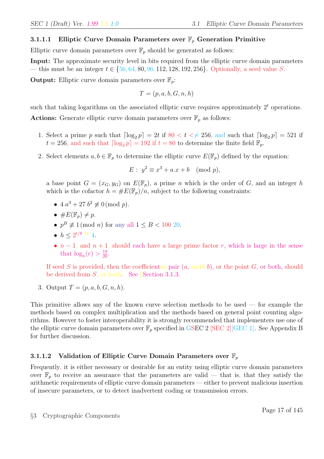### 3.1.1.1 Elliptic Curve Domain Parameters over  $\mathbb{F}_p$  Generation Primitive

Elliptic curve domain parameters over  $\mathbb{F}_p$  should be generated as follows:

Input: The approximate security level in bits required from the elliptic curve domain parameters — this must be an integer  $t \in \{56, 64, 80, 96, 112, 128, 192, 256\}$ . Optionally, a seed value S.

**Output:** Elliptic curve domain parameters over  $\mathbb{F}_p$ .

$$
T = (p, a, b, G, n, h)
$$

such that taking logarithms on the associated elliptic curve requires approximately  $2<sup>t</sup>$  operations. **Actions:** Generate elliptic curve domain parameters over  $\mathbb{F}_p$  as follows:

- 1. Select a prime p such that  $\lceil \log_2 p \rceil = 2t$  if  $80 < t < \neq 256$ , and such that  $\lceil \log_2 p \rceil = 521$  if  $t = 256$ , and such that  $\lceil \log_2 p \rceil = 192$  if  $t = 80$  to determine the finite field  $\mathbb{F}_p$ .
- 2. Select elements  $a, b \in \mathbb{F}_p$  to determine the elliptic curve  $E(\mathbb{F}_p)$  defined by the equation:

$$
E: y^2 \equiv x^3 + a \cdot x + b \pmod{p},
$$

a base point  $G = (x_G, y_G)$  on  $E(\mathbb{F}_p)$ , a prime n which is the order of G, and an integer h which is the cofactor  $h = \#E(\mathbb{F}_p)/n$ , subject to the following constraints:

- $4.a^3 + 27.b^2 \not\equiv 0 \pmod{p}$ .
- $\#E(\mathbb{F}_p)\neq p$ .
- $p^B \not\equiv 1 \pmod{n}$  for any all  $1 \leq B < 100$  20.
- $h \leq 2^{t/8}$  16 4.
- $n-1$ , and  $n+1$ , should each have a large prime factor r, which is large in the sense that  $\log_n(r) > \frac{19}{20}$ .

If seed S is provided, then the coefficienties pair  $(a, \text{ and } b)$ , or the point G, or both, should be derived from  $S$ , or both. See §Section 3.1.3.

3. Output  $T = (p, a, b, G, n, h)$ .

This primitive allows any of the known curve selection methods to be used — for example the methods based on complex multiplication and the methods based on general point counting algorithms. However to foster interoperability it is strongly recommended that implementers use one of the elliptic curve domain parameters over  $\mathbb{F}_p$  specified in GSEC 2 [SEC 2] [GEC 1]. See Appendix B for further discussion.

### 3.1.1.2 Validation of Elliptic Curve Domain Parameters over  $\mathbb{F}_p$

Frequently, it is either necessary or desirable for an entity using elliptic curve domain parameters over  $\mathbb{F}_p$  to receive an assurance that the parameters are valid — that is, that they satisfy the arithmetic requirements of elliptic curve domain parameters — either to prevent malicious insertion of insecure parameters, or to detect inadvertent coding or transmission errors.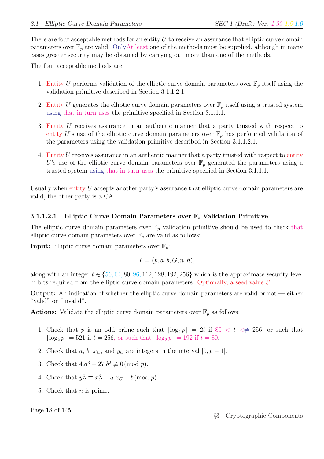There are four acceptable methods for an entity  $U$  to receive an assurance that elliptic curve domain parameters over  $\mathbb{F}_p$  are valid. OnlyAt least one of the methods must be supplied, although in many cases greater security may be obtained by carrying out more than one of the methods.

The four acceptable methods are:

- 1. Entity U performs validation of the elliptic curve domain parameters over  $\mathbb{F}_p$  itself using the validation primitive described in Section 3.1.1.2.1.
- 2. Entity U generates the elliptic curve domain parameters over  $\mathbb{F}_p$  itself using a trusted system using that in turn uses the primitive specified in Section 3.1.1.1.
- 3. Entity U receives assurance in an authentic manner that a party trusted with respect to entity U's use of the elliptic curve domain parameters over  $\mathbb{F}_p$  has performed validation of the parameters using the validation primitive described in Section 3.1.1.2.1.
- 4. Entity U receives assurance in an authentic manner that a party trusted with respect to entity U's use of the elliptic curve domain parameters over  $\mathbb{F}_p$  generated the parameters using a trusted system using that in turn uses the primitive specified in Section 3.1.1.1.

Usually when entity  $U$  accepts another party's assurance that elliptic curve domain parameters are valid, the other party is a CA.

### 3.1.1.2.1 Elliptic Curve Domain Parameters over  $\mathbb{F}_p$  Validation Primitive

The elliptic curve domain parameters over  $\mathbb{F}_p$  validation primitive should be used to check that elliptic curve domain parameters over  $\mathbb{F}_p$  are valid as follows:

**Input:** Elliptic curve domain parameters over  $\mathbb{F}_p$ .

$$
T = (p, a, b, G, n, h),
$$

along with an integer  $t \in \{56, 64, 80, 96, 112, 128, 192, 256\}$  which is the approximate security level in bits required from the elliptic curve domain parameters. Optionally, a seed value S.

Output: An indication of whether the elliptic curve domain parameters are valid or not — either "valid" or "invalid".

**Actions:** Validate the elliptic curve domain parameters over  $\mathbb{F}_p$  as follows:

- 1. Check that p is an odd prime such that  $\lceil \log_2 p \rceil = 2t$  if  $80 < t \leq 256$ , or such that  $\lceil \log_2 p \rceil = 521$  if  $t = 256$ , or such that  $\lceil \log_2 p \rceil = 192$  if  $t = 80$ .
- 2. Check that a, b,  $x_G$ , and  $y_G$  are integers in the interval  $[0, p-1]$ .
- 3. Check that  $4.a^3 + 27.b^2 \not\equiv 0 \pmod{p}$ .
- 4. Check that  $y_G^2 \equiv x_G^3 + a.x_G + b \pmod{p}$ .
- 5. Check that  $n$  is prime.

Page 18 of 145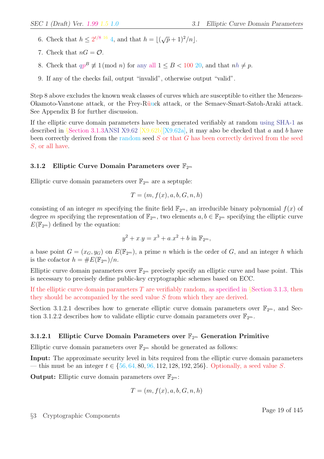- 6. Check that  $h \leq 2^{t/8}$  <sup>16</sup> 4, and that  $h = |(\sqrt{p} + 1)^2/n|$ .
- 7. Check that  $nG = \mathcal{O}$ .
- 8. Check that  $qp^B \not\equiv 1 \pmod{n}$  for any all  $1 \leq B < 100$  20, and that  $nh \not\equiv p$ .
- 9. If any of the checks fail, output "invalid", otherwise output "valid".

Step 8 above excludes the known weak classes of curves which are susceptible to either the Menezes-Okamoto-Vanstone attack, or the Frey-Rüuck attack, or the Semaev-Smart-Satoh-Araki attack. See Appendix B for further discussion.

If the elliptic curve domain parameters have been generated verifiably at random using SHA-1 as described in §Section 3.1.3ANSI X9.62 [X9.62b][X9.62a], it may also be checked that a and b have been correctly derived from the random seed  $S$  or that  $G$  has been correctly derived from the seed S, or all have.

### 3.1.2 Elliptic Curve Domain Parameters over  $\mathbb{F}_{2^m}$

Elliptic curve domain parameters over  $\mathbb{F}_{2^m}$  are a septuple:

$$
T = (m, f(x), a, b, G, n, h)
$$

consisting of an integer m specifying the finite field  $\mathbb{F}_{2^m}$ , an irreducible binary polynomial  $f(x)$  of degree m specifying the representation of  $\mathbb{F}_{2^m}$ , two elements  $a, b \in \mathbb{F}_{2^m}$  specifying the elliptic curve  $E(\mathbb{F}_{2^m})$  defined by the equation:

$$
y^{2} + x \cdot y = x^{3} + a \cdot x^{2} + b \text{ in } \mathbb{F}_{2^{m}},
$$

a base point  $G = (x_G, y_G)$  on  $E(\mathbb{F}_{2^m})$ , a prime n which is the order of G, and an integer h which is the cofactor  $h = \#E(\mathbb{F}_{2^m})/n$ .

Elliptic curve domain parameters over  $\mathbb{F}_{2^m}$  precisely specify an elliptic curve and base point. This is necessary to precisely define public-key cryptographic schemes based on ECC.

If the elliptic curve domain parameters T are verifiably random, as specified in §Section 3.1.3, then they should be accompanied by the seed value S from which they are derived.

Section 3.1.2.1 describes how to generate elliptic curve domain parameters over  $\mathbb{F}_{2^m}$ , and Section 3.1.2.2 describes how to validate elliptic curve domain parameters over  $\mathbb{F}_{2^m}$ .

### **3.1.2.1** Elliptic Curve Domain Parameters over  $\mathbb{F}_{2^m}$  Generation Primitive

Elliptic curve domain parameters over  $\mathbb{F}_{2^m}$  should be generated as follows:

Input: The approximate security level in bits required from the elliptic curve domain parameters — this must be an integer  $t \in \{56, 64, 80, 96, 112, 128, 192, 256\}$ . Optionally, a seed value S.

**Output:** Elliptic curve domain parameters over  $\mathbb{F}_{2^m}$ :

$$
T = (m, f(x), a, b, G, n, h)
$$

Page 19 of 145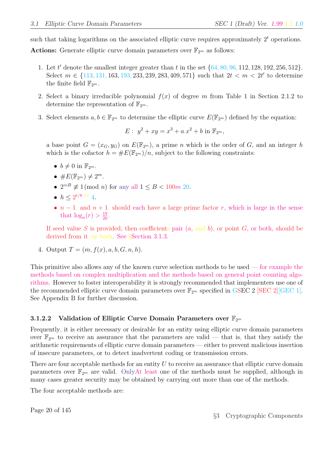such that taking logarithms on the associated elliptic curve requires approximately  $2<sup>t</sup>$  operations. Actions: Generate elliptic curve domain parameters over  $\mathbb{F}_{2^m}$  as follows:

- 1. Let t' denote the smallest integer greater than t in the set  $\{64, 80, 96, 112, 128, 192, 256, 512\}$ . Select  $m \in \{113, 131, 163, 193, 233, 239, 283, 409, 571\}$  such that  $2t < m < 2t'$  to determine the finite field  $\mathbb{F}_{2^m}$ .
- 2. Select a binary irreducible polynomial  $f(x)$  of degree m from Table 1 in Section 2.1.2 to determine the representation of  $\mathbb{F}_{2^m}$ .
- 3. Select elements  $a, b \in \mathbb{F}_{2^m}$  to determine the elliptic curve  $E(\mathbb{F}_{2^m})$  defined by the equation:

$$
E: y^2 + xy = x^3 + a x^2 + b \text{ in } \mathbb{F}_{2^m},
$$

a base point  $G = (x_G, y_G)$  on  $E(\mathbb{F}_{2^m})$ , a prime n which is the order of G, and an integer h which is the cofactor  $h = \#E(\mathbb{F}_{2m})/n$ , subject to the following constraints:

- $b \neq 0$  in  $\mathbb{F}_{2^m}$ .
- $\#E(\mathbb{F}_{2^m}) \neq 2^m$ .
- $2^{m} \not\equiv 1 \pmod{n}$  for any all  $1 \leq B < 100m$  20.
- $h \leq 2^{t/8}$  16 4.
- $n-1$ , and  $n+1$ , should each have a large prime factor r, which is large in the sense that  $\log_n(r) > \frac{19}{20}$ .

If seed value S is provided, then coefficients pair  $(a, \text{ and } b)$ , or point G, or both, should be derived from it, or both. See §Section 3.1.3.

4. Output  $T = (m, f(x), a, b, G, n, h)$ .

This primitive also allows any of the known curve selection methods to be used — for example the methods based on complex multiplication and the methods based on general point counting algorithms. However to foster interoperability it is strongly recommended that implementers use one of the recommended elliptic curve domain parameters over  $\mathbb{F}_{2^m}$  specified in GSEC 2 [SEC 2][GEC 1]. See Appendix B for further discussion.

### 3.1.2.2 Validation of Elliptic Curve Domain Parameters over  $\mathbb{F}_{2^m}$

Frequently, it is either necessary or desirable for an entity using elliptic curve domain parameters over  $\mathbb{F}_{2m}$  to receive an assurance that the parameters are valid — that is, that they satisfy the arithmetic requirements of elliptic curve domain parameters — either to prevent malicious insertion of insecure parameters, or to detect inadvertent coding or transmission errors.

There are four acceptable methods for an entity  $U$  to receive an assurance that elliptic curve domain parameters over  $\mathbb{F}_{2^m}$  are valid. OnlyAt least one of the methods must be supplied, although in many cases greater security may be obtained by carrying out more than one of the methods.

The four acceptable methods are:

Page 20 of 145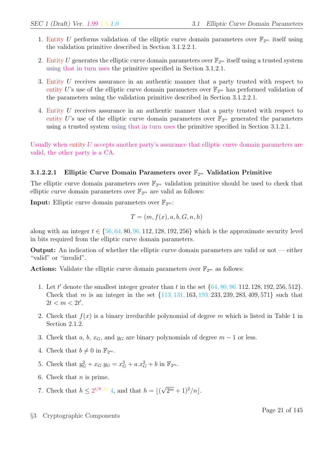- 1. Entity U performs validation of the elliptic curve domain parameters over  $\mathbb{F}_{2^m}$  itself using the validation primitive described in Section 3.1.2.2.1.
- 2. Entity U generates the elliptic curve domain parameters over  $\mathbb{F}_{2^m}$  itself using a trusted system using that in turn uses the primitive specified in Section 3.1.2.1.
- 3. Entity U receives assurance in an authentic manner that a party trusted with respect to entity U's use of the elliptic curve domain parameters over  $\mathbb{F}_{2^m}$  has performed validation of the parameters using the validation primitive described in Section 3.1.2.2.1.
- 4. Entity U receives assurance in an authentic manner that a party trusted with respect to entity U's use of the elliptic curve domain parameters over  $\mathbb{F}_{2^m}$  generated the parameters using a trusted system using that in turn uses the primitive specified in Section 3.1.2.1.

Usually when entity U accepts another party's assurance that elliptic curve domain parameters are valid, the other party is a CA.

### 3.1.2.2.1 Elliptic Curve Domain Parameters over  $\mathbb{F}_{2^m}$  Validation Primitive

The elliptic curve domain parameters over  $\mathbb{F}_{2^m}$  validation primitive should be used to check that elliptic curve domain parameters over  $\mathbb{F}_{2^m}$  are valid as follows:

**Input:** Elliptic curve domain parameters over  $\mathbb{F}_{2^m}$ .

$$
T = (m, f(x), a, b, G, n, h)
$$

along with an integer  $t \in \{56, 64, 80, 96, 112, 128, 192, 256\}$  which is the approximate security level in bits required from the elliptic curve domain parameters.

Output: An indication of whether the elliptic curve domain parameters are valid or not — either "valid" or "invalid".

**Actions:** Validate the elliptic curve domain parameters over  $\mathbb{F}_{2^m}$  as follows:

- 1. Let t' denote the smallest integer greater than t in the set  $\{64, 80, 96, 112, 128, 192, 256, 512\}$ . Check that m is an integer in the set  $\{113, 131, 163, 193, 233, 239, 283, 409, 571\}$  such that  $2t < m < 2t'$ .
- 2. Check that  $f(x)$  is a binary irreducible polynomial of degree m which is listed in Table 1 in Section 2.1.2.
- 3. Check that a, b,  $x_G$ , and  $y_G$  are binary polynomials of degree  $m-1$  or less.
- 4. Check that  $b \neq 0$  in  $\mathbb{F}_{2^m}$ .
- 5. Check that  $y_G^2 + x_G \cdot y_G = x_G^3 + a \cdot x_G^2 + b$  in  $\mathbb{F}_{2^m}$ .
- 6. Check that  $n$  is prime.
- 7. Check that  $h \leq 2^{t/8}$  <sup>16</sup> 4, and that  $h = |($ √  $\sqrt{2^m+1}$ <sup>2</sup>/n|.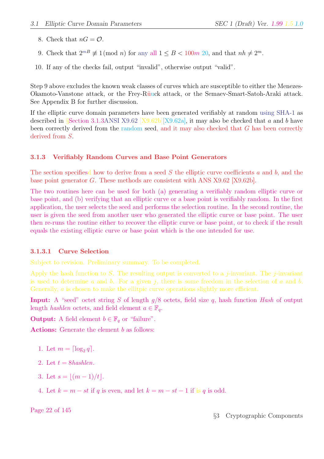- 8. Check that  $nG = \mathcal{O}$ .
- 9. Check that  $2^{m} \not\equiv 1 \pmod{n}$  for any all  $1 \le B \le 100m$  20, and that  $nh \ne 2^m$ .
- 10. If any of the checks fail, output "invalid", otherwise output "valid".

Step 9 above excludes the known weak classes of curves which are susceptible to either the Menezes-Okamoto-Vanstone attack, or the Frey-Rüuck attack, or the Semaev-Smart-Satoh-Araki attack. See Appendix B for further discussion.

If the elliptic curve domain parameters have been generated verifiably at random using SHA-1 as described in §Section 3.1.3ANSI X9.62 [X9.62b][X9.62a], it may also be checked that a and b have been correctly derived from the random seed, and it may also checked that G has been correctly derived from S.

#### 3.1.3 Verifiably Random Curves and Base Point Generators

The section specifiesd how to derive from a seed S the elliptic curve coefficients a and b, and the base point generator G. These methods are consistent with ANS X9.62 [X9.62b].

The two routines here can be used for both (a) generating a verifiably random elliptic curve or base point, and (b) verifying that an elliptic curve or a base point is verifiably random. In the first application, the user selects the seed and performs the selection routine. In the second routine, the user is given the seed from another user who generated the elliptic curve or base point. The user then re-runs the routine either to recover the elliptic curve or base point, or to check if the result equals the existing elliptic curve or base point which is the one intended for use.

#### 3.1.3.1 Curve Selection

Subject to revision. Preliminary summary. To be completed.

Apply the hash function to S. The resulting output is converted to a *j*-invariant. The *j*-invariant is used to determine a and b. For a given j, there is some freedom in the selection of a and b. Generally, *a* is chosen to make the ellit pic curve operations slightly more efficient.

**Input:** A "seed" octet string S of length  $g/8$  octets, field size q, hash function Hash of output length *hashlen* octets, and field element  $a \in \mathbb{F}_q$ .

**Output:** A field element  $b \in \mathbb{F}_q$  or "failure".

Actions: Generate the element b as follows:

- 1. Let  $m = \lceil \log_2 q \rceil$ .
- 2. Let  $t = 8$ hashlen.
- 3. Let  $s = |(m 1)/t|$ .
- 4. Let  $k = m st$  if q is even, and let  $k = m st 1$  if is q is odd.

Page 22 of 145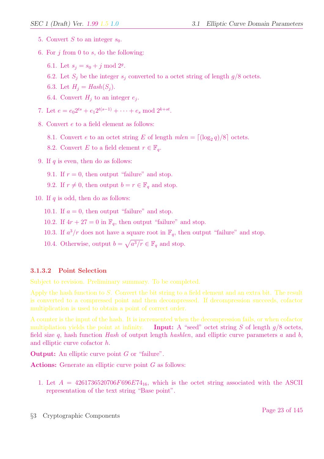- 5. Convert S to an integer  $s_0$ .
- 6. For  $j$  from 0 to  $s$ , do the following:
	- 6.1. Let  $s_j = s_0 + j \mod 2^g$ .
	- 6.2. Let  $S_i$  be the integer  $s_i$  converted to a octet string of length  $g/8$  octets.
	- 6.3. Let  $H_i = Hash(S_i)$ .
	- 6.4. Convert  $H_j$  to an integer  $e_j$ .
- 7. Let  $e = e_0 2^{ts} + e_1 2^{t(s-1)} + \cdots + e_s \mod 2^{k+st}$ .
- 8. Convert e to a field element as follows:
	- 8.1. Convert *e* to an octet string *E* of length  $mlen = \lfloor (\log_2 q)/8 \rfloor$  octets.
	- 8.2. Convert E to a field element  $r \in \mathbb{F}_q$ .
- 9. If  $q$  is even, then do as follows:
	- 9.1. If  $r = 0$ , then output "failure" and stop.
	- 9.2. If  $r \neq 0$ , then output  $b = r \in \mathbb{F}_q$  and stop.
- 10. If  $q$  is odd, then do as follows:
	- 10.1. If  $a = 0$ , then output "failure" and stop.
	- 10.2. If  $4r + 27 = 0$  in  $\mathbb{F}_q$ , then output "failure" and stop.
	- 10.3. If  $a^3/r$  does not have a square root in  $\mathbb{F}_q$ , then output "failure" and stop.
	- 10.4. Otherwise, output  $b =$ p  $a^3/r \in \mathbb{F}_q$  and stop.

#### 3.1.3.2 Point Selection

Subject to revision. Preliminary summary. To be completed.

Apply the hash function to S. Convert the bit string to a field element and an extra bit. The result is converted to a compressed point and then decompressed. If decompression succeeds, cofactor multiplication is used to obtain a point of correct order.

A counter is the input of the hash. It is incremented when the decompression fails, or when cofactor multipliation yields the point at infinity. Input: A "seed" octet string S of length  $g/8$  octets, field size q, hash function Hash of output length hashlen, and elliptic curve parameters  $a$  and  $b$ , and elliptic curve cofactor h.

**Output:** An elliptic curve point G or "failure".

Actions: Generate an elliptic curve point G as follows:

1. Let  $A = 4261736520706F696E74_{16}$ , which is the octet string associated with the ASCII representation of the text string "Base point".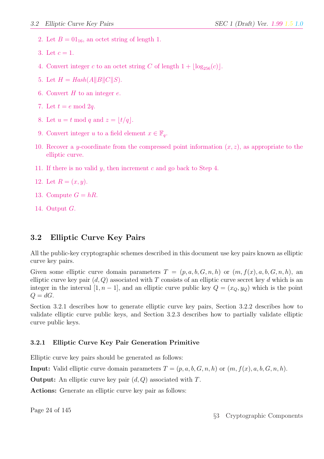- 2. Let  $B = 01_{16}$ , an octet string of length 1.
- 3. Let  $c = 1$ .
- 4. Convert integer c to an octet string C of length  $1 + |\log_{256}(c)|$ .
- 5. Let  $H = Hash(A||B||C||S)$ .
- 6. Convert  $H$  to an integer  $e$ .
- 7. Let  $t = e \mod 2q$ .
- 8. Let  $u = t \mod q$  and  $z = \lfloor t/q \rfloor$ .
- 9. Convert integer u to a field element  $x \in \mathbb{F}_q$ .
- 10. Recover a y-coordinate from the compressed point information  $(x, z)$ , as appropriate to the elliptic curve.
- 11. If there is no valid y, then increment c and go back to Step 4.
- 12. Let  $R = (x, y)$ .
- 13. Compute  $G = hR$ .
- 14. Output G.

## 3.2 Elliptic Curve Key Pairs

All the public-key cryptographic schemes described in this document use key pairs known as elliptic curve key pairs.

Given some elliptic curve domain parameters  $T = (p, a, b, G, n, h)$  or  $(m, f(x), a, b, G, n, h)$ , an elliptic curve key pair  $(d, Q)$  associated with T consists of an elliptic curve secret key d which is an integer in the interval [1,  $n-1$ ], and an elliptic curve public key  $Q = (x_Q, y_Q)$  which is the point  $Q = dG$ .

Section 3.2.1 describes how to generate elliptic curve key pairs, Section 3.2.2 describes how to validate elliptic curve public keys, and Section 3.2.3 describes how to partially validate elliptic curve public keys.

### 3.2.1 Elliptic Curve Key Pair Generation Primitive

Elliptic curve key pairs should be generated as follows:

**Input:** Valid elliptic curve domain parameters  $T = (p, a, b, G, n, h)$  or  $(m, f(x), a, b, G, n, h)$ .

**Output:** An elliptic curve key pair  $(d, Q)$  associated with T.

Actions: Generate an elliptic curve key pair as follows:

Page 24 of 145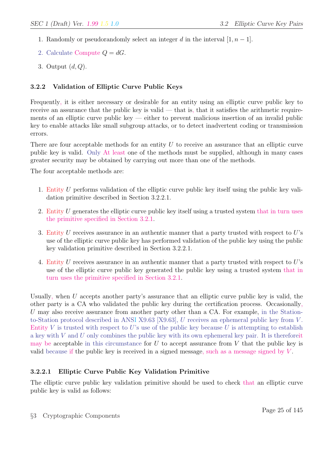- 1. Randomly or pseudorandomly select an integer d in the interval  $[1, n-1]$ .
- 2. Calculate Compute  $Q = dG$ .
- 3. Output  $(d, Q)$ .

## 3.2.2 Validation of Elliptic Curve Public Keys

Frequently, it is either necessary or desirable for an entity using an elliptic curve public key to receive an assurance that the public key is valid  $-$  that is, that it satisfies the arithmetic requirements of an elliptic curve public key  $-$  either to prevent malicious insertion of an invalid public key to enable attacks like small subgroup attacks, or to detect inadvertent coding or transmission errors.

There are four acceptable methods for an entity  $U$  to receive an assurance that an elliptic curve public key is valid. Only At least one of the methods must be supplied, although in many cases greater security may be obtained by carrying out more than one of the methods.

The four acceptable methods are:

- 1. Entity U performs validation of the elliptic curve public key itself using the public key validation primitive described in Section 3.2.2.1.
- 2. Entity  $U$  generates the elliptic curve public key itself using a trusted system that in turn uses the primitive specified in Section 3.2.1.
- 3. Entity  $U$  receives assurance in an authentic manner that a party trusted with respect to  $U$ 's use of the elliptic curve public key has performed validation of the public key using the public key validation primitive described in Section 3.2.2.1.
- 4. Entity U receives assurance in an authentic manner that a party trusted with respect to U's use of the elliptic curve public key generated the public key using a trusted system that in turn uses the primitive specified in Section 3.2.1.

Usually, when  $U$  accepts another party's assurance that an elliptic curve public key is valid, the other party is a CA who validated the public key during the certification process. Occasionally, U may also receive assurance from another party other than a CA. For example, in the Stationto-Station protocol described in ANSI X9.63 [X9.63], U receives an ephemeral public key from V . Entity V is trusted with respect to U's use of the public key because U is attempting to establish a key with  $V$  and  $U$  only combines the public key with its own ephemeral key pair. It is therefore it may be acceptable in this circumstance for  $U$  to accept assurance from  $V$  that the public key is valid because if the public key is received in a signed message, such as a message signed by V .

## 3.2.2.1 Elliptic Curve Public Key Validation Primitive

The elliptic curve public key validation primitive should be used to check that an elliptic curve public key is valid as follows: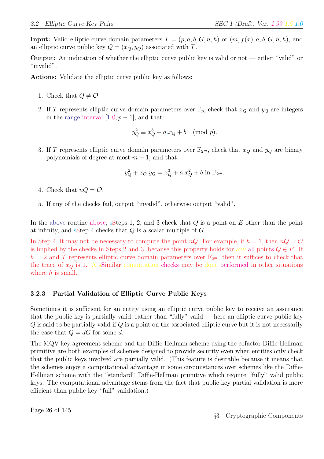**Input:** Valid elliptic curve domain parameters  $T = (p, a, b, G, n, h)$  or  $(m, f(x), a, b, G, n, h)$ , and an elliptic curve public key  $Q = (x_Q, y_Q)$  associated with T.

Output: An indication of whether the elliptic curve public key is valid or not — either "valid" or "invalid".

Actions: Validate the elliptic curve public key as follows:

- 1. Check that  $Q \neq \mathcal{O}$ .
- 2. If T represents elliptic curve domain parameters over  $\mathbb{F}_p$ , check that  $x_Q$  and  $y_Q$  are integers in the range interval  $[1 \ 0, p-1]$ , and that:

$$
y_Q^2 \equiv x_Q^3 + a.x_Q + b \pmod{p}.
$$

3. If T represents elliptic curve domain parameters over  $\mathbb{F}_{2^m}$ , check that  $x_Q$  and  $y_Q$  are binary polynomials of degree at most  $m-1$ , and that:

$$
y_Q^2 + x_Q \cdot y_Q = x_Q^3 + a \cdot x_Q^2 + b \text{ in } \mathbb{F}_{2^m}.
$$

- 4. Check that  $nQ = \mathcal{O}$ .
- 5. If any of the checks fail, output "invalid", otherwise output "valid".

In the above routine above, sSteps 1, 2, and 3 check that  $Q$  is a point on  $E$  other than the point at infinity, and sStep 4 checks that  $Q$  is a scalar multiple of  $G$ .

In Step 4, it may not be necessary to compute the point  $nQ$ . For example, if  $h = 1$ , then  $nQ = \mathcal{O}$ is implied by the checks in Steps 2 and 3, because this property holds for any all points  $Q \in E$ . If  $h = 2$  and T represents elliptic curve domain parameters over  $\mathbb{F}_{2^m}$ , then it suffices to check that the trace of  $x_Q$  is 1. A sSimilar computation checks may be done performed in other situations where  $h$  is small.

### 3.2.3 Partial Validation of Elliptic Curve Public Keys

Sometimes it is sufficient for an entity using an elliptic curve public key to receive an assurance that the public key is partially valid, rather than "fully" valid — here an elliptic curve public key  $Q$  is said to be partially valid if  $Q$  is a point on the associated elliptic curve but it is not necessarily the case that  $Q = dG$  for some d.

The MQV key agreement scheme and the Diffie-Hellman scheme using the cofactor Diffie-Hellman primitive are both examples of schemes designed to provide security even when entities only check that the public keys involved are partially valid. (This feature is desirable because it means that the schemes enjoy a computational advantage in some circumstances over schemes like the Diffie-Hellman scheme with the "standard" Diffie-Hellman primitive which require "fully" valid public keys. The computational advantage stems from the fact that public key partial validation is more efficient than public key "full" validation.)

Page 26 of 145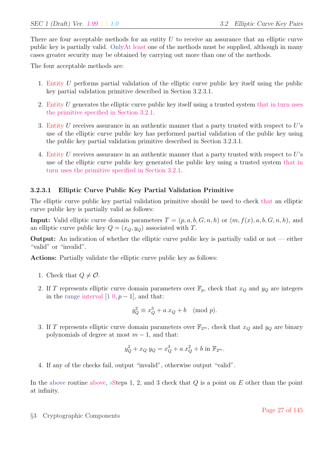There are four acceptable methods for an entity  $U$  to receive an assurance that an elliptic curve public key is partially valid. OnlyAt least one of the methods must be supplied, although in many cases greater security may be obtained by carrying out more than one of the methods.

The four acceptable methods are:

- 1. Entity U performs partial validation of the elliptic curve public key itself using the public key partial validation primitive described in Section 3.2.3.1.
- 2. Entity U generates the elliptic curve public key itself using a trusted system that in turn uses the primitive specified in Section 3.2.1.
- 3. Entity U receives assurance in an authentic manner that a party trusted with respect to  $U$ 's use of the elliptic curve public key has performed partial validation of the public key using the public key partial validation primitive described in Section 3.2.3.1.
- 4. Entity U receives assurance in an authentic manner that a party trusted with respect to U's use of the elliptic curve public key generated the public key using a trusted system that in turn uses the primitive specified in Section 3.2.1.

### 3.2.3.1 Elliptic Curve Public Key Partial Validation Primitive

The elliptic curve public key partial validation primitive should be used to check that an elliptic curve public key is partially valid as follows:

**Input:** Valid elliptic curve domain parameters  $T = (p, a, b, G, n, h)$  or  $(m, f(x), a, b, G, n, h)$ , and an elliptic curve public key  $Q = (x_O, y_O)$  associated with T.

**Output:** An indication of whether the elliptic curve public key is partially valid or not  $-$  either "valid" or "invalid".

Actions: Partially validate the elliptic curve public key as follows:

- 1. Check that  $Q \neq \mathcal{O}$ .
- 2. If T represents elliptic curve domain parameters over  $\mathbb{F}_p$ , check that  $x_Q$  and  $y_Q$  are integers in the range interval  $[1 \ 0, p-1]$ , and that:

$$
y_Q^2 \equiv x_Q^3 + a.x_Q + b \pmod{p}.
$$

3. If T represents elliptic curve domain parameters over  $\mathbb{F}_{2^m}$ , check that  $x_Q$  and  $y_Q$  are binary polynomials of degree at most  $m-1$ , and that:

$$
y_Q^2 + x_Q.y_Q = x_Q^3 + a.x_Q^2 + b \text{ in } \mathbb{F}_{2^m}.
$$

4. If any of the checks fail, output "invalid", otherwise output "valid".

In the above routine above, sSteps 1, 2, and 3 check that  $Q$  is a point on  $E$  other than the point at infinity.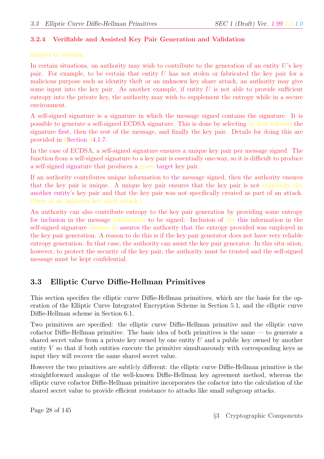### 3.2.4 Verifiable and Assisted Key Pair Generation and Validation

### Subject to revision.

In certain situations, an authority may wish to contribute to the generation of an entity  $U$ 's key pair. For example, to be certain that entity U has not stolen or fabricated the key pair for a malicious purpose such as identity theft or an unknown key share attack, an authority may give some input into the key pair. As another example, if entity  $U$  is not able to provide sufficient entropy into the private key, the authority may wish to supplement the entropy while in a secure environment.

A self-signed signature is a signature in which the message signed contains the signature. It is possible to generate a self-signed ECDSA signature. This is done by selecting by first selected the signature first, then the rest of the message, and finally the key pair. Details for doing this are provided in §Section 44.1.7.

In the case of ECDSA, a self-signed signature ensures a unique key pair per message signed. The function from a self-signed signature to a key pair is essentially one-way, so it is difficult to produce a self-signed signature that produces a given target key pair.

If an authority contributes unique information to the message signed, then the authority ensures that the key pair is unique. A unique key pair ensures that the key pair is not somebody else another entity's key pair and that the key pair was not specifically created as part of an attack. (Such as an unknown key share attack.)

An authority can also contribute entropy to the key pair generation by providing some entropy for inclusion in the message information to be signed. Inclusion of the this information in the self-signed signature ensures to assures the authority that the entropy provided was employed in the key pair generation. A reason to do this is if the key pair generator does not have very reliable entropy generation. In that case, the authority can assist the key pair generator. In this situtation, however, to protect the security of the key pair, the authority must be trusted and the self-signed message must be kept confidential.

## 3.3 Elliptic Curve Diffie-Hellman Primitives

This section specifies the elliptic curve Diffie-Hellman primitives, which are the basis for the operation of the Elliptic Curve Integrated Encryption Scheme in Section 5.1, and the elliptic curve Diffie-Hellman scheme in Section 6.1.

Two primitives are specified: the elliptic curve Diffie-Hellman primitive and the elliptic curve cofactor Diffie-Hellman primitive. The basic idea of both primitives is the same — to generate a shared secret value from a private key owned by one entity  $U$  and a public key owned by another entity  $V$  so that if both entities execute the primitive simultaneously with corresponding keys as input they will recover the same shared secret value.

However the two primitives are subtlely different: the elliptic curve Diffie-Hellman primitive is the straightforward analogue of the well-known Diffie-Hellman key agreement method, whereas the elliptic curve cofactor Diffie-Hellman primitive incorporates the cofactor into the calculation of the shared secret value to provide efficient resistance to attacks like small subgroup attacks.

Page 28 of 145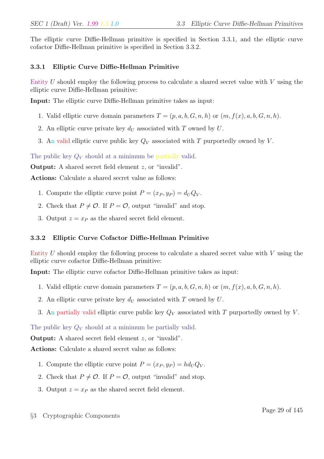The elliptic curve Diffie-Hellman primitive is specified in Section 3.3.1, and the elliptic curve cofactor Diffie-Hellman primitive is specified in Section 3.3.2.

### 3.3.1 Elliptic Curve Diffie-Hellman Primitive

Entity U should employ the following process to calculate a shared secret value with V using the elliptic curve Diffie-Hellman primitive:

Input: The elliptic curve Diffie-Hellman primitive takes as input:

- 1. Valid elliptic curve domain parameters  $T = (p, a, b, G, n, h)$  or  $(m, f(x), a, b, G, n, h)$ .
- 2. An elliptic curve private key  $d_U$  associated with T owned by U.
- 3. An valid elliptic curve public key  $Q_V$  associated with T purportedly owned by V.

The public key  $Q_V$  should at a minimum be partially valid.

Output: A shared secret field element z, or "invalid".

Actions: Calculate a shared secret value as follows:

- 1. Compute the elliptic curve point  $P = (x_P, y_P) = d_U Q_V$ .
- 2. Check that  $P \neq \mathcal{O}$ . If  $P = \mathcal{O}$ , output "invalid" and stop.
- 3. Output  $z = x_P$  as the shared secret field element.

### 3.3.2 Elliptic Curve Cofactor Diffie-Hellman Primitive

Entity  $U$  should employ the following process to calculate a shared secret value with  $V$  using the elliptic curve cofactor Diffie-Hellman primitive:

Input: The elliptic curve cofactor Diffie-Hellman primitive takes as input:

- 1. Valid elliptic curve domain parameters  $T = (p, a, b, G, n, h)$  or  $(m, f(x), a, b, G, n, h)$ .
- 2. An elliptic curve private key  $d_U$  associated with T owned by  $U$ .
- 3. An partially valid elliptic curve public key  $Q_V$  associated with T purportedly owned by V.

The public key  $Q_V$  should at a minimum be partially valid.

Output: A shared secret field element z, or "invalid".

Actions: Calculate a shared secret value as follows:

- 1. Compute the elliptic curve point  $P = (x_P, y_P) = hd_UQ_V$ .
- 2. Check that  $P \neq \mathcal{O}$ . If  $P = \mathcal{O}$ , output "invalid" and stop.
- 3. Output  $z = x_P$  as the shared secret field element.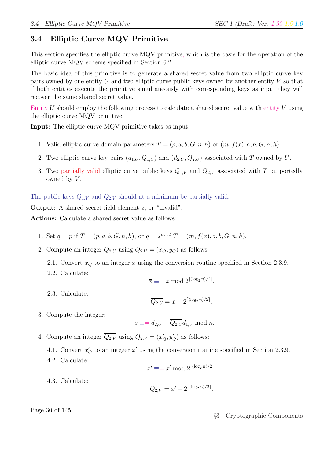# 3.4 Elliptic Curve MQV Primitive

This section specifies the elliptic curve MQV primitive, which is the basis for the operation of the elliptic curve MQV scheme specified in Section 6.2.

The basic idea of this primitive is to generate a shared secret value from two elliptic curve key pairs owned by one entity  $U$  and two elliptic curve public keys owned by another entity  $V$  so that if both entities execute the primitive simultaneously with corresponding keys as input they will recover the same shared secret value.

Entity  $U$  should employ the following process to calculate a shared secret value with entity  $V$  using the elliptic curve MQV primitive:

Input: The elliptic curve MQV primitive takes as input:

- 1. Valid elliptic curve domain parameters  $T = (p, a, b, G, n, h)$  or  $(m, f(x), a, b, G, n, h)$ .
- 2. Two elliptic curve key pairs  $(d_{1,U}, Q_{1,U})$  and  $(d_{2,U}, Q_{2,U})$  associated with T owned by U.
- 3. Two partially valid elliptic curve public keys  $Q_{1,V}$  and  $Q_{2,V}$  associated with T purportedly owned by  $V$ .

The public keys  $Q_{1,V}$  and  $Q_{2,V}$  should at a minimum be partially valid.

Output: A shared secret field element z, or "invalid".

Actions: Calculate a shared secret value as follows:

- 1. Set  $q = p$  if  $T = (p, a, b, G, n, h)$ , or  $q = 2^m$  if  $T = (m, f(x), a, b, G, n, h)$ .
- 2. Compute an integer  $\overline{Q_{2,U}}$  using  $Q_{2,U} = (x_O, y_O)$  as follows:
	- 2.1. Convert  $x_Q$  to an integer x using the conversion routine specified in Section 2.3.9.
	- 2.2. Calculate:

$$
\overline{x} \equiv x \mod 2^{\lceil (\log_2 n)/2 \rceil}.
$$

2.3. Calculate:

$$
\overline{Q_{2,U}} = \overline{x} + 2^{\lceil (\log_2 n)/2 \rceil}.
$$

3. Compute the integer:

$$
s \equiv = d_{2,U} + \overline{Q_{2,U}} d_{1,U} \bmod n.
$$

- 4. Compute an integer  $\overline{Q_{2,V}}$  using  $Q_{2,V} = (x'_Q, y'_Q)$  as follows:
	- 4.1. Convert  $x'_Q$  to an integer  $x'$  using the conversion routine specified in Section 2.3.9.
	- 4.2. Calculate:

$$
\overline{x'} \equiv x' \bmod 2^{\lceil (\log_2 n)/2 \rceil}.
$$

4.3. Calculate:

$$
\overline{Q_{2,V}} = \overline{x'} + 2^{\lceil (\log_2 n)/2 \rceil}.
$$

Page 30 of 145

### §3 Cryptographic Components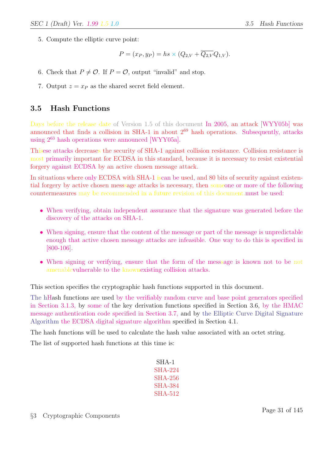5. Compute the elliptic curve point:

$$
P = (x_P, y_P) = hs \times (Q_{2,V} + \overline{Q_{2,V}}Q_{1,V}).
$$

- 6. Check that  $P \neq \mathcal{O}$ . If  $P = \mathcal{O}$ , output "invalid" and stop.
- 7. Output  $z = x_P$  as the shared secret field element.

## 3.5 Hash Functions

Days before the release date of Version 1.5 of this document In 2005, an attack [WYY05b] was announced that finds a collision in SHA-1 in about  $2^{69}$  hash operations. Subsequently, attacks using  $2^{63}$  hash operations were announced [WYY05a].

Thisese attacks decreases the security of SHA-1 against collision resistance. Collision resistance is most primarily important for ECDSA in this standard, because it is necessary to resist existential forgery against ECDSA by an active chosen message attack.

In situations where only ECDSA with SHA-1 iscan be used, and 80 bits of security against existential forgery by active chosen messsage attacks is necessary, then someone or more of the following countermeasures may be recommended in a future revision of this document.must be used:

- When verifying, obtain independent assurance that the signature was generated before the discovery of the attacks on SHA-1.
- When signing, ensure that the content of the message or part of the message is unpredictable enough that active chosen message attacks are infeasible. One way to do this is specified in [800-106].
- When signing or verifying, ensure that the form of the message is known not to be not amenablevulnerable to the knownexisting collision attacks.

This section specifies the cryptographic hash functions supported in this document.

The hHash functions are used by the verifiably random curve and base point generators specified in Section 3.1.3, by some of the key derivation functions specified in Section 3.6, by the HMAC message authentication code specified in Section 3.7, and by the Elliptic Curve Digital Signature Algorithm the ECDSA digital signature algorithm specified in Section 4.1.

The hash functions will be used to calculate the hash value associated with an octet string.

The list of supported hash functions at this time is:

| SHA-1    |
|----------|
| SH A-224 |
| SHA-256  |
| SH A-384 |
| SHA-512  |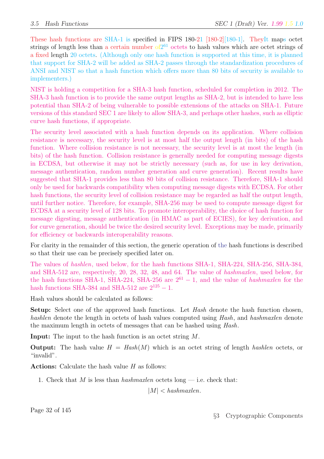These hash functions are SHA-1 is specified in FIPS 180-21 [180-2][180-1]. TheyIt maps octet strings of length less than a certain number  $\sigma f2^{61}$  octets to hash values which are octet strings of a fixed length 20 octets. (Although only one hash function is supported at this time, it is planned that support for SHA-2 will be added as SHA-2 passes through the standardization procedures of ANSI and NIST so that a hash function which offers more than 80 bits of security is available to implementers.)

NIST is holding a competition for a SHA-3 hash function, scheduled for completion in 2012. The SHA-3 hash function is to provide the same output lengths as SHA-2, but is intended to have less potential than SHA-2 of being vulnerable to possible extensions of the attacks on SHA-1. Future versions of this standard SEC 1 are likely to allow SHA-3, and perhaps other hashes, such as elliptic curve hash functions, if appropriate.

The security level associated with a hash function depends on its application. Where collision resistance is necessary, the security level is at most half the output length (in bits) of the hash function. Where collision resistance is not necessary, the security level is at most the length (in bits) of the hash function. Collision resistance is generally needed for computing message digests in ECDSA, but otherwise it may not be strictly necessary (such as, for use in key derivation, message authentication, random number generation and curve generation). Recent results have suggested that SHA-1 provides less than 80 bits of collision resistance. Therefore, SHA-1 should only be used for backwards compatibility when computing message digests with ECDSA. For other hash functions, the security level of collision resistance may be regarded as half the output length, until further notice. Therefore, for example, SHA-256 may be used to compute message digest for ECDSA at a security level of 128 bits. To promote interoperability, the choice of hash function for message digesting, message authentication (in HMAC as part of ECIES), for key derivation, and for curve generation, should be twice the desired security level. Exceptions may be made, primarily for efficiency or backwards interoperability reasons.

For clarity in the remainder of this section, the generic operation of the hash functions is described so that their use can be precisely specified later on.

The values of hashlen, used below, for the hash functions SHA-1, SHA-224, SHA-256, SHA-384, and SHA-512 are, respectively, 20, 28, 32, 48, and 64. The value of hashmaxlen, used below, for the hash functions SHA-1, SHA-224, SHA-256 are  $2^{61} - 1$ , and the value of hashmaxlen for the hash functions SHA-384 and SHA-512 are  $2^{125} - 1$ .

Hash values should be calculated as follows:

Setup: Select one of the approved hash functions. Let Hash denote the hash function chosen, hashlen denote the length in octets of hash values computed using Hash, and hashmaxlen denote the maximum length in octets of messages that can be hashed using Hash.

Input: The input to the hash function is an octet string M.

**Output:** The hash value  $H = Hash(M)$  which is an octet string of length hashlen octets, or "invalid".

Actions: Calculate the hash value  $H$  as follows:

1. Check that M is less than hashmaxlen octets long  $-$  i.e. check that:

 $|M| < h$ ashmaxlen.

Page 32 of 145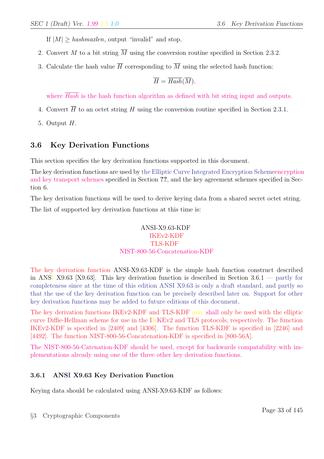If  $|M| > hash{marken}$ , output "invalid" and stop.

- 2. Convert M to a bit string  $\overline{M}$  using the conversion routine specified in Section 2.3.2.
- 3. Calculate the hash value  $\overline{H}$  corresponding to  $\overline{M}$  using the selected hash function:

$$
\overline{H} = \overline{Hash}(\overline{M}).
$$

where  $\overline{Hash}$  is the hash function algorithm as defined with bit string input and outputs.

- 4. Convert  $\overline{H}$  to an octet string H using the conversion routine specified in Section 2.3.1.
- 5. Output H.

# 3.6 Key Derivation Functions

This section specifies the key derivation functions supported in this document.

The key derivation functions are used by the Elliptic Curve Integrated Encryption Schemeencryption and key transport schemes specified in Section ??, and the key agreement schemes specified in Section 6.

The key derivation functions will be used to derive keying data from a shared secret octet string. The list of supported key derivation functions at this time is:

#### ANSI-X9.63-KDF IKEv2-KDF TLS-KDF NIST-800-56-Concatenation-KDF

The key derivation function ANSI-X9.63-KDF is the simple hash function construct described in ANSI X9.63 [X9.63]. This key derivation function is described in Section  $3.6.1$  — partly for completeness since at the time of this edition ANSI X9.63 is only a draft standard, and partly so that the use of the key derivation function can be precisely described later on. Support for other key derivation functions may be added to future editions of this document.

The key derivation functions IKEv2-KDF and TLS-KDF may shall only be used with the elliptic curve Diffie-Hellman scheme for use in the IKKEv2 and TLS protocols, respectively. The function IKEv2-KDF is specified in [2409] and [4306]. The function TLS-KDF is specified in [2246] and [4492]. The function NIST-800-56-Concatenation-KDF is specified in [800-56A].

The NIST-800-56-Catenation-KDF should be used, except for backwards compatability with implementations already using one of the three other key derivation functions.

## 3.6.1 ANSI X9.63 Key Derivation Function

Keying data should be calculated using ANSI-X9.63-KDF as follows: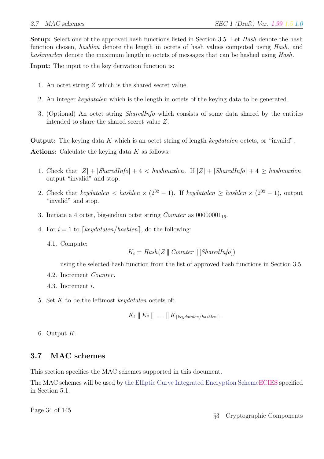**Setup:** Select one of the approved hash functions listed in Section 3.5. Let Hash denote the hash function chosen, *hashlen* denote the length in octets of hash values computed using *Hash*, and hashmaxlen denote the maximum length in octets of messages that can be hashed using Hash.

Input: The input to the key derivation function is:

- 1. An octet string Z which is the shared secret value.
- 2. An integer keydatalen which is the length in octets of the keying data to be generated.
- 3. (Optional) An octet string SharedInfo which consists of some data shared by the entities intended to share the shared secret value Z.

Output: The keying data K which is an octet string of length keydatalen octets, or "invalid". Actions: Calculate the keying data  $K$  as follows:

- 1. Check that  $|Z| + |SharedInfo| + 4 < hashmaxlen$ . If  $|Z| + |SharedInfo| + 4 > hashmaxlen$ , output "invalid" and stop.
- 2. Check that keydatalen < hashlen  $\times$  (2<sup>32</sup> 1). If keydatalen  $\geq$  hashlen  $\times$  (2<sup>32</sup> 1), output "invalid" and stop.
- 3. Initiate a 4 octet, big-endian octet string *Counter* as  $00000001_{16}$ .
- 4. For  $i = 1$  to  $\lceil \text{keydatalen}/\text{hashlen} \rceil$ , do the following:
	- 4.1. Compute:

$$
K_i = Hash(Z \parallel Counter \parallel [SharedInfo])
$$

using the selected hash function from the list of approved hash functions in Section 3.5.

- 4.2. Increment Counter .
- 4.3. Increment i.
- 5. Set  $K$  to be the leftmost keydatalen octets of:

 $K_1 \parallel K_2 \parallel \ldots \parallel K_{\lceil \text{keudatalen/hashlen} \rceil}.$ 

6. Output  $K$ .

## 3.7 MAC schemes

This section specifies the MAC schemes supported in this document.

The MAC schemes will be used by the Elliptic Curve Integrated Encryption SchemeECIES specified in Section 5.1.

Page 34 of 145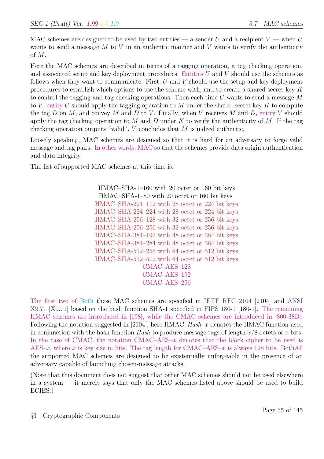MAC schemes are designed to be used by two entities — a sender U and a recipient  $V$  — when U wants to send a message  $M$  to  $V$  in an authentic manner and  $V$  wants to verify the authenticity of M.

Here the MAC schemes are described in terms of a tagging operation, a tag checking operation, and associated setup and key deployment procedures. Entities  $U$  and  $V$  should use the schemes as follows when they want to communicate. First,  $U$  and  $V$  should use the setup and key deployment procedures to establish which options to use the scheme with, and to create a shared secret key K to control the tagging and tag checking operations. Then each time  $U$  wants to send a message  $M$ to V, entity U should apply the tagging operation to M under the shared secret key K to compute the tag  $D$  on  $M$ , and convey  $M$  and  $D$  to  $V$ . Finally, when  $V$  receives  $M$  and  $D$ , entity  $V$  should apply the tag checking operation to M and D under K to verify the authenticity of M. If the tag checking operation outputs "valid",  $V$  concludes that  $M$  is indeed authentic.

Loosely speaking, MAC schemes are designed so that it is hard for an adversary to forge valid message and tag pairs. In other words, MAC so that the schemes provide data origin authentication and data integrity.

The list of supported MAC schemes at this time is:

HMAC–SHA-1–160 with 20 octet or 160 bit keys HMAC–SHA-1–80 with 20 octet or 160 bit keys HMAC–SHA-224–112 with 28 octet or 224 bit keys HMAC–SHA-224–224 with 28 octet or 224 bit keys HMAC–SHA-256–128 with 32 octet or 256 bit keys HMAC–SHA-256–256 with 32 octet or 256 bit keys HMAC–SHA-384–192 with 48 octet or 384 bit keys HMAC–SHA-384–284 with 48 octet or 384 bit keys HMAC–SHA-512–256 with 64 octet or 512 bit keys HMAC–SHA-512–512 with 64 octet or 512 bit keys CMAC–AES–128 CMAC–AES–192 CMAC–AES–256

The first two of Both these MAC schemes are specified in IETF RFC 2104 [2104] and ANSI X9.71 [X9.71] based on the hash function SHA-1 specified in FIPS 180-1 [180-1]. The remaining HMAC schemes are introduced in [198], while the CMAC schemes are introduced in [800-38B]. Following the notation suggested in [2104], here  $HMAC–Hash-x$  denotes the  $HMAC$  function used in conjunction with the hash function Hash to produce message tags of length  $x/8$  octets or x bits. In the case of CMAC, the notation CMAC– $\text{AES-}x$  denotes that the block cipher to be used is AES–x, where x is key size in bits. The tag length for CMAC–AES–x is always 128 bits. BothAll the supported MAC schemes are designed to be existentially unforgeable in the presence of an adversary capable of launching chosen-message attacks.

(Note that this document does not suggest that other MAC schemes should not be used elsewhere in a system — it merely says that only the MAC schemes listed above should be used to build ECIES.)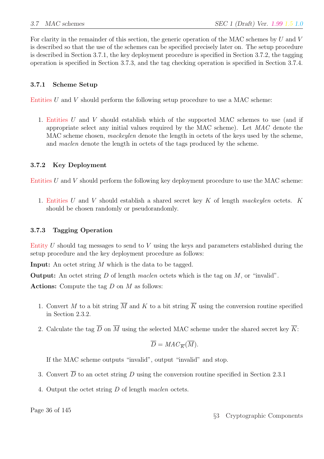For clarity in the remainder of this section, the generic operation of the MAC schemes by U and V is described so that the use of the schemes can be specified precisely later on. The setup procedure is described in Section 3.7.1, the key deployment procedure is specified in Section 3.7.2, the tagging operation is specified in Section 3.7.3, and the tag checking operation is specified in Section 3.7.4.

#### 3.7.1 Scheme Setup

Entities  $U$  and  $V$  should perform the following setup procedure to use a MAC scheme:

1. Entities U and V should establish which of the supported MAC schemes to use (and if appropriate select any initial values required by the MAC scheme). Let MAC denote the MAC scheme chosen, *mackeylen* denote the length in octets of the keys used by the scheme, and *maclen* denote the length in octets of the tags produced by the scheme.

#### 3.7.2 Key Deployment

Entities  $U$  and  $V$  should perform the following key deployment procedure to use the MAC scheme:

1. Entities U and V should establish a shared secret key  $K$  of length mackeylen octets.  $K$ should be chosen randomly or pseudorandomly.

#### 3.7.3 Tagging Operation

Entity U should tag messages to send to V using the keys and parameters established during the setup procedure and the key deployment procedure as follows:

Input: An octet string M which is the data to be tagged.

**Output:** An octet string D of length maclen octets which is the tag on  $M$ , or "invalid".

Actions: Compute the tag  $D$  on  $M$  as follows:

- 1. Convert M to a bit string  $\overline{M}$  and K to a bit string  $\overline{K}$  using the conversion routine specified in Section 2.3.2.
- 2. Calculate the tag  $\overline{D}$  on  $\overline{M}$  using the selected MAC scheme under the shared secret key  $\overline{K}$ :

$$
\overline{D} = MAC_{\overline{K}}(\overline{M}).
$$

If the MAC scheme outputs "invalid", output "invalid" and stop.

- 3. Convert  $\overline{D}$  to an octet string D using the conversion routine specified in Section 2.3.1
- 4. Output the octet string D of length maclen octets.

Page 36 of 145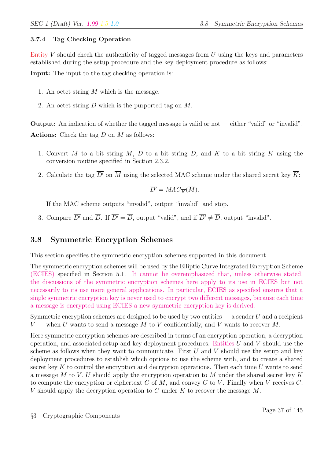#### 3.7.4 Tag Checking Operation

Entity  $V$  should check the authenticity of tagged messages from  $U$  using the keys and parameters established during the setup procedure and the key deployment procedure as follows:

Input: The input to the tag checking operation is:

- 1. An octet string  $M$  which is the message.
- 2. An octet string D which is the purported tag on M.

**Output:** An indication of whether the tagged message is valid or not — either "valid" or "invalid". Actions: Check the tag  $D$  on  $M$  as follows:

- 1. Convert M to a bit string  $\overline{M}$ , D to a bit string  $\overline{D}$ , and K to a bit string  $\overline{K}$  using the conversion routine specified in Section 2.3.2.
- 2. Calculate the tag  $\overline{D'}$  on  $\overline{M}$  using the selected MAC scheme under the shared secret key  $\overline{K}$ :

$$
\overline{D'} = MAC_{\overline{K}}(\overline{M}).
$$

If the MAC scheme outputs "invalid", output "invalid" and stop.

3. Compare  $\overline{D'}$  and  $\overline{D}$ . If  $\overline{D'} = \overline{D}$ , output "valid", and if  $\overline{D'} \neq \overline{D}$ , output "invalid".

# 3.8 Symmetric Encryption Schemes

This section specifies the symmetric encryption schemes supported in this document.

The symmetric encryption schemes will be used by the Elliptic Curve Integrated Encryption Scheme (ECIES) specified in Section 5.1. It cannot be overemphasized that, unless otherwise stated, the discussions of the symmetric encryption schemes here apply to its use in ECIES but not necessarily to its use more general applications. In particular, ECIES as specified ensures that a single symmetric encryption key is never used to encrypt two different messages, because each time a message is encrypted using ECIES a new symmetric encryption key is derived.

Symmetric encryption schemes are designed to be used by two entities  $-$  a sender U and a recipient  $V$  — when U wants to send a message M to V confidentially, and V wants to recover M.

Here symmetric encryption schemes are described in terms of an encryption operation, a decryption operation, and associated setup and key deployment procedures. Entities  $U$  and  $V$  should use the scheme as follows when they want to communicate. First  $U$  and  $V$  should use the setup and key deployment procedures to establish which options to use the scheme with, and to create a shared secret key K to control the encryption and decryption operations. Then each time  $U$  wants to send a message M to V, U should apply the encryption operation to M under the shared secret key K to compute the encryption or ciphertext C of M, and convey C to V. Finally when V receives  $C$ , V should apply the decryption operation to C under K to recover the message  $M$ .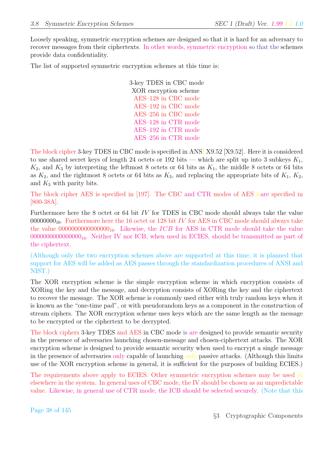Loosely speaking, symmetric encryption schemes are designed so that it is hard for an adversary to recover messages from their ciphertexts. In other words, symmetric encryption so that the schemes provide data confidentiality.

The list of supported symmetric encryption schemes at this time is:

3-key TDES in CBC mode XOR encryption scheme AES–128 in CBC mode AES–192 in CBC mode AES–256 in CBC mode AES–128 in CTR mode AES–192 in CTR mode AES–256 in CTR mode

The block cipher 3-key TDES in CBC mode is specified in ANSI X9.52 [X9.52]. Here it is considered to use shared secret keys of length 24 octets or 192 bits — which are split up into 3 subkeys  $K_1$ ,  $K_2$ , and  $K_3$  by interpreting the leftmost 8 octets or 64 bits as  $K_1$ , the middle 8 octets or 64 bits as  $K_2$ , and the rightmost 8 octets or 64 bits as  $K_3$ , and replacing the appropriate bits of  $K_1$ ,  $K_2$ , and  $K_3$  with parity bits.

The block cipher AES is specified in [197]. The CBC and CTR modes of AES isare specified in [800-38A].

Furthermore here the 8 octet or 64 bit IV for TDES in CBC mode should always take the value 00000000 $_{16}$ . Furthermore here the 16 octet or 128 bit IV for AES in CBC mode should always take the value  $000000000000000_{16}$ . Likewise, the *ICB* for AES in CTR mode should take the value  $000000000000000_{16}$ . Neither IV nor ICB, when used in ECIES, should be transmitted as part of the ciphertext.

(Although only the two encryption schemes above are supported at this time, it is planned that support for AES will be added as AES passes through the standardization procedures of ANSI and NIST.)

The XOR encryption scheme is the simple encryption scheme in which encryption consists of XORing the key and the message, and decryption consists of XORing the key and the ciphertext to recover the message. The XOR scheme is commonly used either with truly random keys when it is known as the "one-time pad", or with pseudorandom keys as a component in the construction of stream ciphers. The XOR encryption scheme uses keys which are the same length as the message to be encrypted or the ciphertext to be decrypted.

The block ciphers 3-key TDES and AES in CBC mode is are designed to provide semantic security in the presence of adversaries launching chosen-message and chosen-ciphertext attacks. The XOR encryption scheme is designed to provide semantic security when used to encrypt a single message in the presence of adversaries only capable of launching only passive attacks. (Although this limits use of the XOR encryption scheme in general, it is sufficient for the purposes of building ECIES.)

The requirements above apply to ECIES. Other symmetric encryption schemes may be used in elsewhere in the system. In general uses of CBC mode, the IV should be chosen as an unpredictable value. Likewise, in general use of CTR mode, the ICB should be selected securely. (Note that this

Page 38 of 145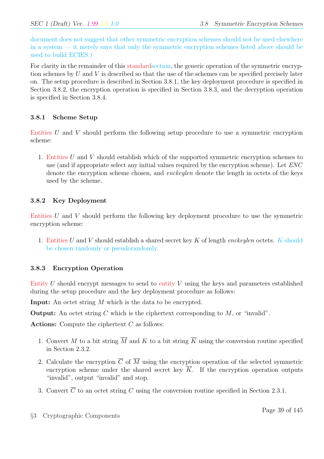document does not suggest that other symmetric encryption schemes should not be used elsewhere in a system — it merely says that only the symmetric encryption schemes listed above should be used to build ECIES.)

For clarity in the remainder of this standardsection, the generic operation of the symmetric encryption schemes by U and V is described so that the use of the schemes can be specified precisely later on. The setup procedure is described in Section 3.8.1, the key deployment procedure is specified in Section 3.8.2, the encryption operation is specified in Section 3.8.3, and the decryption operation is specified in Section 3.8.4.

## 3.8.1 Scheme Setup

Entities U and V should perform the following setup procedure to use a symmetric encryption scheme:

1. Entities U and V should establish which of the supported symmetric encryption schemes to use (and if appropriate select any initial values required by the encryption scheme). Let  $ENC$ denote the encryption scheme chosen, and *enckeylen* denote the length in octets of the keys used by the scheme.

#### 3.8.2 Key Deployment

Entities U and V should perform the following key deployment procedure to use the symmetric encryption scheme:

1. Entities U and V should establish a shared secret key K of length enckeylen octets. K should be chosen randomly or pseudorandomly.

## 3.8.3 Encryption Operation

Entity  $U$  should encrypt messages to send to entity  $V$  using the keys and parameters established during the setup procedure and the key deployment procedure as follows:

Input: An octet string M which is the data to be encrypted.

**Output:** An octet string C which is the ciphertext corresponding to  $M$ , or "invalid".

Actions: Compute the ciphertext  $C$  as follows:

- 1. Convert M to a bit string  $\overline{M}$  and K to a bit string  $\overline{K}$  using the conversion routine specified in Section 2.3.2.
- 2. Calculate the encryption  $\overline{C}$  of  $\overline{M}$  using the encryption operation of the selected symmetric encryption scheme under the shared secret key  $\overline{K}$ . If the encryption operation outputs "invalid", output "invalid" and stop.
- 3. Convert  $\overline{C}$  to an octet string C using the conversion routine specified in Section 2.3.1.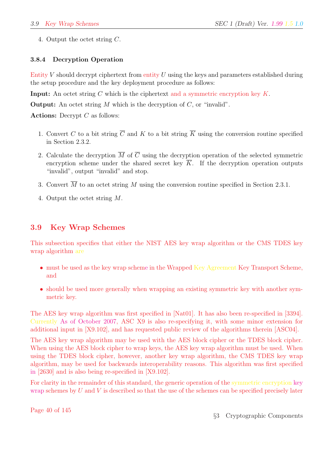4. Output the octet string C.

## 3.8.4 Decryption Operation

Entity V should decrypt ciphertext from entity U using the keys and parameters established during the setup procedure and the key deployment procedure as follows:

**Input:** An octet string C which is the ciphertext and a symmetric encryption key  $K$ .

**Output:** An octet string  $M$  which is the decryption of  $C$ , or "invalid".

Actions: Decrypt  $C$  as follows:

- 1. Convert C to a bit string  $\overline{C}$  and K to a bit string  $\overline{K}$  using the conversion routine specified in Section 2.3.2.
- 2. Calculate the decryption  $\overline{M}$  of  $\overline{C}$  using the decryption operation of the selected symmetric encryption scheme under the shared secret key  $K$ . If the decryption operation outputs "invalid", output "invalid" and stop.
- 3. Convert  $\overline{M}$  to an octet string M using the conversion routine specified in Section 2.3.1.
- 4. Output the octet string M.

# 3.9 Key Wrap Schemes

This subsection specifies that either the NIST AES key wrap algorithm or the CMS TDES key wrap algorithm are

- must be used as the key wrap scheme in the Wrapped Key Agreement Key Transport Scheme, and
- should be used more generally when wrapping an existing symmetric key with another symmetric key.

The AES key wrap algorithm was first specified in [Nat01]. It has also been re-specified in [3394]. Currently As of October 2007, ASC X9 is also re-specifying it, with some minor extension for additional input in [X9.102], and has requested public review of the algorithms therein [ASC04].

The AES key wrap algorithm may be used with the AES block cipher or the TDES block cipher. When using the AES block cipher to wrap keys, the AES key wrap algorithm must be used. When using the TDES block cipher, however, another key wrap algorithm, the CMS TDES key wrap algorithm, may be used for backwards interoperability reasons. This algorithm was first specified in [2630] and is also being re-specified in [X9.102].

For clarity in the remainder of this standard, the generic operation of the symmetric encryption key wrap schemes by U and V is described so that the use of the schemes can be specified precisely later

Page 40 of 145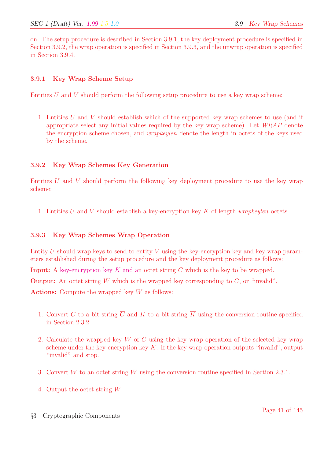on. The setup procedure is described in Section 3.9.1, the key deployment procedure is specified in Section 3.9.2, the wrap operation is specified in Section 3.9.3, and the unwrap operation is specified in Section 3.9.4.

#### 3.9.1 Key Wrap Scheme Setup

Entities  $U$  and  $V$  should perform the following setup procedure to use a key wrap scheme:

1. Entities U and V should establish which of the supported key wrap schemes to use (and if appropriate select any initial values required by the key wrap scheme). Let WRAP denote the encryption scheme chosen, and *wrapkeylen* denote the length in octets of the keys used by the scheme.

#### 3.9.2 Key Wrap Schemes Key Generation

Entities  $U$  and  $V$  should perform the following key deployment procedure to use the key wrap scheme:

1. Entities U and V should establish a key-encryption key K of length *wrapkeylen* octets.

#### 3.9.3 Key Wrap Schemes Wrap Operation

Entity U should wrap keys to send to entity V using the key-encryption key and key wrap parameters established during the setup procedure and the key deployment procedure as follows:

**Input:** A key-encryption key K and an octet string C which is the key to be wrapped.

**Output:** An octet string  $W$  which is the wrapped key corresponding to  $C$ , or "invalid".

Actions: Compute the wrapped key  $W$  as follows:

- 1. Convert C to a bit string  $\overline{C}$  and K to a bit string  $\overline{K}$  using the conversion routine specified in Section 2.3.2.
- 2. Calculate the wrapped key  $\overline{W}$  of  $\overline{C}$  using the key wrap operation of the selected key wrap scheme under the key-encryption key  $\overline{K}$ . If the key wrap operation outputs "invalid", output "invalid" and stop.
- 3. Convert  $\overline{W}$  to an octet string W using the conversion routine specified in Section 2.3.1.
- 4. Output the octet string W.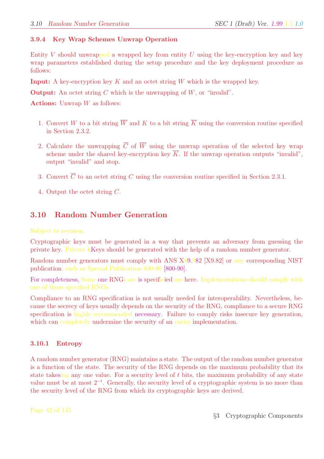#### 3.9.4 Key Wrap Schemes Unwrap Operation

Entity V should unwrapped a wrapped key from entity U using the key-encryption key and key wrap parameters established during the setup procedure and the key deployment procedure as follows:

**Input:** A key-encryption key  $K$  and an octet string  $W$  which is the wrapped key.

**Output:** An octet string C which is the unwrapping of  $W$ , or "invalid".

**Actions:** Unwrap  $W$  as follows:

- 1. Convert W to a bit string  $\overline{W}$  and K to a bit string  $\overline{K}$  using the conversion routine specified in Section 2.3.2.
- 2. Calculate the unwrapping  $\overline{C}$  of  $\overline{W}$  using the unwrap operation of the selected key wrap scheme under the shared key-encryption key  $\overline{K}$ . If the unwrap operation outputs "invalid", output "invalid" and stop.
- 3. Convert  $\overline{C}$  to an octet string C using the conversion routine specified in Section 2.3.1.
- 4. Output the octet string C.

# 3.10 Random Number Generation

Subject to revision.

Cryptographic keys must be generated in a way that prevents an adversary from guessing the private key. Private kKeys should be generated with the help of a random number generator.

Random number generators must comply with ANS X89.982 [X9.82] or any corresponding NIST publication, such as Special Publication 800-90 [800-90].

For completeness, Some one RNGs are is specificied are here. Implementations should comply with one of these specified RNGs.

Compliance to an RNG specification is not usually needed for interoperability. Nevertheless, because the secrecy of keys usually depends on the security of the RNG, compliance to a secure RNG specification is highly recommended necessary. Failure to comply risks insecure key generation, which can completely undermine the security of an entire implementation.

#### 3.10.1 Entropy

A random number generator (RNG) maintains a state. The output of the random number generator is a function of the state. The security of the RNG depends on the maximum probability that its state takesing any one value. For a security level of  $t$  bits, the maximum probability of any state value must be at most  $2^{-t}$ . Generally, the security level of a cryptographic system is no more than the security level of the RNG from which its cryptographic keys are derived.

Page 42 of 145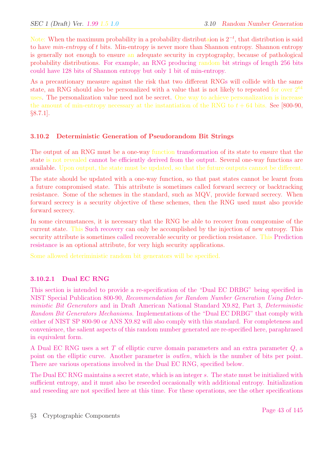Note: When the maximum probability in a probability distributaion is  $2^{-t}$ , that distribution is said to have *min-entropy* of t bits. Min-entropy is never more than Shannon entropy. Shannon entropy is generally not enough to ensure an adequate security in cryptography, because of pathological probability distributions. For example, an RNG producing random bit strings of length 256 bits could have 128 bits of Shannon entropy but only 1 bit of min-entropy.

As a precautionary measure against the risk that two different RNGs will collide with the same state, an RNG should also be personalized with a value that is not likely to repeated for over  $2^{64}$ uses. The personalization value need not be secret. One way to achieve personalization is increase the amount of min-entropy necessary at the instantiation of the RNG to  $t + 64$  bits. See [800-90, §8.7.1].

#### 3.10.2 Deterministic Generation of Pseudorandom Bit Strings

The output of an RNG must be a one-way function transformation of its state to ensure that the state is not revealed cannot be efficiently derived from the output. Several one-way functions are available. Upon output, the state must be updated, so that the future outputs cannot be different.

The state should be updated with a one-way function, so that past states cannot be learnt from a future compromised state. This attribute is sometimes called forward secrecy or backtracking resistance. Some of the schemes in the standard, such as MQV, provide forward secrecy. When forward secrecy is a security objective of these schemes, then the RNG used must also provide forward secrecy.

In some circumstances, it is necessary that the RNG be able to recover from compromise of the current state. This Such recovery can only be accomplished by the injection of new entropy. This security attribute is sometimes called recoverable security or prediction resistance. This Prediction resistance is an optional attribute, for very high security applications.

Some allowed deteriministic random bit generators will be specified.

#### 3.10.2.1 Dual EC RNG

This section is intended to provide a re-specification of the "Dual EC DRBG" being specified in NIST Special Publication 800-90, Recommendation for Random Number Generation Using Deterministic Bit Generators and in Draft American National Standard X9.82, Part 3, Deterministic Random Bit Generators Mechanisms. Implementations of the "Dual EC DRBG" that comply with either of NIST SP 800-90 or ANS X9.82 will also comply with this standard. For completeness and convenience, the salient aspects of this random number generated are re-specified here, paraphrased in equivalent form.

A Dual EC RNG uses a set T of elliptic curve domain parameters and an extra parameter Q, a point on the elliptic curve. Another parameter is *outlen*, which is the number of bits per point. There are various operations involved in the Dual EC RNG, specified below.

The Dual EC RNG maintains a secret state, which is an integer s. The state must be initialized with sufficient entropy, and it must also be reseeded occasionally with additional entropy. Initialization and reseeding are not specified here at this time. For these operations, see the other specifications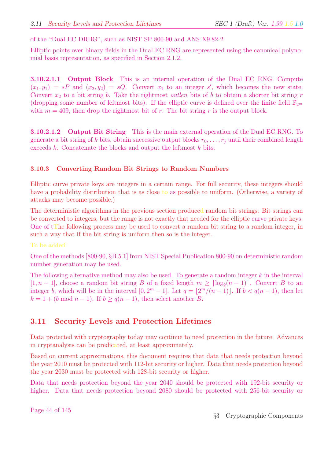of the "Dual EC DRBG", such as NIST SP 800-90 and ANS X9.82-2.

Elliptic points over binary fields in the Dual EC RNG are represented using the canonical polynomial basis representation, as specified in Section 2.1.2.

3.10.2.1.1 Output Block This is an internal operation of the Dual EC RNG. Compute  $(x_1, y_1) = sP$  and  $(x_2, y_2) = sQ$ . Convert  $x_1$  to an integer s', which becomes the new state. Convert  $x_2$  to a bit string b. Take the rightmost *outlen* bits of b to obtain a shorter bit string r (dropping some number of leftmost bits). If the elliptic curve is defined over the finite field  $\mathbb{F}_{2^m}$ with  $m = 409$ , then drop the rightmost bit of r. The bit string r is the output block.

**3.10.2.1.2 Output Bit String** This is the main external operation of the Dual EC RNG. To generate a bit string of k bits, obtain successive output blocks  $r_0, \ldots, r_j$  until their combined length exceeds k. Concatenate the blocks and output the leftmost k bits.

#### 3.10.3 Converting Random Bit Strings to Random Numbers

Elliptic curve private keys are integers in a certain range. For full security, these integers should have a probability distribution that is as close to as possible to uniform. (Otherwise, a variety of attacks may become possible.)

The deterministic algorithms in the previous section produced random bit strings. Bit strings can be converted to integers, but the range is not exactly that needed for the elliptic curve private keys. One of tThe following process may be used to convert a random bit string to a random integer, in such a way that if the bit string is uniform then so is the integer.

To be added.

One of the methods [800-90, §B.5.1] from NIST Special Publication 800-90 on deterministic random number generation may be used.

The following alternative method may also be used. To generate a random integer  $k$  in the interval [1, n − 1], choose a random bit string B of a fixed length  $m \geq \lceil \log_2(n-1) \rceil$ . Convert B to an integer b, which will be in the interval  $[0, 2<sup>m</sup> - 1]$ . Let  $q = |2<sup>m</sup>/(n - 1)|$ . If  $b < q(n - 1)$ , then let  $k = 1 + (b \mod n - 1)$ . If  $b \ge q(n-1)$ , then select another B.

## 3.11 Security Levels and Protection Lifetimes

Data protected with cryptography today may continue to need protection in the future. Advances in cryptanalysis can be predicated, at least approximately.

Based on current approximations, this document requires that data that needs protection beyond the year 2010 must be protected with 112-bit security or higher. Data that needs protection beyond the year 2030 must be protected with 128-bit security or higher.

Data that needs protection beyond the year 2040 should be protected with 192-bit security or higher. Data that needs protection beyond 2080 should be protected with 256-bit security or

Page 44 of 145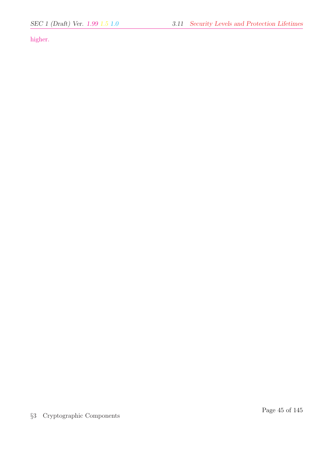higher.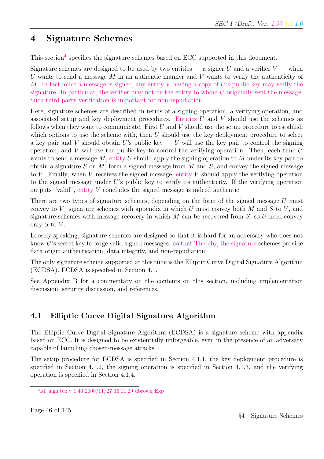# 4 Signature Schemes

This section<sup>4</sup> specifies the signature schemes based on ECC supported in this document.

Signature schemes are designed to be used by two entities — a signer U and a verifier  $V$  — when U wants to send a message  $M$  in an authentic manner and  $V$  wants to verify the authenticity of M. In fact, once a message is signed, any entity V having a copy of U's public key may verify the signature. In particular, the verifier may not be the entity to whom  $U$  originally sent the message. Such third party verification is important for non-repudiation.

Here, signature schemes are described in terms of a signing operation, a verifying operation, and associated setup and key deployment procedures. Entities  $U$  and  $V$  should use the schemes as follows when they want to communicate. First  $U$  and  $V$  should use the setup procedure to establish which options to use the scheme with, then  $U$  should use the key deployment procedure to select a key pair and V should obtain U's public key — U will use the key pair to control the signing operation, and V will use the public key to control the verifying operation. Then, each time  $U$ wants to send a message  $M$ , entity U should apply the signing operation to M under its key pair to obtain a signature S on M, form a signed message from M and S, and convey the signed message to V. Finally, when V receives the signed message, entity V should apply the verifying operation to the signed message under  $U$ 's public key to verify its authenticity. If the verifying operation outputs "valid", entity V concludes the signed message is indeed authentic.

There are two types of signature schemes, depending on the form of the signed message U must convey to V: signature schemes with appendix in which U must convey both M and S to V, and signature schemes with message recovery in which  $M$  can be recovered from  $S$ , so  $U$  need convey only  $S$  to  $V$ .

Loosely speaking, signature schemes are designed so that it is hard for an adversary who does not know U's secret key to forge valid signed messages. so that Thereby, the signature schemes provide data origin authentication, data integrity, and non-repudiation.

The only signature scheme supported at this time is the Elliptic Curve Digital Signature Algorithm (ECDSA). ECDSA is specified in Section 4.1.

See Appendix B for a commentary on the contents on this section, including implementation discussion, security discussion, and references.

# 4.1 Elliptic Curve Digital Signature Algorithm

The Elliptic Curve Digital Signature Algorithm (ECDSA) is a signature scheme with appendix based on ECC. It is designed to be existentially unforgeable, even in the presence of an adversary capable of launching chosen-message attacks.

The setup procedure for ECDSA is specified in Section 4.1.1, the key deployment procedure is specified in Section 4.1.2, the signing operation is specified in Section 4.1.3, and the verifying operation is specified in Section 4.1.4.

<sup>4</sup> Id: sign.tex,v 1.40 2008/11/27 16:11:29 dbrown Exp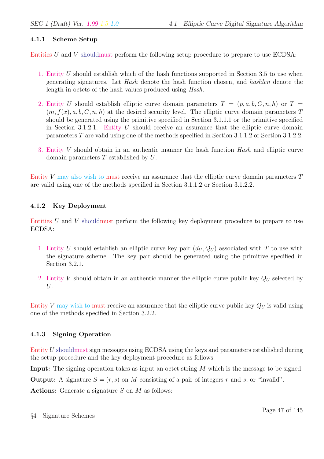#### 4.1.1 Scheme Setup

Entities  $U$  and  $V$  shouldmust perform the following setup procedure to prepare to use ECDSA:

- 1. Entity U should establish which of the hash functions supported in Section 3.5 to use when generating signatures. Let Hash denote the hash function chosen, and hashlen denote the length in octets of the hash values produced using Hash.
- 2. Entity U should establish elliptic curve domain parameters  $T = (p, a, b, G, n, h)$  or  $T =$  $(m, f(x), a, b, G, n, h)$  at the desired security level. The elliptic curve domain parameters T should be generated using the primitive specified in Section 3.1.1.1 or the primitive specified in Section 3.1.2.1. Entity  $U$  should receive an assurance that the elliptic curve domain parameters T are valid using one of the methods specified in Section 3.1.1.2 or Section 3.1.2.2.
- 3. Entity V should obtain in an authentic manner the hash function Hash and elliptic curve domain parameters  $T$  established by  $U$ .

Entity V may also wish to must receive an assurance that the elliptic curve domain parameters T are valid using one of the methods specified in Section 3.1.1.2 or Section 3.1.2.2.

#### 4.1.2 Key Deployment

Entities  $U$  and  $V$  shouldmust perform the following key deployment procedure to prepare to use ECDSA:

- 1. Entity U should establish an elliptic curve key pair  $(d_U, Q_U)$  associated with T to use with the signature scheme. The key pair should be generated using the primitive specified in Section 3.2.1.
- 2. Entity V should obtain in an authentic manner the elliptic curve public key  $Q_U$  selected by U.

Entity V may wish to must receive an assurance that the elliptic curve public key  $Q_U$  is valid using one of the methods specified in Section 3.2.2.

## 4.1.3 Signing Operation

Entity U shouldmust sign messages using ECDSA using the keys and parameters established during the setup procedure and the key deployment procedure as follows:

Input: The signing operation takes as input an octet string M which is the message to be signed.

**Output:** A signature  $S = (r, s)$  on M consisting of a pair of integers r and s, or "invalid".

Actions: Generate a signature  $S$  on  $M$  as follows: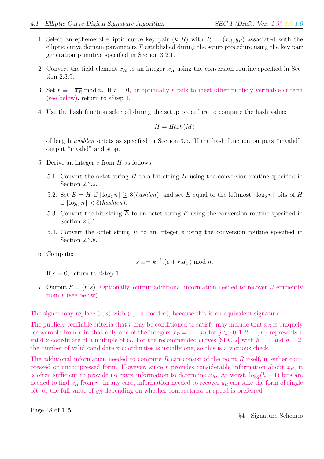- 1. Select an ephemeral elliptic curve key pair  $(k, R)$  with  $R = (x_R, y_R)$  associated with the elliptic curve domain parameters  $T$  established during the setup procedure using the key pair generation primitive specified in Section 3.2.1.
- 2. Convert the field element  $x_R$  to an integer  $\overline{x_R}$  using the conversion routine specified in Section 2.3.9.
- 3. Set  $r \equiv \overline{x_R} \mod n$ . If  $r = 0$ , or optionally r fails to meet other publicly verifiable criteria (see below), return to sStep 1.
- 4. Use the hash function selected during the setup procedure to compute the hash value:

$$
H = \text{Hash}(M)
$$

of length hashlen octets as specified in Section 3.5. If the hash function outputs "invalid", output "invalid" and stop.

- 5. Derive an integer  $e$  from  $H$  as follows:
	- 5.1. Convert the octet string H to a bit string  $\overline{H}$  using the conversion routine specified in Section 2.3.2.
	- 5.2. Set  $\overline{E} = \overline{H}$  if  $\lceil \log_2 n \rceil \ge 8(hashlen)$ , and set  $\overline{E}$  equal to the leftmost  $\lceil \log_2 n \rceil$  bits of  $\overline{H}$ if  $\lceil \log_2 n \rceil < 8(hashlen)$ .
	- 5.3. Convert the bit string  $\overline{E}$  to an octet string E using the conversion routine specified in Section 2.3.1.
	- 5.4. Convert the octet string  $E$  to an integer  $e$  using the conversion routine specified in Section 2.3.8.
- 6. Compute:

$$
s \equiv = k^{-1} (e + r \, d_U) \bmod n.
$$

If  $s = 0$ , return to sStep 1.

7. Output  $S = (r, s)$ . Optionally, output additional information needed to recover R efficiently from r (see below).

The signer may replace  $(r, s)$  with  $(r, -s \mod n)$ , because this is an equivalent signature.

The publicly verifiable criteria that  $r$  may be conditioned to satisfy may include that  $x_R$  is uniquely recoverable from r in that only one of the integers  $\overline{x_R} = r + j n$  for  $j \in \{0, 1, 2, ..., h\}$  represents a valid x-coordinate of a multiple of G. For the recommended curves [SEC 2] with  $h = 1$  and  $h = 2$ , the number of valid candidate x-coordinates is usually one, so this is a vacuous check.

The additional information needed to compute R can consist of the point R itself, in either compressed or uncompressed form. However, since r provides considerable information about  $x_R$ , it is often sufficient to provide no extra information to determine  $x_R$ . At worst,  $\log_2(h+1)$  bits are needed to find  $x_R$  from r. In any case, information needed to recover  $y_R$  can take the form of single bit, or the full value of  $y_R$  depending on whether compactness or speed is preferred.

Page 48 of 145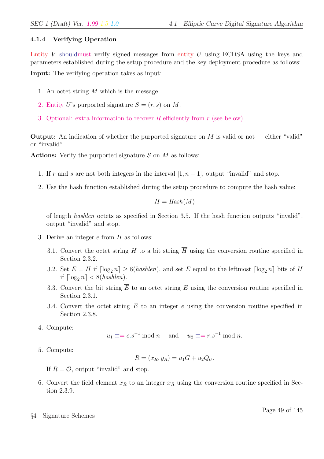#### 4.1.4 Verifying Operation

Entity V shouldmust verify signed messages from entity U using ECDSA using the keys and parameters established during the setup procedure and the key deployment procedure as follows:

Input: The verifying operation takes as input:

- 1. An octet string M which is the message.
- 2. Entity U's purported signature  $S = (r, s)$  on M.
- 3. Optional: extra information to recover R efficiently from  $r$  (see below).

**Output:** An indication of whether the purported signature on  $M$  is valid or not — either "valid" or "invalid".

Actions: Verify the purported signature  $S$  on  $M$  as follows:

- 1. If r and s are not both integers in the interval  $[1, n 1]$ , output "invalid" and stop.
- 2. Use the hash function established during the setup procedure to compute the hash value:

$$
H = \text{Hash}(M)
$$

of length hashlen octets as specified in Section 3.5. If the hash function outputs "invalid", output "invalid" and stop.

- 3. Derive an integer  $e$  from  $H$  as follows:
	- 3.1. Convert the octet string H to a bit string  $\overline{H}$  using the conversion routine specified in Section 2.3.2.
	- 3.2. Set  $\overline{E} = \overline{H}$  if  $\lceil \log_2 n \rceil \ge 8(hashlen)$ , and set  $\overline{E}$  equal to the leftmost  $\lceil \log_2 n \rceil$  bits of  $\overline{H}$ if  $\lceil \log_2 n \rceil < 8(hashlen)$ .
	- 3.3. Convert the bit string  $\overline{E}$  to an octet string E using the conversion routine specified in Section 2.3.1.
	- 3.4. Convert the octet string  $E$  to an integer  $e$  using the conversion routine specified in Section 2.3.8.
- 4. Compute:

$$
u_1 \equiv e.s^{-1} \mod n
$$
 and  $u_2 \equiv r.s^{-1} \mod n$ .

5. Compute:

$$
R = (x_R, y_R) = u_1G + u_2Q_U.
$$

If  $R = \mathcal{O}$ , output "invalid" and stop.

- 6. Convert the field element  $x_R$  to an integer  $\overline{x_R}$  using the conversion routine specified in Section 2.3.9.
- §4 Signature Schemes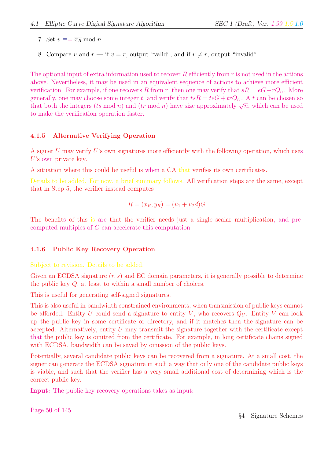- 7. Set  $v \equiv \overline{x_R} \mod n$ .
- 8. Compare v and  $r$  if  $v = r$ , output "valid", and if  $v \neq r$ , output "invalid".

The optional input of extra information used to recover  $R$  efficiently from  $r$  is not used in the actions above. Nevertheless, it may be used in an equivalent sequence of actions to achieve more efficient verification. For example, if one recovers R from r, then one may verify that  $sR = eG + rQ_U$ . More generally, one may choose some integer t, and verify that  $tsR = teG + trQ_U$ . A t can be chosen so generally, one may choose some integer t, and vertly that  $tsn = teG + trQU$ . A t can be chosen so that both the integers (ts mod n) and (tr mod n) have size approximately  $\sqrt{n}$ , which can be used to make the verification operation faster.

#### 4.1.5 Alternative Verifying Operation

A signer U may verify U's own signatures more efficiently with the following operation, which uses U's own private key.

A situation where this could be useful is when a CA that verifies its own certificates.

Details to be added. For now, a brief summary follows. All verification steps are the same, except that in Step 5, the verifier instead computes

$$
R = (x_R, y_R) = (u_1 + u_2 d)G
$$

The benefits of this is are that the verifier needs just a single scalar multiplication, and precomputed multiples of G can accelerate this computation.

#### 4.1.6 Public Key Recovery Operation

#### Subject to revision. Details to be added.

Given an ECDSA signature  $(r, s)$  and EC domain parameters, it is generally possible to determine the public key Q, at least to within a small number of choices.

This is useful for generating self-signed signatures.

This is also useful in bandwidth constrained environments, when transmission of public keys cannot be afforded. Entity U could send a signature to entity V, who recovers  $Q_U$ . Entity V can look up the public key in some certificate or directory, and if it matches then the signature can be accepted. Alternatively, entity  $U$  may transmit the signature together with the certificate except that the public key is omitted from the certificate. For example, in long certificate chains signed with ECDSA, bandwidth can be saved by omission of the public keys.

Potentially, several candidate public keys can be recovered from a signature. At a small cost, the signer can generate the ECDSA signature in such a way that only one of the candidate public keys is viable, and such that the verifier has a very small additional cost of determining which is the correct public key.

Input: The public key recovery operations takes as input:

Page 50 of 145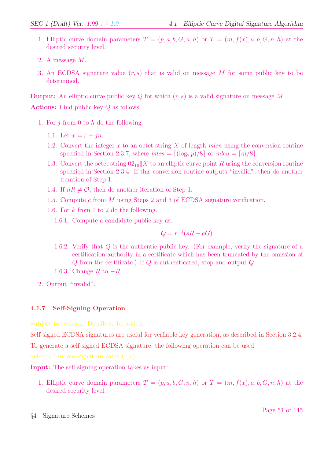- 1. Elliptic curve domain parameters  $T = (p, a, b, G, n, h)$  or  $T = (m, f(x), a, b, G, n, h)$  at the desired security level.
- 2. A message M.
- 3. An ECDSA signature value  $(r, s)$  that is valid on message M for some public key to be determined.

**Output:** An elliptic curve public key Q for which  $(r, s)$  is a valid signature on message M.

Actions: Find public key Q as follows.

- 1. For  $i$  from 0 to  $h$  do the following.
	- 1.1. Let  $x = r + in$ .
	- 1.2. Convert the integer x to an octet string X of length mlen using the conversion routine specified in Section 2.3.7, where  $mlen = \lfloor (\log_2 p)/8 \rfloor$  or  $mlen = \lfloor m/8 \rfloor$ .
	- 1.3. Convert the octet string  $02_{16}||X$  to an elliptic curve point R using the conversion routine specified in Section 2.3.4. If this conversion routine outputs "invalid", then do another iteration of Step 1.
	- 1.4. If  $nR \neq \mathcal{O}$ , then do another iteration of Step 1.
	- 1.5. Compute e from M using Steps 2 and 3 of ECDSA signature verification.
	- 1.6. For k from 1 to 2 do the following.

1.6.1. Compute a candidate public key as:

$$
Q = r^{-1}(sR - eG).
$$

- 1.6.2. Verify that Q is the authentic public key. (For example, verify the signature of a certification authority in a certificate which has been truncated by the omission of Q from the certificate.) If Q is authenticated, stop and output Q.
- 1.6.3. Change  $R$  to  $-R$ .
- 2. Output "invalid".

## 4.1.7 Self-Signing Operation

Subject to revision. Details to be added.

Self-signed ECDSA signatures are useful for verfiable key generation, as described in Section 3.2.4. To generate a self-signed ECDSA signature, the following operation can be used.

Select a random signature value  $(r, s)$ .

Input: The self-signing operation takes as input:

- 1. Elliptic curve domain parameters  $T = (p, a, b, G, n, h)$  or  $T = (m, f(x), a, b, G, n, h)$  at the desired security level.
- §4 Signature Schemes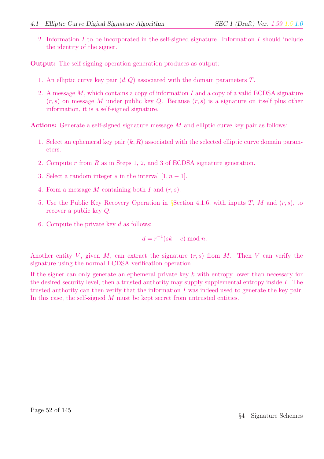2. Information  $I$  to be incorporated in the self-signed signature. Information  $I$  should include the identity of the signer.

Output: The self-signing operation generation produces as output:

- 1. An elliptic curve key pair  $(d, Q)$  associated with the domain parameters  $T$ .
- 2. A message  $M$ , which contains a copy of information I and a copy of a valid ECDSA signature  $(r, s)$  on message M under public key Q. Because  $(r, s)$  is a signature on itself plus other information, it is a self-signed signature.

Actions: Generate a self-signed signature message M and elliptic curve key pair as follows:

- 1. Select an ephemeral key pair  $(k, R)$  associated with the selected elliptic curve domain parameters.
- 2. Compute r from R as in Steps 1, 2, and 3 of ECDSA signature generation.
- 3. Select a random integer s in the interval  $[1, n-1]$ .
- 4. Form a message M containing both I and  $(r, s)$ .
- 5. Use the Public Key Recovery Operation in §Section 4.1.6, with inputs T, M and  $(r, s)$ , to recover a public key Q.
- 6. Compute the private key  $d$  as follows:

$$
d = r^{-1}(sk - e) \bmod n.
$$

Another entity V, given M, can extract the signature  $(r, s)$  from M. Then V can verify the signature using the normal ECDSA verification operation.

If the signer can only generate an ephemeral private key k with entropy lower than necessary for the desired security level, then a trusted authority may supply supplemental entropy inside I. The trusted authority can then verify that the information  $I$  was indeed used to generate the key pair. In this case, the self-signed M must be kept secret from untrusted entities.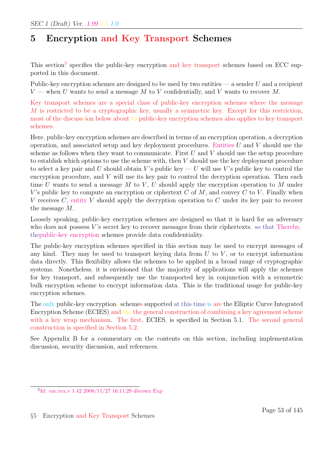# 5 Encryption and Key Transport Schemes

This section<sup>5</sup> specifies the public-key encryption and key transport schemes based on ECC supported in this document.

Public-key encryption schemes are designed to be used by two entities  $-$  a sender U and a recipient  $V$  — when U wants to send a message M to V confidentially, and V wants to recover M.

Key transport schemes are a special class of public-key encryption schemes where the message M is restricted to be a cryptographic key, usually a symmetric key. Except for this restriction, most of the discusssion below about to public-key encryption schemes also applies to key transport schemes.

Here, public-key encryption schemes are described in terms of an encryption operation, a decryption operation, and associated setup and key deployment procedures. Entities  $U$  and  $V$  should use the scheme as follows when they want to communicate. First  $U$  and  $V$  should use the setup procedure to establish which options to use the scheme with, then V should use the key deployment procedure to select a key pair and U should obtain V's public key  $-U$  will use V's public key to control the encryption procedure, and V will use its key pair to control the decryption operation. Then each time U wants to send a message M to V, U should apply the encryption operation to M under V's public key to compute an encryption or ciphertext  $C$  of  $M$ , and convey  $C$  to  $V$ . Finally when V receives C, entity V should apply the decryption operation to C under its key pair to recover the message M.

Loosely speaking, public-key encryption schemes are designed so that it is hard for an adversary who does not possess  $V$ 's secret key to recover messages from their ciphertexts. so that Thereby, thepublic-key encryption schemes provide data confidentiality.

The public-key encryption schemes specified in this section may be used to encrypt messages of any kind. They may be used to transport keying data from  $U$  to  $V$ , or to encrypt information data directly. This flexibility allows the schemes to be applied in a broad range of cryptographic systems. Nonetheless, it is envisioned that the majority of applications will apply the schemes for key transport, and subsequently use the transported key in conjunction with a symmetric bulk encryption scheme to encrypt information data. This is the traditional usage for public-key encryption schemes.

The only public-key encryptions schemes supported at this time is are the Elliptic Curve Integrated Encryption Scheme (ECIES) and the the general construction of combining a key agreement scheme with a key wrap mechanism. The first, ECIES, is specified in Section 5.1. The second general construction is specified in Section 5.2.

See Appendix B for a commentary on the contents on this section, including implementation discussion, security discussion, and references.

<sup>5</sup> Id: enc.tex,v 1.42 2008/11/27 16:11:29 dbrown Exp

<sup>§</sup>5 Encryption and Key Transport Schemes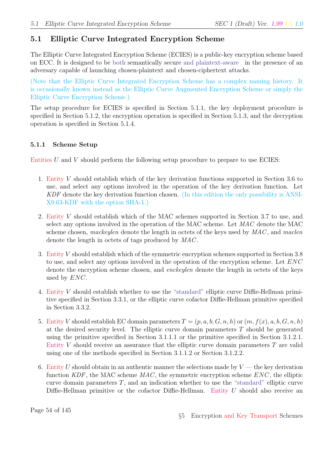# 5.1 Elliptic Curve Integrated Encryption Scheme

The Elliptic Curve Integrated Encryption Scheme (ECIES) is a public-key encryption scheme based on ECC. It is designed to be both semantically secure and plaintext-aware , in the presence of an adversary capable of launching chosen-plaintext and chosen-ciphertext attacks.

(Note that the Elliptic Curve Integrated Encryption Scheme has a complex naming history. It is occasionally known instead as the Elliptic Curve Augmented Encryption Scheme or simply the Elliptic Curve Encryption Scheme.)

The setup procedure for ECIES is specified in Section 5.1.1, the key deployment procedure is specified in Section 5.1.2, the encryption operation is specified in Section 5.1.3, and the decryption operation is specified in Section 5.1.4.

#### 5.1.1 Scheme Setup

Entities  $U$  and  $V$  should perform the following setup procedure to prepare to use ECIES:

- 1. Entity V should establish which of the key derivation functions supported in Section 3.6 to use, and select any options involved in the operation of the key derivation function. Let KDF denote the key derivation function chosen. (In this edition the only possibility is ANSI-X9.63-KDF with the option SHA-1.)
- 2. Entity V should establish which of the MAC schemes supported in Section 3.7 to use, and select any options involved in the operation of the MAC scheme. Let MAC denote the MAC scheme chosen, mackeylen denote the length in octets of the keys used by  $MAC$ , and maclen denote the length in octets of tags produced by MAC.
- 3. Entity V should establish which of the symmetric encryption schemes supported in Section 3.8 to use, and select any options involved in the operation of the encryption scheme. Let ENC denote the encryption scheme chosen, and *enckeylen* denote the length in octets of the keys used by  $ENC$ .
- 4. Entity V should establish whether to use the "standard" elliptic curve Diffie-Hellman primitive specified in Section 3.3.1, or the elliptic curve cofactor Diffie-Hellman primitive specified in Section 3.3.2.
- 5. Entity V should establish EC domain parameters  $T = (p, a, b, G, n, h)$  or  $(m, f(x), a, b, G, n, h)$ at the desired security level. The elliptic curve domain parameters T should be generated using the primitive specified in Section 3.1.1.1 or the primitive specified in Section 3.1.2.1. Entity V should receive an assurance that the elliptic curve domain parameters  $T$  are valid using one of the methods specified in Section 3.1.1.2 or Section 3.1.2.2.
- 6. Entity U should obtain in an authentic manner the selections made by  $V$  the key derivation function  $KDF$ , the MAC scheme  $MAC$ , the symmetric encryption scheme  $ENC$ , the elliptic curve domain parameters  $T$ , and an indication whether to use the "standard" elliptic curve Diffie-Hellman primitive or the cofactor Diffie-Hellman. Entity  $U$  should also receive an

Page 54 of 145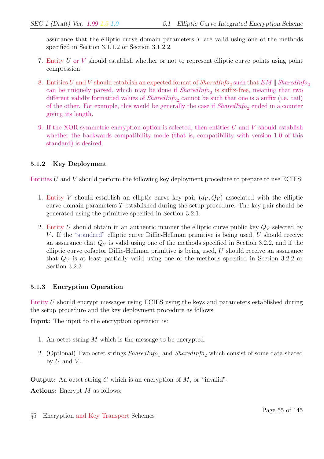assurance that the elliptic curve domain parameters  $T$  are valid using one of the methods specified in Section 3.1.1.2 or Section 3.1.2.2.

- 7. Entity U or V should establish whether or not to represent elliptic curve points using point compression.
- 8. Entities U and V should establish an expected format of  $sharedInfo_2$  such that  $EM \parallel SharedInfo_2$ can be uniquely parsed, which may be done if  $SharedInfo_2$  is suffix-free, meaning that two different validly formatted values of  $SharedInfo_2$  cannot be such that one is a suffix (i.e. tail) of the other. For example, this would be generally the case if  $SharedInfo_2$  ended in a counter giving its length.
- 9. If the XOR symmetric encryption option is selected, then entities  $U$  and  $V$  should establish whether the backwards compatibility mode (that is, compatibility with version 1.0 of this standard) is desired.

## 5.1.2 Key Deployment

Entities  $U$  and  $V$  should perform the following key deployment procedure to prepare to use ECIES:

- 1. Entity V should establish an elliptic curve key pair  $(d_V, Q_V)$  associated with the elliptic curve domain parameters  $T$  established during the setup procedure. The key pair should be generated using the primitive specified in Section 3.2.1.
- 2. Entity U should obtain in an authentic manner the elliptic curve public key  $Q_V$  selected by V. If the "standard" elliptic curve Diffie-Hellman primitive is being used, U should receive an assurance that  $Q_V$  is valid using one of the methods specified in Section 3.2.2, and if the elliptic curve cofactor Diffie-Hellman primitive is being used,  $U$  should receive an assurance that  $Q_V$  is at least partially valid using one of the methods specified in Section 3.2.2 or Section 3.2.3.

## 5.1.3 Encryption Operation

Entity U should encrypt messages using ECIES using the keys and parameters established during the setup procedure and the key deployment procedure as follows:

Input: The input to the encryption operation is:

- 1. An octet string M which is the message to be encrypted.
- 2. (Optional) Two octet strings  $SharedInfo_1$  and  $SharedInfo_2$  which consist of some data shared by  $U$  and  $V$ .

**Output:** An octet string C which is an encryption of  $M$ , or "invalid".

Actions: Encrypt  $M$  as follows: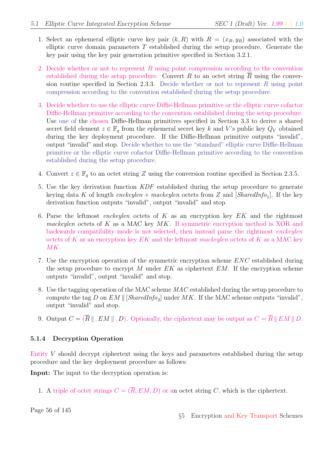- 1. Select an ephemeral elliptic curve key pair  $(k, R)$  with  $R = (x_R, y_R)$  associated with the elliptic curve domain parameters  $T$  established during the setup procedure. Generate the key pair using the key pair generation primitive specified in Section 3.2.1.
- 2. Decide whether or not to represent R using point compression according to the convention established during the setup procedure. Convert R to an octet string  $\overline{R}$  using the conversion routine specified in Section 2.3.3. Decide whether or not to represent  $R$  using point compression according to the convention established during the setup procedure.
- 3. Decide whether to use the elliptic curve Diffie-Hellman primitive or the elliptic curve cofactor Diffie-Hellman primitive according to the convention established during the setup procedure. Use one of the chosen Diffie-Hellman primitives specified in Section 3.3 to derive a shared secret field element  $z \in \mathbb{F}_q$  from the ephemeral secret key k and V's public key  $Q_V$  obtained during the key deployment procedure. If the Diffie-Hellman primitive outputs "invalid", output "invalid" and stop. Decide whether to use the "standard" elliptic curve Diffie-Hellman primitive or the elliptic curve cofactor Diffie-Hellman primitive according to the convention established during the setup procedure.
- 4. Convert  $z \in \mathbb{F}_q$  to an octet string Z using the conversion routine specified in Section 2.3.5.
- 5. Use the key derivation function KDF established during the setup procedure to generate keying data K of length  $\mathit{enckeylen}$  + mackeylen octets from Z and [SharedInfo<sub>1</sub>]. If the key derivation function outputs "invalid", output "invalid" and stop.
- 6. Parse the leftmost enckeylen octets of K as an encryption key  $EK$  and the rightmost mackeylen octets of K as a MAC key  $MK$ . If symmetric encryption method is XOR and backwards compatibility mode is not selected, then instead parse the rightmost enckeylen octets of K as an encryption key  $EK$  and the leftmost mackeylen octets of K as a MAC key MK.
- 7. Use the encryption operation of the symmetric encryption scheme ENC established during the setup procedure to encrypt M under  $EK$  as ciphertext  $EM$ . If the encryption scheme outputs "invalid", output "invalid" and stop.
- 8. Use the tagging operation of the MAC scheme MAC established during the setup procedure to compute the tag D on  $EM \parallel [SharedInfo_2]$  under MK. If the MAC scheme outputs "invalid", output "invalid" and stop.
- 9. Output  $C = (\overline{R} \parallel, EM \parallel, D)$ . Optionally, the ciphertext may be output as  $C = \overline{R} \parallel EM \parallel D$ .

## 5.1.4 Decryption Operation

Entity V should decrypt ciphertext using the keys and parameters established during the setup procedure and the key deployment procedure as follows:

Input: The input to the decryption operation is:

1. A triple of octet strings  $C = (\overline{R}, EM, D)$  or an octet string C, which is the ciphertext.

Page 56 of 145

§5 Encryption and Key Transport Schemes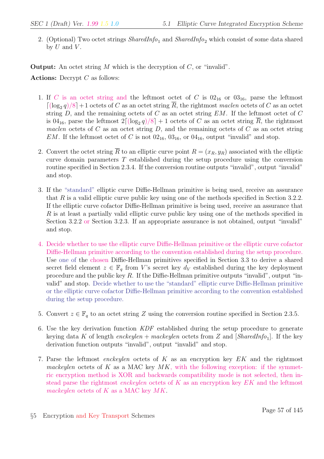2. (Optional) Two octet strings  $SharedInfo_1$  and  $SharedInfo_2$  which consist of some data shared by  $U$  and  $V$ .

**Output:** An octet string  $M$  which is the decryption of  $C$ , or "invalid".

Actions: Decrypt  $C$  as follows:

- 1. If C is an octet string and the leftmost octet of C is  $02_{16}$  or  $03_{16}$ , parse the leftmost  $\lceil (\log_2 q)/8 \rceil + 1$  octets of C as an octet string  $\overline{R}$ , the rightmost maclen octets of C as an octet string  $D$ , and the remaining octets of  $C$  as an octet string  $EM$ . If the leftmost octet of  $C$ is 04<sub>16</sub>, parse the leftmost  $2\lceil (\log_2 q)/8 \rceil + 1$  octets of C as an octet string  $\overline{R}$ , the rightmost maclen octets of C as an octet string D, and the remaining octets of C as an octet string EM. If the leftmost octet of C is not  $02_{16}$ ,  $03_{16}$ , or  $04_{16}$ , output "invalid" and stop.
- 2. Convert the octet string  $\overline{R}$  to an elliptic curve point  $R = (x_R, y_R)$  associated with the elliptic curve domain parameters T established during the setup procedure using the conversion routine specified in Section 2.3.4. If the conversion routine outputs "invalid", output "invalid" and stop.
- 3. If the "standard" elliptic curve Diffie-Hellman primitive is being used, receive an assurance that R is a valid elliptic curve public key using one of the methods specified in Section 3.2.2. If the elliptic curve cofactor Diffie-Hellman primitive is being used, receive an assurance that  $R$  is at least a partially valid elliptic curve public key using one of the methods specified in Section 3.2.2 or Section 3.2.3. If an appropriate assurance is not obtained, output "invalid" and stop.
- 4. Decide whether to use the elliptic curve Diffie-Hellman primitive or the elliptic curve cofactor Diffie-Hellman primitive according to the convention established during the setup procedure. Use one of the chosen Diffie-Hellman primitives specified in Section 3.3 to derive a shared secret field element  $z \in \mathbb{F}_q$  from V's secret key  $d_V$  established during the key deployment procedure and the public key  $R$ . If the Diffie-Hellman primitive outputs "invalid", output "invalid" and stop. Decide whether to use the "standard" elliptic curve Diffie-Hellman primitive or the elliptic curve cofactor Diffie-Hellman primitive according to the convention established during the setup procedure.
- 5. Convert  $z \in \mathbb{F}_q$  to an octet string Z using the conversion routine specified in Section 2.3.5.
- 6. Use the key derivation function KDF established during the setup procedure to generate keying data K of length  $\mathit{enckeylen}$  + mackeylen octets from Z and [SharedInfo<sub>1</sub>]. If the key derivation function outputs "invalid", output "invalid" and stop.
- 7. Parse the leftmost enckeylen octets of K as an encryption key  $EK$  and the rightmost mackeylen octets of K as a MAC key  $MK$ , with the following exception: if the symmetric encryption method is XOR and backwards compatibility mode is not selected, then instead parse the rightmost *enckeylen* octets of K as an encryption key  $EK$  and the leftmost mackeylen octets of  $K$  as a MAC key  $MK$ .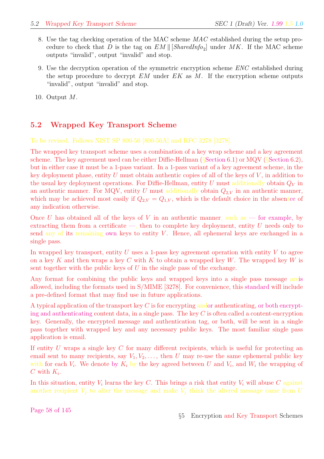- 8. Use the tag checking operation of the MAC scheme MAC established during the setup procedure to check that D is the tag on  $EM \parallel [SharedInfo_2]$  under MK. If the MAC scheme outputs "invalid", output "invalid" and stop.
- 9. Use the decryption operation of the symmetric encryption scheme ENC established during the setup procedure to decrypt  $EM$  under  $EK$  as M. If the encryption scheme outputs "invalid", output "invalid" and stop.

10. Output M.

# 5.2 Wrapped Key Transport Scheme

To be revised. Follows NIST SP 800-56 [800-56A] and RFC 3278 [3278].

The wrapped key transport scheme uses a combination of a key wrap scheme and a key agreement scheme. The key agreement used can be either Diffie-Hellman (§Section 6.1) or MQV (§Section 6.2), but in either case it must be a 1-pass variant. In a 1-pass variant of a key agreement scheme, in the key deployment phase, entity  $U$  must obtain authentic copies of all of the keys of  $V$ , in addition to the usual key deployment operations. For Diffie-Hellman, entity U must additionally obtain  $Q_V$  in an authentic manner. For MQV, entity U must additionally obtain  $Q_{2,V}$  in an authentic manner, which may be achieved most easily if  $Q_{2,V} = Q_{1,V}$ , which is the default choice in the absentce of any indication otherwise.

Once U has obtained all of the keys of V in an authentic manner, such as — for example, by extracting them from a certificate  $-$ , then to complete key deployment, entity U needs only to send any of its remaining own keys to entity  $V$ . Hence, all ephemeral keys are exchanged in a single pass.

In wrapped key transport, entity  $U$  uses a 1-pass key agreement operation with entity  $V$  to agree on a key K and then wraps a key C with K to obtain a wrapped key W. The wrapped key W is sent together with the public keys of  $U$  in the single pass of the exchange.

Any format for combining the public keys and wrapped keys into a single pass message areis allowed, including the formats used in S/MIME [3278]. For convenience, this standard will include a pre-defined format that may find use in future applications.

A typical application of the transport key  $C$  is for encrypting andor authenticating, or both encrypting and authenticating content data, in a single pass. The key  $C$  is often called a content-encryption key. Generally, the encrypted message and authentication tag, or both, will be sent in a single pass together with wrapped key and any necessary public keys. The most familiar single pass application is email.

If entity  $U$  wraps a single key  $C$  for many different recipients, which is useful for protecting an email sent to many recipients, say  $V_1, V_2, \ldots$ , then U may re-use the same ephemeral public key with for each  $V_i$ . We denote by  $K_i$  by the key agreed between U and  $V_i$ , and  $W_i$  the wrapping of  $C$  with  $K_i$ .

In this situation, entity  $V_i$  learns the key C. This brings a risk that entity  $V_i$  will abuse C against another recipient  $V_i$  to alter the message and make  $V_i$  think the altered message came from U

Page 58 of 145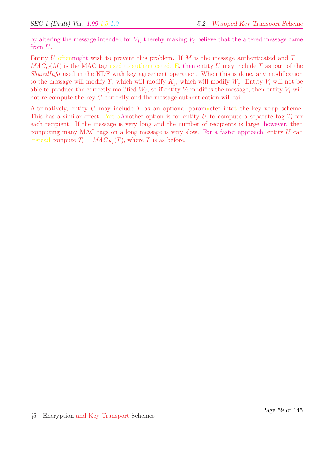by altering the message intended for  $V_j$ , thereby making  $V_j$  believe that the altered message came from U.

Entity U oftenmight wish to prevent this problem. If M is the message authenticated and  $T =$  $MAC_{C}(M)$  is the MAC tag used to authenticated. E, then entity U may include T as part of the SharedInfo used in the KDF with key agreement operation. When this is done, any modification to the message will modify T, which will modify  $K_j$ , which will modify  $W_j$ . Entity  $V_i$  will not be able to produce the correctly modified  $W_j$ , so if entity  $V_i$  modifies the message, then entity  $V_j$  will not re-compute the key C correctly and the message authentication will fail.

Alternatively, entity  $U$  may include  $T$  as an optional paramaeter intot the key wrap scheme. This has a similar effect. Yet aAnother option is for entity  $U$  to compute a separate tag  $T_i$  for each recipient. If the message is very long and the number of recipients is large, however, then computing many MAC tags on a long message is very slow. For a faster approach, entity  $U$  can instead compute  $T_i = MAC_{K_i}(T)$ , where T is as before.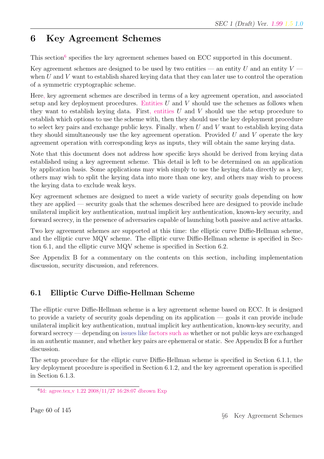# 6 Key Agreement Schemes

This section<sup>6</sup> specifies the key agreement schemes based on ECC supported in this document.

Key agreement schemes are designed to be used by two entities — an entity U and an entity  $V$  when  $U$  and  $V$  want to establish shared keying data that they can later use to control the operation of a symmetric cryptographic scheme.

Here, key agreement schemes are described in terms of a key agreement operation, and associated setup and key deployment procedures. Entities  $U$  and  $V$  should use the schemes as follows when they want to establish keying data. First, entities  $U$  and  $V$  should use the setup procedure to establish which options to use the scheme with, then they should use the key deployment procedure to select key pairs and exchange public keys. Finally, when  $U$  and  $V$  want to establish keying data they should simultaneously use the key agreement operation. Provided  $U$  and  $V$  operate the key agreement operation with corresponding keys as inputs, they will obtain the same keying data.

Note that this document does not address how specific keys should be derived from keying data established using a key agreement scheme. This detail is left to be determined on an application by application basis. Some applications may wish simply to use the keying data directly as a key, others may wish to split the keying data into more than one key, and others may wish to process the keying data to exclude weak keys.

Key agreement schemes are designed to meet a wide variety of security goals depending on how they are applied — security goals that the schemes described here are designed to provide include unilateral implicit key authentication, mutual implicit key authentication, known-key security, and forward secrecy, in the presence of adversaries capable of launching both passive and active attacks.

Two key agreement schemes are supported at this time: the elliptic curve Diffie-Hellman scheme, and the elliptic curve MQV scheme. The elliptic curve Diffie-Hellman scheme is specified in Section 6.1, and the elliptic curve MQV scheme is specified in Section 6.2.

See Appendix B for a commentary on the contents on this section, including implementation discussion, security discussion, and references.

# 6.1 Elliptic Curve Diffie-Hellman Scheme

The elliptic curve Diffie-Hellman scheme is a key agreement scheme based on ECC. It is designed to provide a variety of security goals depending on its application — goals it can provide include unilateral implicit key authentication, mutual implicit key authentication, known-key security, and forward secrecy — depending on issues like factors such as whether or not public keys are exchanged in an authentic manner, and whether key pairs are ephemeral or static. See Appendix B for a further discussion.

The setup procedure for the elliptic curve Diffie-Hellman scheme is specified in Section 6.1.1, the key deployment procedure is specified in Section 6.1.2, and the key agreement operation is specified in Section 6.1.3.

<sup>6</sup> Id: agree.tex,v 1.22 2008/11/27 16:28:07 dbrown Exp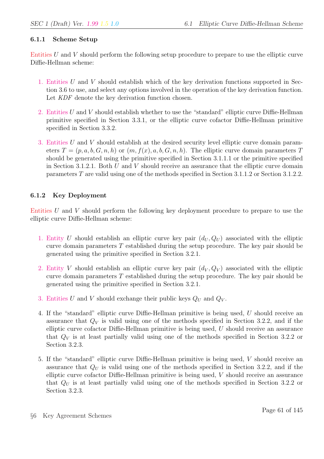#### 6.1.1 Scheme Setup

Entities U and V should perform the following setup procedure to prepare to use the elliptic curve Diffie-Hellman scheme:

- 1. Entities U and V should establish which of the key derivation functions supported in Section 3.6 to use, and select any options involved in the operation of the key derivation function. Let KDF denote the key derivation function chosen.
- 2. Entities U and V should establish whether to use the "standard" elliptic curve Diffie-Hellman primitive specified in Section 3.3.1, or the elliptic curve cofactor Diffie-Hellman primitive specified in Section 3.3.2.
- 3. Entities U and V should establish at the desired security level elliptic curve domain parameters  $T = (p, a, b, G, n, h)$  or  $(m, f(x), a, b, G, n, h)$ . The elliptic curve domain parameters T should be generated using the primitive specified in Section 3.1.1.1 or the primitive specified in Section 3.1.2.1. Both U and V should receive an assurance that the elliptic curve domain parameters T are valid using one of the methods specified in Section 3.1.1.2 or Section 3.1.2.2.

## 6.1.2 Key Deployment

Entities U and V should perform the following key deployment procedure to prepare to use the elliptic curve Diffie-Hellman scheme:

- 1. Entity U should establish an elliptic curve key pair  $(d_U, Q_U)$  associated with the elliptic curve domain parameters  $T$  established during the setup procedure. The key pair should be generated using the primitive specified in Section 3.2.1.
- 2. Entity V should establish an elliptic curve key pair  $(d_V, Q_V)$  associated with the elliptic curve domain parameters  $T$  established during the setup procedure. The key pair should be generated using the primitive specified in Section 3.2.1.
- 3. Entities U and V should exchange their public keys  $Q_U$  and  $Q_V$ .
- 4. If the "standard" elliptic curve Diffie-Hellman primitive is being used, U should receive an assurance that  $Q_V$  is valid using one of the methods specified in Section 3.2.2, and if the elliptic curve cofactor Diffie-Hellman primitive is being used,  $U$  should receive an assurance that  $Q_V$  is at least partially valid using one of the methods specified in Section 3.2.2 or Section 3.2.3.
- 5. If the "standard" elliptic curve Diffie-Hellman primitive is being used, V should receive an assurance that  $Q_U$  is valid using one of the methods specified in Section 3.2.2, and if the elliptic curve cofactor Diffie-Hellman primitive is being used, V should receive an assurance that  $Q_U$  is at least partially valid using one of the methods specified in Section 3.2.2 or Section 3.2.3.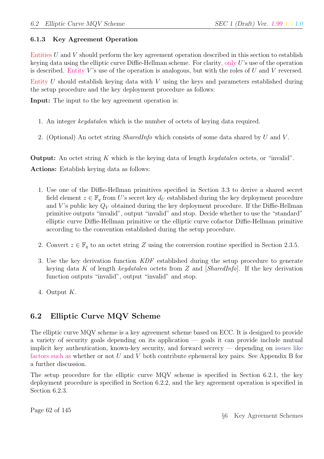#### 6.1.3 Key Agreement Operation

Entities U and V should perform the key agreement operation described in this section to establish keying data using the elliptic curve Diffie-Hellman scheme. For clarity, only U's use of the operation is described. Entity V's use of the operation is analogous, but with the roles of U and V reversed.

Entity  $U$  should establish keying data with  $V$  using the keys and parameters established during the setup procedure and the key deployment procedure as follows:

Input: The input to the key agreement operation is:

- 1. An integer keydatalen which is the number of octets of keying data required.
- 2. (Optional) An octet string *SharedInfo* which consists of some data shared by U and V.

**Output:** An octet string K which is the keying data of length keydatalen octets, or "invalid". Actions: Establish keying data as follows:

- 1. Use one of the Diffie-Hellman primitives specified in Section 3.3 to derive a shared secret field element  $z \in \mathbb{F}_q$  from U's secret key  $d_U$  established during the key deployment procedure and V's public key  $Q_V$  obtained during the key deployment procedure. If the Diffie-Hellman primitive outputs "invalid", output "invalid" and stop. Decide whether to use the "standard" elliptic curve Diffie-Hellman primitive or the elliptic curve cofactor Diffie-Hellman primitive according to the convention established during the setup procedure.
- 2. Convert  $z \in \mathbb{F}_q$  to an octet string Z using the conversion routine specified in Section 2.3.5.
- 3. Use the key derivation function KDF established during the setup procedure to generate keying data K of length keydatalen octets from Z and  $[SharedInfo]$ . If the key derivation function outputs "invalid", output "invalid" and stop.
- 4. Output K.

## 6.2 Elliptic Curve MQV Scheme

The elliptic curve MQV scheme is a key agreement scheme based on ECC. It is designed to provide a variety of security goals depending on its application — goals it can provide include mutual implicit key authentication, known-key security, and forward secrecy — depending on issues like factors such as whether or not U and V both contribute ephemeral key pairs. See Appendix B for a further discussion.

The setup procedure for the elliptic curve MQV scheme is specified in Section 6.2.1, the key deployment procedure is specified in Section 6.2.2, and the key agreement operation is specified in Section 6.2.3.

Page 62 of 145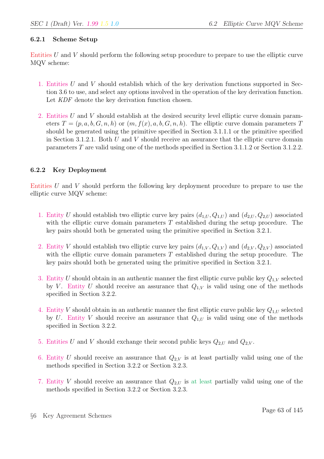#### 6.2.1 Scheme Setup

Entities U and V should perform the following setup procedure to prepare to use the elliptic curve MQV scheme:

- 1. Entities U and V should establish which of the key derivation functions supported in Section 3.6 to use, and select any options involved in the operation of the key derivation function. Let KDF denote the key derivation function chosen.
- 2. Entities U and V should establish at the desired security level elliptic curve domain parameters  $T = (p, a, b, G, n, h)$  or  $(m, f(x), a, b, G, n, h)$ . The elliptic curve domain parameters T should be generated using the primitive specified in Section 3.1.1.1 or the primitive specified in Section 3.1.2.1. Both U and V should receive an assurance that the elliptic curve domain parameters T are valid using one of the methods specified in Section 3.1.1.2 or Section 3.1.2.2.

## 6.2.2 Key Deployment

Entities U and V should perform the following key deployment procedure to prepare to use the elliptic curve MQV scheme:

- 1. Entity U should establish two elliptic curve key pairs  $(d_{1,U}, Q_{1,U})$  and  $(d_{2,U}, Q_{2,U})$  associated with the elliptic curve domain parameters  $T$  established during the setup procedure. The key pairs should both be generated using the primitive specified in Section 3.2.1.
- 2. Entity V should establish two elliptic curve key pairs  $(d_{1,V}, Q_{1,V})$  and  $(d_{2,V}, Q_{2,V})$  associated with the elliptic curve domain parameters T established during the setup procedure. The key pairs should both be generated using the primitive specified in Section 3.2.1.
- 3. Entity U should obtain in an authentic manner the first elliptic curve public key  $Q_{1,V}$  selected by V. Entity U should receive an assurance that  $Q_{1,V}$  is valid using one of the methods specified in Section 3.2.2.
- 4. Entity V should obtain in an authentic manner the first elliptic curve public key  $Q_{1,U}$  selected by U. Entity V should receive an assurance that  $Q_{1,U}$  is valid using one of the methods specified in Section 3.2.2.
- 5. Entities U and V should exchange their second public keys  $Q_{2,U}$  and  $Q_{2,V}$ .
- 6. Entity U should receive an assurance that  $Q_{2,V}$  is at least partially valid using one of the methods specified in Section 3.2.2 or Section 3.2.3.
- 7. Entity V should receive an assurance that  $Q_{2,U}$  is at least partially valid using one of the methods specified in Section 3.2.2 or Section 3.2.3.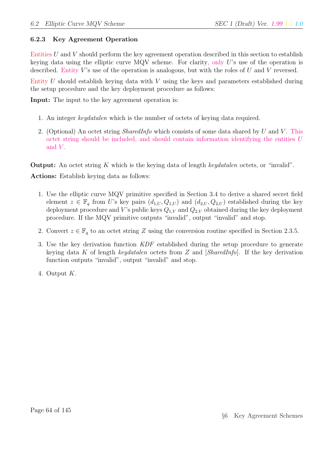## 6.2.3 Key Agreement Operation

Entities U and V should perform the key agreement operation described in this section to establish keying data using the elliptic curve MQV scheme. For clarity, only U's use of the operation is described. Entity  $V$ 's use of the operation is analogous, but with the roles of  $U$  and  $V$  reversed.

Entity U should establish keying data with V using the keys and parameters established during the setup procedure and the key deployment procedure as follows:

Input: The input to the key agreement operation is:

- 1. An integer keydatalen which is the number of octets of keying data required.
- 2. (Optional) An octet string *SharedInfo* which consists of some data shared by U and V. This octet string should be included, and should contain information identifying the entities U and  $V$ .

**Output:** An octet string K which is the keying data of length keydatalen octets, or "invalid".

Actions: Establish keying data as follows:

- 1. Use the elliptic curve MQV primitive specified in Section 3.4 to derive a shared secret field element  $z \in \mathbb{F}_q$  from U's key pairs  $(d_{1,U}, Q_{1,U})$  and  $(d_{2,U}, Q_{2,U})$  established during the key deployment procedure and V's public keys  $Q_{1,V}$  and  $Q_{2,V}$  obtained during the key deployment procedure. If the MQV primitive outputs "invalid", output "invalid" and stop.
- 2. Convert  $z \in \mathbb{F}_q$  to an octet string Z using the conversion routine specified in Section 2.3.5.
- 3. Use the key derivation function KDF established during the setup procedure to generate keying data K of length keydatalen octets from Z and  $[SharedInfo]$ . If the key derivation function outputs "invalid", output "invalid" and stop.
- 4. Output K.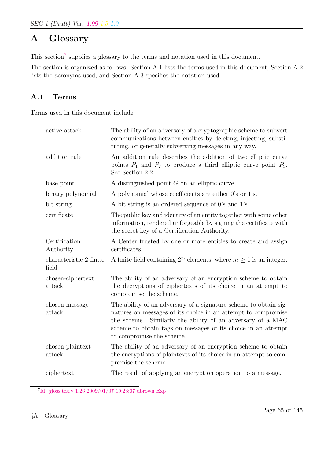# A Glossary

This section<sup>7</sup> supplies a glossary to the terms and notation used in this document.

The section is organized as follows. Section A.1 lists the terms used in this document, Section A.2 lists the acronyms used, and Section A.3 specifies the notation used.

# A.1 Terms

Terms used in this document include:

| active attack                    | The ability of an adversary of a cryptographic scheme to subvert<br>communications between entities by deleting, injecting, substi-<br>tuting, or generally subverting messages in any way.                                                                                                   |
|----------------------------------|-----------------------------------------------------------------------------------------------------------------------------------------------------------------------------------------------------------------------------------------------------------------------------------------------|
| addition rule                    | An addition rule describes the addition of two elliptic curve<br>points $P_1$ and $P_2$ to produce a third elliptic curve point $P_3$ .<br>See Section 2.2.                                                                                                                                   |
| base point                       | A distinguished point $G$ on an elliptic curve.                                                                                                                                                                                                                                               |
| binary polynomial                | A polynomial whose coefficients are either 0's or 1's.                                                                                                                                                                                                                                        |
| bit string                       | A bit string is an ordered sequence of 0's and 1's.                                                                                                                                                                                                                                           |
| certificate                      | The public key and identity of an entity together with some other<br>information, rendered unforgeable by signing the certificate with<br>the secret key of a Certification Authority.                                                                                                        |
| Certification<br>Authority       | A Center trusted by one or more entities to create and assign<br>certificates.                                                                                                                                                                                                                |
| characteristic 2 finite<br>field | A finite field containing $2^m$ elements, where $m \ge 1$ is an integer.                                                                                                                                                                                                                      |
| chosen-ciphertext<br>attack      | The ability of an adversary of an encryption scheme to obtain<br>the decryptions of ciphertexts of its choice in an attempt to<br>compromise the scheme.                                                                                                                                      |
| chosen-message<br>attack         | The ability of an adversary of a signature scheme to obtain sig-<br>natures on messages of its choice in an attempt to compromise<br>the scheme. Similarly the ability of an adversary of a MAC<br>scheme to obtain tags on messages of its choice in an attempt<br>to compromise the scheme. |
| chosen-plaintext<br>attack       | The ability of an adversary of an encryption scheme to obtain<br>the encryptions of plaintexts of its choice in an attempt to com-<br>promise the scheme.                                                                                                                                     |
| ciphertext                       | The result of applying an encryption operation to a message.                                                                                                                                                                                                                                  |

<sup>7</sup> Id: gloss.tex,v 1.26 2009/01/07 19:23:07 dbrown Exp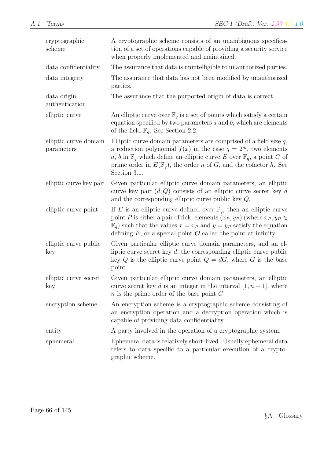| cryptographic<br>scheme             | A cryptographic scheme consists of an unambiguous specifica-<br>tion of a set of operations capable of providing a security service<br>when properly implemented and maintained.                                                                                                                                                        |
|-------------------------------------|-----------------------------------------------------------------------------------------------------------------------------------------------------------------------------------------------------------------------------------------------------------------------------------------------------------------------------------------|
| data confidentiality                | The assurance that data is unintelligible to unauthorized parties.                                                                                                                                                                                                                                                                      |
| data integrity                      | The assurance that data has not been modified by unauthorized<br>parties.                                                                                                                                                                                                                                                               |
| data origin<br>authentication       | The assurance that the purported origin of data is correct.                                                                                                                                                                                                                                                                             |
| elliptic curve                      | An elliptic curve over $\mathbb{F}_q$ is a set of points which satisfy a certain<br>equation specified by two parameters $a$ and $b$ , which are elements<br>of the field $\mathbb{F}_q$ . See Section 2.2.                                                                                                                             |
| elliptic curve domain<br>parameters | Elliptic curve domain parameters are comprised of a field size $q$ ,<br>a reduction polynomial $f(x)$ in the case $q = 2m$ , two elements<br>a, b in $\mathbb{F}_q$ which define an elliptic curve E over $\mathbb{F}_q$ , a point G of<br>prime order in $E(\mathbb{F}_q)$ , the order n of G, and the cofactor h. See<br>Section 3.1. |
| elliptic curve key pair             | Given particular elliptic curve domain parameters, an elliptic<br>curve key pair $(d, Q)$ consists of an elliptic curve secret key d<br>and the corresponding elliptic curve public key $Q$ .                                                                                                                                           |
| elliptic curve point                | If E is an elliptic curve defined over $\mathbb{F}_q$ , then an elliptic curve<br>point P is either a pair of field elements $(x_P, y_P)$ (where $x_P, y_P \in$<br>$\mathbb{F}_q$ such that the values $x = x_P$ and $y = y_P$ satisfy the equation<br>defining $E$ , or a special point $\mathcal O$ called the point at infinity.     |
| elliptic curve public<br>key        | Given particular elliptic curve domain parameters, and an el-<br>liptic curve secret key $d$ , the corresponding elliptic curve public<br>key Q is the elliptic curve point $Q = dG$ , where G is the base<br>point.                                                                                                                    |
| elliptic curve secret<br>key        | Given particular elliptic curve domain parameters, an elliptic<br>curve secret key d is an integer in the interval $[1, n-1]$ , where<br>$n$ is the prime order of the base point $G$ .                                                                                                                                                 |
| encryption scheme                   | An encryption scheme is a cryptographic scheme consisting of<br>an encryption operation and a decryption operation which is<br>capable of providing data confidentiality.                                                                                                                                                               |
| entity                              | A party involved in the operation of a cryptographic system.                                                                                                                                                                                                                                                                            |
| ephemeral                           | Ephemeral data is relatively short-lived. Usually ephemeral data<br>refers to data specific to a particular execution of a crypto-<br>graphic scheme.                                                                                                                                                                                   |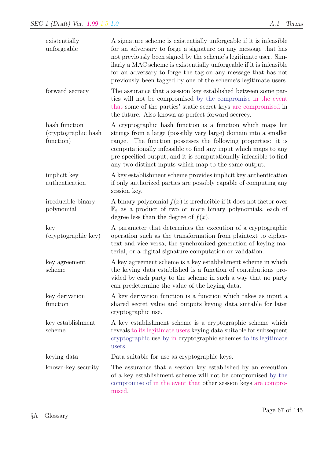| existentially<br>unforgeable                       | A signature scheme is existentially unforgeable if it is infeasible<br>for an adversary to forge a signature on any message that has<br>not previously been signed by the scheme's legitimate user. Sim-<br>ilarly a MAC scheme is existentially unforgeable if it is infeasible<br>for an adversary to forge the tag on any message that has not<br>previously been tagged by one of the scheme's legitimate users. |
|----------------------------------------------------|----------------------------------------------------------------------------------------------------------------------------------------------------------------------------------------------------------------------------------------------------------------------------------------------------------------------------------------------------------------------------------------------------------------------|
| forward secrecy                                    | The assurance that a session key established between some par-<br>ties will not be compromised by the compromise in the event<br>that some of the parties' static secret keys are compromised in<br>the future. Also known as perfect forward secrecy.                                                                                                                                                               |
| hash function<br>(cryptographic hash)<br>function) | A cryptographic hash function is a function which maps bit<br>strings from a large (possibly very large) domain into a smaller<br>The function possesses the following properties: it is<br>range.<br>computationally infeasible to find any input which maps to any<br>pre-specified output, and it is computationally infeasible to find<br>any two distinct inputs which map to the same output.                  |
| implicit key<br>authentication                     | A key establishment scheme provides implicit key authentication<br>if only authorized parties are possibly capable of computing any<br>session key.                                                                                                                                                                                                                                                                  |
| irreducible binary<br>polynomial                   | A binary polynomial $f(x)$ is irreducible if it does not factor over<br>$\mathbb{F}_2$ as a product of two or more binary polynomials, each of<br>degree less than the degree of $f(x)$ .                                                                                                                                                                                                                            |
| key<br>(cryptographic key)                         | A parameter that determines the execution of a cryptographic<br>operation such as the transformation from plaintext to cipher-<br>text and vice versa, the synchronized generation of keying ma-<br>terial, or a digital signature computation or validation.                                                                                                                                                        |
| key agreement<br>scheme                            | A key agreement scheme is a key establishment scheme in which<br>the keying data established is a function of contributions pro-<br>vided by each party to the scheme in such a way that no party<br>can predetermine the value of the keying data.                                                                                                                                                                  |
| key derivation<br>function                         | A key derivation function is a function which takes as input a<br>shared secret value and outputs keying data suitable for later<br>cryptographic use.                                                                                                                                                                                                                                                               |
| key establishment<br>scheme                        | A key establishment scheme is a cryptographic scheme which<br>reveals to its legitimate users keying data suitable for subsequent<br>cryptographic use by in cryptographic schemes to its legitimate<br>users.                                                                                                                                                                                                       |
| keying data                                        | Data suitable for use as cryptographic keys.                                                                                                                                                                                                                                                                                                                                                                         |
| known-key security                                 | The assurance that a session key established by an execution<br>of a key establishment scheme will not be compromised by the<br>compromise of in the event that other session keys are compro-<br>mised.                                                                                                                                                                                                             |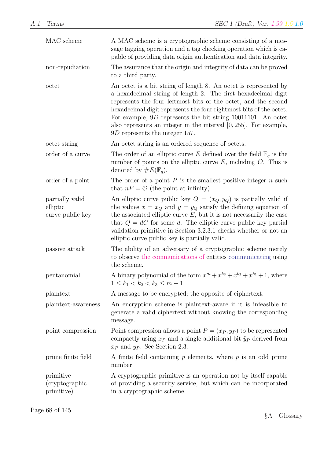| MAC scheme                                      | A MAC scheme is a cryptographic scheme consisting of a mes-<br>sage tagging operation and a tag checking operation which is ca-<br>pable of providing data origin authentication and data integrity.                                                                                                                                                                                                                                                    |  |
|-------------------------------------------------|---------------------------------------------------------------------------------------------------------------------------------------------------------------------------------------------------------------------------------------------------------------------------------------------------------------------------------------------------------------------------------------------------------------------------------------------------------|--|
| non-repudiation                                 | The assurance that the origin and integrity of data can be proved<br>to a third party.                                                                                                                                                                                                                                                                                                                                                                  |  |
| octet                                           | An octet is a bit string of length 8. An octet is represented by<br>a hexadecimal string of length 2. The first hexadecimal digit<br>represents the four leftmost bits of the octet, and the second<br>hexadecimal digit represents the four rightmost bits of the octet.<br>For example, $9D$ represents the bit string 10011101. An octet<br>also represents an integer in the interval $[0, 255]$ . For example,<br>$9D$ represents the integer 157. |  |
| octet string                                    | An octet string is an ordered sequence of octets.                                                                                                                                                                                                                                                                                                                                                                                                       |  |
| order of a curve                                | The order of an elliptic curve E defined over the field $\mathbb{F}_q$ is the<br>number of points on the elliptic curve $E$ , including $\mathcal{O}$ . This is<br>denoted by $\#E(\mathbb{F}_q)$ .                                                                                                                                                                                                                                                     |  |
| order of a point                                | The order of a point $P$ is the smallest positive integer $n$ such<br>that $nP = \mathcal{O}$ (the point at infinity).                                                                                                                                                                                                                                                                                                                                  |  |
| partially valid<br>elliptic<br>curve public key | An elliptic curve public key $Q = (x_Q, y_Q)$ is partially valid if<br>the values $x = x_Q$ and $y = y_Q$ satisfy the defining equation of<br>the associated elliptic curve $E$ , but it is not necessarily the case<br>that $Q = dG$ for some d. The elliptic curve public key partial<br>validation primitive in Section 3.2.3.1 checks whether or not an<br>elliptic curve public key is partially valid.                                            |  |
| passive attack                                  | The ability of an adversary of a cryptographic scheme merely<br>to observe the communications of entities communicating using<br>the scheme.                                                                                                                                                                                                                                                                                                            |  |
| pentanomial                                     | A binary polynomial of the form $x^m + x^{k_3} + x^{k_2} + x^{k_1} + 1$ , where<br>$1 \leq k_1 < k_2 < k_3 \leq m-1$ .                                                                                                                                                                                                                                                                                                                                  |  |
| plaintext                                       | A message to be encrypted; the opposite of ciphertext.                                                                                                                                                                                                                                                                                                                                                                                                  |  |
| plaintext-awareness                             | An encryption scheme is plaintext-aware if it is infeasible to<br>generate a valid ciphertext without knowing the corresponding<br>message.                                                                                                                                                                                                                                                                                                             |  |
| point compression                               | Point compression allows a point $P = (x_P, y_P)$ to be represented<br>compactly using $x_P$ and a single additional bit $\tilde{y}_P$ derived from<br>$x_P$ and $y_P$ . See Section 2.3.                                                                                                                                                                                                                                                               |  |
| prime finite field                              | A finite field containing $p$ elements, where $p$ is an odd prime<br>number.                                                                                                                                                                                                                                                                                                                                                                            |  |
| primitive<br>(cryptographic)<br>primitive)      | A cryptographic primitive is an operation not by itself capable<br>of providing a security service, but which can be incorporated<br>in a cryptographic scheme.                                                                                                                                                                                                                                                                                         |  |

Page 68 of 145

§A Glossary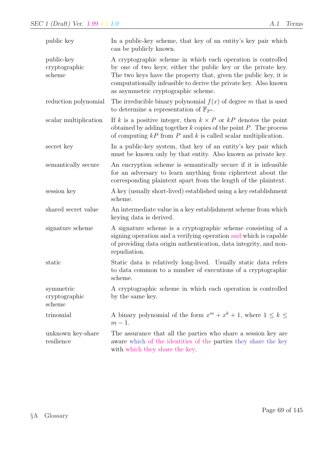| public key                            | In a public-key scheme, that key of an entity's key pair which<br>can be publicly known.                                                                                                                                                                                                                     |  |  |
|---------------------------------------|--------------------------------------------------------------------------------------------------------------------------------------------------------------------------------------------------------------------------------------------------------------------------------------------------------------|--|--|
| public-key<br>cryptographic<br>scheme | A cryptographic scheme in which each operation is controlled<br>by one of two keys; either the public key or the private key.<br>The two keys have the property that, given the public key, it is<br>computationally infeasible to derive the private key. Also known<br>as asymmetric cryptographic scheme. |  |  |
| reduction polynomial                  | The irreducible binary polynomial $f(x)$ of degree m that is used<br>to determine a representation of $\mathbb{F}_{2^m}$ .                                                                                                                                                                                   |  |  |
| scalar multiplication                 | If k is a positive integer, then $k \times P$ or kP denotes the point<br>obtained by adding together $k$ copies of the point $P$ . The process<br>of computing $kP$ from P and k is called scalar multiplication.                                                                                            |  |  |
| secret key                            | In a public-key system, that key of an entity's key pair which<br>must be known only by that entity. Also known as private key.                                                                                                                                                                              |  |  |
| semantically secure                   | An encryption scheme is semantically secure if it is infeasible.<br>for an adversary to learn anything from ciphertext about the<br>corresponding plaintext apart from the length of the plaintext.                                                                                                          |  |  |
| session key                           | A key (usually short-lived) established using a key establishment<br>scheme.                                                                                                                                                                                                                                 |  |  |
| shared secret value                   | An intermediate value in a key establishment scheme from which<br>keying data is derived.                                                                                                                                                                                                                    |  |  |
| signature scheme                      | A signature scheme is a cryptographic scheme consisting of a<br>signing operation and a verifying operation and which is capable<br>of providing data origin authentication, data integrity, and non-<br>repudiation.                                                                                        |  |  |
| static                                | Static data is relatively long-lived. Usually static data refers<br>to data common to a number of executions of a cryptographic<br>scheme.                                                                                                                                                                   |  |  |
| symmetric<br>cryptographic<br>scheme  | A cryptographic scheme in which each operation is controlled<br>by the same key.                                                                                                                                                                                                                             |  |  |
| trinomial                             | A binary polynomial of the form $x^m + x^k + 1$ , where $1 \leq k \leq$<br>$m-1$ .                                                                                                                                                                                                                           |  |  |
| unknown key-share<br>resilience       | The assurance that all the parties who share a session key are<br>aware which of the identities of the parties they share the key<br>with which they share the key.                                                                                                                                          |  |  |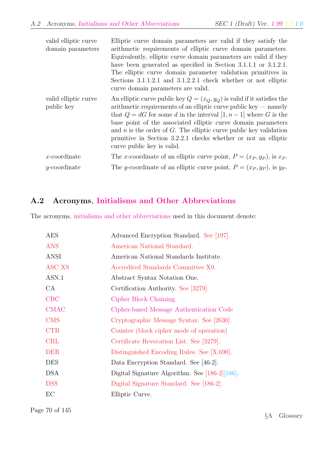| valid elliptic curve<br>domain parameters | Elliptic curve domain parameters are valid if they satisfy the<br>arithmetic requirements of elliptic curve domain parameters.<br>Equivalently, elliptic curve domain parameters are valid if they<br>have been generated as specified in Section 3.1.1.1 or 3.1.2.1.<br>The elliptic curve domain parameter validation primitives in<br>Sections 3.1.1.2.1 and 3.1.2.2.1 check whether or not elliptic<br>curve domain parameters are valid.                     |
|-------------------------------------------|-------------------------------------------------------------------------------------------------------------------------------------------------------------------------------------------------------------------------------------------------------------------------------------------------------------------------------------------------------------------------------------------------------------------------------------------------------------------|
| valid elliptic curve<br>public key        | An elliptic curve public key $Q = (x_Q, y_Q)$ is valid if it satisfies the<br>$arithmetic requirements of an elliptic curve public key — namely$<br>that $Q = dG$ for some d in the interval $[1, n-1]$ where G is the<br>base point of the associated elliptic curve domain parameters<br>and $n$ is the order of $G$ . The elliptic curve public key validation<br>primitive in Section 3.2.2.1 checks whether or not an elliptic<br>curve public key is valid. |
| $x$ -coordinate                           | The x-coordinate of an elliptic curve point, $P = (x_P, y_P)$ , is $x_P$ .                                                                                                                                                                                                                                                                                                                                                                                        |
| $y$ -coordinate                           | The y-coordinate of an elliptic curve point, $P = (x_P, y_P)$ , is y <sub>p</sub> .                                                                                                                                                                                                                                                                                                                                                                               |

## A.2 Acronyms, Initialisms and Other Abbreviations

The acronyms, initialisms and other abbreviations used in this document denote:

| <b>AES</b>        | Advanced Encryption Standard. See [197].          |  |  |  |
|-------------------|---------------------------------------------------|--|--|--|
| <b>ANS</b>        | American National Standard.                       |  |  |  |
| ANSI              | American National Standards Institute.            |  |  |  |
| ASC <sub>X9</sub> | Accredited Standards Committee X9.                |  |  |  |
| ASN.1             | Abstract Syntax Notation One.                     |  |  |  |
| CA                | Certification Authority. See [3279].              |  |  |  |
| CBC               | Cipher Block Chaining.                            |  |  |  |
| <b>CMAC</b>       | Cipher-based Message Authentication Code          |  |  |  |
| <b>CMS</b>        | Cryptographic Message Syntax. See [2630].         |  |  |  |
| <b>CTR</b>        | Counter (block cipher mode of operation)          |  |  |  |
| <b>CRL</b>        | Certificate Revocation List. See [3279].          |  |  |  |
| <b>DER</b>        | Distinguished Encoding Rules. See [X.690].        |  |  |  |
| <b>DES</b>        | Data Encryption Standard. See [46-2].             |  |  |  |
| <b>DSA</b>        | Digital Signature Algorithm. See $[186-2][186]$ . |  |  |  |
| <b>DSS</b>        | Digital Signature Standard. See [186-2].          |  |  |  |
| EC                | Elliptic Curve.                                   |  |  |  |

Page 70 of 145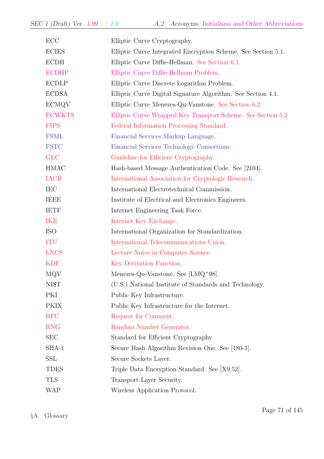| ECC           | Elliptic Curve Cryptography.                                  |  |  |  |
|---------------|---------------------------------------------------------------|--|--|--|
| <b>ECIES</b>  | Elliptic Curve Integrated Encryption Scheme. See Section 5.1. |  |  |  |
| ECDH          | Elliptic Curve Diffie-Hellman. See Section 6.1.               |  |  |  |
| <b>ECDHP</b>  | Elliptic Curve Diffie-Hellman Problem.                        |  |  |  |
| <b>ECDLP</b>  | Elliptic Curve Discrete Logarithm Problem.                    |  |  |  |
| <b>ECDSA</b>  | Elliptic Curve Digital Signature Algorithm. See Section 4.1.  |  |  |  |
| <b>ECMQV</b>  | Elliptic Curve Menezes-Qu-Vanstone. See Section 6.2.          |  |  |  |
| <b>ECWKTS</b> | Elliptic Curve Wrapped Key Transport Scheme. See Section 5.2  |  |  |  |
| <b>FIPS</b>   | Federal Information Processing Standard.                      |  |  |  |
| <b>FSML</b>   | Financial Services Markup Language.                           |  |  |  |
| <b>FSTC</b>   | Financial Services Technology Consortium.                     |  |  |  |
| <b>GEC</b>    | Guideline for Efficient Cryptography.                         |  |  |  |
| <b>HMAC</b>   | Hash-based Message Authentication Code. See [2104].           |  |  |  |
| <b>IACR</b>   | International Association for Cryptologic Research            |  |  |  |
| IEC           | International Electrotechnical Commission.                    |  |  |  |
| <b>IEEE</b>   | Institute of Electrical and Electronics Engineers.            |  |  |  |
| <b>IETF</b>   | Internet Engineering Task Force.                              |  |  |  |
| <b>IKE</b>    | Internet Key Exchange.                                        |  |  |  |
| <b>ISO</b>    | International Organization for Standardization.               |  |  |  |
| <b>ITU</b>    | International Telecommunications Union.                       |  |  |  |
| <b>LNCS</b>   | Lecture Notes in Computer Science                             |  |  |  |
| <b>KDF</b>    | Key Derivation Function.                                      |  |  |  |
| MQV           | Menezes-Qu-Vanstone. See $[LMQ+98]$ .                         |  |  |  |
| <b>NIST</b>   | (U.S.) National Institute of Standards and Technology.        |  |  |  |
| PKI           | Public Key Infrastructure.                                    |  |  |  |
| <b>PKIX</b>   | Public Key Infrastructure for the Internet.                   |  |  |  |
| <b>RFC</b>    | Request for Comment.                                          |  |  |  |
| <b>RNG</b>    | Random Number Generator.                                      |  |  |  |
| <b>SEC</b>    | Standard for Efficient Cryptography                           |  |  |  |
| SHA-1         | Secure Hash Algorithm Revision One. See [180-1].              |  |  |  |
| SSL           | Secure Sockets Layer.                                         |  |  |  |
| TDES          | Triple Data Encryption Standard. See [X9.52].                 |  |  |  |
| <b>TLS</b>    | Transport Layer Security.                                     |  |  |  |
| <b>WAP</b>    | Wireless Application Protocol.                                |  |  |  |

§A Glossary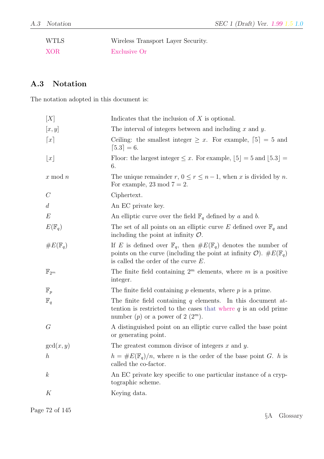| <b>WTLS</b> | Wireless Transport Layer Security. |
|-------------|------------------------------------|
| <b>XOR</b>  | Exclusive Or                       |

# A.3 Notation

The notation adopted in this document is:

| [X]                 | Indicates that the inclusion of $X$ is optional.                                                                                                                                                                            |  |  |  |
|---------------------|-----------------------------------------------------------------------------------------------------------------------------------------------------------------------------------------------------------------------------|--|--|--|
| [x, y]              | The interval of integers between and including $x$ and $y$ .                                                                                                                                                                |  |  |  |
| $\lceil x \rceil$   | Ceiling: the smallest integer $\geq x$ . For example, [5] = 5 and<br>$[5.3] = 6.$                                                                                                                                           |  |  |  |
| $\lfloor x \rfloor$ | Floor: the largest integer $\leq x$ . For example, $\lfloor 5 \rfloor = 5$ and $\lfloor 5.3 \rfloor = 5$<br>6.                                                                                                              |  |  |  |
| $x \mod n$          | The unique remainder $r, 0 \le r \le n-1$ , when x is divided by n.<br>For example, 23 mod $7 = 2$ .                                                                                                                        |  |  |  |
| $\mathcal{C}$       | Ciphertext.                                                                                                                                                                                                                 |  |  |  |
| d                   | An EC private key.                                                                                                                                                                                                          |  |  |  |
| $E\,$               | An elliptic curve over the field $\mathbb{F}_q$ defined by a and b.                                                                                                                                                         |  |  |  |
| $E(\mathbb{F}_q)$   | The set of all points on an elliptic curve E defined over $\mathbb{F}_q$ and<br>including the point at infinity $\mathcal{O}$ .                                                                                             |  |  |  |
| $\#E(\mathbb{F}_q)$ | If E is defined over $\mathbb{F}_q$ , then $\#E(\mathbb{F}_q)$ denotes the number of<br>points on the curve (including the point at infinity $\mathcal{O}$ ). $\#E(\mathbb{F}_q)$<br>is called the order of the curve $E$ . |  |  |  |
| $\mathbb{F}_{2^m}$  | The finite field containing $2^m$ elements, where m is a positive<br>integer.                                                                                                                                               |  |  |  |
| $\mathbb{F}_p$      | The finite field containing $p$ elements, where $p$ is a prime.                                                                                                                                                             |  |  |  |
| $\mathbb{F}_q$      | The finite field containing $q$ elements. In this document at-<br>tention is restricted to the cases that where $q$ is an odd prime<br>number (p) or a power of $2(2^m)$ .                                                  |  |  |  |
| G                   | A distinguished point on an elliptic curve called the base point<br>or generating point.                                                                                                                                    |  |  |  |
| gcd(x, y)           | The greatest common divisor of integers $x$ and $y$ .                                                                                                                                                                       |  |  |  |
| $\boldsymbol{h}$    | $h = \#E(\mathbb{F}_q)/n$ , where <i>n</i> is the order of the base point <i>G</i> . <i>h</i> is<br>called the co-factor.                                                                                                   |  |  |  |
| $\boldsymbol{k}$    | An EC private key specific to one particular instance of a cryp-<br>tographic scheme.                                                                                                                                       |  |  |  |
| K                   | Keying data.                                                                                                                                                                                                                |  |  |  |
|                     |                                                                                                                                                                                                                             |  |  |  |

Page 72 of 145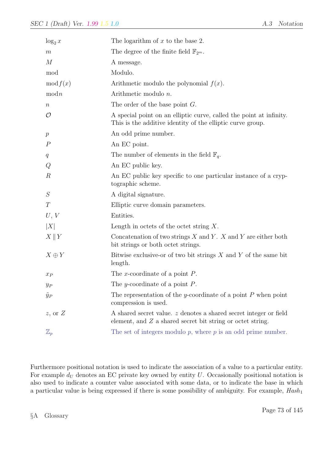| $\log_2 x$       | The logarithm of $x$ to the base 2.                                                                                               |  |  |  |
|------------------|-----------------------------------------------------------------------------------------------------------------------------------|--|--|--|
| $m\,$            | The degree of the finite field $\mathbb{F}_{2^m}$ .                                                                               |  |  |  |
| $\boldsymbol{M}$ | A message.                                                                                                                        |  |  |  |
| mod              | Modulo.                                                                                                                           |  |  |  |
| mod f(x)         | Arithmetic modulo the polynomial $f(x)$ .                                                                                         |  |  |  |
| modn             | Arithmetic modulo $n$ .                                                                                                           |  |  |  |
| $\, n$           | The order of the base point $G$ .                                                                                                 |  |  |  |
| $\mathcal{O}$    | A special point on an elliptic curve, called the point at infinity.<br>This is the additive identity of the elliptic curve group. |  |  |  |
| $\boldsymbol{p}$ | An odd prime number.                                                                                                              |  |  |  |
| $\boldsymbol{P}$ | An EC point.                                                                                                                      |  |  |  |
| q                | The number of elements in the field $\mathbb{F}_q$ .                                                                              |  |  |  |
| Q                | An EC public key.                                                                                                                 |  |  |  |
| $\boldsymbol{R}$ | An EC public key specific to one particular instance of a cryp-<br>tographic scheme.                                              |  |  |  |
| S                | A digital signature.                                                                                                              |  |  |  |
| T                | Elliptic curve domain parameters.                                                                                                 |  |  |  |
| U, V             | Entities.                                                                                                                         |  |  |  |
| X                | Length in octets of the octet string $X$ .                                                                                        |  |  |  |
| $X \parallel Y$  | Concatenation of two strings $X$ and $Y$ . $X$ and $Y$ are either both<br>bit strings or both octet strings.                      |  |  |  |
| $X \oplus Y$     | Bitwise exclusive-or of two bit strings $X$ and $Y$ of the same bit<br>length.                                                    |  |  |  |
| $x_P$            | The x-coordinate of a point $P$ .                                                                                                 |  |  |  |
| $y_P$            | The y-coordinate of a point $P$ .                                                                                                 |  |  |  |
| $\tilde{y}_P$    | The representation of the y-coordinate of a point $P$ when point<br>compression is used.                                          |  |  |  |
| $z$ , or $Z$     | A shared secret value. z denotes a shared secret integer or field<br>element, and $Z$ a shared secret bit string or octet string. |  |  |  |
| $\mathbb{Z}_p$   | The set of integers modulo $p$ , where $p$ is an odd prime number.                                                                |  |  |  |

Furthermore positional notation is used to indicate the association of a value to a particular entity. For example  $d_U$  denotes an EC private key owned by entity U. Occasionally positional notation is also used to indicate a counter value associated with some data, or to indicate the base in which a particular value is being expressed if there is some possibility of ambiguity. For example,  $Hash_1$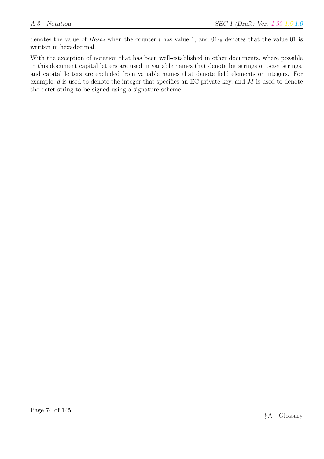denotes the value of  $Hash_i$  when the counter i has value 1, and  $01_{16}$  denotes that the value 01 is written in hexadecimal.

With the exception of notation that has been well-established in other documents, where possible in this document capital letters are used in variable names that denote bit strings or octet strings, and capital letters are excluded from variable names that denote field elements or integers. For example, d is used to denote the integer that specifies an EC private key, and M is used to denote the octet string to be signed using a signature scheme.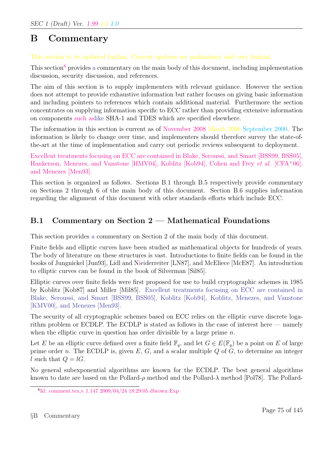# B Commentary

#### This section to be updated further. Current updates are preliminary and very limited.

This section<sup>8</sup> provides a commentary on the main body of this document, including implementation discussion, security discussion, and references.

The aim of this section is to supply implementers with relevant guidance. However the section does not attempt to provide exhaustive information but rather focuses on giving basic information and including pointers to references which contain additional material. Furthermore the section concentrates on supplying information specific to ECC rather than providing extensive information on components such aslike SHA-1 and TDES which are specified elsewhere.

The information in this section is current as of November 2008 March 2006 September 2000. The information is likely to change over time, and implementers should therefore survey the state-ofthe-art at the time of implementation and carry out periodic reviews subsequent to deployment.

Excellent treatments focusing on ECC are contained in Blake, Seroussi, and Smart [BSS99, BSS05], Hankerson, Menezes, and Vanstone [HMV04], Koblitz [Kob94], Cohen and Frey *et al.* [CFA+06], and Menezes [Men93].

This section is organized as follows. Sections B.1 through B.5 respectively provide commentary on Sections 2 through 6 of the main body of this document. Section B.6 supplies information regarding the alignment of this document with other standards efforts which include ECC.

## B.1 Commentary on Section 2 — Mathematical Foundations

This section provides a commentary on Section 2 of the main body of this document.

Finite fields and elliptic curves have been studied as mathematical objects for hundreds of years. The body of literature on these structures is vast. Introductions to finite fields can be found in the books of Jungnickel [Jun93], Lidl and Nieiderreiter [LN87], and McEliece [McE87]. An introduction to elliptic curves can be found in the book of Silverman [Sil85].

Elliptic curves over finite fields were first proposed for use to build cryptographic schemes in 1985 by Koblitz [Kob87] and Miller [Mil85]. Excellent treatments focusing on ECC are contained in Blake, Seroussi, and Smart [BSS99, BSS05], Koblitz [Kob94], Koblitz, Menezes, and Vanstone [KMV00], and Menezes [Men93].

The security of all cryptographic schemes based on ECC relies on the elliptic curve discrete logarithm problem or ECDLP. The ECDLP is stated as follows in the case of interest here — namely when the elliptic curve in question has order divisible by a large prime  $n$ .

Let E be an elliptic curve defined over a finite field  $\mathbb{F}_q$ , and let  $G \in E(\mathbb{F}_q)$  be a point on E of large prime order n. The ECDLP is, given  $E, G$ , and a scalar multiple  $Q$  of  $G$ , to determine an integer l such that  $Q = lG$ .

No general subexponential algorithms are known for the ECDLP. The best general algorithms known to date are based on the Pollard- $\rho$  method and the Pollard- $\lambda$  method [Pol78]. The Pollard-

<sup>8</sup> Id: comment.tex,v 1.147 2009/04/24 18:29:05 dbrown Exp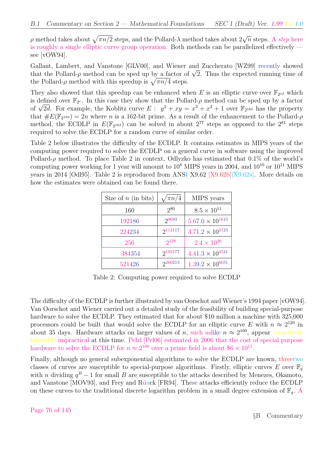ρ method takes about  $\sqrt{\pi n/2}$  steps, and the Pollard-λ method takes about  $2\sqrt{n}$  steps. A *step* here is roughly a single elliptic curve group operation. Both methods can be parallelized effectively see [vOW94].

Gallant, Lambert, and Vanstone [GLV00], and Wiener and Zuccherato [WZ99] recently showed Gallant, Lambert, and vanstone [GLVUU], and Wiener and Zuccherato [WZ99] recently showed<br>that the Pollard-ρ method can be sped up by a factor of  $\sqrt{2}$ . Thus the expected running time of that the Pollard- $\rho$  method can be sped up by a factor of<br>the Pollard- $\rho$  method with this speedup is  $\sqrt{\pi n/4}$  steps.

They also showed that this speedup can be enhanced when E is an elliptic curve over  $\mathbb{F}_{2^{ed}}$  which is defined over  $\mathbb{F}_{2^e}$ . In this case they show that the Pollard- $\rho$  method can be sped up by a factor is defined over  $\mathbb{F}_{2^e}$ . In this case they show that the Pollard- $\rho$  method can be sped up by a factor of  $\sqrt{2d}$ . For example, the Koblitz curve  $E: y^2 + xy = x^3 + x^2 + 1$  over  $\mathbb{F}_{2^{163}}$  has the property that  $\#E(\mathbb{F}_{2^{163}}) = 2n$  where n is a 162-bit prime. As a result of the enhancement to the Pollard- $\rho$ method, the ECDLP in  $E(\mathbb{F}_{2^{163}})$  can be solved in about  $2^{77}$  steps as opposed to the  $2^{81}$  steps required to solve the ECDLP for a random curve of similar order.

Table 2 below illustrates the difficulty of the ECDLP. It contains estimates in MIPS years of the computing power required to solve the ECDLP on a general curve in software using the improved Pollard- $\rho$  method. To place Table 2 in context, Odlyzko has estimated that 0.1% of the world's computing power working for 1 year will amount to  $10^8$  MIPS years in 2004, and  $10^{10}$  or  $10^{11}$  MIPS years in 2014 [Odl95]. Table 2 is reproduced from ANSI X9.62 [X9.62b][X9.62a]. More details on how the estimates were obtained can be found there.

| Size of $n$ (in bits) | $\sqrt{\pi n/4}$ | MIPS years                |
|-----------------------|------------------|---------------------------|
| 160                   | 280              | $8.5 \times 10^{11}$      |
| 192186                | 29693            | $5.67.0 \times 10^{1615}$ |
| 224234                | 2112117          | $3.71.2 \times 10^{2123}$ |
| 256                   | $2^{128}$        | $2.4 \times 10^{26}$      |
| 384354                | 2192177          | $4.41.3 \times 10^{4541}$ |
| 521426                | 2260213          | $1.39.2 \times 10^{6651}$ |

Table 2: Computing power required to solve ECDLP

The difficulty of the ECDLP is further illustrated by van Oorschot and Wiener's 1994 paper [vOW94]. Van Oorschot and Wiener carried out a detailed study of the feasibility of building special-purpose hardware to solve the ECDLP. They estimated that for about \$10 million a machine with 325,000 processors could be built that would solve the ECDLP for an elliptic curve E with  $n \approx 2^{120}$  in about 35 days. Hardware attacks on larger values of n, such as like  $n \approx 2^{160}$ , appear completely infeasible impractical at this time. Pelzl [Pel06] estimated in 2006 that the cost of special purpose hardware to solve the ECDLP for  $n \approx 2^{160}$  over a prime field is about  $6 \times 10^{11}$ .

Finally, although no general subexponential algorithms to solve the ECDLP are known, threetwo classes of curves are susceptible to special-purpose algorithms. Firstly, elliptic curves E over  $\mathbb{F}_q$ with *n* dividing  $q^B - 1$  for small *B* are susceptible to the attacks described by Menezes, Okamoto, and Vanstone [MOV93], and Frey and Rüuck [FR94]. These attacks efficiently reduce the ECDLP on these curves to the traditional discrete logarithm problem in a small degree extension of  $\mathbb{F}_q$ . A

Page 76 of 145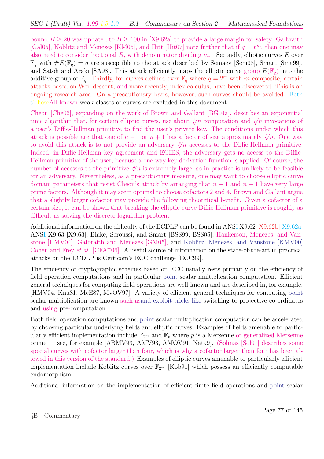bound  $B > 20$  was updated to  $B > 100$  in [X9.62a] to provide a large margin for safety. Galbraith [Gal05], Koblitz and Menezes [KM05], and Hitt [Hit07] note further that if  $q = p<sup>m</sup>$ , then one may also need to consider fractional  $B$ , with denominator dividing  $m$ . Secondly, elliptic curves  $E$  over  $\mathbb{F}_q$  with  $\#E(\mathbb{F}_q) = q$  are susceptible to the attack described by Semaev [Sem98], Smart [Sma99], and Satoh and Araki [SA98]. This attack efficiently maps the elliptic curve group  $E(\mathbb{F}_q)$  into the additive group of  $\mathbb{F}_q$ . Thirdly, for curves defined over  $\mathbb{F}_q$  where  $q=2^m$  with m composite, certain attacks based on Weil descent, and more recently, index calculus, have been discovered. This is an ongoing research area. On a precautionary basis, however, such curves should be avoided. Both tTheseAll known weak classes of curves are excluded in this document.

Cheon [Che06], expanding on the work of Brown and Gallant [BG04a], describes an exponential time algorithm that, for certain elliptic curves, use about  $\sqrt[3]{n}$  computation and  $\sqrt[3]{n}$  invocations of a user's Diffie-Hellman primitive to find the user's private key. The conditions under which this attack is possible are that one of  $n-1$  or  $n+1$  has a factor of size approximately  $\sqrt[3]{n}$ . One way to avoid this attack is to not provide an adversary  $\sqrt[3]{n}$  accesses to the Diffie-Hellman primitive. Indeed, in Diffie-Hellman key agreement and ECIES, the adversary gets no access to the Diffie-Hellman primitive of the user, because a one-way key derivation function is applied. Of course, the number of accesses to the primitive  $\sqrt[3]{n}$  is extremely large, so in practice is unlikely to be feasible for an adversary. Nevertheless, as a precautionary measure, one may want to choose elliptic curve domain parameters that resist Cheon's attack by arranging that  $n - 1$  and  $n + 1$  have very large prime factors. Although it may seem optimal to choose cofactors 2 and 4, Brown and Gallant argue that a slightly larger cofactor may provide the following theoretical benefit. Given a cofactor of a certain size, it can be shown that breaking the elliptic curve Diffie-Hellman primitive is roughly as difficult as solving the discrete logarithm problem.

Additional information on the difficulty of the ECDLP can be found in ANSI X9.62 [X9.62b][X9.62a], ANSI X9.63 [X9.63], Blake, Seroussi, and Smart [BSS99, BSS05], Hankerson, Menezes, and Vanstone [HMV04], Galbraith and Menezes [GM05], and Koblitz, Menezes, and Vanstone [KMV00] Cohen and Frey *et al.*  $[CFA<sup>+</sup>06]$ . A useful source of information on the state-of-the-art in practical attacks on the ECDLP is Certicom's ECC challenge [ECC99].

The efficiency of cryptographic schemes based on ECC usually rests primarily on the efficiency of field operation computations and in particular point scalar multiplication computation. Efficient general techniques for computing field operations are well-known and are described in, for example, [HMV04, Knu81, McE87, MvOV97]. A variety of efficient general techniques for computing point scalar multiplication are known such asand exploit tricks like switching to projective co-ordinates and using pre-computation.

Both field operation computations and point scalar multiplication computation can be accelerated by choosing particular underlying fields and elliptic curves. Examples of fields amenable to particularly efficient implementation include  $\mathbb{F}_{2^m}$  and  $\mathbb{F}_p$  where p is a Mersenne or generalized Mersenne prime — see, for example [ABMV93, AMV93, AMOV91, Nat99]. (Solinas [Sol01] describes some special curves with cofactor larger than four, which is why a cofactor larger than four has been allowed in this version of the standard.) Examples of elliptic curves amenable to particularly efficient implementation include Koblitz curves over  $\mathbb{F}_{2^m}$  [Kob91] which possess an efficiently computable endomorphism.

Additional information on the implementation of efficient finite field operations and point scalar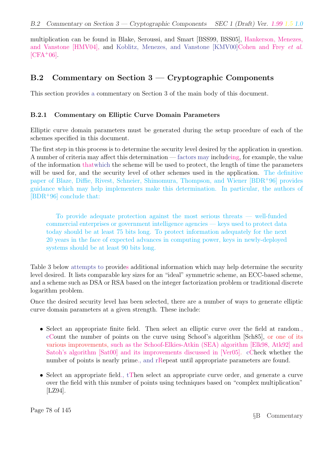multiplication can be found in Blake, Seroussi, and Smart [BSS99, BSS05], Hankerson, Menezes, and Vanstone [HMV04], and Koblitz, Menezes, and Vanstone [KMV00]Cohen and Frey et al.  $[CFA+06]$ .

## B.2 Commentary on Section 3 — Cryptographic Components

This section provides a commentary on Section 3 of the main body of this document.

#### B.2.1 Commentary on Elliptic Curve Domain Parameters

Elliptic curve domain parameters must be generated during the setup procedure of each of the schemes specified in this document.

The first step in this process is to determine the security level desired by the application in question. A number of criteria may affect this determination — factors may includeing, for example, the value of the information thatwhich the scheme will be used to protect, the length of time the parameters will be used for, and the security level of other schemes used in the application. The definitive paper of Blaze, Diffie, Rivest, Schneier, Shimomura, Thompson, and Wiener [BDR<sup>+</sup>96] provides guidance which may help implementers make this determination. In particular, the authors of [BDR<sup>+</sup>96] conclude that:

To provide adequate protection against the most serious threats — well-funded commercial enterprises or government intelligence agencies — keys used to protect data today should be at least 75 bits long. To protect information adequately for the next 20 years in the face of expected advances in computing power, keys in newly-deployed systems should be at least 90 bits long.

Table 3 below attempts to provides additional information which may help determine the security level desired. It lists comparable key sizes for an "ideal" symmetric scheme, an ECC-based scheme, and a scheme such as DSA or RSA based on the integer factorization problem or traditional discrete logarithm problem.

Once the desired security level has been selected, there are a number of ways to generate elliptic curve domain parameters at a given strength. These include:

- Select an appropriate finite field. Then select an elliptic curve over the field at random., cCount the number of points on the curve using Schoof's algorithm [Sch85], or one of its various improvements, such as the Schoof-Elkies-Atkin (SEA) algorithm [Elk98, Atk92] and Satoh's algorithm [Sat00] and its improvements discussed in [Ver05]. cCheck whether the number of points is nearly prime., and rRepeat until appropriate parameters are found.
- Select an appropriate field., tThen select an appropriate curve order, and generate a curve over the field with this number of points using techniques based on "complex multiplication" [LZ94].

Page 78 of 145

§B Commentary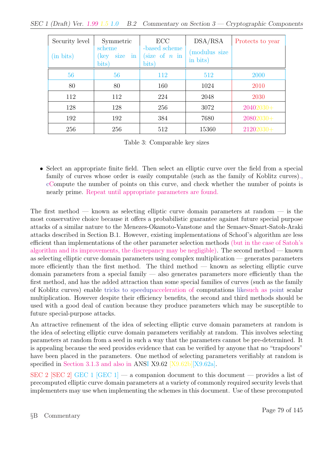| Security level<br>(in bits) | Symmetric<br>scheme<br>$\cdot$ in<br>size<br>$(\text{key}$<br>bits) | ECC<br>-based scheme<br>size of $n$ in<br>bits) | DSA/RSA<br>(modulus size<br>in bits) | Protects to year |
|-----------------------------|---------------------------------------------------------------------|-------------------------------------------------|--------------------------------------|------------------|
| 56                          | 56                                                                  | 112                                             | 512                                  | 2000             |
| 80                          | 80                                                                  | 160                                             | 1024                                 | 2010             |
| 112                         | 112                                                                 | 224                                             | 2048                                 | 2030             |
| 128                         | 128                                                                 | 256                                             | 3072                                 | $20402030+$      |
| 192                         | 192                                                                 | 384                                             | 7680                                 | $20802030+$      |
| 256                         | 256                                                                 | 512                                             | 15360                                | $21202030+$      |

Table 3: Comparable key sizes

• Select an appropriate finite field. Then select an elliptic curve over the field from a special family of curves whose order is easily computable (such as the family of Koblitz curves)., cCompute the number of points on this curve, and check whether the number of points is nearly prime. Repeat until appropriate parameters are found.

The first method — known as selecting elliptic curve domain parameters at random — is the most conservative choice because it offers a probabilistic guarantee against future special purpose attacks of a similar nature to the Menezes-Okamoto-Vanstone and the Semaev-Smart-Satoh-Araki attacks described in Section B.1. However, existing implementations of Schoof's algorithm are less efficient than implementations of the other parameter selection methods (but in the case of Satoh's algorithm and its improvements, the discrepancy may be negligible). The second method — known as selecting elliptic curve domain parameters using complex multiplication — generates parameters more efficiently than the first method. The third method  $-$  known as selecting elliptic curve domain parameters from a special family — also generates parameters more efficiently than the first method, and has the added attraction than some special families of curves (such as the family of Koblitz curves) enable tricks to speedupacceleration of computations likesuch as point scalar multiplication. However despite their efficiency benefits, the second and third methods should be used with a good deal of caution because they produce parameters which may be susceptible to future special-purpose attacks.

An attractive refinement of the idea of selecting elliptic curve domain parameters at random is the idea of selecting elliptic curve domain parameters verifiably at random. This involves selecting parameters at random from a seed in such a way that the parameters cannot be pre-determined. It is appealing because the seed provides evidence that can be verified by anyone that no "trapdoors" have been placed in the parameters. One method of selecting parameters verifiably at random is specified in Section 3.1.3 and also in ANSI X9.62 [X9.62b][X9.62a].

SEC 2 [SEC 2] GEC 1 [GEC 1] — a companion document to this document — provides a list of precomputed elliptic curve domain parameters at a variety of commonly required security levels that implementers may use when implementing the schemes in this document. Use of these precomputed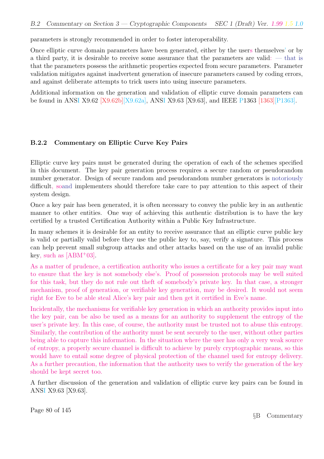parameters is strongly recommended in order to foster interoperability.

Once elliptic curve domain parameters have been generated, either by the users themselves' or by a third party, it is desirable to receive some assurance that the parameters are valid: — that is that the parameters possess the arithmetic properties expected from secure parameters. Parameter validation mitigates against inadvertent generation of insecure parameters caused by coding errors, and against deliberate attempts to trick users into using insecure parameters.

Additional information on the generation and validation of elliptic curve domain parameters can be found in ANSI X9.62 [X9.62b][X9.62a], ANSI X9.63 [X9.63], and IEEE P1363 [1363][P1363].

#### B.2.2 Commentary on Elliptic Curve Key Pairs

Elliptic curve key pairs must be generated during the operation of each of the schemes specified in this document. The key pair generation process requires a secure random or pseudorandom number generator. Design of secure random and pseudorandom number generators is notoriously difficult, soand implementers should therefore take care to pay attention to this aspect of their system design.

Once a key pair has been generated, it is often necessary to convey the public key in an authentic manner to other entities. One way of achieving this authentic distribution is to have the key certified by a trusted Certification Authority within a Public Key Infrastructure.

In many schemes it is desirable for an entity to receive assurance that an elliptic curve public key is valid or partially valid before they use the public key to, say, verify a signature. This process can help prevent small subgroup attacks and other attacks based on the use of an invalid public key, such as  $[ABM^+03]$ .

As a matter of prudence, a certification authority who issues a certificate for a key pair may want to ensure that the key is not somebody else's. Proof of possession protocols may be well suited for this task, but they do not rule out theft of somebody's private key. In that case, a stronger mechanism, proof of generation, or verifiable key generation, may be desired. It would not seem right for Eve to be able steal Alice's key pair and then get it certified in Eve's name.

Incidentally, the mechanisms for verifiable key generation in which an authority provides input into the key pair, can be also be used as a means for an authority to supplement the entropy of the user's private key. In this case, of course, the authority must be trusted not to abuse this entropy. Similarly, the contribution of the authority must be sent securely to the user, without other parties being able to capture this information. In the situation where the user has only a very weak source of entropy, a properly secure channel is difficult to achieve by purely cryptographic means, so this would have to entail some degree of physical protection of the channel used for entropy delivery. As a further precaution, the information that the authority uses to verify the generation of the key should be kept secret too.

A further discussion of the generation and validation of elliptic curve key pairs can be found in ANSI X9.63 [X9.63].

Page 80 of 145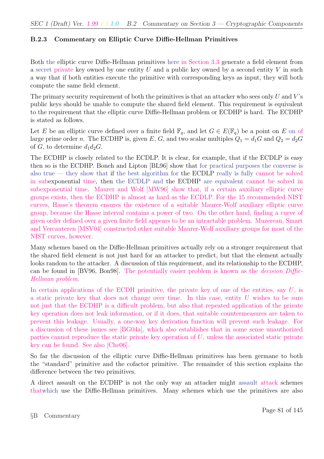### B.2.3 Commentary on Elliptic Curve Diffie-Hellman Primitives

Both the elliptic curve Diffie-Hellman primitives here in Section 3.3 generate a field element from a secret private key owned by one entity  $U$  and a public key owned by a second entity  $V$  in such a way that if both entities execute the primitive with corresponding keys as input, they will both compute the same field element.

The primary security requirement of both the primitives is that an attacker who sees only  $U$  and  $V$ 's public keys should be unable to compute the shared field element. This requirement is equivalent to the requirement that the elliptic curve Diffie-Hellman problem or ECDHP is hard. The ECDHP is stated as follows.

Let E be an elliptic curve defined over a finite field  $\mathbb{F}_q$ , and let  $G \in E(\mathbb{F}_q)$  be a point on E on of large prime order n. The ECDHP is, given E, G, and two scalar multiples  $Q_1 = d_1G$  and  $Q_2 = d_2G$ of G, to determine  $d_1d_2G$ .

The ECDHP is closely related to the ECDLP. It is clear, for example, that if the ECDLP is easy then so is the ECDHP. Boneh and Lipton [BL96] show that for practical purposes the converse is also true — they show that if the best algorithm for the ECDLP really is fully cannot be solved in subexponential time, then the ECDLP and the ECDHP are equivalent cannot be solved in subexponential time. Maurer and Wolf [MW96] show that, if a certain auxiliary elliptic curve groups exists, then the ECDHP is almost as hard as the ECDLP. For the 15 recommended NIST curves, Hasse's theorem ensures the existence of a suitable Maurer-Wolf auxiliary elliptic curve group, because the Hasse interval contains a power of two. On the other hand, finding a curve of given order defined over a given finite field appears to be an intractable problem. Muzereau, Smart and Vercauteren [MSV04] constructed other suitable Maurer-Wolf auxiliary groups for most of the NIST curves, however.

Many schemes based on the Diffie-Hellman primitives actually rely on a stronger requirement that the shared field element is not just hard for an attacker to predict, but that the element actually looks random to the attacker. A discussion of this requirement, and its relationship to the ECDHP, can be found in [BV96, Bon98]. The potentially easier problem is known as the decision Diffie-Hellman problem.

In certain applications of the ECDH primitive, the private key of one of the entities, say  $U$ , is a static private key that does not change over time. In this case, entity  $U$  wishes to be sure not just that the ECDHP is a difficult problem, but also that repeated application of the private key operation does not leak information, or if it does, that suitable countermeasures are taken to prevent this leakage. Usually, a one-way key derivation function will prevent such leakage. For a discussion of these issues see [BG04a], which also establishes that in some sense unauthorized parties cannot reproduce the static private key operation of U, unless the associated static private key can be found. See also [Che06].

So far the discussion of the elliptic curve Diffie-Hellman primitives has been germane to both the "standard" primitive and the cofactor primitive. The remainder of this section explains the difference between the two primitives.

A direct assault on the ECDHP is not the only way an attacker might assault attack schemes thatwhich use the Diffie-Hellman primitives. Many schemes which use the primitives are also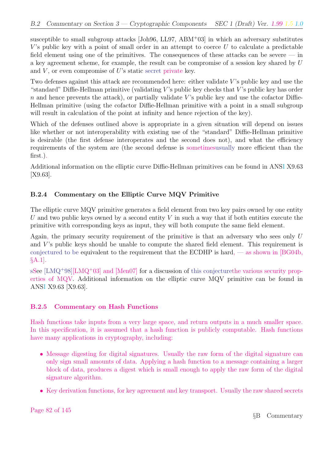susceptible to small subgroup attacks [Joh96, LL97, ABM<sup>+</sup>03] in which an adversary substitutes V's public key with a point of small order in an attempt to coerce  $U$  to calculate a predictable field element using one of the primitives. The consequences of these attacks can be severe  $-$  in a key agreement scheme, for example, the result can be compromise of a session key shared by U and  $V$ , or even compromise of  $U$ 's static secret private key.

Two defenses against this attack are recommended here: either validate  $V$ 's public key and use the "standard" Diffie-Hellman primitive (validating  $V$ 's public key checks that  $V$ 's public key has order  $n$  and hence prevents the attack), or partially validate V's public key and use the cofactor Diffie-Hellman primitive (using the cofactor Diffie-Hellman primitive with a point in a small subgroup will result in calculation of the point at infinity and hence rejection of the key).

Which of the defenses outlined above is appropriate in a given situation will depend on issues like whether or not interoperability with existing use of the "standard" Diffie-Hellman primitive is desirable (the first defense interoperates and the second does not), and what the efficiency requirements of the system are (the second defense is sometimesusually more efficient than the first.).

Additional information on the elliptic curve Diffie-Hellman primitives can be found in ANSI X9.63 [X9.63].

### B.2.4 Commentary on the Elliptic Curve MQV Primitive

The elliptic curve MQV primitive generates a field element from two key pairs owned by one entity U and two public keys owned by a second entity V in such a way that if both entities execute the primitive with corresponding keys as input, they will both compute the same field element.

Again, the primary security requirement of the primitive is that an adversary who sees only  $U$ and  $V$ 's public keys should be unable to compute the shared field element. This requirement is conjectured to be equivalent to the requirement that the ECDHP is hard,  $\sim$  as shown in [BG04b, §A.1].

sSee  $[LMQ+98][LMQ+03]$  and  $[Men07]$  for a discussion of this conjecturethe various security properties of MQV. Additional information on the elliptic curve MQV primitive can be found in ANSI X9.63 [X9.63].

### B.2.5 Commentary on Hash Functions

Hash functions take inputs from a very large space, and return outputs in a much smaller space. In this specification, it is assumed that a hash function is publicly computable. Hash functions have many applications in cryptography, including:

- Message digesting for digital signatures. Usually the raw form of the digital signature can only sign small amounts of data. Applying a hash function to a message containing a larger block of data, produces a digest which is small enough to apply the raw form of the digital signature algorithm.
- Key derivation functions, for key agreement and key transport. Usually the raw shared secrets

Page 82 of 145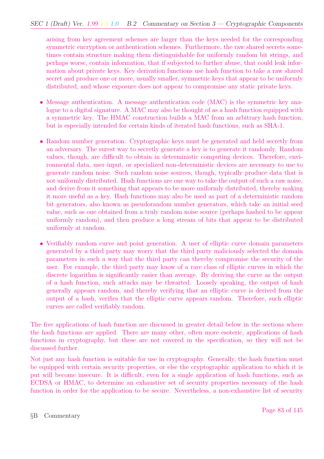arising from key agreement schemes are larger than the keys needed for the corresponding symmetric encryption or authentication schemes. Furthermore, the raw shared secrets sometimes contain structure making them distinguishable for uniformly random bit strings, and perhaps worse, contain information, that if subjected to further abuse, that could leak information about private keys. Key derivation functions use hash function to take a raw shared secret and produce one or more, usually smaller, symmetric keys that appear to be uniformly distributed, and whose exposure does not appear to compromise any static private keys.

- Message authentication. A message authentication code (MAC) is the symmetric key analogue to a digital signature. A MAC may also be thought of as a hash function equipped with a symmetric key. The HMAC construction builds a MAC from an arbitrary hash function, but is especially intended for certain kinds of iterated hash functions, such as SHA-1.
- Random number generation. Cryptographic keys must be generated and held secretly from an adversary. The surest way to secretly generate a key is to generate it randomly. Random values, though, are difficult to obtain in deterministic computing devices. Therefore, environmental data, user input, or specialized non-deterministic devices are necessary to use to generate random noise. Such random noise sources, though, typically produce data that is not uniformly distributed. Hash functions are one way to take the output of such a raw noise, and derive from it something that appears to be more uniformly distributed, thereby making it more useful as a key. Hash functions may also be used as part of a deterministic random bit generators, also known as pseudorandom number generators, which take an initial seed value, such as one obtained from a truly random noise source (perhaps hashed to be appear uniformly random), and then produce a long stream of bits that appear to be distributed uniformly at random.
- Verifiably random curve and point generation. A user of elliptic curve domain parameters generated by a third party may worry that the third party maliciously selected the domain parameters in such a way that the third party can thereby compromise the security of the user. For example, the third party may know of a rare class of elliptic curves in which the discrete logarithm is significantly easier than average. By deriving the curve as the output of a hash function, such attacks may be thwarted. Loosely speaking, the output of hash generally appears random, and thereby verifying that an elliptic curve is derived from the output of a hash, verifies that the elliptic curve appears random. Therefore, such elliptic curves are called verifiably random.

The five applications of hash function are discussed in greater detail below in the sections where the hash functions are applied. There are many other, often more esoteric, applications of hash functions in cryptography, but these are not covered in the specification, so they will not be discussed further.

Not just any hash function is suitable for use in cryptography. Generally, the hash function must be equipped with certain security properties, or else the cryptographic application to which it is put will become insecure. It is difficult, even for a single application of hash functions, such as ECDSA or HMAC, to determine an exhaustive set of security properties necessary of the hash function in order for the application to be secure. Nevertheless, a non-exhaustive list of security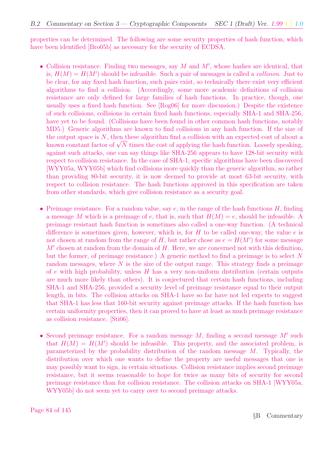properties can be determined. The following are some security properties of hash function, which have been identified [Bro05b] as necessary for the security of ECDSA.

- Collision resistance. Finding two messages, say  $M$  and  $M'$ , whose hashes are identical, that is,  $H(M) = H(M')$  should be infeasible. Such a pair of messages is called a *collision*. Just to be clear, for any fixed hash function, such pairs exist, so technically there exist very efficient algorithms to find a collision. (Accordingly, some more academic definitions of collision resistance are only defined for large families of hash functions. In practice, though, one usually uses a fixed hash function. See [Rog06] for more discussion.) Despite the existence of such collisions, collisions in certain fixed hash functions, especially SHA-1 and SHA-256, have yet to be found. (Collisions have been found in other common hash functions, notably MD5.) Generic algorithms are known to find collisions in any hash function. If the size of the output space is  $N$ , then these algorithm find a collision with an expected cost of about a the output space is N, then these aigorithm find a collision with an expected cost of about a<br>known constant factor of  $\sqrt{N}$  times the cost of applying the hash function. Loosely speaking, against such attacks, one can say things like SHA-256 appears to have 128-bit security with respect to collision resistance. In the case of SHA-1, specific algorithms have been discovered [WYY05a, WYY05b] which find collisions more quickly than the generic algorithm, so rather than providing 80-bit security, it is now deemed to provide at most 63-bit security, with respect to collision resistance. The hash functions approved in this specification are taken from other standards, which give collision resistance as a security goal.
- Preimage resistance. For a random value, say  $e$ , in the range of the hash functions  $H$ , finding a message M which is a preimage of e, that is, such that  $H(M) = e$ , should be infeasible. A preimage resistant hash function is sometimes also called a one-way function. (A technical difference is sometimes given, however, which is, for  $H$  to be called one-way, the value  $e$  is not chosen at random from the range of H, but rather chose as  $e = H(M')$  for some message  $M'$  chosen at random from the domain of  $H$ . Here, we are concerned not with this definition, but the former, of preimage resistance.) A generic method to find a preimage is to select N random messages, where  $N$  is the size of the output range. This strategy finds a preimage of e with high probability, unless  $H$  has a very non-uniform distribution (certain outputs are much more likely than others). It is conjectured that certain hash functions, including SHA-1 and SHA-256, provided a security level of preimage resistance equal to their output length, in bits. The collision attacks on SHA-1 have so far have not led experts to suggest that SHA-1 has less that 160-bit security against preimage attacks. If the hash function has certain uniformity properties, then it can proved to have at least as much preimage resistance as collision resistance. [Sti06].
- Second preimage resistance. For a random message  $M$ , finding a second message  $M'$  such that  $H(M) = H(M')$  should be infeasible. This property, and the associated problem, is parameterized by the probability distribution of the random message  $M$ . Typically, the distribution over which one wants to define the property are useful messages that one is may possibly want to sign, in certain situations. Collision resistance implies second preimage resistance, but it seems reasonable to hope for twice as many bits of security for second preimage resistance than for collision resistance. The collision attacks on SHA-1 [WYY05a, WYY05b] do not seem yet to carry over to second preimage attacks.

Page 84 of 145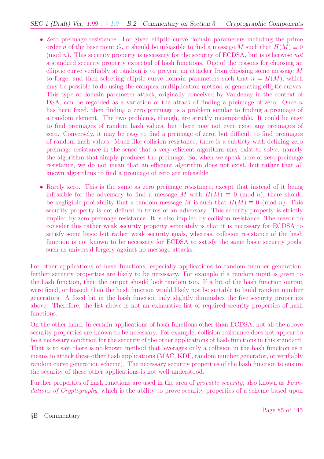- Zero preimage resistance. For given elliptic curve domain parameters including the prime order n of the base point G, it should be infeasible to find a message M such that  $H(M) \equiv 0$  $p(\text{mod } n)$ . This security property is necessary for the security of ECDSA, but is otherwise not a standard security property expected of hash functions. One of the reasons for choosing an elliptic curve verifiably at random is to prevent an attacker from choosing some message M to forge, and then selecting elliptic curve domain parameters such that  $n = H(M)$ , which may be possible to do using the complex multiplication method of generating elliptic curves. This type of domain parameter attack, originally conceived by Vaudenay in the context of DSA, can be regarded as a variation of the attack of finding a preimage of zero. Once n has been fixed, then finding a zero preimage is a problem similar to finding a preimage of a random element. The two problems, though, are strictly incomparable. It could be easy to find preimages of random hash values, but there may not even exist any preimages of zero. Conversely, it may be easy to find a preimage of zero, but difficult to find preimages of random hash values. Much like collision resistance, there is a subtlety with defining zero preimage resistance in the sense that a very efficient algorithm may exist to solve: namely the algorithm that simply produces the preimage. So, when we speak here of zero preimage resistance, we do not mean that an efficient algorithm does not exist, but rather that all known algorithms to find a preimage of zero are infeasible.
- Rarely zero. This is the same as zero preimage resistance, except that instead of it being infeasible for the adversary to find a message M with  $H(M) \equiv 0 \pmod{n}$ , there should be negligible probability that a random message M is such that  $H(M) \equiv 0 \pmod{n}$ . This security property is not defined in terms of an adversary. This security property is strictly implied by zero preimage resistance. It is also implied by collision resistance. The reason to consider this rather weak security property separately is that it is necessary for ECDSA to satisfy some basic but rather weak security goals, whereas, collision resistance of the hash function is not known to be necessary for ECDSA to satisfy the same basic security goals, such as universal forgery against no-message attacks.

For other applications of hash functions, especially applications to random number generation, further security properties are likely to be necessary. For example if a random input is given to the hash function, then the output should look random too. If a bit of the hash function output were fixed, or biased, then the hash function would likely not be suitable to build random number generators. A fixed bit in the hash function only slightly diminishes the five security properties above. Therefore, the list above is not an exhaustive list of required security properties of hash functions.

On the other hand, in certain applications of hash functions other than ECDSA, not all the above security properties are known to be necessary. For example, collision resistance does not appear to be a necessary condition for the security of the other applications of hash functions in this standard. That is to say, there is no known method that leverages only a collision in the hash function as a means to attack these other hash applications (MAC, KDF, random number generator, or verifiably random curve generation scheme). The necessary security properties of the hash function to ensure the security of these other applications is not well understood.

Further properties of hash functions are used in the area of *provable security*, also known as *Foun*dations of Cryptography, which is the ability to prove security properties of a scheme based upon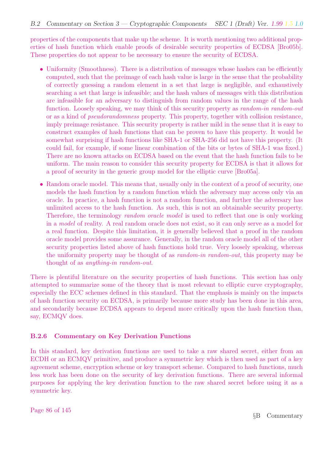properties of the components that make up the scheme. It is worth mentioning two additional properties of hash function which enable proofs of desirable security properties of ECDSA [Bro05b]. These properties do not appear to be necessary to ensure the security of ECDSA.

- Uniformity (Smoothness). There is a distribution of messages whose hashes can be efficiently computed, such that the preimage of each hash value is large in the sense that the probability of correctly guessing a random element in a set that large is negligible, and exhaustively searching a set that large is infeasible; and the hash values of messages with this distribution are infeasible for an adversary to distinguish from random values in the range of the hash function. Loosely speaking, we may think of this security property as *random-in random-out* or as a kind of pseudorandomness property. This property, together with collision resistance, imply preimage resistance. This security property is rather mild in the sense that it is easy to construct examples of hash functions that can be proven to have this property. It would be somewhat surprising if hash functions like SHA-1 or SHA-256 did not have this property. (It could fail, for example, if some linear combination of the bits or bytes of SHA-1 was fixed.) There are no known attacks on ECDSA based on the event that the hash function fails to be uniform. The main reason to consider this security property for ECDSA is that it allows for a proof of security in the generic group model for the elliptic curve [Bro05a].
- Random oracle model. This means that, usually only in the context of a proof of security, one models the hash function by a random function which the adversary may access only via an oracle. In practice, a hash function is not a random function, and further the adversary has unlimited access to the hash function. As such, this is not an obtainable security property. Therefore, the terminology *random oracle model* is used to reflect that one is only working in a model of reality. A real random oracle does not exist, so it can only serve as a model for a real function. Despite this limitation, it is generally believed that a proof in the random oracle model provides some assurance. Generally, in the random oracle model all of the other security properties listed above of hash functions hold true. Very loosely speaking, whereas the uniformity property may be thought of as *random-in random-out*, this property may be thought of as anything-in random-out.

There is plentiful literature on the security properties of hash functions. This section has only attempted to summarize some of the theory that is most relevant to elliptic curve cryptography, especially the ECC schemes defined in this standard. That the emphasis is mainly on the impacts of hash function security on ECDSA, is primarily because more study has been done in this area, and secondarily because ECDSA appears to depend more critically upon the hash function than, say, ECMQV does.

#### B.2.6 Commentary on Key Derivation Functions

In this standard, key derivation functions are used to take a raw shared secret, either from an ECDH or an ECMQV primitive, and produce a symmetric key which is then used as part of a key agreement scheme, encryption scheme or key transport scheme. Compared to hash functions, much less work has been done on the security of key derivation functions. There are several informal purposes for applying the key derivation function to the raw shared secret before using it as a symmetric key.

Page 86 of 145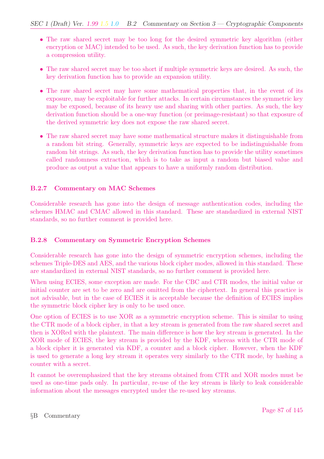- The raw shared secret may be too long for the desired symmetric key algorithm (either encryption or MAC) intended to be used. As such, the key derivation function has to provide a compression utility.
- The raw shared secret may be too short if multiple symmetric keys are desired. As such, the key derivation function has to provide an expansion utility.
- The raw shared secret may have some mathematical properties that, in the event of its exposure, may be exploitable for further attacks. In certain circumstances the symmetric key may be exposed, because of its heavy use and sharing with other parties. As such, the key derivation function should be a one-way function (or preimage-resistant) so that exposure of the derived symmetric key does not expose the raw shared secret.
- The raw shared secret may have some mathematical structure makes it distinguishable from a random bit string. Generally, symmetric keys are expected to be indistinguishable from random bit strings. As such, the key derivation function has to provide the utility sometimes called randomness extraction, which is to take as input a random but biased value and produce as output a value that appears to have a uniformly random distribution.

## B.2.7 Commentary on MAC Schemes

Considerable research has gone into the design of message authentication codes, including the schemes HMAC and CMAC allowed in this standard. These are standardized in external NIST standards, so no further comment is provided here.

### B.2.8 Commentary on Symmetric Encryption Schemes

Considerable research has gone into the design of symmetric encryption schemes, including the schemes Triple-DES and AES, and the various block cipher modes, allowed in this standard. These are standardized in external NIST standards, so no further comment is provided here.

When using ECIES, some exception are made. For the CBC and CTR modes, the initial value or initial counter are set to be zero and are omitted from the ciphertext. In general this practice is not advisable, but in the case of ECIES it is acceptable because the definition of ECIES implies the symmetric block cipher key is only to be used once.

One option of ECIES is to use XOR as a symmetric encryption scheme. This is similar to using the CTR mode of a block cipher, in that a key stream is generated from the raw shared secret and then is XORed with the plaintext. The main difference is how the key stream is generated. In the XOR mode of ECIES, the key stream is provided by the KDF, whereas with the CTR mode of a block cipher it is generated via KDF, a counter and a block cipher. However, when the KDF is used to generate a long key stream it operates very similarly to the CTR mode, by hashing a counter with a secret.

It cannot be overemphasized that the key streams obtained from CTR and XOR modes must be used as one-time pads only. In particular, re-use of the key stream is likely to leak considerable information about the messages encrypted under the re-used key streams.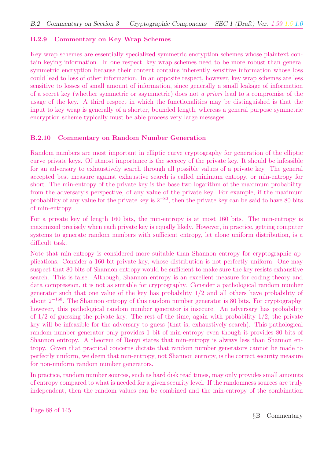#### B.2.9 Commentary on Key Wrap Schemes

Key wrap schemes are essentially specialized symmetric encryption schemes whose plaintext contain keying information. In one respect, key wrap schemes need to be more robust than general symmetric encryption because their content contains inherently sensitive information whose loss could lead to loss of other information. In an opposite respect, however, key wrap schemes are less sensitive to losses of small amount of information, since generally a small leakage of information of a secret key (whether symmetric or asymmetric) does not a priori lead to a compromise of the usage of the key. A third respect in which the functionalities may be distinguished is that the input to key wrap is generally of a shorter, bounded length, whereas a general purpose symmetric encryption scheme typically must be able process very large messages.

#### B.2.10 Commentary on Random Number Generation

Random numbers are most important in elliptic curve cryptography for generation of the elliptic curve private keys. Of utmost importance is the secrecy of the private key. It should be infeasible for an adversary to exhaustively search through all possible values of a private key. The general accepted best measure against exhaustive search is called minimum entropy, or min-entropy for short. The min-entropy of the private key is the base two logarithm of the maximum probability, from the adversary's perspective, of any value of the private key. For example, if the maximum probability of any value for the private key is  $2^{-80}$ , then the private key can be said to have 80 bits of min-entropy.

For a private key of length 160 bits, the min-entropy is at most 160 bits. The min-entropy is maximized precisely when each private key is equally likely. However, in practice, getting computer systems to generate random numbers with sufficient entropy, let alone uniform distribution, is a difficult task.

Note that min-entropy is considered more suitable than Shannon entropy for cryptographic applications. Consider a 160 bit private key, whose distribution is not perfectly uniform. One may suspect that 80 bits of Shannon entropy would be sufficient to make sure the key resists exhaustive search. This is false. Although, Shannon entropy is an excellent measure for coding theory and data compression, it is not as suitable for cryptography. Consider a pathological random number generator such that one value of the key has probability 1/2 and all others have probability of about  $2^{-160}$ . The Shannon entropy of this random number generator is 80 bits. For cryptography, however, this pathological random number generator is insecure. An adversary has probability of  $1/2$  of guessing the private key. The rest of the time, again with probability  $1/2$ , the private key will be infeasible for the adversary to guess (that is, exhaustively search). This pathological random number generator only provides 1 bit of min-entropy even though it provides 80 bits of Shannon entropy. A theorem of Renyi states that min-entropy is always less than Shannon entropy. Given that practical concerns dictate that random number generators cannot be made to perfectly uniform, we deem that min-entropy, not Shannon entropy, is the correct security measure for non-uniform random number generators.

In practice, random number sources, such as hard disk read times, may only provides small amounts of entropy compared to what is needed for a given security level. If the randomness sources are truly independent, then the random values can be combined and the min-entropy of the combination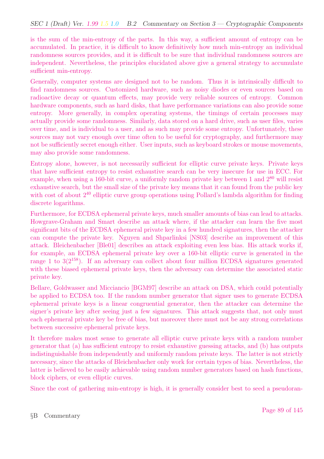is the sum of the min-entropy of the parts. In this way, a sufficient amount of entropy can be accumulated. In practice, it is difficult to know definitively how much min-entropy an individual randomness sources provides, and it is difficult to be sure that individual randomness sources are independent. Nevertheless, the principles elucidated above give a general strategy to accumulate sufficient min-entropy.

Generally, computer systems are designed not to be random. Thus it is intrinsically difficult to find randomness sources. Customized hardware, such as noisy diodes or even sources based on radioactive decay or quantum effects, may provide very reliable sources of entropy. Common hardware components, such as hard disks, that have performance variations can also provide some entropy. More generally, in complex operating systems, the timings of certain processes may actually provide some randomness. Similarly, data stored on a hard drive, such as user files, varies over time, and is individual to a user, and as such may provide some entropy. Unfortunately, these sources may not vary enough over time often to be useful for cryptography, and furthermore may not be sufficiently secret enough either. User inputs, such as keyboard strokes or mouse movements, may also provide some randomness.

Entropy alone, however, is not necessarily sufficient for elliptic curve private keys. Private keys that have sufficient entropy to resist exhaustive search can be very insecure for use in ECC. For example, when using a 160-bit curve, a uniformly random private key between 1 and  $2^{80}$  will resist exhaustive search, but the small size of the private key means that it can found from the public key with cost of about  $2^{40}$  elliptic curve group operations using Pollard's lambda algorithm for finding discrete logarithms.

Furthermore, for ECDSA ephemeral private keys, much smaller amounts of bias can lead to attacks. Howgrave-Graham and Smart describe an attack where, if the attacker can learn the five most significant bits of the ECDSA ephemeral private key in a few hundred signatures, then the attacker can compute the private key. Nguyen and Shparlinksi [NS03] describe an improvement of this attack. Bleichenbacher [Ble01] describes an attack exploiting even less bias. His attack works if, for example, an ECDSA ephemeral private key over a 160-bit elliptic curve is generated in the range 1 to  $3(2^{158})$ . If an adversary can collect about four million ECDSA signatures generated with these biased ephemeral private keys, then the adversary can determine the associated static private key.

Bellare, Goldwasser and Micciancio [BGM97] describe an attack on DSA, which could potentially be applied to ECDSA too. If the random number generator that signer uses to generate ECDSA ephemeral private keys is a linear congruential generator, then the attacker can determine the signer's private key after seeing just a few signatures. This attack suggests that, not only must each ephemeral private key be free of bias, but moreover there must not be any strong correlations between successive ephemeral private keys.

It therefore makes most sense to generate all elliptic curve private keys with a random number generator that (a) has sufficient entropy to resist exhaustive guessing attacks, and (b) has outputs indistinguishable from independently and uniformly random private keys. The latter is not strictly necessary, since the attacks of Bleichenbacher only work for certain types of bias. Nevertheless, the latter is believed to be easily achievable using random number generators based on hash functions, block ciphers, or even elliptic curves.

Since the cost of gathering min-entropy is high, it is generally consider best to seed a pseudoran-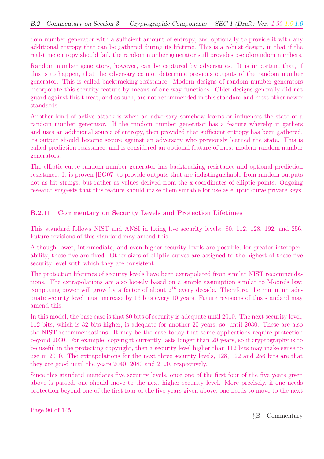dom number generator with a sufficient amount of entropy, and optionally to provide it with any additional entropy that can be gathered during its lifetime. This is a robust design, in that if the real-time entropy should fail, the random number generator still provides pseudorandom numbers.

Random number generators, however, can be captured by adversaries. It is important that, if this is to happen, that the adversary cannot determine previous outputs of the random number generator. This is called backtracking resistance. Modern designs of random number generators incorporate this security feature by means of one-way functions. Older designs generally did not guard against this threat, and as such, are not recommended in this standard and most other newer standards.

Another kind of active attack is when an adversary somehow learns or influences the state of a random number generator. If the random number generator has a feature whereby it gathers and uses an additional source of entropy, then provided that sufficient entropy has been gathered, its output should become secure against an adversary who previously learned the state. This is called prediction resistance, and is considered an optional feature of most modern random number generators.

The elliptic curve random number generator has backtracking resistance and optional prediction resistance. It is proven [BG07] to provide outputs that are indistinguishable from random outputs not as bit strings, but rather as values derived from the x-coordinates of elliptic points. Ongoing research suggests that this feature should make them suitable for use as elliptic curve private keys.

#### B.2.11 Commentary on Security Levels and Protection Lifetimes

This standard follows NIST and ANSI in fixing five security levels: 80, 112, 128, 192, and 256. Future revisions of this standard may amend this.

Although lower, intermediate, and even higher security levels are possible, for greater interoperability, these five are fixed. Other sizes of elliptic curves are assigned to the highest of these five security level with which they are consistent.

The protection lifetimes of security levels have been extrapolated from similar NIST recommendations. The extrapolations are also loosely based on a simple assumption similar to Moore's law: computing power will grow by a factor of about  $2^{16}$  every decade. Therefore, the minimum adequate security level must increase by 16 bits every 10 years. Future revisions of this standard may amend this.

In this model, the base case is that 80 bits of security is adequate until 2010. The next security level, 112 bits, which is 32 bits higher, is adequate for another 20 years, so, until 2030. These are also the NIST recommendations. It may be the case today that some applications require protection beyond 2030. For example, copyright currently lasts longer than 20 years, so if cryptography is to be useful in the protecting copyright, then a security level higher than 112 bits may make sense to use in 2010. The extrapolations for the next three security levels, 128, 192 and 256 bits are that they are good until the years 2040, 2080 and 2120, respectively.

Since this standard mandates five security levels, once one of the first four of the five years given above is passed, one should move to the next higher security level. More precisely, if one needs protection beyond one of the first four of the five years given above, one needs to move to the next

Page 90 of 145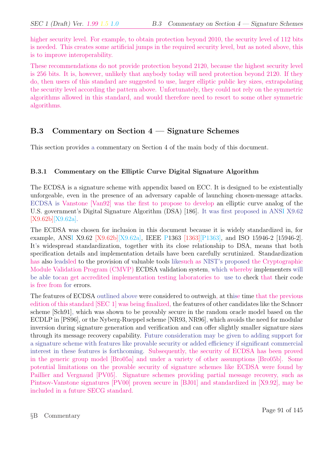higher security level. For example, to obtain protection beyond 2010, the security level of 112 bits is needed. This creates some artificial jumps in the required security level, but as noted above, this is to improve interoperability.

These recommendations do not provide protection beyond 2120, because the highest security level is 256 bits. It is, however, unlikely that anybody today will need protection beyond 2120. If they do, then users of this standard are suggested to use, larger elliptic public key sizes, extrapolating the security level according the pattern above. Unfortunately, they could not rely on the symmetric algorithms allowed in this standard, and would therefore need to resort to some other symmetric algorithms.

## B.3 Commentary on Section 4 — Signature Schemes

This section provides a commentary on Section 4 of the main body of this document.

### B.3.1 Commentary on the Elliptic Curve Digital Signature Algorithm

The ECDSA is a signature scheme with appendix based on ECC. It is designed to be existentially unforgeable, even in the presence of an adversary capable of launching chosen-message attacks. ECDSA is Vanstone [Van92] was the first to propose to develop an elliptic curve analog of the U.S. government's Digital Signature Algorithm (DSA) [186]. It was first proposed in ANSI X9.62 [X9.62b][X9.62a].

The ECDSA was chosen for inclusion in this document because it is widely standardized in, for example, ANSI X9.62 [X9.62b][X9.62a], IEEE P1363 [1363][P1363], and ISO 15946-2 [15946-2]. It's widespread standardization, together with its close relationship to DSA, means that both specification details and implementation details have been carefully scrutinized. Standardization has also leadsled to the provision of valuable tools likesuch as NIST's proposed the Cryptographic Module Validation Program (CMVP) ECDSA validation system, which whereby implementers will be able tocan get accredited implementation testing laboratories to use to check that their code is free from for errors.

The features of ECDSA outlined above were considered to outweigh, at thise time that the previous edition of this standard [SEC 1] was being finalized, the features of other candidates like the Schnorr scheme [Sch91], which was shown to be provably secure in the random oracle model based on the ECDLP in [PS96], or the Nyberg-Rueppel scheme [NR93, NR96], which avoids the need for modular inversion during signature generation and verification and can offer slightly smaller signature sizes through its message recovery capability. Future consideration may be given to adding support for a signature scheme with features like provable security or added efficiency if significant commercial interest in these features is forthcoming. Subsequently, the security of ECDSA has been proved in the generic group model [Bro05a] and under a variety of other assumptions [Bro05b]. Some potential limitations on the provable security of signature schemes like ECDSA were found by Paillier and Vergnaud [PV05]. Signature schemes providing partial message recovery, such as Pintsov-Vanstone signatures [PV00] proven secure in [BJ01] and standardized in [X9.92], may be included in a future SECG standard.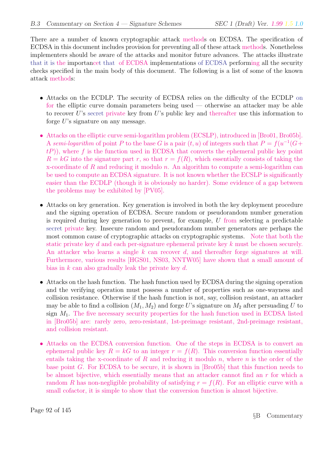There are a number of known cryptographic attack methods on ECDSA. The specification of ECDSA in this document includes provision for preventing all of these attack methods. Nonetheless implementers should be aware of the attacks and monitor future advances. The attacks illustrate that it is the importancet that of ECDSA implementations of ECDSA performing all the security checks specified in the main body of this document. The following is a list of some of the known attack methods:

- Attacks on the ECDLP. The security of ECDSA relies on the difficulty of the ECDLP on for the elliptic curve domain parameters being used — otherwise an attacker may be able to recover U's secret private key from U's public key and thereafter use this information to forge  $U$ 's signature on any message.
- Attacks on the elliptic curve semi-logarithm problem (ECSLP), introduced in [Bro01, Bro05b]. A semi-logarithm of point P to the base G is a pair  $(t, u)$  of integers such that  $P = f(u^{-1}(G +$  $t(P)$ , where f is the function used in ECDSA that converts the ephemeral public key point  $R = kG$  into the signature part r, so that  $r = f(R)$ , which essentially consists of taking the x-coordinate of R and reducing it modulo n. An algorithm to compute a semi-logarithm can be used to compute an ECDSA signature. It is not known whether the ECSLP is significantly easier than the ECDLP (though it is obviously no harder). Some evidence of a gap between the problems may be exhibited by [PV05].
- Attacks on key generation. Key generation is involved in both the key deployment procedure and the signing operation of ECDSA. Secure random or pseudorandom number generation is required during key generation to prevent, for example, U from selecting a predictable secret private key. Insecure random and pseudorandom number generators are perhaps the most common cause of cryptographic attacks on cryptographic systems. Note that both the static private key d and each per-signature ephemeral private key k must be chosen securely. An attacker who learns a single  $k$  can recover  $d$ , and thereafter forge signatures at will. Furthermore, various results [HGS01, NS03, NNTW05] have shown that a small amount of bias in  $k$  can also gradually leak the private key  $d$ .
- Attacks on the hash function. The hash function used by ECDSA during the signing operation and the verifying operation must possess a number of properties such as one-wayness and collision resistance. Otherwise if the hash function is not, say, collision resistant, an attacker may be able to find a collision  $(M_1, M_2)$  and forge U's signature on  $M_2$  after persuading U to sign  $M_1$ . The five necessary security properties for the hash function used in ECDSA listed in [Bro05b] are: rarely zero, zero-resistant, 1st-preimage resistant, 2nd-preimage resistant, and collision resistant.
- Attacks on the ECDSA conversion function. One of the steps in ECDSA is to convert an ephemeral public key  $R = kG$  to an integer  $r = f(R)$ . This conversion function essentially entails taking the x-coordinate of R and reducing it modulo n, where n is the order of the base point G. For ECDSA to be secure, it is shown in [Bro05b] that this function needs to be almost bijective, which essentially means that an attacker cannot find an  $r$  for which a random R has non-negligible probability of satisfying  $r = f(R)$ . For an elliptic curve with a small cofactor, it is simple to show that the conversion function is almost bijective.

Page 92 of 145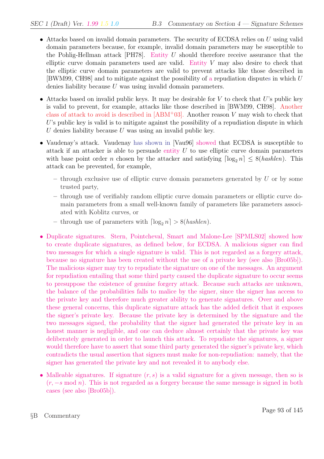- Attacks based on invalid domain parameters. The security of ECDSA relies on  $U$  using valid domain parameters because, for example, invalid domain parameters may be susceptible to the Pohlig-Hellman attack [PH78]. Entity  $U$  should therefore receive assurance that the elliptic curve domain parameters used are valid. Entity V may also desire to check that the elliptic curve domain parameters are valid to prevent attacks like those described in [BWM99, CH98] and to mitigate against the possibility of a repudiation disputes in which U denies liability because U was using invalid domain parameters.
- Attacks based on invalid public keys. It may be desirable for  $V$  to check that  $U$ 's public key is valid to prevent, for example, attacks like those described in [BWM99, CH98]. Another class of attack to avoid is described in  $[ABM^+03]$ . Another reason V may wish to check that  $U$ 's public key is valid is to mitigate against the possibility of a repudiation dispute in which U denies liability because U was using an invalid public key.
- Vaudenay's attack. Vaudenay has shown in [Vau96] showed that ECDSA is susceptible to attack if an attacker is able to persuade entity  $U$  to use elliptic curve domain parameters with base point order n chosen by the attacker and satisfying  $\lceil \log_2 n \rceil \leq 8(hashlen)$ . This attack can be prevented, for example,
	- $-$  through exclusive use of elliptic curve domain parameters generated by U or by some trusted party,
	- through use of verifiably random elliptic curve domain parameters or elliptic curve domain parameters from a small well-known family of parameters like parameters associated with Koblitz curves, or
	- through use of parameters with  $\lceil \log_2 n \rceil > 8(hashlen).$
- Duplicate signatures. Stern, Pointcheval, Smart and Malone-Lee [SPMLS02] showed how to create duplicate signatures, as defined below, for ECDSA. A malicious signer can find two messages for which a single signature is valid. This is not regarded as a forgery attack, because no signature has been created without the use of a private key (see also [Bro05b]). The malicious signer may try to repudiate the signature on one of the messages. An argument for repudiation entailing that some third party caused the duplicate signature to occur seems to presuppose the existence of genuine forgery attack. Because such attacks are unknown, the balance of the probabilities falls to malice by the signer, since the signer has access to the private key and therefore much greater ability to generate signatures. Over and above these general concerns, this duplicate signature attack has the added deficit that it exposes the signer's private key. Because the private key is determined by the signature and the two messages signed, the probability that the signer had generated the private key in an honest manner is negligible, and one can deduce almost certainly that the private key was deliberately generated in order to launch this attack. To repudiate the signatures, a signer would therefore have to assert that some third party generated the signer's private key, which contradicts the usual assertion that signers must make for non-repudiation: namely, that the signer has generated the private key and not revealed it to anybody else.
- Malleable signatures. If signature  $(r, s)$  is a valid signature for a given message, then so is  $(r, -s \mod n)$ . This is not regarded as a forgery because the same message is signed in both cases (see also [Bro05b]).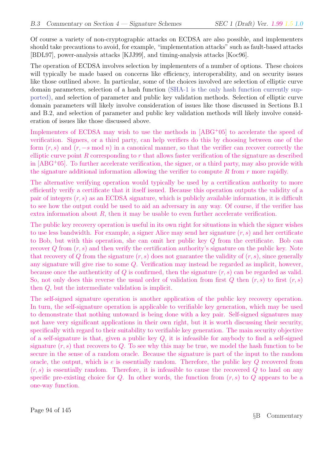Of course a variety of non-cryptographic attacks on ECDSA are also possible, and implementers should take precautions to avoid, for example, "implementation attacks" such as fault-based attacks [BDL97], power-analysis attacks [KJJ99], and timing-analysis attacks [Koc96].

The operation of ECDSA involves selection by implementers of a number of options. These choices will typically be made based on concerns like efficiency, interoperability, and on security issues like those outlined above. In particular, some of the choices involved are selection of elliptic curve domain parameters, selection of a hash function (SHA-1 is the only hash function currently supported), and selection of parameter and public key validation methods. Selection of elliptic curve domain parameters will likely involve consideration of issues like those discussed in Sections B.1 and B.2, and selection of parameter and public key validation methods will likely involve consideration of issues like those discussed above.

Implementers of ECDSA may wish to use the methods in [ABG<sup>+</sup>05] to accelerate the speed of verification. Signers, or a third party, can help verifiers do this by choosing between one of the form  $(r, s)$  and  $(r, -s \mod n)$  in a canonical manner, so that the verifier can recover correctly the elliptic curve point R corresponding to  $r$  that allows faster verification of the signature as described in [ABG<sup>+</sup>05]. To further accelerate verification, the signer, or a third party, may also provide with the signature additional information allowing the verifier to compute  $R$  from  $r$  more rapidly.

The alternative verifying operation would typically be used by a certification authority to more efficiently verify a certificate that it itself issued. Because this operation outputs the validity of a pair of integers  $(r, s)$  as an ECDSA signature, which is publicly available information, it is difficult to see how the output could be used to aid an adversary in any way. Of course, if the verifier has extra information about  $R$ , then it may be usable to even further accelerate verification.

The public key recovery operation is useful in its own right for situations in which the signer wishes to use less bandwidth. For example, a signer Alice may send her signature  $(r, s)$  and her certificate to Bob, but with this operation, she can omit her public key Q from the certificate. Bob can recover  $Q$  from  $(r, s)$  and then verify the certification authority's signature on the public key. Note that recovery of Q from the signature  $(r, s)$  does not guarantee the validity of  $(r, s)$ , since generally any signature will give rise to some Q. Verification may instead be regarded as implicit, however, because once the authenticity of  $Q$  is confirmed, then the signature  $(r, s)$  can be regarded as valid. So, not only does this reverse the usual order of validation from first  $Q$  then  $(r, s)$  to first  $(r, s)$ then Q, but the intermediate validation is implicit.

The self-signed signature operation is another application of the public key recovery operation. In turn, the self-signature operation is applicable to verifiable key generation, which may be used to demonstrate that nothing untoward is being done with a key pair. Self-signed signatures may not have very significant applications in their own right, but it is worth discussing their security, specifically with regard to their suitability to verifiable key generation. The main security objective of a self-signature is that, given a public key  $Q$ , it is infeasible for anybody to find a self-signed signature  $(r, s)$  that recovers to Q. To see why this may be true, we model the hash function to be secure in the sense of a random oracle. Because the signature is part of the input to the random oracle, the output, which is  $e$  is essentially random. Therefore, the public key  $Q$  recovered from  $(r, s)$  is essentially random. Therefore, it is infeasible to cause the recovered Q to land on any specific pre-existing choice for Q. In other words, the function from  $(r, s)$  to Q appears to be a one-way function.

Page 94 of 145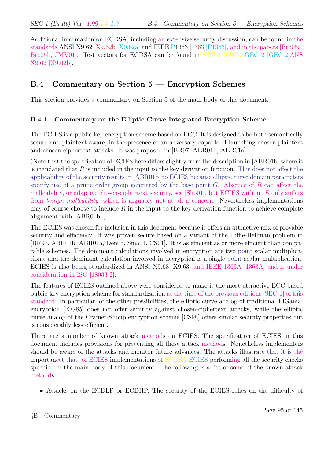Additional information on ECDSA, including an extensive security discussion, can be found in the standards ANSI X9.62 [X9.62b][X9.62a] and IEEE P1363 [1363][P1363], and in the papers [Bro05a, Bro05b, JMV01. Test vectors for ECDSA can be found in SEC 2 [SEC 2]GEC 2 [GEC 2]ANS X9.62 [X9.62b].

## B.4 Commentary on Section 5 — Encryption Schemes

This section provides a commentary on Section 5 of the main body of this document.

#### B.4.1 Commentary on the Elliptic Curve Integrated Encryption Scheme

The ECIES is a public-key encryption scheme based on ECC. It is designed to be both semantically secure and plaintext-aware, in the presence of an adversary capable of launching chosen-plaintext and chosen-ciphertext attacks. It was proposed in [BR97, ABR01b, ABR01a].

(Note that the specification of ECIES here differs slightly from the description in [ABR01b] where it is mandated that  $R$  is included in the input to the key derivation function. This does not affect the applicability of the security results in [ABR01b] to ECIES because elliptic curve domain parameters specify use of a prime order group generated by the base point  $G$ . Absence of  $R$  can affect the malleability, or adaptive chosen-ciphertext security, see [Sho01], but ECIES without  $R$  only suffers from *benign malleability*, which is arguably not at all a concern. Nevertheless implementations may of course choose to include  $R$  in the input to the key derivation function to achieve complete alignment with [ABR01b].)

The ECIES was chosen for inclusion in this document because it offers an attractive mix of provable security and efficiency. It was proven secure based on a variant of the Diffie-Hellman problem in [BR97, ABR01b, ABR01a, Den05, Sma01, CS01]. It is as efficient as or more efficient than comparable schemes. The dominant calculations involved in encryption are two point scalar multiplications, and the dominant calculation involved in decryption is a single point scalar multiplication. ECIES is also being standardized in ANSI X9.63 [X9.63] and IEEE 1363A [1363A] and is under consideration in ISO [18033-2].

The features of ECIES outlined above were considered to make it the most attractive ECC-based public-key encryption scheme for standardization at the time of the previous editions [SEC 1] of this standard. In particular, of the other possibilities, the elliptic curve analog of traditional ElGamal encryption [ElG85] does not offer security against chosen-ciphertext attacks, while the elliptic curve analog of the Cramer-Shoup encryption scheme [CS98] offers similar security properties but is considerably less efficient.

There are a number of known attack methods on ECIES. The specification of ECIES in this document includes provisions for preventing all these attack methods. Nonetheless implementers should be aware of the attacks and monitor future advances. The attacks illustrate that it is the importancet that of ECIES implementations of ECDSA ECIES performing all the security checks specified in the main body of this document. The following is a list of some of the known attack methods:

• Attacks on the ECDLP or ECDHP. The security of the ECIES relies on the difficulty of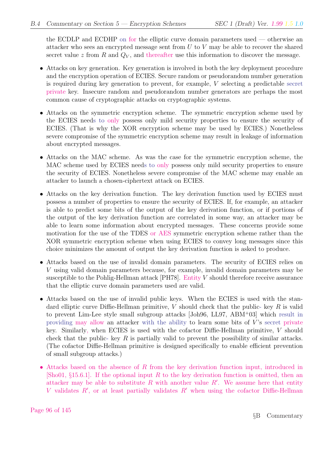the ECDLP and ECDHP on for the elliptic curve domain parameters used — otherwise an attacker who sees an encrypted message sent from  $U$  to  $V$  may be able to recover the shared secret value z from R and  $Q_V$ , and thereafter use this information to discover the message.

- Attacks on key generation. Key generation is involved in both the key deployment procedure and the encryption operation of ECIES. Secure random or pseudorandom number generation is required during key generation to prevent, for example, V selecting a predictable secret private key. Insecure random and pseudorandom number generators are perhaps the most common cause of cryptographic attacks on cryptographic systems.
- Attacks on the symmetric encryption scheme. The symmetric encryption scheme used by the ECIES needs to only possess only mild security properties to ensure the security of ECIES. (That is why the XOR encryption scheme may be used by ECIES.) Nonetheless severe compromise of the symmetric encryption scheme may result in leakage of information about encrypted messages.
- Attacks on the MAC scheme. As was the case for the symmetric encryption scheme, the MAC scheme used by ECIES needs to only possess only mild security properties to ensure the security of ECIES. Nonetheless severe compromise of the MAC scheme may enable an attacker to launch a chosen-ciphertext attack on ECIES.
- Attacks on the key derivation function. The key derivation function used by ECIES must possess a number of properties to ensure the security of ECIES. If, for example, an attacker is able to predict some bits of the output of the key derivation function, or if portions of the output of the key derivation function are correlated in some way, an attacker may be able to learn some information about encrypted messages. These concerns provide some motivation for the use of the TDES or AES symmetric encryption scheme rather than the XOR symmetric encryption scheme when using ECIES to convey long messages since this choice minimizes the amount of output the key derivation function is asked to produce.
- Attacks based on the use of invalid domain parameters. The security of ECIES relies on V using valid domain parameters because, for example, invalid domain parameters may be susceptible to the Pohlig-Hellman attack  $[PH78]$ . Entity V should therefore receive assurance that the elliptic curve domain parameters used are valid.
- Attacks based on the use of invalid public keys. When the ECIES is used with the standard elliptic curve Diffie-Hellman primitive,  $V$  should check that the public- key  $R$  is valid to prevent Lim-Lee style small subgroup attacks [Joh96, LL97, ABM<sup>+</sup>03] which result in providing may allow an attacker with the ability to learn some bits of  $V$ 's secret private key. Similarly, when ECIES is used with the cofactor Diffie-Hellman primitive, V should check that the public- key  $R$  is partially valid to prevent the possibility of similar attacks. (The cofactor Diffie-Hellman primitive is designed specifically to enable efficient prevention of small subgroup attacks.)
- Attacks based on the absence of R from the key derivation function input, introduced in [Sho01, §15.6.1]. If the optional input R to the key derivation function is omitted, then an attacker may be able to substitute  $R$  with another value  $R'$ . We assume here that entity V validates  $R'$ , or at least partially validates  $R'$  when using the cofactor Diffie-Hellman

Page 96 of 145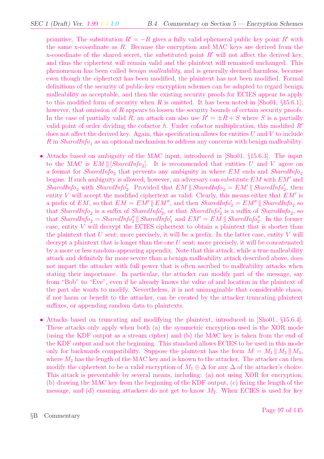primitive. The substitution  $R' = -R$  gives a fully valid ephemeral public key point R' with the same x-coordinate as  $R$ . Because the encryption and MAC keys are derived from the x-coordinate of the shared secret, the substituted point  $R'$  will not affect the derived key, and thus the ciphertext will remain valid and the plaintext will remained unchanged. This phenomenon has been called benign malleability, and is generally deemed harmless, because even though the ciphertext has been modified, the plaintext has not been modified. Formal definitions of the security of public-key encryption schemes can be adapted to regard benign malleability as acceptable, and then the existing security proofs for ECIES appear to apply to this modified form of security when R is omitted. It has been noted in  $\lvert \text{Sho01}, \S 15.6.1 \rvert$ , however, that omission of R appears to loosen the security bounds of certain security proofs. In the case of partially valid R, an attack can also use  $R' = \pm R + S$  where S is a partially valid point of order dividing the cofactor h. Under cofactor multiplication, this modified  $R<sup>0</sup>$ does not affect the derived key. Again, this specification allows for entities  $U$  and  $V$  to include R in SharedInfo<sub>1</sub> as an optional mechanism to address any concerns with benign malleability.

- Attacks based on ambiguity of the MAC input, introduced in [Sho01, §15.6.3]. The input to the MAC is  $EM \parallel [SharedInfo_2]$ . It is recommended that entities U and V agree on a format for  $sharedInfo_2$  that prevents any ambiguity in where  $EM$  ends and  $SharedInfo_2$ begins. If such ambiguity is allowed, however, an adversary can substitute  $EM$  with  $EM'$  and SharedInfo<sub>2</sub> with SharedInfo'<sub>2</sub>. Provided that  $EM \parallel SharedInfo_2 = EM' \parallel SharedInfo'_2$ , then entity V will accept the modified ciphertext as valid. Clearly, this means either that  $EM'$  is a prefix of EM, so that  $EM = EM' \parallel EM''$ , and then  $SharedInfo_2' = EM'' \parallel SharedInfo_2$  so that SharedInfo<sub>2</sub> is a suffix of SharedInfo'<sub>2</sub>, or that SharedInfo'<sub>2</sub> is a suffix of SharedInfo<sub>2</sub>, so that SharedInfo<sub>2</sub> = SharedInfo<sup>n</sup>' SharedInfo<sup>n</sup><sub>1</sub> and  $EM' = EM \parallel SharedInfo_2''$ . In the former case, entity V will decrypt the ECIES ciphertext to obtain a plaintext that is shorter than the plaintext that  $U$  sent; more precisely, it will be a prefix. In the latter case, entity  $V$  will decrypt a plaintext that is longer than the one  $U$  sent; more precisely, it will be concatenated by a more or less random-appearing appendix. Note that this attack, while a true malleability attack and definitely far more severe than a benign malleability attack described above, does not impart the attacker with full power that is often ascribed to malleability attacks when stating their importance. In particular, the attacker can modify part of the message, say from "Bob" to "Eve", even if he already knows the value of and location in the plaintext of the part she wants to modify. Nevertheless, it is not unimaginable that considerable chaos, if not harm or benefit to the attacker, can be created by the attacker truncating plaintext suffixes, or appending random data to plaintexts.
- Attacks based on truncating and modifying the plaintext, introduced in [Sho01, §15.6.4]. These attacks only apply when both (a) the symmetric encryption used is the XOR mode (using the KDF output as a stream cipher) and (b) the MAC key is taken from the end of the KDF output and not the beginning. This standard allows ECIES to be used in this mode only for backwards compatibility. Suppose the plaintext has the form  $M = M_1 || M_2 || M_3$ , where  $M_2$  has the length of the MAC key and is known to the attacker. The attacker can then modify the ciphertext to be a valid encryption of  $M_1 \oplus \Delta$  for any  $\Delta$  of the attacker's choice. This attack is preventable by several means, including: (a) not using XOR for encryption, (b) drawing the MAC key from the beginning of the KDF output, (c) fixing the length of the message, and (d) ensuring attackers do not get to know  $M_2$ . When ECIES is used for key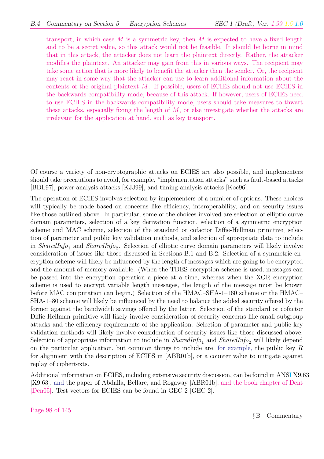transport, in which case M is a symmetric key, then M is expected to have a fixed length and to be a secret value, so this attack would not be feasible. It should be borne in mind that in this attack, the attacker does not learn the plaintext directly. Rather, the attacker modifies the plaintext. An attacker may gain from this in various ways. The recipient may take some action that is more likely to benefit the attacker then the sender. Or, the recipient may react in some way that the attacker can use to learn additional information about the contents of the original plaintext  $M$ . If possible, users of ECIES should not use ECIES in the backwards compatibility mode, because of this attack. If however, users of ECIES need to use ECIES in the backwards compatibility mode, users should take measures to thwart these attacks, especially fixing the length of  $M$ , or else investigate whether the attacks are irrelevant for the application at hand, such as key transport.

Of course a variety of non-cryptographic attacks on ECIES are also possible, and implementers should take precautions to avoid, for example, "implementation attacks" such as fault-based attacks [BDL97], power-analysis attacks [KJJ99], and timing-analysis attacks [Koc96].

The operation of ECIES involves selection by implementers of a number of options. These choices will typically be made based on concerns like efficiency, interoperability, and on security issues like those outlined above. In particular, some of the choices involved are selection of elliptic curve domain parameters, selection of a key derivation function, selection of a symmetric encryption scheme and MAC scheme, selection of the standard or cofactor Diffie-Hellman primitive, selection of parameter and public key validation methods, and selection of appropriate data to include in SharedInfo<sub>1</sub> and SharedInfo<sub>2</sub>. Selection of elliptic curve domain parameters will likely involve consideration of issues like those discussed in Sections B.1 and B.2. Selection of a symmetric encryption scheme will likely be influenced by the length of messages which are going to be encrypted and the amount of memory available. (When the TDES encryption scheme is used, messages can be passed into the encryption operation a piece at a time, whereas when the XOR encryption scheme is used to encrypt variable length messages, the length of the message must be known before MAC computation can begin.) Selection of the HMAC–SHA-1–160 scheme or the HMAC– SHA-1–80 scheme will likely be influenced by the need to balance the added security offered by the former against the bandwidth savings offered by the latter. Selection of the standard or cofactor Diffie-Hellman primitive will likely involve consideration of security concerns like small subgroup attacks and the efficiency requirements of the application. Selection of parameter and public key validation methods will likely involve consideration of security issues like those discussed above. Selection of appropriate information to include in  $sharedInfo_1$  and  $SharedInfo_2$  will likely depend on the particular application, but common things to include are, for example, the public key  $R$ for alignment with the description of ECIES in [ABR01b], or a counter value to mitigate against replay of ciphertexts.

Additional information on ECIES, including extensive security discussion, can be found in ANSI X9.63 [X9.63], and the paper of Abdalla, Bellare, and Rogaway [ABR01b], and the book chapter of Dent [Den05]. Test vectors for ECIES can be found in GEC 2 [GEC 2].

Page 98 of 145

§B Commentary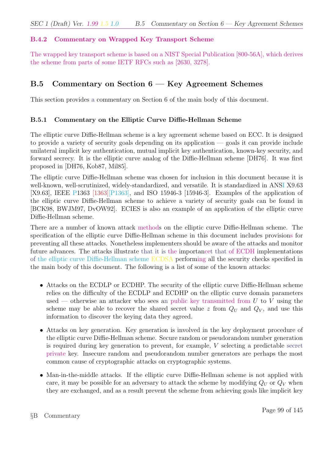### B.4.2 Commentary on Wrapped Key Transport Scheme

The wrapped key transport scheme is based on a NIST Special Publication [800-56A], which derives the scheme from parts of some IETF RFCs such as [2630, 3278].

## B.5 Commentary on Section 6 — Key Agreement Schemes

This section provides a commentary on Section 6 of the main body of this document.

#### B.5.1 Commentary on the Elliptic Curve Diffie-Hellman Scheme

The elliptic curve Diffie-Hellman scheme is a key agreement scheme based on ECC. It is designed to provide a variety of security goals depending on its application — goals it can provide include unilateral implicit key authentication, mutual implicit key authentication, known-key security, and forward secrecy. It is the elliptic curve analog of the Diffie-Hellman scheme [DH76]. It was first proposed in [DH76, Kob87, Mil85].

The elliptic curve Diffie-Hellman scheme was chosen for inclusion in this document because it is well-known, well-scrutinized, widely-standardized, and versatile. It is standardized in ANSI X9.63 [X9.63], IEEE P1363 [1363][P1363], and ISO 15946-3 [15946-3]. Examples of the application of the elliptic curve Diffie-Hellman scheme to achieve a variety of security goals can be found in [BCK98, BWJM97, DvOW92]. ECIES is also an example of an application of the elliptic curve Diffie-Hellman scheme.

There are a number of known attack methods on the elliptic curve Diffie-Hellman scheme. The specification of the elliptic curve Diffie-Hellman scheme in this document includes provisions for preventing all these attacks. Nonetheless implementers should be aware of the attacks and monitor future advances. The attacks illustrate that it is the importancet that of ECDH implementations of the elliptic curve Diffie-Hellman scheme ECDSA performing all the security checks specified in the main body of this document. The following is a list of some of the known attacks:

- Attacks on the ECDLP or ECDHP. The security of the elliptic curve Diffie-Hellman scheme relies on the difficulty of the ECDLP and ECDHP on the elliptic curve domain parameters used — otherwise an attacker who sees an public key transmitted from  $U$  to  $V$  using the scheme may be able to recover the shared secret value z from  $Q_U$  and  $Q_V$ , and use this information to discover the keying data they agreed.
- Attacks on key generation. Key generation is involved in the key deployment procedure of the elliptic curve Diffie-Hellman scheme. Secure random or pseudorandom number generation is required during key generation to prevent, for example, V selecting a predictable secret private key. Insecure random and pseudorandom number generators are perhaps the most common cause of cryptographic attacks on cryptographic systems.
- Man-in-the-middle attacks. If the elliptic curve Diffie-Hellman scheme is not applied with care, it may be possible for an adversary to attack the scheme by modifying  $Q_U$  or  $Q_V$  when they are exchanged, and as a result prevent the scheme from achieving goals like implicit key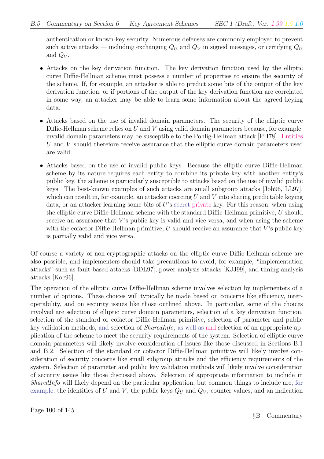authentication or known-key security. Numerous defenses are commonly employed to prevent such active attacks — including exchanging  $Q_U$  and  $Q_V$  in signed messages, or certifying  $Q_U$ and  $Q_V$ .

- Attacks on the key derivation function. The key derivation function used by the elliptic curve Diffie-Hellman scheme must possess a number of properties to ensure the security of the scheme. If, for example, an attacker is able to predict some bits of the output of the key derivation function, or if portions of the output of the key derivation function are correlated in some way, an attacker may be able to learn some information about the agreed keying data.
- Attacks based on the use of invalid domain parameters. The security of the elliptic curve Diffie-Hellman scheme relies on  $U$  and  $V$  using valid domain parameters because, for example, invalid domain parameters may be susceptible to the Pohlig-Hellman attack [PH78]. Entities U and V should therefore receive assurance that the elliptic curve domain parameters used are valid.
- Attacks based on the use of invalid public keys. Because the elliptic curve Diffie-Hellman scheme by its nature requires each entity to combine its private key with another entity's public key, the scheme is particularly susceptible to attacks based on the use of invalid public keys. The best-known examples of such attacks are small subgroup attacks [Joh96, LL97], which can result in, for example, an attacker coercing  $U$  and  $V$  into sharing predictable keying data, or an attacker learning some bits of  $U$ 's secret private key. For this reason, when using the elliptic curve Diffie-Hellman scheme with the standard Diffie-Hellman primitive, U should receive an assurance that  $V$ 's public key is valid and vice versa, and when using the scheme with the cofactor Diffie-Hellman primitive,  $U$  should receive an assurance that  $V$ 's public key is partially valid and vice versa.

Of course a variety of non-cryptographic attacks on the elliptic curve Diffie-Hellman scheme are also possible, and implementers should take precautions to avoid, for example, "implementation attacks" such as fault-based attacks [BDL97], power-analysis attacks [KJJ99], and timing-analysis attacks [Koc96].

The operation of the elliptic curve Diffie-Hellman scheme involves selection by implementers of a number of options. These choices will typically be made based on concerns like efficiency, interoperability, and on security issues like those outlined above. In particular, some of the choices involved are selection of elliptic curve domain parameters, selection of a key derivation function, selection of the standard or cofactor Diffie-Hellman primitive, selection of parameter and public key validation methods, and selection of *SharedInfo*, as well as and selection of an appropriate application of the scheme to meet the security requirements of the system. Selection of elliptic curve domain parameters will likely involve consideration of issues like those discussed in Sections B.1 and B.2. Selection of the standard or cofactor Diffie-Hellman primitive will likely involve consideration of security concerns like small subgroup attacks and the efficiency requirements of the system. Selection of parameter and public key validation methods will likely involve consideration of security issues like those discussed above. Selection of appropriate information to include in SharedInfo will likely depend on the particular application, but common things to include are, for example, the identities of U and V, the public keys  $Q_U$  and  $Q_V$ , counter values, and an indication

Page 100 of 145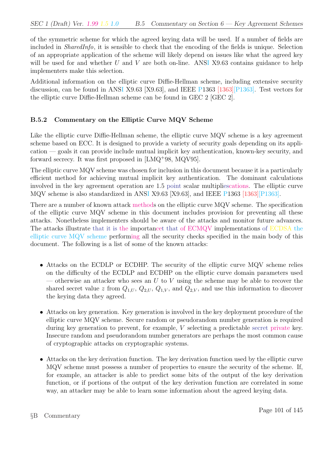of the symmetric scheme for which the agreed keying data will be used. If a number of fields are included in SharedInfo, it is sensible to check that the encoding of the fields is unique. Selection of an appropriate application of the scheme will likely depend on issues like what the agreed key will be used for and whether U and V are both on-line. ANSI X9.63 contains guidance to help implementers make this selection.

Additional information on the elliptic curve Diffie-Hellman scheme, including extensive security discussion, can be found in ANSI X9.63 [X9.63], and IEEE P1363 [1363][P1363]. Test vectors for the elliptic curve Diffie-Hellman scheme can be found in GEC 2 [GEC 2].

## B.5.2 Commentary on the Elliptic Curve MQV Scheme

Like the elliptic curve Diffie-Hellman scheme, the elliptic curve MQV scheme is a key agreement scheme based on ECC. It is designed to provide a variety of security goals depending on its application — goals it can provide include mutual implicit key authentication, known-key security, and forward secrecy. It was first proposed in [LMQ<sup>+</sup>98, MQV95].

The elliptic curve MQV scheme was chosen for inclusion in this document because it is a particularly efficient method for achieving mutual implicit key authentication. The dominant calculations involved in the key agreement operation are 1.5 point scalar multipliescations. The elliptic curve MQV scheme is also standardized in ANSI X9.63 [X9.63], and IEEE P1363 [1363][P1363].

There are a number of known attack methods on the elliptic curve MQV scheme. The specification of the elliptic curve MQV scheme in this document includes provision for preventing all these attacks. Nonetheless implementers should be aware of the attacks and monitor future advances. The attacks illustrate that it is the importancet that of ECMQV implementations of ECDSA the elliptic curve MQV scheme performing all the security checks specified in the main body of this document. The following is a list of some of the known attacks:

- Attacks on the ECDLP or ECDHP. The security of the elliptic curve MQV scheme relies on the difficulty of the ECDLP and ECDHP on the elliptic curve domain parameters used — otherwise an attacker who sees an U to V using the scheme may be able to recover the shared secret value z from  $Q_{1,U}$ ,  $Q_{2,U}$ ,  $Q_{1,V}$ , and  $Q_{2,V}$ , and use this information to discover the keying data they agreed.
- Attacks on key generation. Key generation is involved in the key deployment procedure of the elliptic curve MQV scheme. Secure random or pseudorandom number generation is required during key generation to prevent, for example, V selecting a predictable secret private key. Insecure random and pseudorandom number generators are perhaps the most common cause of cryptographic attacks on cryptographic systems.
- Attacks on the key derivation function. The key derivation function used by the elliptic curve MQV scheme must possess a number of properties to ensure the security of the scheme. If, for example, an attacker is able to predict some bits of the output of the key derivation function, or if portions of the output of the key derivation function are correlated in some way, an attacker may be able to learn some information about the agreed keying data.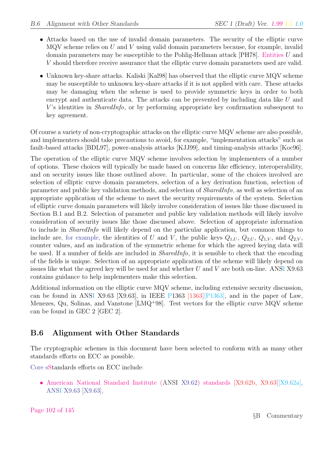- Attacks based on the use of invalid domain parameters. The security of the elliptic curve MQV scheme relies on  $U$  and  $V$  using valid domain parameters because, for example, invalid domain parameters may be susceptible to the Pohlig-Hellman attack [PH78]. Entities U and V should therefore receive assurance that the elliptic curve domain parameters used are valid.
- Unknown key-share attacks. Kaliski [Kal98] has observed that the elliptic curve MQV scheme may be susceptible to unknown key-share attacks if it is not applied with care. These attacks may be damaging when the scheme is used to provide symmetric keys in order to both encrypt and authenticate data. The attacks can be prevented by including data like U and V's identities in *SharedInfo*, or by performing appropriate key confirmation subsequent to key agreement.

Of course a variety of non-cryptographic attacks on the elliptic curve MQV scheme are also possible, and implementers should take precautions to avoid, for example, "implementation attacks" such as fault-based attacks [BDL97], power-analysis attacks [KJJ99], and timing-analysis attacks [Koc96].

The operation of the elliptic curve MQV scheme involves selection by implementers of a number of options. These choices will typically be made based on concerns like efficiency, interoperability, and on security issues like those outlined above. In particular, some of the choices involved are selection of elliptic curve domain parameters, selection of a key derivation function, selection of parameter and public key validation methods, and selection of SharedInfo, as well as selection of an appropriate application of the scheme to meet the security requirements of the system. Selection of elliptic curve domain parameters will likely involve consideration of issues like those discussed in Section B.1 and B.2. Selection of parameter and public key validation methods will likely involve consideration of security issues like those discussed above. Selection of appropriate information to include in SharedInfo will likely depend on the particular application, but common things to include are, for example, the identities of U and V, the public keys  $Q_{1,U}$ ,  $Q_{2,U}$ ,  $Q_{1,V}$ , and  $Q_{2,V}$ , counter values, and an indication of the symmetric scheme for which the agreed keying data will be used. If a number of fields are included in SharedInfo, it is sensible to check that the encoding of the fields is unique. Selection of an appropriate application of the scheme will likely depend on issues like what the agreed key will be used for and whether  $U$  and  $V$  are both on-line. ANSI X9.63 contains guidance to help implementers make this selection.

Additional information on the elliptic curve MQV scheme, including extensive security discussion, can be found in ANSI X9.63 [X9.63], in IEEE P1363 [1363][P1363], and in the paper of Law, Menezes, Qu, Solinas, and Vanstone [LMQ<sup>+</sup>98]. Test vectors for the elliptic curve MQV scheme can be found in GEC 2 [GEC 2].

## B.6 Alignment with Other Standards

The cryptographic schemes in this document have been selected to conform with as many other standards efforts on ECC as possible.

Core sStandards efforts on ECC include:

• American National Standard Institute (ANSI X9.62) standards [X9.62b, X9.63][X9.62a], ANSI X9.63 [X9.63],

Page 102 of 145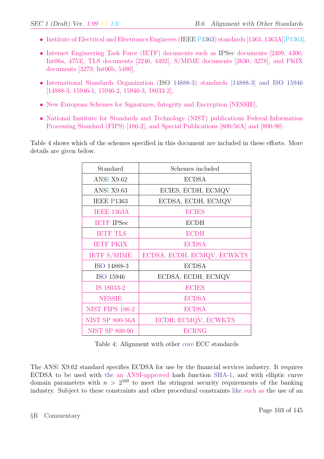- Institute of Electrical and Electronics Engineers (IEEE P1363) standards [1363, 1363A][P1363],
- Internet Engineering Task Force (IETF) documents such as IPSec documents [2409, 4306, Int06a, 4753], TLS documents [2246, 4492], S/MIME documents [2630, 3278], and PKIX documents [3279, Int06b, 5480],
- International Standards Organization (ISO 14888-3) standards [14888-3] and ISO 15946 [14888-3, 15946-1, 15946-2, 15946-3, 18033-2],
- New European Schemes for Signatures, Integrity and Encryption [NESSIE],
- National Institute for Standards and Technology (NIST) publications Federal Information Processing Standard (FIPS) [186-2], and Special Publications [800-56A] and [800-90].

Table 4 shows which of the schemes specified in this document are included in these efforts. More details are given below.

| Standard               | Schemes included           |
|------------------------|----------------------------|
| ANSI X9.62             | <b>ECDSA</b>               |
| ANSI X9.63             | ECIES, ECDH, ECMQV         |
| <b>IEEE P1363</b>      | ECDSA, ECDH, ECMQV         |
| <b>IEEE 1363A</b>      | <b>ECIES</b>               |
| <b>IETF IPSec</b>      | <b>ECDH</b>                |
| <b>IETH TLS</b>        | <b>ECDH</b>                |
| <b>IETF PKIX</b>       | <b>ECDSA</b>               |
| <b>IETF S/MIME</b>     | ECDSA, ECDH, ECMQV, ECWKTS |
| ISO 14888-3            | <b>ECDSA</b>               |
| ISO 15946              | ECDSA, ECDH, ECMQV         |
| IS 18033-2             | <b>ECIES</b>               |
| <b>NESSIE</b>          | <b>ECDSA</b>               |
| <b>NIST FIPS 186-2</b> | <b>ECDSA</b>               |
| <b>NIST SP 800-56A</b> | ECDH, ECMQV, ECWKTS        |
| <b>NIST SP 800-90</b>  | <b>ECRNG</b>               |

Table 4: Alignment with other core ECC standards

The ANSI X9.62 standard specifies ECDSA for use by the financial services industry. It requires ECDSA to be used with the an ANSI-approved hash function SHA-1, and with elliptic curve domain parameters with  $n > 2^{160}$  to meet the stringent security requirements of the banking industry. Subject to these constraints and other procedural constraints like such as the use of an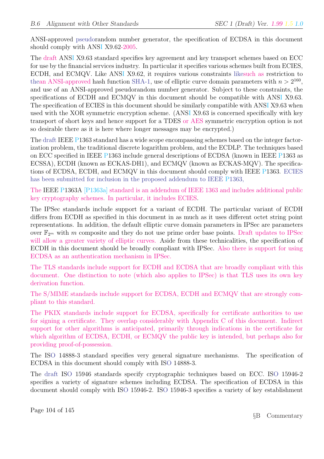ANSI-approved pseudorandom number generator, the specification of ECDSA in this document should comply with ANSI X9.62-2005.

The draft ANSI X9.63 standard specifies key agreement and key transport schemes based on ECC for use by the financial services industry. In particular it specifies various schemes built from ECIES, ECDH, and ECMQV. Like ANSI X9.62, it requires various constraints likesuch as restriction to thean ANSI-approved hash function SHA-1, use of elliptic curve domain parameters with  $n > 2^{160}$ , and use of an ANSI-approved pseudorandom number generator. Subject to these constraints, the specifications of ECDH and ECMQV in this document should be compatible with ANSI X9.63. The specification of ECIES in this document should be similarly compatible with ANSI X9.63 when used with the XOR symmetric encryption scheme. (ANSI X9.63 is concerned specifically with key transport of short keys and hence support for a TDES or AES symmetric encryption option is not so desirable there as it is here where longer messages may be encrypted.)

The draft IEEE P1363 standard has a wide scope encompassing schemes based on the integer factorization problem, the traditional discrete logarithm problem, and the ECDLP. The techniques based on ECC specified in IEEE P1363 include general descriptions of ECDSA (known in IEEE P1363 as ECSSA), ECDH (known as ECKAS-DH1), and ECMQV (known as ECKAS-MQV). The specifications of ECDSA, ECDH, and ECMQV in this document should comply with IEEE P1363. ECIES has been submitted for inclusion in the proposed addendum to IEEE P1363,

The IEEE P1363A [P1363a] standard is an addendum of IEEE 1363 and includes additional public key cryptography schemes. In particular, it includes ECIES.

The IPSec standards include support for a variant of ECDH. The particular variant of ECDH differs from ECDH as specified in this document in as much as it uses different octet string point representations. In addition, the default elliptic curve domain parameters in IPSec are parameters over  $\mathbb{F}_{2^m}$  with m composite and they do not use prime order base points. Draft updates to IPSec will allow a greater variety of elliptic curves. Aside from these technicalities, the specification of ECDH in this document should be broadly compliant with IPSec. Also there is support for using ECDSA as an authentication mechanism in IPSec.

The TLS standards include support for ECDH and ECDSA that are broadly compliant with this document. One distinction to note (which also applies to IPSec) is that TLS uses its own key derivation function.

The S/MIME standards include support for ECDSA, ECDH and ECMQV that are strongly compliant to this standard.

The PKIX standards include support for ECDSA, specifically for certificate authorities to use for signing a certificate. They overlap considerably with Appendix C of this document. Indirect support for other algorithms is anticipated, primarily through indications in the certificate for which algorithm of ECDSA, ECDH, or ECMQV the public key is intended, but perhaps also for providing proof-of-possession.

The ISO 14888-3 standard specifies very general signature mechanisms. The specification of ECDSA in this document should comply with ISO 14888-3.

The draft ISO 15946 standards specify cryptographic techniques based on ECC. ISO 15946-2 specifies a variety of signature schemes including ECDSA. The specification of ECDSA in this document should comply with ISO 15946-2. ISO 15946-3 specifies a variety of key establishment

Page 104 of 145

§B Commentary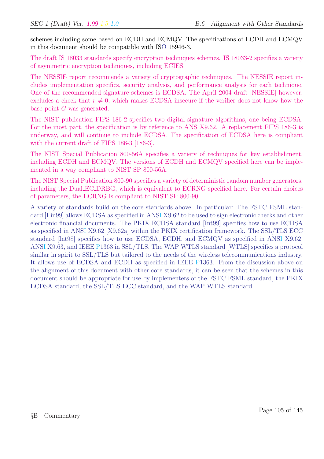schemes including some based on ECDH and ECMQV. The specifications of ECDH and ECMQV in this document should be compatible with ISO 15946-3.

The draft IS 18033 standards specify encryption techniques schemes. IS 18033-2 specifies a variety of asymmetric encryption techniques, including ECIES.

The NESSIE report recommends a variety of cryptographic techniques. The NESSIE report includes implementation specifics, security analysis, and performance analysis for each technique. One of the recommended signature schemes is ECDSA. The April 2004 draft [NESSIE] however, excludes a check that  $r \neq 0$ , which makes ECDSA insecure if the verifier does not know how the base point G was generated.

The NIST publication FIPS 186-2 specifies two digital signature algorithms, one being ECDSA. For the most part, the specification is by reference to ANS X9.62. A replacement FIPS 186-3 is underway, and will continue to include ECDSA. The specification of ECDSA here is compliant with the current draft of FIPS 186-3 [186-3].

The NIST Special Publication 800-56A specifies a variety of techniques for key establishment, including ECDH and ECMQV. The versions of ECDH and ECMQV specified here can be implemented in a way compliant to NIST SP 800-56A.

The NIST Special Publication 800-90 specifies a variety of deterministic random number generators, including the Dual EC DRBG, which is equivalent to ECRNG specified here. For certain choices of parameters, the ECRNG is compliant to NIST SP 800-90.

A variety of standards build on the core standards above. In particular: The FSTC FSML standard [Fin99] allows ECDSA as specified in ANSI X9.62 to be used to sign electronic checks and other electronic financial documents. The PKIX ECDSA standard [Int99] specifies how to use ECDSA as specified in ANSI X9.62 [X9.62a] within the PKIX certification framework. The SSL/TLS ECC standard [Int98] specifies how to use ECDSA, ECDH, and ECMQV as specified in ANSI X9.62, ANSI X9.63, and IEEE P1363 in SSL/TLS. The WAP WTLS standard [WTLS] specifies a protocol similar in spirit to SSL/TLS but tailored to the needs of the wireless telecommunications industry. It allows use of ECDSA and ECDH as specified in IEEE P1363. From the discussion above on the alignment of this document with other core standards, it can be seen that the schemes in this document should be appropriate for use by implementers of the FSTC FSML standard, the PKIX ECDSA standard, the SSL/TLS ECC standard, and the WAP WTLS standard.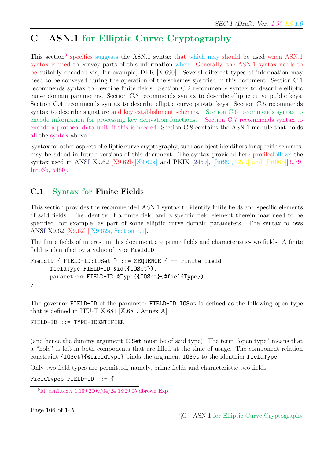# C ASN.1 for Elliptic Curve Cryptography

This section<sup>9</sup> specifies suggests the ASN.1 syntax that which may should be used when ASN.1 syntax is used to convey parts of this information when. Generally, the ASN.1 syntax needs to be suitably encoded via, for example, DER [X.690]. Several different types of information may need to be conveyed during the operation of the schemes specified in this document. Section C.1 recommends syntax to describe finite fields. Section C.2 recommends syntax to describe elliptic curve domain parameters. Section C.3 recommends syntax to describe elliptic curve public keys. Section C.4 recommends syntax to describe elliptic curve private keys. Section C.5 recommends syntax to describe signature and key establishment schemes. Section C.6 recommends syntax to encode information for processing key derivation functions. Section C.7 recommends syntax to encode a protocol data unit, if this is needed. Section C.8 contains the ASN.1 module that holds all the syntax above.

Syntax for other aspects of elliptic curve cryptography, such as object identifiers for specific schemes, may be added in future versions of this document. The syntax provided here profilesfollows the syntax used in ANSI X9.62 [X9.62b][X9.62a] and PKIX [2459], [Int99],[3279] and [Int06b][3279, Int06b, 5480].

## C.1 Syntax for Finite Fields

This section provides the recommended ASN.1 syntax to identify finite fields and specific elements of said fields. The identity of a finite field and a specific field element therein may need to be specified, for example, as part of some elliptic curve domain parameters. The syntax follows ANSI X9.62 [X9.62b][X9.62a, Section 7.1].

The finite fields of interest in this document are prime fields and characteristic-two fields. A finite field is identified by a value of type FieldID:

```
FieldID { FIELD-ID:IOSet } ::= SEQUENCE { -- Finite field
      fieldType FIELD-ID.&id({IOSet}),
      parameters FIELD-ID.&Type({IOSet}{@fieldType})
}
```
The governor FIELD-ID of the parameter FIELD-ID:IOSet is defined as the following open type that is defined in ITU-T X.681 [X.681, Annex A].

FIELD-ID ::= TYPE-IDENTIFIER

(and hence the dummy argument IOSet must be of said type). The term "open type" means that a "hole" is left in both components that are filled at the time of usage. The component relation constraint {IOSet}{@fieldType} binds the argument IOSet to the identifier fieldType.

Only two field types are permitted, namely, prime fields and characteristic-two fields.

FieldTypes FIELD-ID ::= {

<sup>&</sup>lt;sup>9</sup>Id: asn1.tex, v 1.109 2009/04/24 18:29:05 dbrown Exp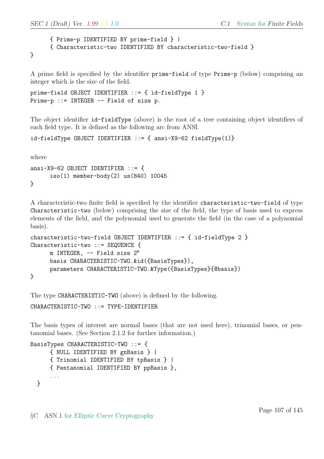```
{ Prime-p IDENTIFIED BY prime-field } |
{ Characteristic-two IDENTIFIED BY characteristic-two-field }
```
A prime field is specified by the identifier prime-field of type Prime-p (below) comprising an integer which is the size of the field.

```
prime-field OBJECT IDENTIFIER ::= { id-fieldType 1 }
Prime-p ::= INTEGER -- Field of size p.
```
The object identifier id-fieldType (above) is the root of a tree containing object identifiers of each field type. It is defined as the following arc from ANSI.

id-fieldType OBJECT IDENTIFIER ::= { ansi-X9-62 fieldType(1)}

where

}

```
ansi-X9-62 OBJECT IDENTIFIER ::= {
      iso(1) member-body(2) us(840) 10045
}
```
A characteristic-two finite field is specified by the identifier characteristic-two-field of type Characteristic-two (below) comprising the size of the field, the type of basis used to express elements of the field, and the polynomial used to generate the field (in the case of a polynomial basis).

```
characteristic-two-field OBJECT IDENTIFIER ::= { id-fieldType 2 }
Characteristic-two ::= SEQUENCE {
     m INTEGER, -- Field size 2m
     basis CHARACTERISTIC-TWO.&id({BasisTypes}),
     parameters CHARACTERISTIC-TWO.&Type({BasisTypes}{@basis})
}
```
The type CHARACTERISTIC-TWO (above) is defined by the following.

CHARACTERISTIC-TWO ::= TYPE-IDENTIFIER

The basis types of interest are normal bases (that are not used here), trinomial bases, or pentanomial bases. (See Section 2.1.2 for further information.)

```
BasisTypes CHARACTERISTIC-TWO ::= {
      { NULL IDENTIFIED BY gnBasis } |
      { Trinomial IDENTIFIED BY tpBasis } |
      { Pentanomial IDENTIFIED BY ppBasis },
      ...
  }
```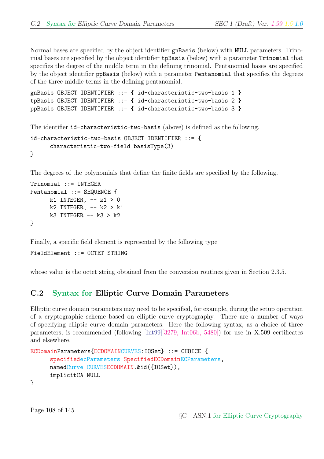Normal bases are specified by the object identifier gnBasis (below) with NULL parameters. Trinomial bases are specified by the object identifier tpBasis (below) with a parameter Trinomial that specifies the degree of the middle term in the defining trinomial. Pentanomial bases are specified by the object identifier ppBasis (below) with a parameter Pentanomial that specifies the degrees of the three middle terms in the defining pentanomial.

```
gnBasis OBJECT IDENTIFIER ::= { id-characteristic-two-basis 1 }
tpBasis OBJECT IDENTIFIER ::= { id-characteristic-two-basis 2 }
ppBasis OBJECT IDENTIFIER ::= { id-characteristic-two-basis 3 }
```
The identifier id-characteristic-two-basis (above) is defined as the following.

```
id-characteristic-two-basis OBJECT IDENTIFIER ::= {
     characteristic-two-field basisType(3)
```

```
}
```
The degrees of the polynomials that define the finite fields are specified by the following.

```
Trinomial ::= INTEGER
Pentanomial ::= SEQUENCE {
     k1 INTEGER, - k1 > 0
     k2 INTEGER, - k2 > k1k3 INTEGER - - k3 > k2}
```
Finally, a specific field element is represented by the following type

FieldElement ::= OCTET STRING

whose value is the octet string obtained from the conversion routines given in Section 2.3.5.

#### C.2 Syntax for Elliptic Curve Domain Parameters

Elliptic curve domain parameters may need to be specified, for example, during the setup operation of a cryptographic scheme based on elliptic curve cryptography. There are a number of ways of specifying elliptic curve domain parameters. Here the following syntax, as a choice of three parameters, is recommended (following [Int99][3279, Int06b, 5480]) for use in X.509 certificates and elsewhere.

```
ECDomainParameters{ECDOMAINCURVES:IOSet} ::= CHOICE {
     specifiedecParameters SpecifiedECDomainECParameters,
     namedCurve CURVESECDOMAIN.&id({IOSet}),
     implicitCA NULL
```

```
}
```
Page 108 of 145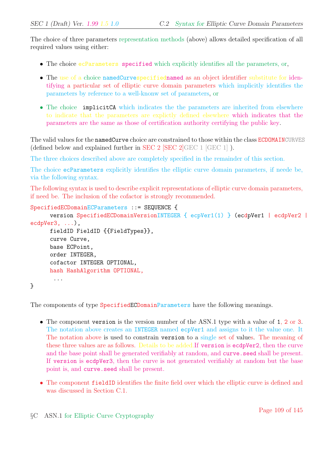The choice of three parameters representation methods (above) allows detailed specification of all required values using either:

- The choice ecParameters specified which explicitly identifies all the parameters, or,
- The use of a choice namedCurvespecifiednamed as an object identifier substitute for identifying a particular set of elliptic curve domain parameters which implicitly identifies the parameters by reference to a well-knonw set of parameters, or
- The choice implicitCA which indicates the the parameters are inherited from elsewhere to indicate that the parameters are explictly defined elsewhere which indicates that the parameters are the same as those of certification authority certifying the public key.

The valid values for the namedCurve choice are constrained to those within the class ECDOMAINCURVES (defined below and explained further in SEC 2 [SEC 2]  $GEC 1$  [GEC 1] ).

The three choices described above are completely specified in the remainder of this section.

The choice ecParameters explicitly identifies the elliptic curve domain parameters, if neede be, via the following syntax.

The following syntax is used to describe explicit representations of elliptic curve domain parameters, if need be. The inclusion of the cofactor is strongly recommended.

```
SpecifiedECDomainECParameters ::= SEQUENCE {
      version SpecifiedECDomainVersionINTEGER { ecpVer1(1) } (ecdpVer1 | ecdpVer2 |
ecdpVer3, ...),
      fieldID FieldID {{FieldTypes}},
      curve Curve,
      base ECPoint,
      order INTEGER,
      cofactor INTEGER OPTIONAL,
      hash HashAlgorithm OPTIONAL,
       ...
}
```
The components of type SpecifiedECDomainParameters have the following meanings.

- The component version is the version number of the ASN.1 type with a value of 1, 2 or 3. The notation above creates an INTEGER named ecpVer1 and assigns to it the value one. It The notation above is used to constrain version to a single set of values. The meaning of these three values are as follows. Details to be added.If version is ecdpVer2, then the curve and the base point shall be generated verifiably at random, and curve, seed shall be present. If version is ecdpVer3, then the curve is not generated verifiably at random but the base point is, and curve.seed shall be present.
- The component fieldID identifies the finite field over which the elliptic curve is defined and was discussed in Section C.1.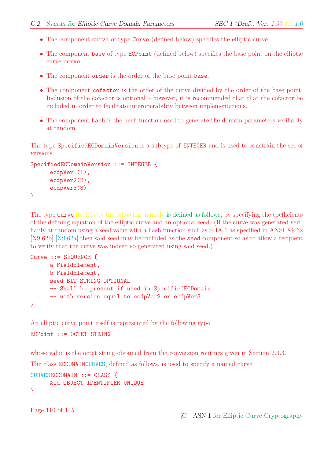- The component curve of type Curve (defined below) specifies the elliptic curve.
- The component base of type ECPoint (defined below) specifies the base point on the elliptic curve curve.
- The component order is the order of the base point base.
- The component cofactor is the order of the curve divided by the order of the base point. Inclusion of the cofactor is optional – however, it is recommended that that the cofactor be included in order to facilitate interoperability between implementations.
- The component hash is the hash function used to generate the domain parameters verifiably at random.

The type SpecifiedECDomainVersion is a subtype of INTEGER and is used to constrain the set of versions.

```
SpecifiedECDomainVersion ::= INTEGER {
      ecdpVer1(1),
      ecdpVer2(2),
      ecdpVer3(3)
}
```
The type Curve itself is by the following, namely is defined as follows, by specifying the coefficients of the defining equation of the elliptic curve and an optional seed. (If the curve was generated verifiably at random using a seed value with a hash function such as SHA-1 as specified in ANSI X9.62 [X9.62b] [X9.62a] then said seed may be included as the seed component so as to allow a recipient to verify that the curve was indeed so generated using said seed.)

```
Curve ::= SEQUENCE {
     a FieldElement,
     b FieldElement,
     seed BIT STRING OPTIONAL
     -- Shall be present if used in SpecifiedECDomain
     -- with version equal to ecdpVer2 or ecdpVer3
}
```
An elliptic curve point itself is represented by the following type

```
ECPoint ::= OCTET STRING
```
whose value is the octet string obtained from the conversion routines given in Section 2.3.3.

The class ECDOMAINCURVES, defined as follows, is used to specify a named curve.

```
CURVESECDOMAIN ::= CLASS {
     &id OBJECT IDENTIFIER UNIQUE
```

```
}
```
Page 110 of 145

§C ASN.1 for Elliptic Curve Cryptography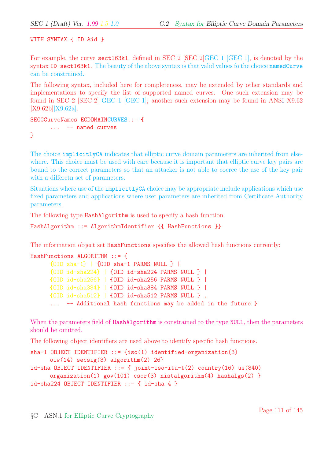WITH SYNTAX { ID &id }

For example, the curve sect163k1, defined in SEC 2 [SEC 2]GEC 1 [GEC 1], is denoted by the syntax ID sect163k1. The beauty of the above syntax is that valid values fo the choice namedCurve can be constrained.

The following syntax, included here for completeness, may be extended by other standards and implementations to specify the list of supported named curves. One such extension may be found in SEC 2 [SEC 2] GEC 1 [GEC 1]; another such extension may be found in ANSI X9.62 [X9.62b][X9.62a].

```
SECGCurveNames ECDOMAINCURVES::= {
```

```
... -- named curves
```
}

The choice implicitlyCA indicates that elliptic curve domain parameters are inherited from elsewhere. This choice must be used with care because it is important that elliptic curve key pairs are bound to the correct parameters so that an attacker is not able to coerce the use of the key pair with a differetn set of parameters.

Situations where use of the implicitlyCA choice may be appropriate include applications which use fixed parameters and applications where user parameters are inherited from Certificate Authority parameters.

The following type HashAlgorithm is used to specify a hash function.

```
HashAlgorithm ::= AlgorithmIdentifier {{ HashFunctions }}
```
The information object set HashFunctions specifies the allowed hash functions currently:

```
HashFunctions ALGORITHM ::= {
     {OID sha-1} | {OID sha-1 PARMS NULL } |
     {OID id-sha224} | {OID id-sha224 PARMS NULL } |
     {OID id-sha256} | {OID id-sha256 PARMS NULL } |
     {OID id-sha384} | {OID id-sha384 PARMS NULL } |
     {OID id-sha512} | {OID id-sha512 PARMS NULL } ,
      ... -- Additional hash functions may be added in the future }
```
When the parameters field of HashAlgorithm is constrained to the type NULL, then the parameters should be omitted.

The following object identifiers are used above to identify specific hash functions.

```
sha-1 OBJECT IDENTIFIER ::= {iso(1) identified-organization(3)
     oiw(14) secsig(3) algorithm(2) 26}
id-sha OBJECT IDENTIFIER ::= { joint-iso-itu-t(2) country(16) us(840)
     organization(1) gov(101) csor(3) nistalgorithm(4) hashalgs(2) }
id-sha224 OBJECT IDENTIFIER ::= { id-sha 4 }
```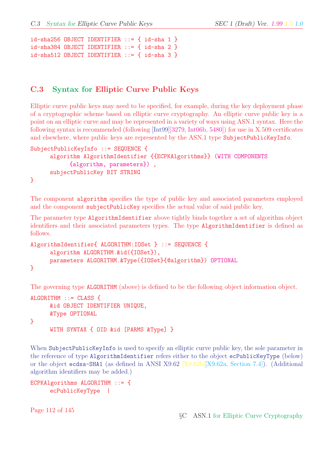```
id-sha256 OBJECT IDENTIFIER ::= { id-sha 1 }
id-sha384 OBJECT IDENTIFIER ::= { id-sha 2 }
id-sha512 OBJECT IDENTIFIER ::= { id-sha 3 }
```
#### C.3 Syntax for Elliptic Curve Public Keys

Elliptic curve public keys may need to be specified, for example, during the key deployment phase of a cryptographic scheme based on elliptic curve cryptography. An elliptic curve public key is a point on an elliptic curve and may be represented in a variety of ways using ASN.1 syntax. Here the following syntax is recommended (following [Int99][3279, Int06b, 5480]) for use in X.509 certificates and elsewhere, where public keys are represented by the ASN.1 type SubjectPublicKeyInfo.

```
SubjectPublicKeyInfo ::= SEQUENCE {
     algorithm AlgorithmIdentifier {{ECPKAlgorithms}} (WITH COMPONENTS
           {algorithm, parameters}) ,
     subjectPublicKey BIT STRING
}
```
The component algorithm specifies the type of public key and associated parameters employed and the component subjectPublicKey specifies the actual value of said public key.

The parameter type AlgorithmIdentifier above tightly binds together a set of algorithm object identifiers and their associated parameters types. The type AlgorithmIdentifier is defined as follows.

```
AlgorithmIdentifier{ ALGORITHM:IOSet } ::= SEQUENCE {
     algorithm ALGORITHM.&id({IOSet}),
     parameters ALGORITHM.&Type({IOSet}{@algorithm}) OPTIONAL
}
```
The governing type ALGORITHM (above) is defined to be the following object information object.

```
ALGORITHM ::= CLASS {
      &id OBJECT IDENTIFIER UNIQUE,
      &Type OPTIONAL
}
      WITH SYNTAX { OID &id [PARMS &Type] }
```
When SubjectPublicKeyInfo is used to specify an elliptic curve public key, the sole parameter in the reference of type AlgorithmIdentifier refers either to the object ecPublicKeyType (below) or the object ecdsa-SHA1 (as defined in ANSI X9.62 [X9.62b][X9.62a, Section 7.4]). (Additional algorithm identifiers may be added.)

ECPKAlgorithms ALGORITHM ::= { ecPublicKeyType |

Page 112 of 145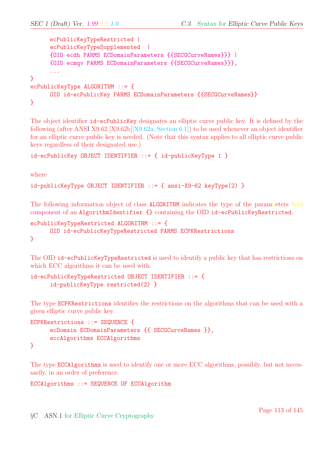```
ecPublicKeyTypeRestricted |
     ecPublicKeyTypeSupplemented |
     {OID ecdh PARMS ECDomainParameters {{SECGCurveNames}}} |
     {OID ecmqv PARMS ECDomainParameters {{SECGCurveNames}}},
      ...
}
ecPublicKeyType ALGORITHM ::= {
     OID id-ecPublicKey PARMS ECDomainParameters {{SECGCurveNames}}
}
```
The object identifier id-ecPublicKey designates an elliptic curve public key. It is defined by the following (after ANSI X9.62 [X9.62b][X9.62a, Section 6.1]) to be used whenever an object identifier for an elliptic curve public key is needed. (Note that this syntax applies to all elliptic curve public keys regardless of their designated use.)

```
id-ecPublicKey OBJECT IDENTIFIER ::= { id-publicKeyType 1 }
```
where

```
id-publicKeyType OBJECT IDENTIFIER ::= { ansi-X9-62 keyType(2) }
```
The following information object of class ALGORITHM indicates the type of the paramaeters field component of an AlgorithmIdentifier {} containing the OID id-ecPublicKeyRestricted.

```
ecPublicKeyTypeRestricted ALGORITHM ::= {
     OID id-ecPublicKeyTypeRestricted PARMS ECPKRestrictions
}
```
The OID id-ecPublicKeyTypeRestricted is used to identify a public key that has restrictions on which ECC algorithms it can be used with.

```
id-ecPublicKeyTypeRestricted OBJECT IDENTIFIER ::= {
     id-publicKeyType restricted(2) }
```
The type ECPKRestrictions identifies the restrictions on the algorithms that can be used with a given elliptic curve public key.

```
ECPKRestrictions ::= SEQUENCE {
      ecDomain ECDomainParameters {{ SECGCurveNames }},
      eccAlgorithms ECCAlgorithms
}
```
The type ECCAlgorithms is used to identify one or more ECC algorithms, possibly, but not necessarily, in an order of preference.

ECCAlgorithms ::= SEQUENCE OF ECCAlgorithm

§C ASN.1 for Elliptic Curve Cryptography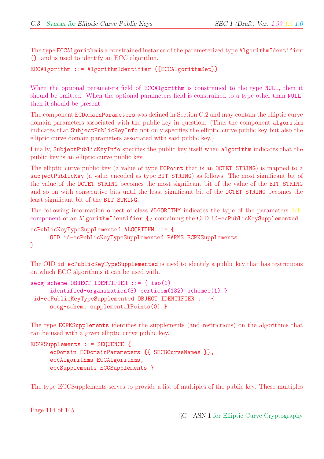The type ECCAlgorithm is a constrained instance of the parameterized type AlgorithmIdentifier {}, and is used to identify an ECC algorithm.

#### ECCAlgorithm ::= AlgorithmIdentifier {{ECCAlgorithmSet}}

When the optional parameters field of ECCAlgorithm is constrained to the type NULL, then it should be omitted. When the optional parameters field is constrained to a type other than NULL, then it should be present.

The component ECDomainParameters was defined in Section C.2 and may contain the elliptic curve domain parameters associated with the public key in question. (Thus the component algorithm indicates that SubjectPublicKeyInfo not only specifies the elliptic curve public key but also the elliptic curve domain parameters associated with said public key.)

Finally, SubjectPublicKeyInfo specifies the public key itself when algorithm indicates that the public key is an elliptic curve public key.

The elliptic curve public key (a value of type ECPoint that is an OCTET STRING) is mapped to a subjectPublicKey (a value encoded as type BIT STRING) as follows: The most significant bit of the value of the OCTET STRING becomes the most significant bit of the value of the BIT STRING and so on with consecutive bits until the least significant bit of the OCTET STRING becomes the least significant bit of the BIT STRING.

The following information object of class ALGORITHM indicates the type of the paramaters field component of an AlgorithmIdentifier {} containing the OID id-ecPublicKeySupplemented.

```
ecPublicKeyTypeSupplemented ALGORITHM ::= {
     OID id-ecPublicKeyTypeSupplemented PARMS ECPKSupplements
}
```
The OID id-ecPublicKeyTypeSupplemented is used to identify a public key that has restrictions on which ECC algorithms it can be used with.

```
secg-scheme OBJECT IDENTIFIER ::= { iso(1)
     identified-organization(3) certicom(132) schemes(1) }
id-ecPublicKeyTypeSupplemented OBJECT IDENTIFIER ::= {
     secg-scheme supplementalPoints(0) }
```
The type ECPKSupplements identifies the supplements (and restrictions) on the algorithms that can be used with a given elliptic curve public key.

```
ECPKSupplements ::= SEQUENCE {
     ecDomain ECDomainParameters {{ SECGCurveNames }},
     eccAlgorithms ECCAlgorithms,
     eccSupplements ECCSupplements }
```
The type ECCSupplements serves to provide a list of multiples of the public key. These multiples

Page 114 of 145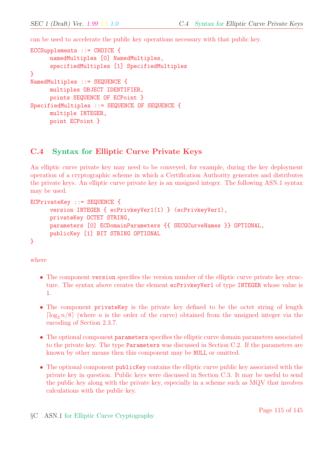can be used to accelerate the public key operations necessary with that public key.

```
ECCSupplements ::= CHOICE {
      namedMultiples [0] NamedMultiples,
      specifiedMultiples [1] SpecifiedMultiples
}
NamedMultiples ::= SEQUENCE {
     multiples OBJECT IDENTIFIER,
     points SEQUENCE OF ECPoint }
SpecifiedMultiples ::= SEQUENCE OF SEQUENCE {
     multiple INTEGER,
     point ECPoint }
```
#### C.4 Syntax for Elliptic Curve Private Keys

An elliptic curve private key may need to be conveyed, for example, during the key deployment operation of a cryptographic scheme in which a Certification Authority generates and distributes the private keys. An elliptic curve private key is an unsigned integer. The following ASN.1 syntax may be used.

```
ECPrivateKey ::= SEQUENCE {
     version INTEGER { ecPrivkeyVer1(1) } (ecPrivkeyVer1),
     privateKey OCTET STRING,
     parameters [0] ECDomainParameters {{ SECGCurveNames }} OPTIONAL,
     publicKey [1] BIT STRING OPTIONAL
}
```
where

- The component version specifies the version number of the elliptic curve private key structure. The syntax above creates the element ecPrivkeyVer1 of type INTEGER whose value is 1.
- The component privateKey is the private key defined to be the octet string of length  $\lceil \log_2 n/8 \rceil$  (where *n* is the order of the curve) obtained from the unsigned integer via the encoding of Section 2.3.7.
- The optional component parameters specifies the elliptic curve domain parameters associated to the private key. The type Parameters was discussed in Section C.2. If the parameters are known by other means then this component may be NULL or omitted.
- The optional component publicKey contains the elliptic curve public key associated with the private key in question. Public keys were discussed in Section C.3. It may be useful to send the public key along with the private key, especially in a scheme such as MQV that involves calculations with the public key.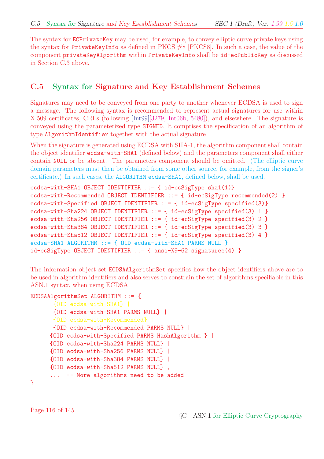The syntax for **ECPrivateKey** may be used, for example, to convey elliptic curve private keys using the syntax for PrivateKeyInfo as defined in PKCS #8 [PKCS8]. In such a case, the value of the component privateKeyAlgorithm within PrivateKeyInfo shall be id-ecPublicKey as discussed in Section C.3 above.

#### C.5 Syntax for Signature and Key Establishment Schemes

Signatures may need to be conveyed from one party to another whenever ECDSA is used to sign a message. The following syntax is recommended to represent actual signatures for use within X.509 certificates, CRLs (following [Int99][3279, Int06b, 5480]), and elsewhere. The signature is conveyed using the parameterized type SIGNED. It comprises the specification of an algorithm of type AlgorithmIdentifier together with the actual signature

When the signature is generated using ECDSA with SHA-1, the algorithm component shall contain the object identifier ecdsa-with-SHA1 (defined below) and the parameters component shall either contain NULL or be absent. The parameters component should be omitted. (The elliptic curve domain parameters must then be obtained from some other source, for example, from the signer's certificate.) In such cases, the ALGORITHM ecdsa-SHA1, defined below, shall be used.

```
ecdsa-with-SHA1 OBJECT IDENTIFIER ::= { id-ecSigType sha1(1)}
ecdsa-with-Recommended OBJECT IDENTIFIER ::= { id-ecSigType recommended(2) }
ecdsa-with-Specified OBJECT IDENTIFIER ::= { id-ecSigType specified(3)}
ecdsa-with-Sha224 OBJECT IDENTIFIER ::= { id-ecSigType specified(3) 1 }
ecdsa-with-Sha256 OBJECT IDENTIFIER ::= { id-ecSigType specified(3) 2 }
ecdsa-with-Sha384 OBJECT IDENTIFIER ::= { id-ecSigType specified(3) 3 }
ecdsa-with-Sha512 OBJECT IDENTIFIER ::= { id-ecSigType specified(3) 4 }
ecdsa-SHA1 ALGORITHM ::= { OID ecdsa-with-SHA1 PARMS NULL }
id-ecSigType OBJECT IDENTIFIER ::= { ansi-X9-62 signatures(4) }
```
The information object set ECDSAAlgorithmSet specifies how the object identifiers above are to be used in algorithm identifiers and also serves to constrain the set of algorithms specifiable in this ASN.1 syntax, when using ECDSA.

```
ECDSAAlgorithmSet ALGORITHM ::= {
       {OID ecdsa-with-SHA1} |
       {OID ecdsa-with-SHA1 PARMS NULL} |
       {OID ecdsa-with-Recommended} |
      {OID ecdsa-with-Recommended PARMS NULL} |
     {OID ecdsa-with-Specified PARMS HashAlgorithm } |
     {OID ecdsa-with-Sha224 PARMS NULL} |
     {OID ecdsa-with-Sha256 PARMS NULL} |
     {OID ecdsa-with-Sha384 PARMS NULL} |
     {OID ecdsa-with-Sha512 PARMS NULL} ,
      ... -- More algorithms need to be added
```

```
}
```
Page 116 of 145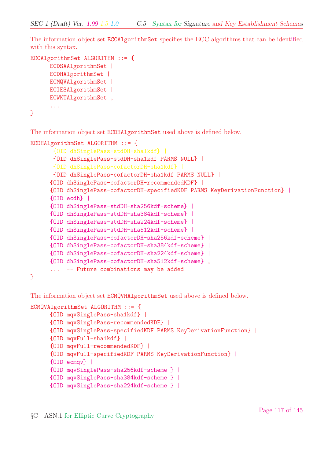The information object set ECCAlgorithmSet specifies the ECC algorithms that can be identified with this syntax.

```
ECCAlgorithmSet ALGORITHM ::= {
      ECDSAAlgorithmSet |
      ECDHAlgorithmSet |
      ECMQVAlgorithmSet |
      ECIESAlgorithmSet |
      ECWKTAlgorithmSet ,
      ...
}
```
The information object set ECDHAlgorithmSet used above is defined below.

```
ECDHAlgorithmSet ALGORITHM ::= {
      {OID dhSinglePass-stdDH-sha1kdf} |
      {OID dhSinglePass-stdDH-sha1kdf PARMS NULL} |
      {OID dhSinglePass-cofactorDH-sha1kdf} |
      {OID dhSinglePass-cofactorDH-sha1kdf PARMS NULL} |
     {OID dhSinglePass-cofactorDH-recommendedKDF} |
     {OID dhSinglePass-cofactorDH-specifiedKDF PARMS KeyDerivationFunction} |
     {OID ecdh} |
     {OID dhSinglePass-stdDH-sha256kdf-scheme} |
     {OID dhSinglePass-stdDH-sha384kdf-scheme} |
     {OID dhSinglePass-stdDH-sha224kdf-scheme} |
     {OID dhSinglePass-stdDH-sha512kdf-scheme} |
     {OID dhSinglePass-cofactorDH-sha256kdf-scheme} |
     {OID dhSinglePass-cofactorDH-sha384kdf-scheme} |
     {OID dhSinglePass-cofactorDH-sha224kdf-scheme} |
     {OID dhSinglePass-cofactorDH-sha512kdf-scheme} ,
      ... -- Future combinations may be added
}
```
The information object set ECMQVHAlgorithmSet used above is defined below.

```
ECMQVAlgorithmSet ALGORITHM ::= {
     {OID mqvSinglePass-sha1kdf} |
     {OID mqvSinglePass-recommendedKDF} |
     {OID mqvSinglePass-specifiedKDF PARMS KeyDerivationFunction} |
     {OID mqvFull-sha1kdf} |
     {OID mqvFull-recommendedKDF} |
     {OID mqvFull-specifiedKDF PARMS KeyDerivationFunction} |
     {OID ecmqv} |
     {OID mqvSinglePass-sha256kdf-scheme } |
     {OID mqvSinglePass-sha384kdf-scheme } |
     {OID mqvSinglePass-sha224kdf-scheme } |
```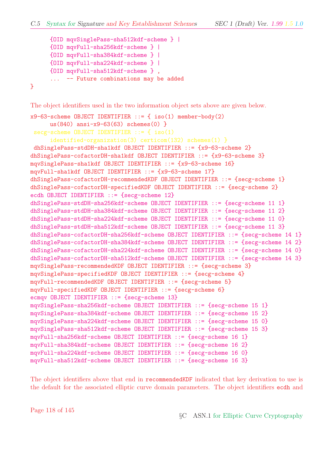```
{OID mqvSinglePass-sha512kdf-scheme } |
      {OID mqvFull-sha256kdf-scheme } |
      {OID mqvFull-sha384kdf-scheme } |
      {OID mqvFull-sha224kdf-scheme } |
      {OID mqvFull-sha512kdf-scheme } ,
      ... -- Future combinations may be added
}
```
The object identifiers used in the two information object sets above are given below.

```
x9-63-scheme OBJECT IDENTIFIER ::= { iso(1) member-body(2)
     us(840) ansi-x9-63(63) schemes(0) }
secg-scheme OBJECT IDENTIFIER ::= { iso(1)
     identified-organization(3) certicom(132) schemes(1) }
dhSinglePass-stdDH-sha1kdf OBJECT IDENTIFIER ::= {x9-63-scheme 2}
dhSinglePass-cofactorDH-sha1kdf OBJECT IDENTIFIER ::= {x9-63-scheme 3}
mqvSinglePass-sha1kdf OBJECT IDENTIFIER ::= {x9-63-scheme 16}
mqvFull-sha1kdf OBJECT IDENTIFIER ::= {x9-63-scheme 17}
dhSinglePass-cofactorDH-recommendedKDF OBJECT IDENTIFIER ::= {secg-scheme 1}
dhSinglePass-cofactorDH-specifiedKDF OBJECT IDENTIFIER ::= {secg-scheme 2}
ecdh OBJECT IDENTIFIER ::= {secg-scheme 12}
dhSinglePass-stdDH-sha256kdf-scheme OBJECT IDENTIFIER ::= {secg-scheme 11 1}
dhSinglePass-stdDH-sha384kdf-scheme OBJECT IDENTIFIER ::= {secg-scheme 11 2}
dhSinglePass-stdDH-sha224kdf-scheme OBJECT IDENTIFIER ::= {secg-scheme 11 0}
dhSinglePass-stdDH-sha512kdf-scheme OBJECT IDENTIFIER ::= {secg-scheme 11 3}
dhSinglePass-cofactorDH-sha256kdf-scheme OBJECT IDENTIFIER ::= {secg-scheme 14 1}
dhSinglePass-cofactorDH-sha384kdf-scheme OBJECT IDENTIFIER ::= {secg-scheme 14 2}
dhSinglePass-cofactorDH-sha224kdf-scheme OBJECT IDENTIFIER ::= {secg-scheme 14 0}
dhSinglePass-cofactorDH-sha512kdf-scheme OBJECT IDENTIFIER ::= {secg-scheme 14 3}
mqvSinglePass-recommendedKDF OBJECT IDENTIFIER ::= {secg-scheme 3}
mqvSinglePass-specifiedKDF OBJECT IDENTIFIER ::= {secg-scheme 4}
mqvFull-recommendedKDF OBJECT IDENTIFIER ::= {secg-scheme 5}
mqvFull-specifiedKDF OBJECT IDENTIFIER ::= {secg-scheme 6}
ecmqv OBJECT IDENTIFIER ::= {secg-scheme 13}
mqvSinglePass-sha256kdf-scheme OBJECT IDENTIFIER ::= {secg-scheme 15 1}
mqvSinglePass-sha384kdf-scheme OBJECT IDENTIFIER ::= {secg-scheme 15 2}
mqvSinglePass-sha224kdf-scheme OBJECT IDENTIFIER ::= {secg-scheme 15 0}
mqvSinglePass-sha512kdf-scheme OBJECT IDENTIFIER ::= {secg-scheme 15 3}
mqvFull-sha256kdf-scheme OBJECT IDENTIFIER ::= {secg-scheme 16 1}
mqvFull-sha384kdf-scheme OBJECT IDENTIFIER ::= {secg-scheme 16 2}
mqvFull-sha224kdf-scheme OBJECT IDENTIFIER ::= {secg-scheme 16 0}
mqvFull-sha512kdf-scheme OBJECT IDENTIFIER ::= {secg-scheme 16 3}
```
The object identifiers above that end in recommendedKDF indicated that key derivation to use is the default for the associated elliptic curve domain parameters. The object identifiers ecdh and

Page 118 of 145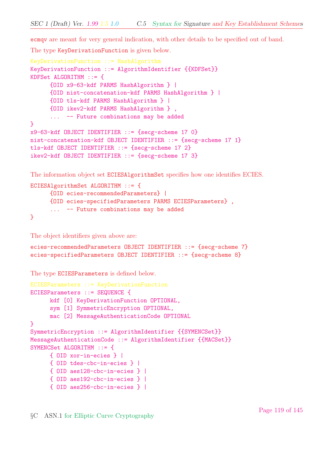ecmqv are meant for very general indication, with other details to be specified out of band.

The type KeyDerivationFunction is given below.

```
KeyDerivationFunction ::= HashAlgorithm
KeyDerivationFunction ::= AlgorithmIdentifier {{KDFSet}}
KDFSet ALGORITHM ::= {
     {OID x9-63-kdf PARMS HashAlgorithm } |
     {OID nist-concatenation-kdf PARMS HashAlgorithm } |
     {OID tls-kdf PARMS HashAlgorithm } |
     {OID ikev2-kdf PARMS HashAlgorithm } ,
     ... -- Future combinations may be added
}
x9-63-kdf OBJECT IDENTIFIER ::= {secg-scheme 17 0}
nist-concatenation-kdf OBJECT IDENTIFIER ::= {secg-scheme 17 1}
tls-kdf OBJECT IDENTIFIER ::= {secg-scheme 17 2}
ikev2-kdf OBJECT IDENTIFIER ::= {secg-scheme 17 3}
```
The information object set ECIESAlgorithmSet specifies how one identifies ECIES.

```
ECIESAlgorithmSet ALGORITHM ::= {
     {OID ecies-recommendedParameters} |
     {OID ecies-specifiedParameters PARMS ECIESParameters} ,
     ... -- Future combinations may be added
}
```
The object identifiers given above are:

```
ecies-recommendedParameters OBJECT IDENTIFIER ::= {secg-scheme 7}
ecies-specifiedParameters OBJECT IDENTIFIER ::= {secg-scheme 8}
```
The type ECIESParameters is defined below.

```
ECIESParameters ::= KeyDerivationFunction
ECIESParameters ::= SEQUENCE {
     kdf [0] KeyDerivationFunction OPTIONAL,
     sym [1] SymmetricEncryption OPTIONAL,
     mac [2] MessageAuthenticationCode OPTIONAL
}
SymmetricEncryption ::= AlgorithmIdentifier {{SYMENCSet}}
MessageAuthenticationCode ::= AlgorithmIdentifier {{MACSet}}
SYMENCSet ALGORITHM ::= {
     { OID xor-in-ecies } |
     { OID tdes-cbc-in-ecies } |
     { OID aes128-cbc-in-ecies } |
     { OID aes192-cbc-in-ecies } |
     { OID aes256-cbc-in-ecies } |
```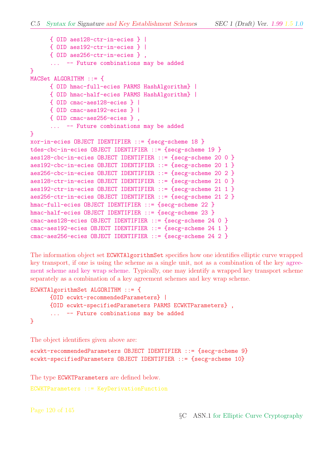```
{ OID aes128-ctr-in-ecies } |
     { OID aes192-ctr-in-ecies } |
     { OID aes256-ctr-in-ecies } ,
      ... -- Future combinations may be added
}
MACSet ALGORITHM ::= {
     { OID hmac-full-ecies PARMS HashAlgorithm} |
      { OID hmac-half-ecies PARMS HashAlgorithm} |
      { OID cmac-aes128-ecies } |
     { OID cmac-aes192-ecies } |
      { OID cmac-aes256-ecies } ,
      ... -- Future combinations may be added
}
xor-in-ecies OBJECT IDENTIFIER ::= {secg-scheme 18 }
tdes-cbc-in-ecies OBJECT IDENTIFIER ::= {secg-scheme 19 }
aes128-cbc-in-ecies OBJECT IDENTIFIER ::= {secg-scheme 20 0 }
aes192-cbc-in-ecies OBJECT IDENTIFIER ::= {secg-scheme 20 1 }
aes256-cbc-in-ecies OBJECT IDENTIFIER ::= {secg-scheme 20 2 }
aes128-ctr-in-ecies OBJECT IDENTIFIER ::= {secg-scheme 21 0 }
aes192-ctr-in-ecies OBJECT IDENTIFIER ::= {secg-scheme 21 1 }
aes256-ctr-in-ecies OBJECT IDENTIFIER ::= {secg-scheme 21 2 }
hmac-full-ecies OBJECT IDENTIFIER ::= {secg-scheme 22 }
hmac-half-ecies OBJECT IDENTIFIER ::= {secg-scheme 23 }
cmac-aes128-ecies OBJECT IDENTIFIER ::= {secg-scheme 24 0 }
cmac-aes192-ecies OBJECT IDENTIFIER ::= {secg-scheme 24 1 }
cmac-aes256-ecies OBJECT IDENTIFIER ::= {secg-scheme 24 2 }
```
The information object set ECWKTAlgorithmSet specifies how one identifies elliptic curve wrapped key transport, if one is using the scheme as a single unit, not as a combination of the key agreement scheme and key wrap scheme. Typically, one may identify a wrapped key transport scheme separately as a combination of a key agreement schemes and key wrap scheme.

```
ECWKTAlgorithmSet ALGORITHM ::= {
     {OID ecwkt-recommendedParameters} |
     {OID ecwkt-specifiedParameters PARMS ECWKTParameters} ,
     ... -- Future combinations may be added
}
```
The object identifiers given above are:

```
ecwkt-recommendedParameters OBJECT IDENTIFIER ::= {secg-scheme 9}
ecwkt-specifiedParameters OBJECT IDENTIFIER ::= {secg-scheme 10}
```
The type ECWKTParameters are defined below.

```
ECWKTParameters ::= KeyDerivationFunction
```
Page 120 of 145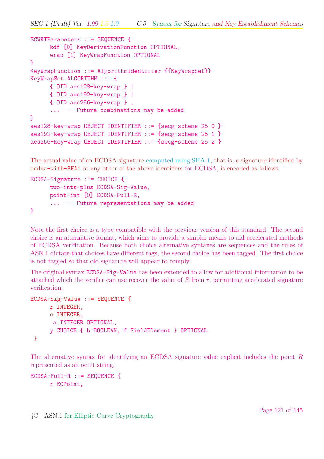```
ECWKTParameters ::= SEQUENCE {
     kdf [0] KeyDerivationFunction OPTIONAL,
      wrap [1] KeyWrapFunction OPTIONAL
}
KeyWrapFunction ::= AlgorithmIdentifier {{KeyWrapSet}}
KeyWrapSet ALGORITHM ::= {
     { OID aes128-key-wrap } |
      { OID aes192-key-wrap } |
      { OID aes256-key-wrap } ,
      ... -- Future combinations may be added
}
aes128-key-wrap OBJECT IDENTIFIER ::= {secg-scheme 25 0 }
aes192-key-wrap OBJECT IDENTIFIER ::= {secg-scheme 25 1 }
aes256-key-wrap OBJECT IDENTIFIER ::= {secg-scheme 25 2 }
```
The actual value of an ECDSA signature computed using SHA-1, that is, a signature identified by ecdsa-with-SHA1 or any other of the above identifiers for ECDSA, is encoded as follows.

```
ECDSA-Signature ::= CHOICE {
     two-ints-plus ECDSA-Sig-Value,
     point-int [0] ECDSA-Full-R,
     ... -- Future representations may be added
}
```
Note the first choice is a type compatible with the previous version of this standard. The second choice is an alternative format, which aims to provide a simpler means to aid accelerated methods of ECDSA verification. Because both choice alternative syntaxes are sequences and the rules of ASN.1 dictate that choices have different tags, the second choice has been tagged. The first choice is not tagged so that old signature will appear to comply.

The original syntax ECDSA-Sig-Value has been extended to allow for additional information to be attached which the verifier can use recover the value of  $R$  from  $r$ , permitting accelerated signature verification.

```
ECDSA-Sig-Value ::= SEQUENCE {
     r INTEGER,
     s INTEGER,
      a INTEGER OPTIONAL,
     y CHOICE { b BOOLEAN, f FieldElement } OPTIONAL
 }
```
The alternative syntax for identifying an ECDSA signature value explicit includes the point R represented as an octet string.

```
ECDSA-Full-R ::= SEQUENCE {
     r ECPoint,
```
§C ASN.1 for Elliptic Curve Cryptography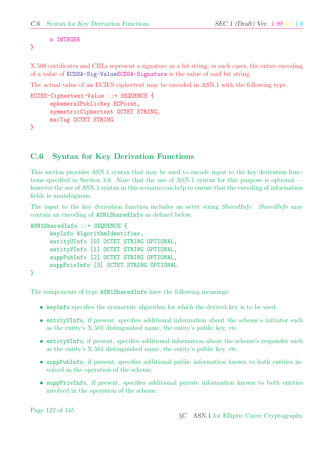```
s INTEGER
```
}

X.509 certificates and CRLs represent a signature as a bit string; in such cases, the entire encoding of a value of ECDSA-Sig-ValueECDSA-Signature is the value of said bit string.

The actual value of an ECIES ciphertext may be encoded in ASN.1 with the following type.

```
ECIES-Ciphertext-Value ::= SEQUENCE {
      ephemeralPublicKey ECPoint,
      symmetricCiphertext OCTET STRING,
      macTag OCTET STRING
}
```
C.6 Syntax for Key Derivation Functions

This section provides ASN.1 syntax that may be used to encode input to the key derivation functions specified in Section 3.6. Note that the use of ASN.1 syntax for this purpose is optional however the use of ASN.1 syntax in this scenario can help to ensure that the encoding of information fields is unambiguous.

The input to the key derivation function includes an octet string *SharedInfo. SharedInfo* may contain an encoding of ASN1SharedInfo as defined below.

```
ASN1SharedInfo ::= SEQUENCE {
      keyInfo AlgorithmIdentifier,
      entityUInfo [0] OCTET STRING OPTIONAL,
      entityVInfo [1] OCTET STRING OPTIONAL,
      suppPubInfo [2] OCTET STRING OPTIONAL,
      suppPrivInfo [3] OCTET STRING OPTIONAL
}
```
The components of type ASN1SharedInfo have the following meanings:

- keyInfo specifies the symmetric algorithm for which the derived key is to be used.
- entityUInfo, if present, specifies additional information about the scheme's initiator such as the entity's X.501 distinguished name, the entity's public key, etc.
- entityVInfo, if present, specifies additional information about the scheme's responder such as the entity's X.501 distinguished name, the entity's public key, etc.
- suppPubInfo, if present, specifies additional public information known to both entities involved in the operation of the scheme.
- suppPrivInfo, if present, specifies additional private information known to both entities involved in the operation of the scheme.

Page 122 of 145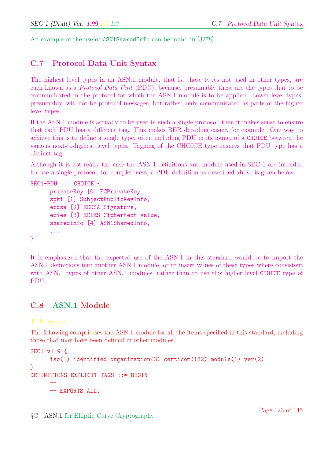An example of the use of ASN1SharedInfo can be found in [3278].

### C.7 Protocol Data Unit Syntax

The highest level types in an ASN.1 module, that is, those types not used in other types, are each known as a Protocol Data Unit (PDU), because, presumably these are the types that to be communicated in the protocol for which the ASN.1 module is to be applied. Lower level types, presumably, will not be protocol messages, but rather, only communicated as parts of the higher level types.

If the ASN.1 module is actually to be used in such a single protocol, then it makes sense to ensure that each PDU has a different tag. This makes BER decoding easier, for example. One way to achieve this is to define a single type, often including PDU in its name, of a CHOICE between the various next-to-highest level types. Tagging of the CHOICE type ensures that PDU type has a distinct tag.

Although it is not really the case the ASN.1 definitions and module used in SEC 1 are intended for use a single protocol, for completeness, a PDU definition as described above is given below.

```
SEC1-PDU ::= CHOICE {
     privateKey [0] ECPrivateKey,
      spki [1] SubjectPublicKeyInfo,
      ecdsa [2] ECDSA-Signature,
      ecies [3] ECIES-Ciphertext-Value,
      sharedinfo [4] ASN1SharedInfo,
      ...
}
```
It is emphasized that the expected use of the ASN.1 in this standard would be to import the ASN.1 definitions into another ASN.1 module, or to insert values of these types where consistent with ASN.1 types of other ASN.1 modules, rather than to use this higher level CHOICE type of PDU.

#### C.8 ASN.1 Module

To be revised.

The following comprimses the ASN.1 module for all the items specified in this standard, including those that may have been defined in other modules.

```
SEC1-v1-9iso(1) identified-organization(3) certicom(132) module(1) ver(2)}
DEFINITIONS EXPLICIT TAGS ::= BEGIN
      --
     -- EXPORTS ALL;
```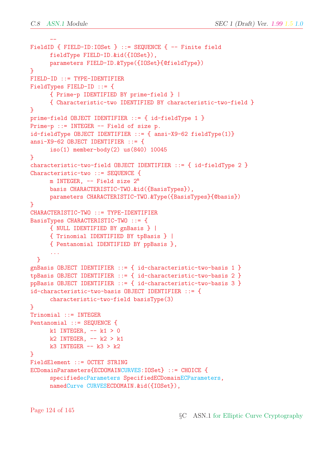```
--
FieldID { FIELD-ID:IOSet } ::= SEQUENCE { -- Finite field
      fieldType FIELD-ID.&id({IOSet}),
      parameters FIELD-ID.&Type({IOSet}{@fieldType})
}
FIELD-ID ::= TYPE-IDENTIFIER
FieldTypes FIELD-ID ::= {
     { Prime-p IDENTIFIED BY prime-field } |
      { Characteristic-two IDENTIFIED BY characteristic-two-field }
}
prime-field OBJECT IDENTIFIER ::= { id-fieldType 1 }
Prime-p ::= INTEGER -- Field of size p.
id-fieldType OBJECT IDENTIFIER ::= { ansi-X9-62 fieldType(1)}
ansi-X9-62 OBJECT IDENTIFIER ::= {
      iso(1) member-body(2) us(840) 10045
}
characteristic-two-field OBJECT IDENTIFIER ::= { id-fieldType 2 }
Characteristic-two ::= SEQUENCE {
     m INTEGER, -- Field size 2<sup>m</sup>basis CHARACTERISTIC-TWO.&id({BasisTypes}),
      parameters CHARACTERISTIC-TWO.&Type({BasisTypes}{@basis})
}
CHARACTERISTIC-TWO ::= TYPE-IDENTIFIER
BasisTypes CHARACTERISTIC-TWO ::= {
     { NULL IDENTIFIED BY gnBasis } |
     { Trinomial IDENTIFIED BY tpBasis } |
      { Pentanomial IDENTIFIED BY ppBasis },
      ...
  }
gnBasis OBJECT IDENTIFIER ::= { id-characteristic-two-basis 1 }
tpBasis OBJECT IDENTIFIER ::= { id-characteristic-two-basis 2 }
ppBasis OBJECT IDENTIFIER ::= { id-characteristic-two-basis 3 }
id-characteristic-two-basis OBJECT IDENTIFIER ::= {
      characteristic-two-field basisType(3)
}
Trinomial ::= INTEGER
Pentanomial ::= SEQUENCE {
     k1 INTEGER, - k1 > 0
     k2 INTEGER, - k2 > k1k3 INTEGER -- k3 > k2}
FieldElement ::= OCTET STRING
ECDomainParameters{ECDOMAINCURVES:IOSet} ::= CHOICE {
      specifiedecParameters SpecifiedECDomainECParameters,
     namedCurve CURVESECDOMAIN.&id({IOSet}),
```
Page 124 of 145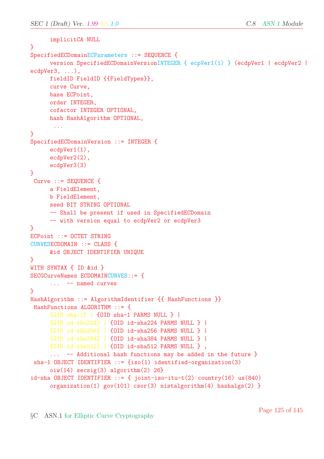```
implicitCA NULL
}
SpecifiedECDomainECParameters ::= SEQUENCE {
     version SpecifiedECDomainVersionINTEGER { ecpVer1(1) } (ecdpVer1 | ecdpVer2 |
ecdpVer3, ...),
     fieldID FieldID {{FieldTypes}},
     curve Curve,
     base ECPoint,
     order INTEGER,
     cofactor INTEGER OPTIONAL,
     hash HashAlgorithm OPTIONAL,
       ...
}
SpecifiedECDomainVersion ::= INTEGER {
     ecdpVer1(1),
     ecdpVer2(2),
     ecdpVer3(3)
}
Curve ::= SEQUENCE {
     a FieldElement,
     b FieldElement,
     seed BIT STRING OPTIONAL
     -- Shall be present if used in SpecifiedECDomain
     -- with version equal to ecdpVer2 or ecdpVer3
}
ECPoint ::= OCTET STRING
CURVESECDOMAIN ::= CLASS {
     &id OBJECT IDENTIFIER UNIQUE
}
WITH SYNTAX { ID &id }
SECGCurveNames ECDOMAINCURVES::= {
     ... -- named curves
}
HashAlgorithm ::= AlgorithmIdentifier {{ HashFunctions }}
HashFunctions ALGORITHM ::= {
     {OID sha-1} | {OID sha-1 PARMS NULL } |
     {OID id-sha224} | {OID id-sha224 PARMS NULL } |
     {OID id-sha256} | {OID id-sha256 PARMS NULL } |
     {OID id-sha384} | {OID id-sha384 PARMS NULL } |
     {OID id-sha512} | {OID id-sha512 PARMS NULL } ,
     ... -- Additional hash functions may be added in the future }
sha-1 OBJECT IDENTIFIER ::= {iso(1) identified-organization(3)
     oiw(14) secsig(3) algorithm(2) 26}
id-sha OBJECT IDENTIFIER ::= { joint-iso-itu-t(2) country(16) us(840)
     organization(1) gov(101) csor(3) nistalgorithm(4) hashalgs(2) }
```
Page 125 of 145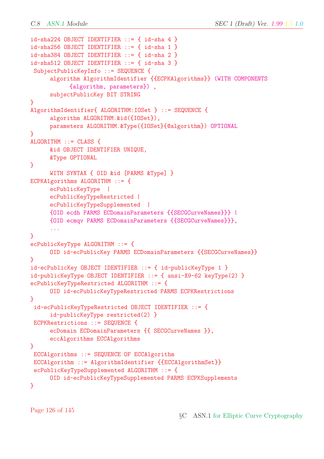```
id-sha224 OBJECT IDENTIFIER ::= { id-sha 4 }
id-sha256 OBJECT IDENTIFIER ::= { id-sha 1 }
id-sha384 OBJECT IDENTIFIER ::= { id-sha 2 }
id-sha512 OBJECT IDENTIFIER ::= { id-sha 3 }
SubjectPublicKeyInfo ::= SEQUENCE {
     algorithm AlgorithmIdentifier {{ECPKAlgorithms}} (WITH COMPONENTS
           {algorithm, parameters}) ,
     subjectPublicKey BIT STRING
}
AlgorithmIdentifier{ ALGORITHM:IOSet } ::= SEQUENCE {
     algorithm ALGORITHM.&id({IOSet}),
     parameters ALGORITHM.&Type({IOSet}{@algorithm}) OPTIONAL
}
ALGORITHM ::= CLASS {
     &id OBJECT IDENTIFIER UNIQUE,
     &Type OPTIONAL
}
     WITH SYNTAX { OID &id [PARMS &Type] }
ECPKAlgorithms ALGORITHM ::= {
     ecPublicKeyType |
     ecPublicKeyTypeRestricted |
     ecPublicKeyTypeSupplemented |
     {OID ecdh PARMS ECDomainParameters {{SECGCurveNames}}} |
     {OID ecmqv PARMS ECDomainParameters {{SECGCurveNames}}},
      ...
}
ecPublicKeyType ALGORITHM ::= {
     OID id-ecPublicKey PARMS ECDomainParameters {{SECGCurveNames}}
}
id-ecPublicKey OBJECT IDENTIFIER ::= { id-publicKeyType 1 }
id-publicKeyType OBJECT IDENTIFIER ::= { ansi-X9-62 keyType(2) }
ecPublicKeyTypeRestricted ALGORITHM ::= {
     OID id-ecPublicKeyTypeRestricted PARMS ECPKRestrictions
}
id-ecPublicKeyTypeRestricted OBJECT IDENTIFIER ::= {
     id-publicKeyType restricted(2) }
ECPKRestrictions ::= SEQUENCE {
     ecDomain ECDomainParameters {{ SECGCurveNames }},
     eccAlgorithms ECCAlgorithms
}
ECCAlgorithms ::= SEQUENCE OF ECCAlgorithm
ECCAlgorithm ::= AlgorithmIdentifier {{ECCAlgorithmSet}}
ecPublicKeyTypeSupplemented ALGORITHM ::= {
     OID id-ecPublicKeyTypeSupplemented PARMS ECPKSupplements
}
```
Page 126 of 145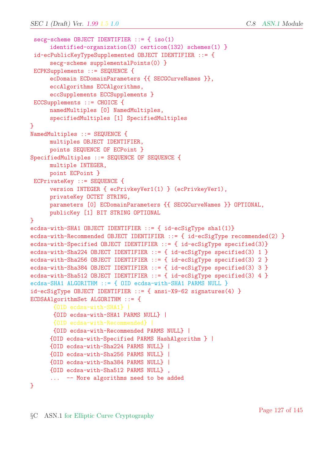```
secg-scheme OBJECT IDENTIFIER ::= { iso(1)
     identified-organization(3) certicom(132) schemes(1) }
id-ecPublicKeyTypeSupplemented OBJECT IDENTIFIER ::= {
     secg-scheme supplementalPoints(0) }
ECPKSupplements ::= SEQUENCE {
     ecDomain ECDomainParameters {{ SECGCurveNames }},
     eccAlgorithms ECCAlgorithms,
     eccSupplements ECCSupplements }
ECCSupplements ::= CHOICE {
     namedMultiples [0] NamedMultiples,
     specifiedMultiples [1] SpecifiedMultiples
}
NamedMultiples ::= SEQUENCE {
     multiples OBJECT IDENTIFIER,
     points SEQUENCE OF ECPoint }
SpecifiedMultiples ::= SEQUENCE OF SEQUENCE {
     multiple INTEGER,
     point ECPoint }
ECPrivateKey ::= SEQUENCE {
     version INTEGER { ecPrivkeyVer1(1) } (ecPrivkeyVer1),
     privateKey OCTET STRING,
     parameters [0] ECDomainParameters {{ SECGCurveNames }} OPTIONAL,
     publicKey [1] BIT STRING OPTIONAL
}
ecdsa-with-SHA1 OBJECT IDENTIFIER ::= { id-ecSigType sha1(1)}
ecdsa-with-Recommended OBJECT IDENTIFIER ::= { id-ecSigType recommended(2) }
ecdsa-with-Specified OBJECT IDENTIFIER ::= { id-ecSigType specified(3)}
ecdsa-with-Sha224 OBJECT IDENTIFIER ::= { id-ecSigType specified(3) 1 }
ecdsa-with-Sha256 OBJECT IDENTIFIER ::= { id-ecSigType specified(3) 2 }
ecdsa-with-Sha384 OBJECT IDENTIFIER ::= { id-ecSigType specified(3) 3 }
ecdsa-with-Sha512 OBJECT IDENTIFIER ::= { id-ecSigType specified(3) 4 }
ecdsa-SHA1 ALGORITHM ::= { OID ecdsa-with-SHA1 PARMS NULL }
id-ecSigType OBJECT IDENTIFIER ::= { ansi-X9-62 signatures(4) }
ECDSAAlgorithmSet ALGORITHM ::= {
       {OID ecdsa-with-SHA1} |
       {OID ecdsa-with-SHA1 PARMS NULL} |
       {OID ecdsa-with-Recommended} |
      {OID ecdsa-with-Recommended PARMS NULL} |
     {OID ecdsa-with-Specified PARMS HashAlgorithm } |
     {OID ecdsa-with-Sha224 PARMS NULL} |
     {OID ecdsa-with-Sha256 PARMS NULL} |
     {OID ecdsa-with-Sha384 PARMS NULL} |
     {OID ecdsa-with-Sha512 PARMS NULL} ,
      ... -- More algorithms need to be added
```
}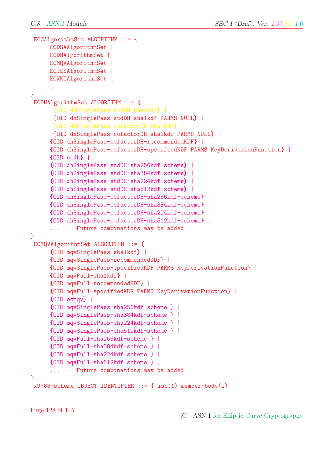```
ECCAlgorithmSet ALGORITHM ::= {
     ECDSAAlgorithmSet |
     ECDHAlgorithmSet |
     ECMQVAlgorithmSet |
     ECIESAlgorithmSet |
     ECWKTAlgorithmSet ,
      ...
}
ECDHAlgorithmSet ALGORITHM ::= {
       {OID dhSinglePass-stdDH-sha1kdf} |
       {OID dhSinglePass-stdDH-sha1kdf PARMS NULL} |
       {OID dhSinglePass-cofactorDH-sha1kdf} |
      {OID dhSinglePass-cofactorDH-sha1kdf PARMS NULL} |
     {OID dhSinglePass-cofactorDH-recommendedKDF} |
     {OID dhSinglePass-cofactorDH-specifiedKDF PARMS KeyDerivationFunction} |
     {OID ecdh} |
     {OID dhSinglePass-stdDH-sha256kdf-scheme} |
     {OID dhSinglePass-stdDH-sha384kdf-scheme} |
     {OID dhSinglePass-stdDH-sha224kdf-scheme} |
     {OID dhSinglePass-stdDH-sha512kdf-scheme} |
     {OID dhSinglePass-cofactorDH-sha256kdf-scheme} |
     {OID dhSinglePass-cofactorDH-sha384kdf-scheme} |
     {OID dhSinglePass-cofactorDH-sha224kdf-scheme} |
     {OID dhSinglePass-cofactorDH-sha512kdf-scheme} ,
      ... -- Future combinations may be added
}
ECMQVAlgorithmSet ALGORITHM ::= {
     {OID mqvSinglePass-sha1kdf} |
     {OID mqvSinglePass-recommendedKDF} |
     {OID mqvSinglePass-specifiedKDF PARMS KeyDerivationFunction} |
     {OID mqvFull-sha1kdf} |
     {OID mqvFull-recommendedKDF} |
     {OID mqvFull-specifiedKDF PARMS KeyDerivationFunction} |
     {OID ecmqv} |
     {OID mqvSinglePass-sha256kdf-scheme } |
     {OID mqvSinglePass-sha384kdf-scheme } |
     {OID mqvSinglePass-sha224kdf-scheme } |
     {OID mqvSinglePass-sha512kdf-scheme } |
     {OID mqvFull-sha256kdf-scheme } |
     {OID mqvFull-sha384kdf-scheme } |
     {OID mqvFull-sha224kdf-scheme } |
     {OID mqvFull-sha512kdf-scheme } ,
      ... -- Future combinations may be added
}
x9-63-scheme OBJECT IDENTIFIER ::= { iso(1) member-body(2)
```
Page 128 of 145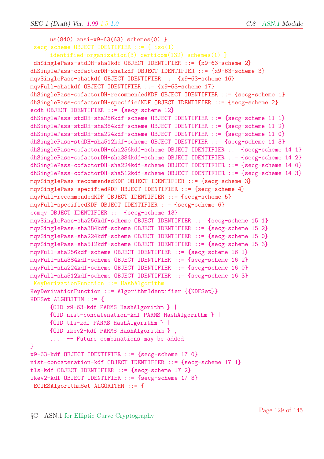```
us(840) ansi-x9-63(63) schemes(0) }
secg-scheme OBJECT IDENTIFIER ::= { iso(1)
     identified-organization(3) certicom(132) schemes(1) }
dhSinglePass-stdDH-sha1kdf OBJECT IDENTIFIER ::= {x9-63-scheme 2}
dhSinglePass-cofactorDH-sha1kdf OBJECT IDENTIFIER ::= {x9-63-scheme 3}
mqvSinglePass-sha1kdf OBJECT IDENTIFIER ::= {x9-63-scheme 16}
mqvFull-sha1kdf OBJECT IDENTIFIER ::= {x9-63-scheme 17}
dhSinglePass-cofactorDH-recommendedKDF OBJECT IDENTIFIER ::= {secg-scheme 1}
dhSinglePass-cofactorDH-specifiedKDF OBJECT IDENTIFIER ::= {secg-scheme 2}
ecdh OBJECT IDENTIFIER ::= {secg-scheme 12}
dhSinglePass-stdDH-sha256kdf-scheme OBJECT IDENTIFIER ::= {secg-scheme 11 1}
dhSinglePass-stdDH-sha384kdf-scheme OBJECT IDENTIFIER ::= {secg-scheme 11 2}
dhSinglePass-stdDH-sha224kdf-scheme OBJECT IDENTIFIER ::= {secg-scheme 11 0}
dhSinglePass-stdDH-sha512kdf-scheme OBJECT IDENTIFIER ::= {secg-scheme 11 3}
dhSinglePass-cofactorDH-sha256kdf-scheme OBJECT IDENTIFIER ::= {secg-scheme 14 1}
dhSinglePass-cofactorDH-sha384kdf-scheme OBJECT IDENTIFIER ::= {secg-scheme 14 2}
dhSinglePass-cofactorDH-sha224kdf-scheme OBJECT IDENTIFIER ::= {secg-scheme 14 0}
dhSinglePass-cofactorDH-sha512kdf-scheme OBJECT IDENTIFIER ::= {secg-scheme 14 3}
mqvSinglePass-recommendedKDF OBJECT IDENTIFIER ::= {secg-scheme 3}
mqvSinglePass-specifiedKDF OBJECT IDENTIFIER ::= {secg-scheme 4}
mqvFull-recommendedKDF OBJECT IDENTIFIER ::= {secg-scheme 5}
mqvFull-specifiedKDF OBJECT IDENTIFIER ::= {secg-scheme 6}
ecmqv OBJECT IDENTIFIER ::= {secg-scheme 13}
mqvSinglePass-sha256kdf-scheme OBJECT IDENTIFIER ::= {secg-scheme 15 1}
mqvSinglePass-sha384kdf-scheme OBJECT IDENTIFIER ::= {secg-scheme 15 2}
mqvSinglePass-sha224kdf-scheme OBJECT IDENTIFIER ::= {secg-scheme 15 0}
mqvSinglePass-sha512kdf-scheme OBJECT IDENTIFIER ::= {secg-scheme 15 3}
mqvFull-sha256kdf-scheme OBJECT IDENTIFIER ::= {secg-scheme 16 1}
mqvFull-sha384kdf-scheme OBJECT IDENTIFIER ::= {secg-scheme 16 2}
mqvFull-sha224kdf-scheme OBJECT IDENTIFIER ::= {secg-scheme 16 0}
mqvFull-sha512kdf-scheme OBJECT IDENTIFIER ::= {secg-scheme 16 3}
KeyDerivationFunction ::= HashAlgorithm
KeyDerivationFunction ::= AlgorithmIdentifier {{KDFSet}}
KDFSet ALGORITHM ::= {
     {OID x9-63-kdf PARMS HashAlgorithm } |
     {OID nist-concatenation-kdf PARMS HashAlgorithm } |
     {OID tls-kdf PARMS HashAlgorithm } |
     {OID ikev2-kdf PARMS HashAlgorithm } ,
     ... -- Future combinations may be added
}
x9-63-kdf OBJECT IDENTIFIER ::= {secg-scheme 17 0}
nist-concatenation-kdf OBJECT IDENTIFIER ::= {secg-scheme 17 1}
tls-kdf OBJECT IDENTIFIER ::= {secg-scheme 17 2}
ikev2-kdf OBJECT IDENTIFIER ::= {secg-scheme 17 3}
ECIESAlgorithmSet ALGORITHM ::= {
```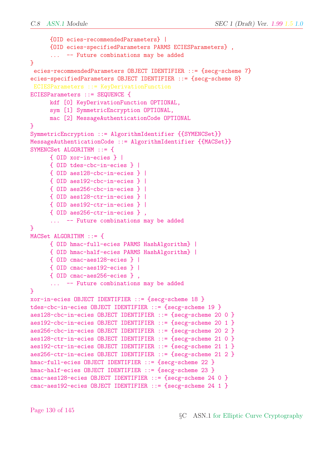```
{OID ecies-recommendedParameters} |
      {OID ecies-specifiedParameters PARMS ECIESParameters} ,
      ... -- Future combinations may be added
}
ecies-recommendedParameters OBJECT IDENTIFIER ::= {secg-scheme 7}
ecies-specifiedParameters OBJECT IDENTIFIER ::= {secg-scheme 8}
ECIESParameters ::= KeyDerivationFunction
ECIESParameters ::= SEQUENCE {
     kdf [0] KeyDerivationFunction OPTIONAL,
      sym [1] SymmetricEncryption OPTIONAL,
     mac [2] MessageAuthenticationCode OPTIONAL
}
SymmetricEncryption ::= AlgorithmIdentifier {{SYMENCSet}}
MessageAuthenticationCode ::= AlgorithmIdentifier {{MACSet}}
SYMENCSet ALGORITHM ::= {
      { OID xor-in-ecies } |
      { OID tdes-cbc-in-ecies } |
     { OID aes128-cbc-in-ecies } |
      { OID aes192-cbc-in-ecies } |
     { OID aes256-cbc-in-ecies } |
     { OID aes128-ctr-in-ecies } |
      { OID aes192-ctr-in-ecies } |
     { OID aes256-ctr-in-ecies } ,
      ... -- Future combinations may be added
}
MACSet ALGORITHM ::= {
      { OID hmac-full-ecies PARMS HashAlgorithm} |
      { OID hmac-half-ecies PARMS HashAlgorithm} |
      { OID cmac-aes128-ecies } |
     { OID cmac-aes192-ecies } |
     { OID cmac-aes256-ecies } ,
      ... -- Future combinations may be added
}
xor-in-ecies OBJECT IDENTIFIER ::= {secg-scheme 18 }
tdes-cbc-in-ecies OBJECT IDENTIFIER ::= {secg-scheme 19 }
aes128-cbc-in-ecies OBJECT IDENTIFIER ::= {secg-scheme 20 0 }
aes192-cbc-in-ecies OBJECT IDENTIFIER ::= {secg-scheme 20 1 }
aes256-cbc-in-ecies OBJECT IDENTIFIER ::= {secg-scheme 20 2 }
aes128-ctr-in-ecies OBJECT IDENTIFIER ::= {secg-scheme 21 0 }
aes192-ctr-in-ecies OBJECT IDENTIFIER ::= {secg-scheme 21 1 }
aes256-ctr-in-ecies OBJECT IDENTIFIER ::= {secg-scheme 21 2 }
hmac-full-ecies OBJECT IDENTIFIER ::= {secg-scheme 22 }
hmac-half-ecies OBJECT IDENTIFIER ::= {secg-scheme 23 }
cmac-aes128-ecies OBJECT IDENTIFIER ::= {secg-scheme 24 0 }
cmac-aes192-ecies OBJECT IDENTIFIER ::= {secg-scheme 24 1 }
```
Page 130 of 145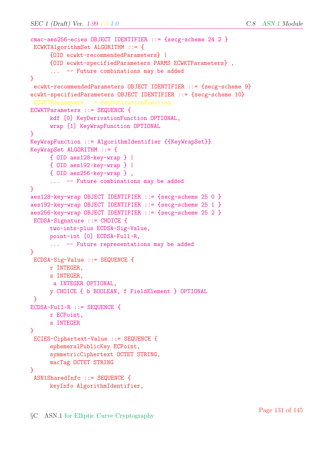```
cmac-aes256-ecies OBJECT IDENTIFIER ::= {secg-scheme 24 2 }
ECWKTAlgorithmSet ALGORITHM ::= {
     {OID ecwkt-recommendedParameters} |
     {OID ecwkt-specifiedParameters PARMS ECWKTParameters} ,
      ... -- Future combinations may be added
}
ecwkt-recommendedParameters OBJECT IDENTIFIER ::= {secg-scheme 9}
ecwkt-specifiedParameters OBJECT IDENTIFIER ::= {secg-scheme 10}
ECWKTParameters ::= KeyDerivationFunction
ECWKTParameters ::= SEQUENCE {
     kdf [0] KeyDerivationFunction OPTIONAL,
     wrap [1] KeyWrapFunction OPTIONAL
}
KeyWrapFunction ::= AlgorithmIdentifier {{KeyWrapSet}}
KeyWrapSet ALGORITHM ::= {
     { OID aes128-key-wrap } |
     { OID aes192-key-wrap } |
     { OID aes256-key-wrap } ,
      ... -- Future combinations may be added
}
aes128-key-wrap OBJECT IDENTIFIER ::= {secg-scheme 25 0 }
aes192-key-wrap OBJECT IDENTIFIER ::= {secg-scheme 25 1 }
aes256-key-wrap OBJECT IDENTIFIER ::= {secg-scheme 25 2 }
ECDSA-Signature ::= CHOICE {
     two-ints-plus ECDSA-Sig-Value,
     point-int [0] ECDSA-Full-R,
      ... -- Future representations may be added
}
ECDSA-Sig-Value ::= SEQUENCE {
     r INTEGER,
     s INTEGER,
      a INTEGER OPTIONAL,
     y CHOICE { b BOOLEAN, f FieldElement } OPTIONAL
}
ECDSA-Full-R ::= SEQUENCE {
     r ECPoint,
     s INTEGER
}
ECIES-Ciphertext-Value ::= SEQUENCE {
     ephemeralPublicKey ECPoint,
     symmetricCiphertext OCTET STRING,
     macTag OCTET STRING
}
ASN1SharedInfo ::= SEQUENCE {
     keyInfo AlgorithmIdentifier,
```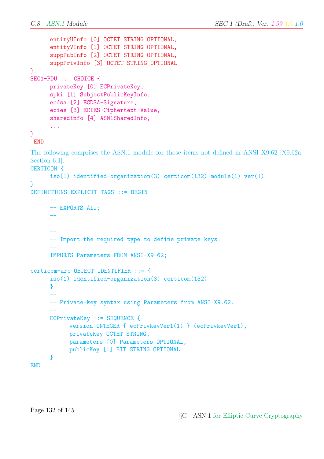```
entityUInfo [0] OCTET STRING OPTIONAL,
      entityVInfo [1] OCTET STRING OPTIONAL,
      suppPubInfo [2] OCTET STRING OPTIONAL,
      suppPrivInfo [3] OCTET STRING OPTIONAL
}
SEC1-PDU ::= CHOICE {
      privateKey [0] ECPrivateKey,
      spki [1] SubjectPublicKeyInfo,
      ecdsa [2] ECDSA-Signature,
      ecies [3] ECIES-Ciphertext-Value,
      sharedinfo [4] ASN1SharedInfo,
      ...
}
 END
The following comprises the ASN.1 module for those items not defined in ANSI X9.62 [X9.62a,
Section 6.1].
CERTICOM {
      iso(1) identified-organization(3) certicom(132) module(1) ver(1)
}
DEFINITIONS EXPLICIT TAGS ::= BEGIN
      --
      -- EXPORTS All;
      ----
      -- Import the required type to define private keys.
      --
      IMPORTS Parameters FROM ANSI-X9-62;
certicom-arc OBJECT IDENTIFIER ::= {
      iso(1) identified-organization(3) certicom(132)
      }
      --
      -- Private-key syntax using Parameters from ANSI X9.62.
      --
      ECPrivateKey ::= SEQUENCE {
            version INTEGER { ecPrivkeyVer1(1) } (ecPrivkeyVer1),
            privateKey OCTET STRING,
            parameters [0] Parameters OPTIONAL,
            publicKey [1] BIT STRING OPTIONAL
      }
END
```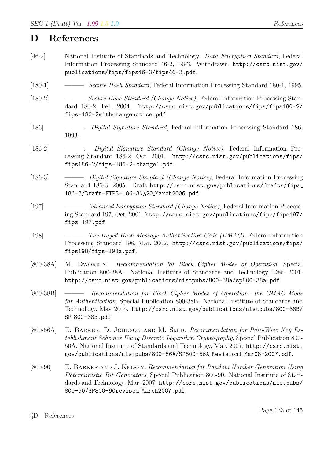## D References

- [46-2] National Institute of Standards and Technology. Data Encryption Standard, Federal Information Processing Standard 46-2, 1993. Withdrawn. http://csrc.nist.gov/ publications/fips/fips46-3/fips46-3.pdf.
- [180-1] *Secure Hash Standard*, Federal Information Processing Standard 180-1, 1995.
- [180-2] *Secure Hash Standard (Change Notice)*, Federal Information Processing Standard 180-2, Feb. 2004. http://csrc.nist.gov/publications/fips/fips180-2/ fips-180-2withchangenotice.pdf.
- [186] ———. Digital Signature Standard, Federal Information Processing Standard 186, 1993.
- [186-2] ———. Digital Signature Standard (Change Notice), Federal Information Processing Standard 186-2, Oct. 2001. http://csrc.nist.gov/publications/fips/ fips186-2/fips-186-2-change1.pdf.
- [186-3] ———. *Digital Signature Standard (Change Notice)*, Federal Information Processing Standard 186-3, 2005. Draft http://csrc.nist.gov/publications/drafts/fips 186-3/Draft-FIPS-186-3\%20 March2006.pdf.
- [197] ———. Advanced Encryption Standard (Change Notice), Federal Information Processing Standard 197, Oct. 2001. http://csrc.nist.gov/publications/fips/fips197/ fips-197.pdf.
- [198] ———. The Keyed-Hash Message Authentication Code (HMAC), Federal Information Processing Standard 198, Mar. 2002. http://csrc.nist.gov/publications/fips/ fips198/fips-198a.pdf.
- [800-38A] M. Dworkin. Recommendation for Block Cipher Modes of Operation, Special Publication 800-38A. National Institute of Standards and Technology, Dec. 2001. http://csrc.nist.gov/publications/nistpubs/800-38a/sp800-38a.pdf.
- [800-38B] ———. Recommendation for Block Cipher Modes of Operation: the CMAC Mode for Authentication, Special Publication 800-38B. National Institute of Standards and Technology, May 2005. http://csrc.nist.gov/publications/nistpubs/800-38B/ SP 800-38B.pdf.
- [800-56A] E. BARKER, D. JOHNSON AND M. SMID. Recommendation for Pair-Wise Key Establishment Schemes Using Discrete Logarithm Cryptography, Special Publication 800- 56A. National Institute of Standards and Technology, Mar. 2007. http://csrc.nist. gov/publications/nistpubs/800-56A/SP800-56A Revision1 Mar08-2007.pdf.
- [800-90] E. Barker and J. Kelsey. Recommendation for Random Number Generation Using Deterministic Bit Generators, Special Publication 800-90. National Institute of Standards and Technology, Mar. 2007. http://csrc.nist.gov/publications/nistpubs/ 800-90/SP800-90revised March2007.pdf.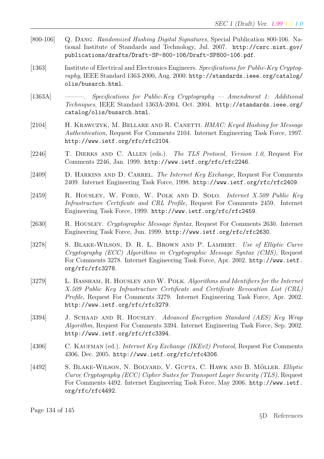- [800-106] Q. Dang. Randomized Hashing Digital Signatures, Special Publication 800-106. National Institute of Standards and Technology, Jul. 2007. http://csrc.nist.gov/ publications/drafts/Draft-SP-800-106/Draft-SP800-106.pdf.
- [1363] Institute of Electrical and Electronics Engineers. Specifications for Public-Key Cryptography, IEEE Standard 1363-2000, Aug. 2000. http://standards.ieee.org/catalog/ olis/busarch.html.
- [1363A] ———. Specifications for Public-Key Cryptography Amendment 1: Additional Techniques, IEEE Standard 1363A-2004, Oct. 2004. http://standards.ieee.org/ catalog/olis/busarch.html.
- [2104] H. KRAWCZYK, M. BELLARE AND R. CANETTI. HMAC: Keyed Hashing for Message Authentication, Request For Comments 2104. Internet Engineering Task Force, 1997. http://www.ietf.org/rfc/rfc2104.
- [2246] T. Dierks and C. Allen (eds.). The TLS Protocol, Version 1.0, Request For Comments 2246, Jan. 1999. http://www.ietf.org/rfc/rfc2246.
- [2409] D. HARKINS AND D. CARREL. The Internet Key Exchange, Request For Comments 2409. Internet Engineering Task Force, 1998. http://www.ietf.org/rfc/rfc2409.
- [2459] R. HOUSLEY, W. FORD, W. POLK AND D. SOLO. Internet X.509 Public Key Infrastructure Certificate and CRL Profile, Request For Comments 2459. Internet Engineering Task Force, 1999. http://www.ietf.org/rfc/rfc2459.
- [2630] R. Housley. Cryptographic Message Syntax, Request For Comments 2630. Internet Engineering Task Force, Jun. 1999. http://www.ietf.org/rfc/rfc2630.
- [3278] S. BLAKE-WILSON, D. R. L. BROWN AND P. LAMBERT. Use of Elliptic Curve Cryptography (ECC) Algorithms in Cryptographic Message Syntax (CMS), Request For Comments 3278. Internet Engineering Task Force, Apr. 2002. http://www.ietf. org/rfc/rfc3278.
- [3279] L. BASSHAM, R. HOUSLEY AND W. POLK. Algorithms and Identifiers for the Internet X.509 Public Key Infrastructure Certificate and Certificate Revocation List (CRL) Profile, Request For Comments 3279. Internet Engineering Task Force, Apr. 2002. http://www.ietf.org/rfc/rfc3279.
- [3394] J. SCHAAD AND R. HOUSLEY. Advanced Encryption Standard (AES) Key Wrap Algorithm, Request For Comments 3394. Internet Engineering Task Force, Sep. 2002. http://www.ietf.org/rfc/rfc3394.
- [4306] C. KAUFMAN (ed.). *Internet Key Exchange (IKEv2) Protocol*, Request For Comments 4306, Dec. 2005. http://www.ietf.org/rfc/rfc4306.
- [4492] S. BLAKE-WILSON, N. BOLYARD, V. GUPTA, C. HAWK AND B. MÖLLER. Elliptic Curve Cryptography (ECC) Cipher Suites for Transport Layer Security (TLS), Request For Comments 4492. Internet Engineering Task Force, May 2006. http://www.ietf. org/rfc/rfc4492.

Page 134 of 145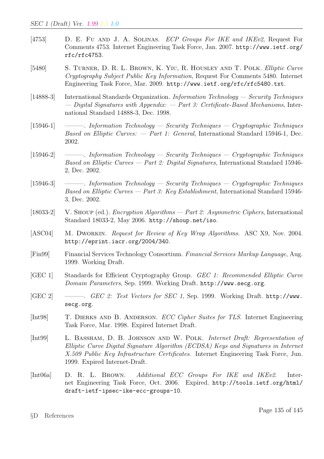- [4753] D. E. Fu and J. A. Solinas. ECP Groups For IKE and IKEv2, Request For Comments 4753. Internet Engineering Task Force, Jan. 2007. http://www.ietf.org/ rfc/rfc4753.
- [5480] S. Turner, D. R. L. Brown, K. Yiu, R. Housley and T. Polk. Elliptic Curve Cryptography Subject Public Key Information, Request For Comments 5480. Internet Engineering Task Force, Mar. 2009. http://www.ietf.org/rfc/rfc5480.txt.
- [14888-3] International Standards Organization. Information Technology Security Techniques — Digital Signatures with Appendix:  $-$  Part 3: Certificate-Based Mechanisms, International Standard 14888-3, Dec. 1998.
- [15946-1] ———. Information Technology Security Techniques Cryptographic Techniques Based on Elliptic Curves:  $-$  Part 1: General, International Standard 15946-1, Dec. 2002.
- [15946-2] ———. Information Technology Security Techniques Cryptographic Techniques *Based on Elliptic Curves — Part 2: Digital Signatures*, International Standard 15946-2, Dec. 2002.
- [15946-3] ———. Information Technology Security Techniques Cryptographic Techniques Based on Elliptic Curves — Part 3: Key Establishment, International Standard 15946- 3, Dec. 2002.
- [18033-2] V. Shoup (ed.). Encryption Algorithms Part 2: Asymmetric Ciphers, International Standard 18033-2, May 2006. http://shoup.net/iso.
- [ASC04] M. DWORKIN. *Request for Review of Key Wrap Algorithms*. ASC X9, Nov. 2004. http://eprint.iacr.org/2004/340.
- [Fin99] Financial Services Technology Consortium. Financial Services Markup Language, Aug. 1999. Working Draft.
- [GEC 1] Standards for Efficient Cryptography Group. GEC 1: Recommended Elliptic Curve Domain Parameters, Sep. 1999. Working Draft. http://www.secg.org.
- [GEC 2] ———. GEC 2: Test Vectors for SEC 1, Sep. 1999. Working Draft. http://www. secg.org.
- [Int98] T. Dierks and B. Anderson. ECC Cipher Suites for TLS. Internet Engineering Task Force, Mar. 1998. Expired Internet Draft.
- [Int99] L. BASSHAM, D. B. JOHNSON AND W. POLK. Internet Draft: Representation of Elliptic Curve Digital Signature Algorithm (ECDSA) Keys and Signatures in Internet X.509 Public Key Infrastructure Certificates. Internet Engineering Task Force, Jun. 1999. Expired Internet-Draft.
- [Int06a] D. R. L. Brown. Additional ECC Groups For IKE and IKEv2. Internet Engineering Task Force, Oct. 2006. Expired. http://tools.ietf.org/html/ draft-ietf-ipsec-ike-ecc-groups-10.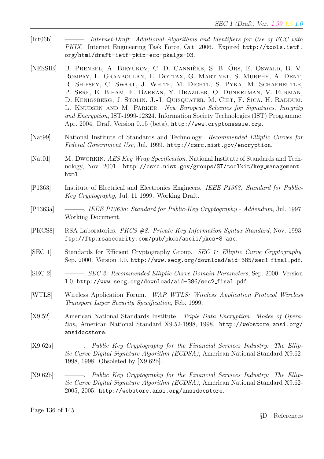- [Int06b] ———. *Internet-Draft: Additional Algorithms and Identifiers for Use of ECC with* PKIX. Internet Engineering Task Force, Oct. 2006. Expired http://tools.ietf. org/html/draft-ietf-pkix-ecc-pkalgs-03.
- [NESSIE] B. PRENEEL, A. BIRYUKOV, C. D. CANNIÈRE, S. B. ÖRS, E. OSWALD, B. V. Rompay, L. Granboulan, E. Dottax, G. Martinet, S. Murphy, A. Dent, R. Shipsey, C. Swart, J. White, M. Dichtl, S. Pyka, M. Schafheutle, P. SERF, E. BIHAM, E. BARKAN, Y. BRAZILER, O. DUNKELMAN, V. FURMAN, D. KENIGSBERG, J. STOLIN, J.-J. QUISQUATER, M. CIET, F. SICA, H. RADDUM, L. KNUDSEN AND M. PARKER. New European Schemes for Signatures, Integrity and Encryption, IST-1999-12324. Information Society Technologies (IST) Programme, Apr. 2004. Draft Version 0.15 (beta), http://www.cryptonessie.org.
- [Nat99] National Institute of Standards and Technology. Recommended Elliptic Curves for Federal Government Use, Jul. 1999. http://csrc.nist.gov/encryption.
- [Nat01] M. DWORKIN. AES Key Wrap Specification. National Institute of Standards and Technology, Nov. 2001. http://csrc.nist.gov/groups/ST/toolkit/key management. html.
- [P1363] Institute of Electrical and Electronics Engineers. IEEE P1363: Standard for Public-Key Cryptography, Jul. 11 1999. Working Draft.
- [P1363a] ———. IEEE P1363a: Standard for Public-Key Cryptography Addendum, Jul. 1997. Working Document.
- [PKCS8] RSA Laboratories. PKCS #8: Private-Key Information Syntax Standard, Nov. 1993. ftp://ftp.rsasecurity.com/pub/pkcs/ascii/pkcs-8.asc.
- [SEC 1] Standards for Efficient Cryptography Group. SEC 1: Elliptic Curve Cryptography, Sep. 2000. Version 1.0. http://www.secg.org/download/aid-385/sec1 final.pdf.
- [SEC 2] ———. SEC 2: Recommended Elliptic Curve Domain Parameters, Sep. 2000. Version 1.0. http://www.secg.org/download/aid-386/sec2 final.pdf.
- [WTLS] Wireless Application Forum. WAP WTLS: Wireless Application Protocol Wireless Transport Layer Security Specification, Feb. 1999.
- [X9.52] American National Standards Institute. Triple Data Encryption: Modes of Operation, American National Standard X9.52-1998, 1998. http://webstore.ansi.org/ ansidocstore.
- [X9.62a] ———. Public Key Cryptography for the Financial Services Industry: The Elliptic Curve Digital Signature Algorithm (ECDSA), American National Standard X9.62- 1998, 1998. Obsoleted by [X9.62b].
- [X9.62b] ———. Public Key Cryptography for the Financial Services Industry: The Elliptic Curve Digital Signature Algorithm (ECDSA), American National Standard X9.62- 2005, 2005. http://webstore.ansi.org/ansidocstore.

Page 136 of 145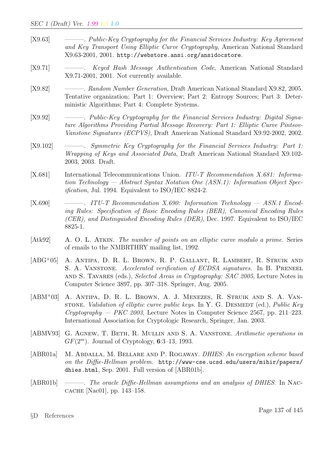- [X9.63] ———. Public-Key Cryptography for the Financial Services Industry: Key Agreement and Key Transport Using Elliptic Curve Cryptography, American National Standard X9.63-2001, 2001. http://webstore.ansi.org/ansidocstore.
- [X9.71] ------- Keyed Hash Message Authentication Code, American National Standard X9.71-2001, 2001. Not currently available.
- [X9.82] ——————. Random Number Generation, Draft American National Standard X9.82, 2005. Tentative organization: Part 1: Overview; Part 2: Entropy Sources; Part 3: Deterministic Algorithms; Part 4: Complete Systems.
- [X9.92] - Public-Key Cryptography for the Financial Services Industry: Digital Signature Algorithms Providing Partial Message Recovery: Part 1: Elliptic Curve Pintsov-Vanstone Signatures (ECPVS), Draft American National Standard X9.92-2002, 2002.
- [X9.102] ———. Symmetric Key Cryptography for the Financial Services Industry: Part 1: Wrapping of Keys and Associated Data, Draft American National Standard X9.102- 2003, 2003. Draft.
- [X.681] International Telecommunications Union. ITU-T Recommendation X.681: Information Technology — Abstract Syntax Notation One (ASN.1): Information Object Specification, Jul. 1994. Equivalent to ISO/IEC 8824-2.
- $[X.690] \qquad \longrightarrow \qquad \qquad ITU-T\ \textit{Recommendation X.690: Information Technology \longrightarrow ASN.1\ \textit{Encode}$ ing Rules: Specification of Basic Encoding Rules (BER), Canonical Encoding Rules (CER), and Distinguished Encoding Rules (DER), Dec. 1997. Equivalent to ISO/IEC 8825-1.
- [Atk92] A. O. L. ATKIN. The number of points on an elliptic curve modulo a prime. Series of emails to the NMBRTHRY mailing list, 1992.
- [ABG<sup>+</sup>05] A. Antipa, D. R. L. Brown, R. P. Gallant, R. Lambert, R. Struik and S. A. VANSTONE. Accelerated verification of ECDSA signatures. In B. PRENEEL AND S. TAVARES (eds.), Selected Areas in Cryptography: SAC 2005, Lecture Notes in Computer Science 3897, pp. 307–318. Springer, Aug. 2005.
- [ABM<sup>+</sup>03] A. Antipa, D. R. L. Brown, A. J. Menezes, R. Struik and S. A. Vanstrone. Validation of elliptic curve public keys. In Y. G. DESMEDT (ed.), Public Key  $Cryptography - PKC 2003$ , Lecture Notes in Computer Science 2567, pp. 211–223. International Association for Cryptologic Research, Springer, Jan. 2003.
- [ABMV93] G. AGNEW, T. BETH, R. MULLIN AND S. A. VANSTONE. Arithmetic operations in  $GF(2<sup>m</sup>)$ . Journal of Cryptology, 6:3-13, 1993.
- [ABR01a] M. ABDALLA, M. BELLARE AND P. ROGAWAY. DHIES: An encryption scheme based on the Diffie-Hellman problem. http://www-cse.ucsd.edu/users/mihir/papers/ dhies.html, Sep. 2001. Full version of [ABR01b].
- [ABR01b] ———. The oracle Diffie-Hellman assumptions and an analysis of DHIES. In Naccache [Nac01], pp. 143–158.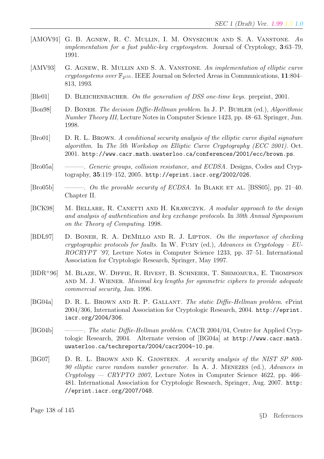- [AMOV91] G. B. AGNEW, R. C. MULLIN, I. M. ONYSZCHUK AND S. A. VANSTONE. An implementation for a fast public-key cryptosystem. Journal of Cryptology, 3:63–79, 1991.
- [AMV93] G. AGNEW, R. MULLIN AND S. A. VANSTONE. An implementation of elliptic curve cryptosystems over  $\mathbb{F}_{2^{155}}$ . IEEE Journal on Selected Areas in Communications, 11:804– 813, 1993.
- [Ble01] D. BLEICHENBACHER. On the generation of DSS one-time keys. preprint, 2001.
- [Bon98] D. BONEH. The decision Diffie-Hellman problem. In J. P. BUHLER (ed.), Algorithmic Number Theory III, Lecture Notes in Computer Science 1423, pp. 48–63. Springer, Jun. 1998.
- [Bro01] D. R. L. Brown. A conditional security analysis of the elliptic curve digital signature algorithm. In The 5th Workshop on Elliptic Curve Cryptography (ECC 2001). Oct. 2001. http://www.cacr.math.uwaterloo.ca/conferences/2001/ecc/brown.ps.
- [Bro05a] ———. Generic groups, collision resistance, and ECDSA. Designs, Codes and Cryptography, 35:119–152, 2005. http://eprint.iacr.org/2002/026.
- [Bro05b] ———. On the provable security of ECDSA. In BLAKE ET AL. [BSS05], pp. 21–40. Chapter II.
- [BCK98] M. BELLARE, R. CANETTI AND H. KRAWCZYK. A modular approach to the design and analysis of authentication and key exchange protocols. In 30th Annual Symposium on the Theory of Computing. 1998.
- [BDL97] D. Boneh, R. A. DeMillo and R. J. Lipton. On the importance of checking cryptographic protocols for faults. In W. FUMY (ed.), Advances in Cryptology –  $EU$ -ROCRYPT '97, Lecture Notes in Computer Science 1233, pp. 37–51. International Association for Cryptologic Research, Springer, May 1997.
- [BDR<sup>+</sup>96] M. Blaze, W. Diffie, R. Rivest, B. Schneier, T. Shimomura, E. Thompson AND M. J. WIENER. Minimal key lengths for symmetric ciphers to provide adequate commercial security, Jan. 1996.
- [BG04a] D. R. L. Brown and R. P. Gallant. The static Diffie-Hellman problem. ePrint 2004/306, International Association for Cryptologic Research, 2004. http://eprint. iacr.org/2004/306.
- [BG04b] ———. The static Diffie-Hellman problem. CACR 2004/04, Centre for Applied Cryptologic Research, 2004. Alternate version of [BG04a] at http://www.cacr.math. uwaterloo.ca/techreports/2004/cacr2004-10.ps.
- [BG07] D. R. L. Brown and K. Gjøsteen. A security analysis of the NIST SP 800- 90 elliptic curve random number generator. In A. J. Menezes (ed.), Advances in  $Cryptology - CRYPTO 2007$ , Lecture Notes in Computer Science 4622, pp. 466– 481. International Association for Cryptologic Research, Springer, Aug. 2007. http: //eprint.iacr.org/2007/048.

Page 138 of 145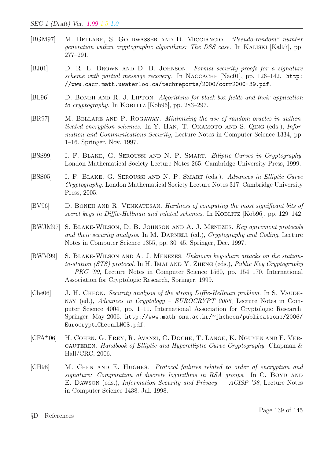- [BGM97] M. Bellare, S. Goldwasser and D. Micciancio. "Pseudo-random" number generation within cryptographic algorithms: The DSS case. In KALISKI [Kal97], pp. 277–291.
- [BJ01] D. R. L. Brown and D. B. Johnson. Formal security proofs for a signature scheme with partial message recovery. In NACCACHE [Nac01], pp. 126-142. http: //www.cacr.math.uwaterloo.ca/techreports/2000/corr2000-39.pdf.
- [BL96] D. BONEH AND R. J. LIPTON. Algorithms for black-box fields and their application to cryptography. In KOBLITZ [Kob96], pp.  $283-297$ .
- [BR97] M. Bellare and P. Rogaway. Minimizing the use of random oracles in authenticated encryption schemes. In Y. HAN, T. OKAMOTO AND S. QING (eds.), Information and Communications Security, Lecture Notes in Computer Science 1334, pp. 1–16. Springer, Nov. 1997.
- [BSS99] I. F. BLAKE, G. SEROUSSI AND N. P. SMART. Elliptic Curves in Cryptography. London Mathematical Society Lecture Notes 265. Cambridge University Press, 1999.
- [BSS05] I. F. BLAKE, G. SEROUSSI AND N. P. SMART (eds.). Advances in Elliptic Curve Cryptography. London Mathematical Society Lecture Notes 317. Cambridge University Press, 2005.
- [BV96] D. Boneh and R. Venkatesan. Hardness of computing the most significant bits of secret keys in Diffie-Hellman and related schemes. In KOBLITZ [Kob96], pp. 129–142.
- [BWJM97] S. Blake-Wilson, D. B. Johnson and A. J. Menezes. Key agreement protocols and their security analysis. In M. DARNELL (ed.), Cryptography and Coding, Lecture Notes in Computer Science 1355, pp. 30–45. Springer, Dec. 1997.
- [BWM99] S. Blake-Wilson and A. J. Menezes. Unknown key-share attacks on the stationto-station (STS) protocol. In H. IMAI AND Y. ZHENG (eds.), Public Key Cryptography  $-$  *PKC '99*, Lecture Notes in Computer Science 1560, pp. 154–170. International Association for Cryptologic Research, Springer, 1999.
- [Che06] J. H. CHEON. Security analysis of the strong Diffie-Hellman problem. In S. VAUDEnay (ed.), Advances in Cryptology – EUROCRYPT 2006, Lecture Notes in Computer Science 4004, pp. 1–11. International Association for Cryptologic Research, Springer, May 2006. http://www.math.snu.ac.kr/∼jhcheon/publications/2006/ Eurocrypt Cheon LNCS.pdf.
- [CFA<sup>+</sup>06] H. Cohen, G. Frey, R. Avanzi, C. Doche, T. Lange, K. Nguyen and F. Vercauteren. Handbook of Elliptic and Hyperelliptic Curve Cryptography. Chapman & Hall/CRC, 2006.
- [CH98] M. Chen and E. Hughes. Protocol failures related to order of encryption and signature: Computation of discrete logarithms in RSA groups. In  $C$ . BOYD AND E. Dawson (eds.), Information Security and Privacy — ACISP '98, Lecture Notes in Computer Science 1438. Jul. 1998.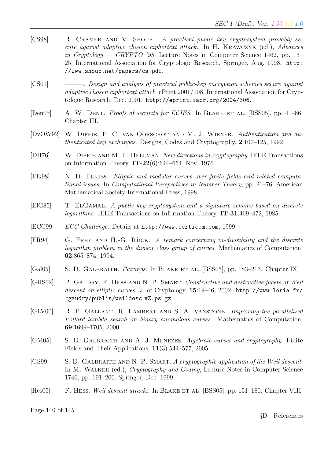- [CS98] R. Cramer and V. Shoup. A practical public key cryptosystem provably secure against adaptive chosen ciphertext attack. In H. Krawczyk (ed.), Advances in Cryptology — CRYPTO '98, Lecture Notes in Computer Science 1462, pp. 13– 25. International Association for Cryptologic Research, Springer, Aug. 1998. http: //www.shoup.net/papers/cs.pdf.
- [CS01] ———. Design and analysis of practical public-key encryption schemes secure against adaptive chosen ciphertext attack. ePrint 2001/108, International Association for Cryptologic Research, Dec. 2001. http://eprint.iacr.org/2004/306.
- [Den05] A. W. DENT. *Proofs of security for ECIES*. In BLAKE ET AL. [BSS05], pp. 41–66. Chapter III.
- [DvOW92] W. Diffie, P. C. van Oorschot and M. J. Wiener. Authentication and authenticated key exchanges. Designs, Codes and Cryptography, 2:107–125, 1992.
- [DH76] W. Diffie and M. E. Hellman. New directions in cryptography. IEEE Transactions on Information Theory,  $IT-22(6)$ :644–654, Nov. 1976.
- [Elk98] N. D. Elkies. Elliptic and modular curves over finite fields and related computational issues. In Computational Perspectives in Number Theory, pp. 21–76. American Mathematical Society International Press, 1998.
- [ElG85] T. ElGamal. A public key cryptosystem and a signature scheme based on discrete logarithms. IEEE Transactions on Information Theory, IT-31:469–472, 1985.
- [ECC99] ECC Challenge. Details at http://www.certicom.com, 1999.
- $[FR94]$  G. FREY AND H.-G. RÜCK. A remark concerning m-divisibility and the discrete logarithm problem in the divisor class group of curves. Mathematics of Computation, 62:865–874, 1994.
- [Gal05] S. D. GALBRAITH. *Pairings*. In BLAKE ET AL. [BSS05], pp. 183–213. Chapter IX.
- [GHS02] P. GAUDRY, F. HESS AND N. P. SMART. Constructive and destructive facets of Weil descent on elliptic curves. J. of Cryptology, 15:19-46, 2002. http://www.loria.fr/ <sup>∼</sup>gaudry/publis/weildesc vZ.ps.gz.
- [GLV00] R. P. Gallant, R. Lambert and S. A. Vanstone. Improving the parallelized Pollard lambda search on binary anomalous curves. Mathematics of Computation, 69:1699–1705, 2000.
- [GM05] S. D. GALBRAITH AND A. J. MENEZES. Algebraic curves and cryptography. Finite Fields and Their Applications, 11(3):544–577, 2005.
- [GS99] S. D. GALBRAITH AND N. P. SMART. A cryptographic application of the Weil descent. In M. WALKER (ed.), *Cryptography and Coding*, Lecture Notes in Computer Science 1746, pp. 191–200. Springer, Dec. 1999.
- [Hes05] F. HESS. Weil descent attacks. In BLAKE ET AL. [BSS05], pp. 151–180. Chapter VIII.

Page 140 of 145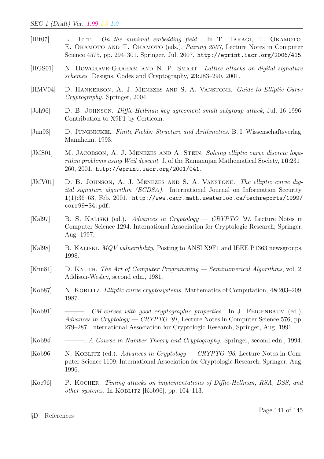- [ $Hit07$ ] L. HITT. On the minimal embedding field. In T. TAKAGI, T. OKAMOTO, E. OKAMOTO AND T. OKAMOTO (eds.), *Pairing 2007*, Lecture Notes in Computer Science 4575, pp. 294–301. Springer, Jul. 2007. http://eprint.iacr.org/2006/415.
- [HGS01] N. HOWGRAVE-GRAHAM AND N. P. SMART. Lattice attacks on digital signature schemes. Designs, Codes and Cryptography, 23:283–290, 2001.
- [HMV04] D. HANKERSON, A. J. MENEZES AND S. A. VANSTONE. Guide to Elliptic Curve Cryptography. Springer, 2004.
- [Joh96] D. B. JOHNSON. *Diffie-Hellman key agreement small subgroup attack*, Jul. 16 1996. Contribution to X9F1 by Certicom.
- [Jun93] D. JUNGNICKEL. Finite Fields: Structure and Arithmetics. B. I. Wissenschaftsverlag, Mannheim, 1993.
- [JMS01] M. JACOBSON, A. J. MENEZES AND A. STEIN. Solving elliptic curve discrete logarithm problems using Weil descent. J. of the Ramanujan Mathematical Society, 16:231– 260, 2001. http://eprint.iacr.org/2001/041.
- [JMV01] D. B. JOHNSON, A. J. MENEZES AND S. A. VANSTONE. The elliptic curve digital signature algorithm (ECDSA). International Journal on Information Security,  $1(1):36-63$ , Feb. 2001. http://www.cacr.math.uwaterloo.ca/techreports/1999/ corr99-34.pdf.
- [Kal97] B. S. KALISKI (ed.). Advances in Cryptology CRYPTO '97, Lecture Notes in Computer Science 1294. International Association for Cryptologic Research, Springer, Aug. 1997.
- [Kal98] B. KALISKI. MQV vulnerability. Posting to ANSI X9F1 and IEEE P1363 newsgroups, 1998.
- [Knu81] D. KNUTH. The Art of Computer Programming  $-$  Seminumerical Algorithms, vol. 2. Addison-Wesley, second edn., 1981.
- [Kob87] N. KOBLITZ. *Elliptic curve cryptosystems*. Mathematics of Computation, 48:203-209, 1987.
- $[Kob91] \quad \longrightarrow$ . *CM-curves with good cryptographic properties.* In J. FEIGENBAUM (ed.), Advances in Cryptology — CRYPTO '91, Lecture Notes in Computer Science 576, pp. 279–287. International Association for Cryptologic Research, Springer, Aug. 1991.
- [Kob94] ———. A Course in Number Theory and Cryptography. Springer, second edn., 1994.
- [Kob96] N. KOBLITZ (ed.). Advances in Cryptology CRYPTO '96, Lecture Notes in Computer Science 1109. International Association for Cryptologic Research, Springer, Aug. 1996.
- [Koc96] P. Kocher. Timing attacks on implementations of Diffie-Hellman, RSA, DSS, and other systems. In KOBLITZ [Kob96], pp.  $104-113$ .

§D References

Page 141 of 145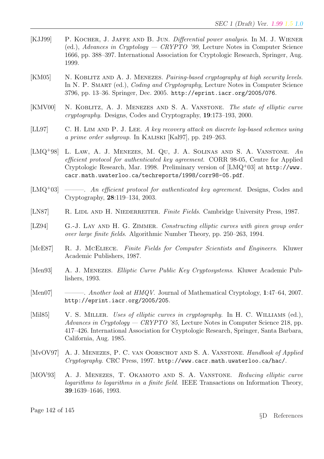- [KJJ99] P. KOCHER, J. JAFFE AND B. JUN. *Differential power analysis*. In M. J. WIENER (ed.), Advances in Cryptology — CRYPTO '99, Lecture Notes in Computer Science 1666, pp. 388–397. International Association for Cryptologic Research, Springer, Aug. 1999.
- [KM05] N. KOBLITZ AND A. J. MENEZES. Pairing-based cryptography at high security levels. In N. P. SMART (ed.), *Coding and Cryptography*, Lecture Notes in Computer Science 3796, pp. 13–36. Springer, Dec. 2005. http://eprint.iacr.org/2005/076.
- [KMV00] N. KOBLITZ, A. J. MENEZES AND S. A. VANSTONE. The state of elliptic curve cryptography. Designs, Codes and Cryptography, 19:173–193, 2000.
- [LL97] C. H. LIM AND P. J. LEE. A key recovery attack on discrete log-based schemes using a prime order subgroup. In Kaliski [Kal97], pp. 249–263.
- [LMQ<sup>+</sup>98] L. LAW, A. J. MENEZES, M. QU, J. A. SOLINAS AND S. A. VANSTONE. An efficient protocol for authenticated key agreement. CORR 98-05, Centre for Applied Cryptologic Research, Mar. 1998. Preliminary version of [LMQ<sup>+</sup>03] at http://www. cacr.math.uwaterloo.ca/techreports/1998/corr98-05.pdf.
- $[LMQ^+03] \longrightarrow$ . An efficient protocol for authenticated key agreement. Designs, Codes and Cryptography, 28:119–134, 2003.
- [LN87] R. LIDL AND H. NIEDERREITER. Finite Fields. Cambridge University Press, 1987.
- [LZ94] G.-J. LAY AND H. G. ZIMMER. Constructing elliptic curves with given group order over large finite fields. Algorithmic Number Theory, pp. 250–263, 1994.
- [McE87] R. J. McEliece. Finite Fields for Computer Scientists and Engineers. Kluwer Academic Publishers, 1987.
- [Men93] A. J. Menezes. Elliptic Curve Public Key Cryptosystems. Kluwer Academic Publishers, 1993.
- [Men07] ———. Another look at HMQV. Journal of Mathematical Cryptology, 1:47–64, 2007. http://eprint.iacr.org/2005/205.
- [Mil85] V. S. MILLER. Uses of elliptic curves in cryptography. In H. C. WILLIAMS (ed.), Advances in Cryptology — CRYPTO '85, Lecture Notes in Computer Science 218, pp. 417–426. International Association for Cryptologic Research, Springer, Santa Barbara, California, Aug. 1985.
- [MvOV97] A. J. MENEZES, P. C. VAN OORSCHOT AND S. A. VANSTONE. Handbook of Applied Cryptography. CRC Press, 1997. http://www.cacr.math.uwaterloo.ca/hac/.
- [MOV93] A. J. MENEZES, T. OKAMOTO AND S. A. VANSTONE. Reducing elliptic curve logarithms to logarithms in a finite field. IEEE Transactions on Information Theory, 39:1639–1646, 1993.

Page 142 of 145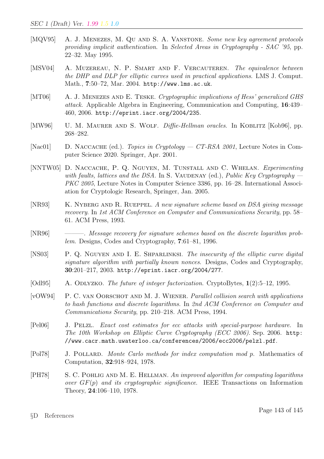- [MQV95] A. J. MENEZES, M. QU AND S. A. VANSTONE. Some new key agreement protocols providing implicit authentication. In Selected Areas in Cryptography - SAC '95, pp. 22–32. May 1995.
- [MSV04] A. MUZEREAU, N. P. SMART AND F. VERCAUTEREN. The equivalence between the DHP and DLP for elliptic curves used in practical applications. LMS J. Comput. Math., 7:50–72, Mar. 2004. http://www.lms.ac.uk.
- [MT06] A. J. MENEZES AND E. TESKE. Cryptographic implications of Hess' generalized GHS attack. Applicable Algebra in Engineering, Communication and Computing, 16:439– 460, 2006. http://eprint.iacr.org/2004/235.
- [MW96] U. M. MAURER AND S. WOLF. *Diffie-Hellman oracles*. In KOBLITZ [Kob96], pp. 268–282.
- [Nac01] D. NACCACHE (ed.). Topics in Cryptology CT-RSA 2001, Lecture Notes in Computer Science 2020. Springer, Apr. 2001.
- [NNTW05] D. NACCACHE, P. Q. NGUYEN, M. TUNSTALL AND C. WHELAN. Experimenting with faults, lattices and the DSA. In S. VAUDENAY (ed.), Public Key Cryptography — PKC 2005, Lecture Notes in Computer Science 3386, pp. 16–28. International Association for Cryptologic Research, Springer, Jan. 2005.
- [NR93] K. NYBERG AND R. RUEPPEL. A new signature scheme based on DSA giving message recovery. In 1st ACM Conference on Computer and Communications Security, pp. 58– 61. ACM Press, 1993.
- [NR96] ———. *Message recovery for signature schemes based on the discrete logarithm prob*lem. Designs, Codes and Cryptography, 7:61–81, 1996.
- [NS03] P. Q. Nguyen and I. E. Shparlinksi. The insecurity of the elliptic curve digital signature algorithm with partially known nonces. Designs, Codes and Cryptography, 30:201–217, 2003. http://eprint.iacr.org/2004/277.
- [Odl95] A. ODLYZKO. The future of integer factorization. CryptoBytes, 1(2):5–12, 1995.
- [vOW94] P. C. VAN OORSCHOT AND M. J. WIENER. Parallel collision search with applications to hash functions and discrete logarithms. In 2nd ACM Conference on Computer and Communications Security, pp. 210–218. ACM Press, 1994.
- [Pel06] J. Pelzl. Exact cost estimates for ecc attacks with special-purpose hardware. In The 10th Workshop on Elliptic Curve Cryptography (ECC 2006). Sep. 2006. http: //www.cacr.math.uwaterloo.ca/conferences/2006/ecc2006/pelzl.pdf.
- [Pol78] J. POLLARD. Monte Carlo methods for index computation mod p. Mathematics of Computation, 32:918–924, 1978.
- [PH78] S. C. Pohlig and M. E. Hellman. An improved algorithm for computing logarithms over  $GF(p)$  and its cryptographic significance. IEEE Transactions on Information Theory, 24:106–110, 1978.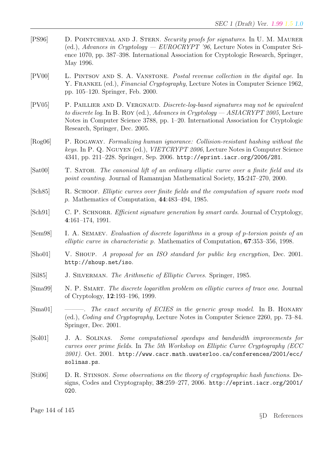- [PS96] D. POINTCHEVAL AND J. STERN. Security proofs for signatures. In U. M. MAURER (ed.), Advances in Cryptology — EUROCRYPT '96, Lecture Notes in Computer Science 1070, pp. 387–398. International Association for Cryptologic Research, Springer, May 1996.
- [PV00] L. Pintsov and S. A. Vanstone. Postal revenue collection in the digital age. In Y. FRANKEL (ed.), *Financial Cryptography*, Lecture Notes in Computer Science 1962, pp. 105–120. Springer, Feb. 2000.
- [PV05] P. PAILLIER AND D. VERGNAUD. Discrete-log-based signatures may not be equivalent to discrete log. In B. Roy (ed.), Advances in Cryptology — ASIACRYPT 2005, Lecture Notes in Computer Science 3788, pp. 1–20. International Association for Cryptologic Research, Springer, Dec. 2005.
- [Rog06] P. Rogaway. Formalizing human ignorance: Collision-resistant hashing without the keys. In P. Q. Nguyen (ed.), VIETCRYPT 2006, Lecture Notes in Computer Science 4341, pp. 211–228. Springer, Sep. 2006. http://eprint.iacr.org/2006/281.
- [Sat00] T. SATOH. The canonical lift of an ordinary elliptic curve over a finite field and its point counting. Journal of Ramanujan Mathematical Society, 15:247–270, 2000.
- [Sch85] R. Schoof. Elliptic curves over finite fields and the computation of square roots mod p. Mathematics of Computation, 44:483–494, 1985.
- [Sch91] C. P. SCHNORR. *Efficient signature generation by smart cards*. Journal of Cryptology, 4:161–174, 1991.
- [Sem98] I. A. Semaev. Evaluation of discrete logarithms in a group of p-torsion points of an elliptic curve in characteristic p. Mathematics of Computation, 67:353–356, 1998.
- [Sho01] V. SHOUP. A proposal for an ISO standard for public key encryption, Dec. 2001. http://shoup.net/iso.
- [Sil85] J. SILVERMAN. The Arithmetic of Elliptic Curves. Springer, 1985.
- [Sma99] N. P. SMART. The discrete logarithm problem on elliptic curves of trace one. Journal of Cryptology, 12:193–196, 1999.
- [Sma01] ———. The exact security of ECIES in the generic group model. In B. HONARY (ed.), Coding and Cryptography, Lecture Notes in Computer Science 2260, pp. 73–84. Springer, Dec. 2001.
- [Sol01] J. A. Solinas. Some computational speedups and bandwidth improvements for curves over prime fields. In The 5th Workshop on Elliptic Curve Cryptography (ECC  $2001$ ). Oct. 2001. http://www.cacr.math.uwaterloo.ca/conferences/2001/ecc/ solinas.ps.
- [Sti06] D. R. Stinson. Some observations on the theory of cryptographic hash functions. Designs, Codes and Cryptography, 38:259–277, 2006. http://eprint.iacr.org/2001/ 020.

Page 144 of 145